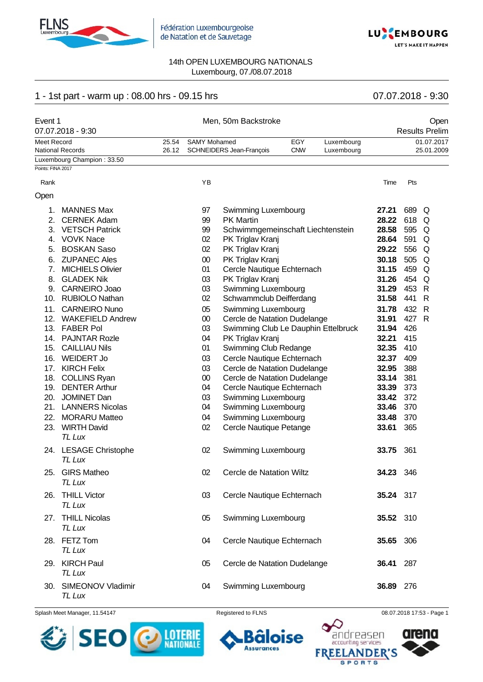



# 1 - 1st part - warm up : 08.00 hrs - 09.15 hrs 07.07.2018 - 9:30

| Event 1           | 07.07.2018 - 9:30               |                |                     | Men, 50m Backstroke                 |                   |                          |           |     | Open<br><b>Results Prelim</b> |
|-------------------|---------------------------------|----------------|---------------------|-------------------------------------|-------------------|--------------------------|-----------|-----|-------------------------------|
| Meet Record       | <b>National Records</b>         | 25.54<br>26.12 | <b>SAMY Mohamed</b> | SCHNEIDERS Jean-François            | EGY<br><b>CNW</b> | Luxembourg<br>Luxembourg |           |     | 01.07.2017<br>25.01.2009      |
|                   | Luxembourg Champion: 33.50      |                |                     |                                     |                   |                          |           |     |                               |
| Points: FINA 2017 |                                 |                |                     |                                     |                   |                          |           |     |                               |
| Rank              |                                 |                | YB                  |                                     |                   |                          | Time      | Pts |                               |
| Open              |                                 |                |                     |                                     |                   |                          |           |     |                               |
| 1.                | <b>MANNES Max</b>               |                | 97                  | Swimming Luxembourg                 |                   |                          | 27.21     | 689 | Q                             |
| 2.                | <b>CERNEK Adam</b>              |                | 99                  | <b>PK Martin</b>                    |                   |                          | 28.22     | 618 | Q                             |
| 3.                | <b>VETSCH Patrick</b>           |                | 99                  | Schwimmgemeinschaft Liechtenstein   |                   |                          | 28.58     | 595 | Q                             |
| 4.                | <b>VOVK Nace</b>                |                | 02                  | PK Triglav Kranj                    |                   |                          | 28.64     | 591 | Q                             |
| 5.                | <b>BOSKAN Saso</b>              |                | 02                  | PK Triglav Kranj                    |                   |                          | 29.22     | 556 | Q                             |
| 6.                | <b>ZUPANEC Ales</b>             |                | 00                  | PK Triglav Kranj                    |                   |                          | 30.18     | 505 | Q                             |
| 7.                | <b>MICHIELS Olivier</b>         |                | 01                  | Cercle Nautique Echternach          |                   |                          | 31.15     | 459 | Q                             |
| 8.                | <b>GLADEK Nik</b>               |                | 03                  | PK Triglav Kranj                    |                   |                          | 31.26     | 454 | Q                             |
| 9.                | CARNEIRO Joao                   |                | 03                  | Swimming Luxembourg                 |                   |                          | 31.29     | 453 | R                             |
| 10.               | <b>RUBIOLO Nathan</b>           |                | 02                  | Schwammclub Deifferdang             |                   |                          | 31.58     | 441 | $\mathsf{R}$                  |
| 11.               | <b>CARNEIRO Nuno</b>            |                | 05                  | Swimming Luxembourg                 |                   |                          | 31.78     | 432 | $\mathsf{R}$                  |
|                   | 12. WAKEFIELD Andrew            |                | $00\,$              | Cercle de Natation Dudelange        |                   |                          | 31.91     | 427 | $\mathsf{R}$                  |
|                   | 13. FABER Pol                   |                | 03                  | Swimming Club Le Dauphin Ettelbruck |                   |                          | 31.94     | 426 |                               |
|                   | 14. PAJNTAR Rozle               |                | 04                  | PK Triglav Kranj                    |                   |                          | 32.21     | 415 |                               |
|                   | 15. CAILLIAU Nils               |                | 01                  | Swimming Club Redange               |                   |                          | 32.35     | 410 |                               |
| 16.               | <b>WEIDERT Jo</b>               |                | 03                  | Cercle Nautique Echternach          |                   |                          | 32.37     | 409 |                               |
|                   | 17. KIRCH Felix                 |                | 03                  | Cercle de Natation Dudelange        |                   |                          | 32.95     | 388 |                               |
| 18.               | <b>COLLINS Ryan</b>             |                | $00\,$              | Cercle de Natation Dudelange        |                   |                          | 33.14     | 381 |                               |
|                   | 19. DENTER Arthur               |                | 04                  | Cercle Nautique Echternach          |                   |                          | 33.39     | 373 |                               |
| 20.               | <b>JOMINET Dan</b>              |                | 03                  | Swimming Luxembourg                 |                   |                          | 33.42     | 372 |                               |
|                   | 21. LANNERS Nicolas             |                | 04                  | Swimming Luxembourg                 |                   |                          | 33.46     | 370 |                               |
| 22.               | <b>MORARU Matteo</b>            |                | 04                  | Swimming Luxembourg                 |                   |                          | 33.48     | 370 |                               |
| 23.               | <b>WIRTH David</b>              |                | 02                  | Cercle Nautique Petange             |                   |                          | 33.61     | 365 |                               |
|                   | TL Lux                          |                |                     |                                     |                   |                          |           |     |                               |
|                   | 24. LESAGE Christophe           |                | 02                  | Swimming Luxembourg                 |                   |                          | 33.75     | 361 |                               |
|                   | <b>TL Lux</b>                   |                |                     |                                     |                   |                          |           |     |                               |
| 25.               | <b>GIRS Matheo</b>              |                | 02                  | Cercle de Natation Wiltz            |                   |                          | 34.23 346 |     |                               |
|                   | TL Lux                          |                |                     |                                     |                   |                          |           |     |                               |
| 26.               | <b>THILL Victor</b>             |                | 03                  | Cercle Nautique Echternach          |                   |                          | 35.24 317 |     |                               |
|                   | TL Lux                          |                |                     |                                     |                   |                          |           |     |                               |
|                   | 27. THILL Nicolas               |                | 05                  | Swimming Luxembourg                 |                   |                          | 35.52 310 |     |                               |
|                   | <b>TL Lux</b>                   |                |                     |                                     |                   |                          |           |     |                               |
|                   | 28. FETZ Tom                    |                | 04                  | Cercle Nautique Echternach          |                   |                          | 35.65 306 |     |                               |
|                   | TL Lux                          |                |                     |                                     |                   |                          |           |     |                               |
|                   | 29. KIRCH Paul                  |                | 05                  | Cercle de Natation Dudelange        |                   |                          | 36.41     | 287 |                               |
|                   | TL Lux                          |                |                     |                                     |                   |                          |           |     |                               |
|                   |                                 |                |                     |                                     |                   |                          |           |     |                               |
|                   | 30. SIMEONOV Vladimir<br>TL Lux |                | 04                  | Swimming Luxembourg                 |                   |                          | 36.89 276 |     |                               |

Splash Meet Manager, 11.54147 **Registered to FLNS Registered to FLNS** 08.07.2018 17:53 - Page 1



oise Õ

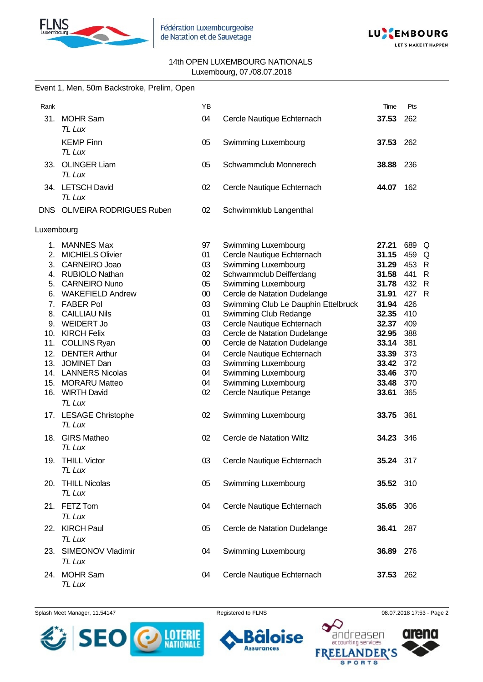



|            | Event 1, Men, 50m Backstroke, Prelim, Open |        |                                     |           |                     |
|------------|--------------------------------------------|--------|-------------------------------------|-----------|---------------------|
| Rank       |                                            | YB     |                                     | Time      | Pts                 |
|            | 31. MOHR Sam<br><b>TL Lux</b>              | 04     | Cercle Nautique Echternach          | 37.53     | 262                 |
|            | <b>KEMP Finn</b><br>TL Lux                 | 05     | Swimming Luxembourg                 | 37.53     | 262                 |
|            | 33. OLINGER Liam<br><b>TL Lux</b>          | 05     | Schwammclub Monnerech               | 38.88 236 |                     |
|            | 34. LETSCH David<br>TL Lux                 | 02     | Cercle Nautique Echternach          | 44.07     | 162                 |
|            | DNS OLIVEIRA RODRIGUES Ruben               | 02     | Schwimmklub Langenthal              |           |                     |
| Luxembourg |                                            |        |                                     |           |                     |
|            | 1. MANNES Max                              | 97     | Swimming Luxembourg                 | 27.21     | 689<br>Q            |
|            | 2. MICHIELS Olivier                        | 01     | Cercle Nautique Echternach          | 31.15     | 459<br>Q            |
|            | 3. CARNEIRO Joao                           | 03     | Swimming Luxembourg                 | 31.29     | 453<br>$\mathsf{R}$ |
|            | 4. RUBIOLO Nathan                          | 02     | Schwammclub Deifferdang             | 31.58     | 441<br>$\mathsf{R}$ |
|            | 5. CARNEIRO Nuno                           | 05     | Swimming Luxembourg                 | 31.78     | 432<br>$\mathsf{R}$ |
|            | 6. WAKEFIELD Andrew                        | $00\,$ | Cercle de Natation Dudelange        | 31.91     | 427<br>$\mathsf{R}$ |
| 7.         | <b>FABER Pol</b>                           | 03     | Swimming Club Le Dauphin Ettelbruck | 31.94     | 426                 |
| 8.         | <b>CAILLIAU Nils</b>                       | 01     | Swimming Club Redange               | 32.35     | 410                 |
|            | 9. WEIDERT Jo                              | 03     | Cercle Nautique Echternach          | 32.37     | 409                 |
|            | 10. KIRCH Felix                            | 03     | Cercle de Natation Dudelange        | 32.95     | 388                 |
| 11.        | <b>COLLINS Ryan</b>                        | $00\,$ | Cercle de Natation Dudelange        | 33.14     | 381                 |
| 12.        | <b>DENTER Arthur</b>                       | 04     |                                     |           | 373                 |
|            |                                            |        | Cercle Nautique Echternach          | 33.39     |                     |
|            | 13. JOMINET Dan                            | 03     | Swimming Luxembourg                 | 33.42     | 372                 |
|            | 14. LANNERS Nicolas                        | 04     | Swimming Luxembourg                 | 33.46     | 370                 |
| 15.        | <b>MORARU Matteo</b>                       | 04     | Swimming Luxembourg                 | 33.48     | 370                 |
|            | 16. WIRTH David<br>TL Lux                  | 02     | Cercle Nautique Petange             | 33.61     | 365                 |
|            | 17. LESAGE Christophe<br><b>TL Lux</b>     | 02     | Swimming Luxembourg                 | 33.75     | 361                 |
|            | 18. GIRS Matheo<br>TL Lux                  | 02     | Cercle de Natation Wiltz            | 34.23     | 346                 |
|            | 19. THILL Victor<br>TL Lux                 | 03     | Cercle Nautique Echternach          | 35.24 317 |                     |
|            | 20. THILL Nicolas<br>TL Lux                | 05     | Swimming Luxembourg                 | 35.52 310 |                     |
|            | 21. FETZ Tom<br>TL Lux                     | 04     | Cercle Nautique Echternach          | 35.65 306 |                     |
|            | 22. KIRCH Paul<br>TL Lux                   | 05     | Cercle de Natation Dudelange        | 36.41     | 287                 |
| 23.        | SIMEONOV Vladimir<br>TL Lux                | 04     | Swimming Luxembourg                 | 36.89     | 276                 |
|            | 24. MOHR Sam<br>TL Lux                     | 04     | Cercle Nautique Echternach          | 37.53 262 |                     |

Splash Meet Manager, 11.54147 **Registered to FLNS Registered to FLNS** 08.07.2018 17:53 - Page 2

Õ **Assurances** 

oise



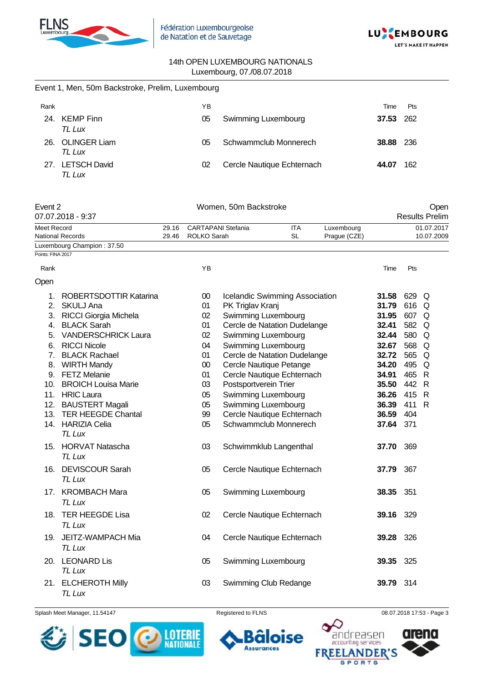



|                   | Event 1, Men, 50m Backstroke, Prelim, Luxembourg |                |                                          |                  |                                       |                  |                            |           |       |                               |
|-------------------|--------------------------------------------------|----------------|------------------------------------------|------------------|---------------------------------------|------------------|----------------------------|-----------|-------|-------------------------------|
| Rank              |                                                  |                | ΥB                                       |                  |                                       |                  |                            | Time      | Pts   |                               |
|                   | 24. KEMP Finn<br>TL Lux                          |                | 05                                       |                  | Swimming Luxembourg                   |                  |                            | 37.53     | 262   |                               |
|                   | 26. OLINGER Liam<br>TL Lux                       |                | 05                                       |                  | Schwammclub Monnerech                 |                  |                            | 38.88     | 236   |                               |
|                   | 27. LETSCH David<br>TL Lux                       |                | 02                                       |                  | Cercle Nautique Echternach            |                  |                            | 44.07     | 162   |                               |
| Event 2           | 07.07.2018 - 9:37                                |                |                                          |                  | Women, 50m Backstroke                 |                  |                            |           |       | Open<br><b>Results Prelim</b> |
| Meet Record       | <b>National Records</b>                          | 29.16<br>29.46 | <b>CARTAPANI Stefania</b><br>ROLKO Sarah |                  |                                       | ITA<br><b>SL</b> | Luxembourg<br>Prague (CZE) |           |       | 01.07.2017<br>10.07.2009      |
|                   | Luxembourg Champion: 37.50                       |                |                                          |                  |                                       |                  |                            |           |       |                               |
| Points: FINA 2017 |                                                  |                |                                          |                  |                                       |                  |                            |           |       |                               |
| Rank              |                                                  |                | YB                                       |                  |                                       |                  |                            | Time      | Pts   |                               |
| Open              |                                                  |                |                                          |                  |                                       |                  |                            |           |       |                               |
| 1.                | ROBERTSDOTTIR Katarina                           |                | 00                                       |                  | <b>Icelandic Swimming Association</b> |                  |                            | 31.58     | 629 Q |                               |
| 2.                | <b>SKULJ Ana</b>                                 |                | 01                                       | PK Triglav Kranj |                                       |                  |                            | 31.79     | 616 Q |                               |
| 3.                | <b>RICCI Giorgia Michela</b>                     |                | 02                                       |                  | <b>Swimming Luxembourg</b>            |                  |                            | 31.95     | 607 Q |                               |
| 4.                | <b>BLACK Sarah</b>                               |                | 01                                       |                  | Cercle de Natation Dudelange          |                  |                            | 32.41     | 582 Q |                               |
| 5.                | <b>VANDERSCHRICK Laura</b>                       |                | 02                                       |                  | Swimming Luxembourg                   |                  |                            | 32.44     | 580   | Q                             |
| 6.                | <b>RICCI Nicole</b>                              |                | 04                                       |                  | Swimming Luxembourg                   |                  |                            | 32.67     | 568   | Q                             |
| 7.                | <b>BLACK Rachael</b>                             |                | 01                                       |                  | Cercle de Natation Dudelange          |                  |                            | 32.72     | 565 Q |                               |
| 8.                | <b>WIRTH Mandy</b>                               |                | 00                                       |                  | Cercle Nautique Petange               |                  |                            | 34.20     | 495 Q |                               |
| 9.                | <b>FETZ Melanie</b>                              |                | 01                                       |                  | Cercle Nautique Echternach            |                  |                            | 34.91     | 465 R |                               |
| 10.               | <b>BROICH Louisa Marie</b>                       |                | 03                                       |                  | Postsportverein Trier                 |                  |                            | 35.50     | 442 R |                               |
|                   | 11. HRIC Laura                                   |                | 05                                       |                  | Swimming Luxembourg                   |                  |                            | 36.26     | 415 R |                               |
|                   | 12. BAUSTERT Magali                              |                | 05                                       |                  | Swimming Luxembourg                   |                  |                            | 36.39     | 411   | R                             |
|                   | 13. TER HEEGDE Chantal                           |                | 99                                       |                  | Cercle Nautique Echternach            |                  |                            | 36.59     | 404   |                               |
|                   | 14. HARIZIA Celia<br>TL Lux                      |                | 05                                       |                  | Schwammclub Monnerech                 |                  |                            | 37.64     | 371   |                               |
|                   | 15. HORVAT Natascha<br>TL Lux                    |                | 03                                       |                  | Schwimmklub Langenthal                |                  |                            | 37.70     | 369   |                               |
|                   | 16. DEVISCOUR Sarah<br><b>TL Lux</b>             |                | 05                                       |                  | Cercle Nautique Echternach            |                  |                            | 37.79     | 367   |                               |
|                   | 17. KROMBACH Mara<br>TL Lux                      |                | 05                                       |                  | Swimming Luxembourg                   |                  |                            | 38.35     | 351   |                               |
|                   | 18. TER HEEGDE Lisa<br>TL Lux                    |                | 02                                       |                  | Cercle Nautique Echternach            |                  |                            | 39.16     | 329   |                               |
|                   | 19. JEITZ-WAMPACH Mia<br>TL Lux                  |                | 04                                       |                  | Cercle Nautique Echternach            |                  |                            | 39.28     | 326   |                               |
|                   | 20. LEONARD Lis<br>TL Lux                        |                | 05                                       |                  | Swimming Luxembourg                   |                  |                            | 39.35     | 325   |                               |
| 21.               | <b>ELCHEROTH Milly</b>                           |                | 03                                       |                  | Swimming Club Redange                 |                  |                            | 39.79 314 |       |                               |

Splash Meet Manager, 11.54147 **Registered to FLNS Registered to FLNS** 08.07.2018 17:53 - Page 3

*TL Lux*

õ п

**Assurances** 

ise



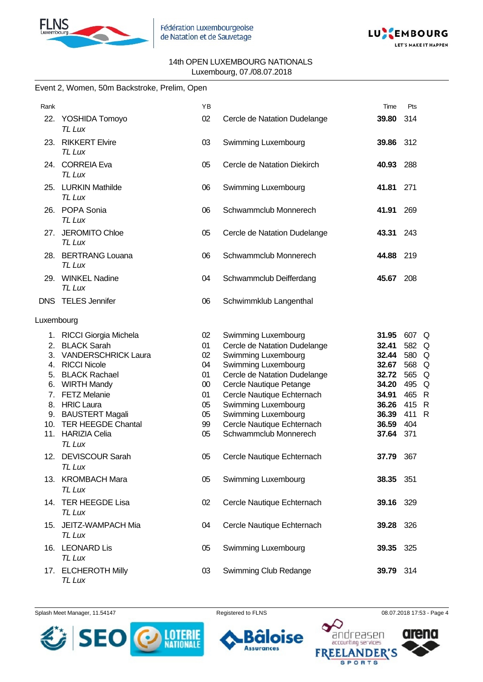



|            | Event 2, Women, 50m Backstroke, Prelim, Open |    |                              |           |       |  |
|------------|----------------------------------------------|----|------------------------------|-----------|-------|--|
| Rank       |                                              | YB |                              | Time      | Pts   |  |
|            | 22. YOSHIDA Tomoyo<br>TL Lux                 | 02 | Cercle de Natation Dudelange | 39.80     | 314   |  |
|            | 23. RIKKERT Elvire<br>TL Lux                 | 03 | Swimming Luxembourg          | 39.86 312 |       |  |
|            | 24. CORREIA Eva<br>TL Lux                    | 05 | Cercle de Natation Diekirch  | 40.93     | 288   |  |
|            | 25. LURKIN Mathilde<br>TL Lux                | 06 | Swimming Luxembourg          | 41.81     | 271   |  |
|            | 26. POPA Sonia<br>TL Lux                     | 06 | Schwammclub Monnerech        | 41.91     | 269   |  |
|            | 27. JEROMITO Chloe<br>TL Lux                 | 05 | Cercle de Natation Dudelange | 43.31     | 243   |  |
|            | 28. BERTRANG Louana<br>TL Lux                | 06 | Schwammclub Monnerech        | 44.88     | 219   |  |
|            | 29. WINKEL Nadine<br>TL Lux                  | 04 | Schwammclub Deifferdang      | 45.67 208 |       |  |
|            | <b>DNS TELES Jennifer</b>                    | 06 | Schwimmklub Langenthal       |           |       |  |
| Luxembourg |                                              |    |                              |           |       |  |
|            | 1. RICCI Giorgia Michela                     | 02 | <b>Swimming Luxembourg</b>   | 31.95     | 607 Q |  |
| 2.         | <b>BLACK Sarah</b>                           | 01 | Cercle de Natation Dudelange | 32.41     | 582 Q |  |
|            | 3. VANDERSCHRICK Laura                       | 02 | Swimming Luxembourg          | 32.44     | 580 Q |  |
|            | 4. RICCI Nicole                              | 04 | Swimming Luxembourg          | 32.67     | 568 Q |  |
|            | 5. BLACK Rachael                             | 01 | Cercle de Natation Dudelange | 32.72     | 565 Q |  |
|            | 6. WIRTH Mandy                               | 00 | Cercle Nautique Petange      | 34.20     | 495 Q |  |
|            | 7. FETZ Melanie                              | 01 | Cercle Nautique Echternach   | 34.91     | 465 R |  |
|            | 8. HRIC Laura                                | 05 | Swimming Luxembourg          | 36.26     | 415 R |  |
|            | 9. BAUSTERT Magali                           | 05 | Swimming Luxembourg          | 36.39     | 411 R |  |
|            | 10. TER HEEGDE Chantal                       | 99 | Cercle Nautique Echternach   | 36.59     | 404   |  |
|            | 11. HARIZIA Celia<br>TL Lux                  | 05 | Schwammclub Monnerech        | 37.64     | 371   |  |
|            | 12. DEVISCOUR Sarah<br>TL Lux                | 05 | Cercle Nautique Echternach   | 37.79 367 |       |  |
|            | 13. KROMBACH Mara<br>TL Lux                  | 05 | Swimming Luxembourg          | 38.35 351 |       |  |
|            | 14. TER HEEGDE Lisa<br>TL Lux                | 02 | Cercle Nautique Echternach   | 39.16 329 |       |  |
| 15.        | JEITZ-WAMPACH Mia<br>TL Lux                  | 04 | Cercle Nautique Echternach   | 39.28 326 |       |  |
|            | 16. LEONARD Lis<br>TL Lux                    | 05 | Swimming Luxembourg          | 39.35 325 |       |  |
|            | 17. ELCHEROTH Milly<br>TL Lux                | 03 | Swimming Club Redange        | 39.79 314 |       |  |

Splash Meet Manager, 11.54147 **Registered to FLNS Registered to FLNS** 08.07.2018 17:53 - Page 4



6

**Assurances** 

ise

п



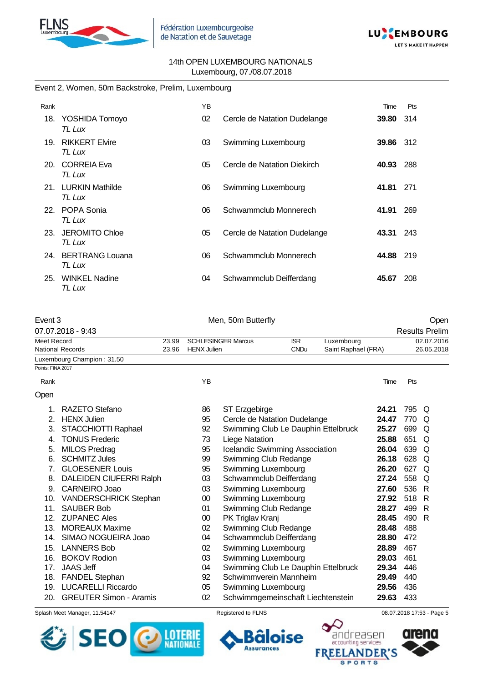



#### Event 2, Women, 50m Backstroke, Prelim, Luxembourg

| Rank |                                  | YB |                              | Time             | Pts  |
|------|----------------------------------|----|------------------------------|------------------|------|
|      | 18. YOSHIDA Tomoyo<br>TL Lux     | 02 | Cercle de Natation Dudelange | 39.80            | -314 |
| 19.  | <b>RIKKERT Elvire</b><br>TL Lux  | 03 | Swimming Luxembourg          | <b>39.86</b> 312 |      |
| 20.  | CORREIA Eva<br>TL Lux            | 05 | Cercle de Natation Diekirch  | 40.93            | 288  |
| 21.  | <b>LURKIN Mathilde</b><br>TL Lux | 06 | Swimming Luxembourg          | 41.81            | 271  |
|      | 22. POPA Sonia<br>TL Lux         | 06 | Schwammclub Monnerech        | 41.91            | 269  |
| 23.  | <b>JEROMITO Chloe</b><br>TL Lux  | 05 | Cercle de Natation Dudelange | 43.31            | 243  |
| 24.  | <b>BERTRANG Louana</b><br>TL Lux | 06 | Schwammclub Monnerech        | 44.88            | 219  |
| 25.  | <b>WINKEL Nadine</b><br>TL Lux   | 04 | Schwammclub Deifferdang      | 45.67            | 208  |

| Event 3           |                                |       | Men, 50m Butterfly |                                     |             |                     |       | Open |                       |  |  |
|-------------------|--------------------------------|-------|--------------------|-------------------------------------|-------------|---------------------|-------|------|-----------------------|--|--|
|                   | 07.07.2018 - 9:43              |       |                    |                                     |             |                     |       |      | <b>Results Prelim</b> |  |  |
| Meet Record       |                                | 23.99 |                    | <b>SCHLESINGER Marcus</b>           | <b>ISR</b>  | Luxembourg          |       |      | 02.07.2016            |  |  |
|                   | <b>National Records</b>        | 23.96 | <b>HENX Julien</b> |                                     | <b>CNDu</b> | Saint Raphael (FRA) |       |      | 26.05.2018            |  |  |
|                   | Luxembourg Champion: 31.50     |       |                    |                                     |             |                     |       |      |                       |  |  |
| Points: FINA 2017 |                                |       |                    |                                     |             |                     |       |      |                       |  |  |
| Rank              |                                |       | ΥB                 |                                     |             |                     | Time  | Pts  |                       |  |  |
| Open              |                                |       |                    |                                     |             |                     |       |      |                       |  |  |
|                   | RAZETO Stefano                 |       | 86                 | ST Erzgebirge                       |             |                     | 24.21 | 795  | Q                     |  |  |
| 2.                | <b>HENX Julien</b>             |       | 95                 | Cercle de Natation Dudelange        |             |                     | 24.47 | 770  | Q                     |  |  |
| 3.                | STACCHIOTTI Raphael            |       | 92                 | Swimming Club Le Dauphin Ettelbruck |             |                     | 25.27 | 699  | Q                     |  |  |
| 4.                | <b>TONUS Frederic</b>          |       | 73                 | Liege Natation                      |             |                     | 25.88 | 651  | Q                     |  |  |
| 5.                | <b>MILOS Predrag</b>           |       | 95                 | Icelandic Swimming Association      |             |                     | 26.04 | 639  | Q                     |  |  |
| 6.                | <b>SCHMITZ Jules</b>           |       | 99                 | Swimming Club Redange               |             |                     | 26.18 | 628  | Q                     |  |  |
|                   | <b>GLOESENER Louis</b>         |       | 95                 | Swimming Luxembourg                 |             |                     | 26.20 | 627  | Q                     |  |  |
| 8.                | <b>DALEIDEN CIUFERRI Ralph</b> |       | 03                 | Schwammclub Deifferdang             |             |                     | 27.24 | 558  | Q                     |  |  |
| 9.                | <b>CARNEIRO Joao</b>           |       | 03                 | Swimming Luxembourg                 |             |                     | 27.60 | 536  | R                     |  |  |
| 10.               | <b>VANDERSCHRICK Stephan</b>   |       | 00                 | Swimming Luxembourg                 |             |                     | 27.92 | 518  | R                     |  |  |
| 11.               | <b>SAUBER Bob</b>              |       | 01                 | Swimming Club Redange               |             |                     | 28.27 | 499  | R                     |  |  |

- 12. ZUPANEC Ales 00 PK Triglav Kranj **28.45** 490 R
- 13. MOREAUX Maxime 02 Swimming Club Redange **28.48** 488
- 14. SIMAO NOGUEIRA Joao 04 Schwammclub Deifferdang **28.80** 472
- 
- 15. LANNERS Bob 02 Swimming Luxembourg **28.89** 467
- 16. BOKOV Rodion 03 Swimming Luxembourg **29.03** 461
- 17. JAAS Jeff 04 Swimming Club Le Dauphin Ettelbruck **29.34** 446
- 18. FANDEL Stephan 92 Schwimmverein Mannheim **29.49** 440
- 19. LUCARELLI Riccardo 05 Swimming Luxembourg **29.56** 436
- 20. GREUTER Simon Aramis 02 Schwimmgemeinschaft Liechtenstein **29.63** 433

Splash Meet Manager, 11.54147 **Registered to FLNS Registered to FLNS** 08.07.2018 17:53 - Page 5





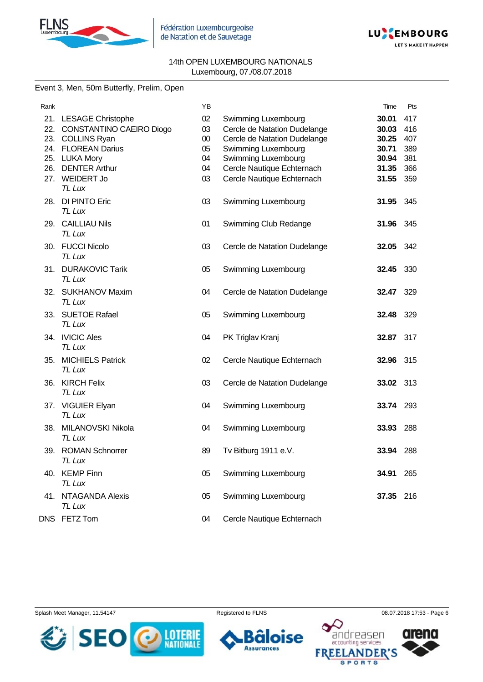



#### Event 3, Men, 50m Butterfly, Prelim, Open

| Rank |                                     | YB     |                              | Time      | Pts |
|------|-------------------------------------|--------|------------------------------|-----------|-----|
|      | 21. LESAGE Christophe               | 02     | Swimming Luxembourg          | 30.01     | 417 |
|      | 22. CONSTANTINO CAEIRO Diogo        | 03     | Cercle de Natation Dudelange | 30.03     | 416 |
|      | 23. COLLINS Ryan                    | $00\,$ | Cercle de Natation Dudelange | 30.25     | 407 |
|      | 24. FLOREAN Darius                  | 05     | Swimming Luxembourg          | 30.71     | 389 |
|      | 25. LUKA Mory                       | 04     | Swimming Luxembourg          | 30.94     | 381 |
|      | 26. DENTER Arthur                   | 04     | Cercle Nautique Echternach   | 31.35     | 366 |
|      | 27. WEIDERT Jo<br>TL Lux            | 03     | Cercle Nautique Echternach   | 31.55     | 359 |
|      | 28. DI PINTO Eric<br>TL Lux         | 03     | Swimming Luxembourg          | 31.95     | 345 |
|      | 29. CAILLIAU Nils<br>TL Lux         | 01     | Swimming Club Redange        | 31.96     | 345 |
|      | 30. FUCCI Nicolo<br>TL Lux          | 03     | Cercle de Natation Dudelange | 32.05     | 342 |
|      | 31. DURAKOVIC Tarik<br>TL Lux       | 05     | Swimming Luxembourg          | 32.45     | 330 |
|      | 32. SUKHANOV Maxim<br><b>TL Lux</b> | 04     | Cercle de Natation Dudelange | 32.47     | 329 |
|      | 33. SUETOE Rafael<br><b>TL Lux</b>  | 05     | Swimming Luxembourg          | 32.48     | 329 |
|      | 34. IVICIC Ales<br>TL Lux           | 04     | PK Triglav Kranj             | 32.87     | 317 |
|      | 35. MICHIELS Patrick<br>TL Lux      | 02     | Cercle Nautique Echternach   | 32.96 315 |     |
|      | 36. KIRCH Felix<br>TL Lux           | 03     | Cercle de Natation Dudelange | 33.02 313 |     |
|      | 37. VIGUIER Elyan<br>TL Lux         | 04     | Swimming Luxembourg          | 33.74     | 293 |
| 38.  | MILANOVSKI Nikola<br>TL Lux         | 04     | Swimming Luxembourg          | 33.93     | 288 |
|      | 39. ROMAN Schnorrer<br>TL Lux       | 89     | Tv Bitburg 1911 e.V.         | 33.94     | 288 |
|      | 40. KEMP Finn<br>TL Lux             | 05     | Swimming Luxembourg          | 34.91     | 265 |
|      | 41. NTAGANDA Alexis<br>TL Lux       | 05     | Swimming Luxembourg          | 37.35     | 216 |
|      | DNS FETZ Tom                        | 04     | Cercle Nautique Echternach   |           |     |







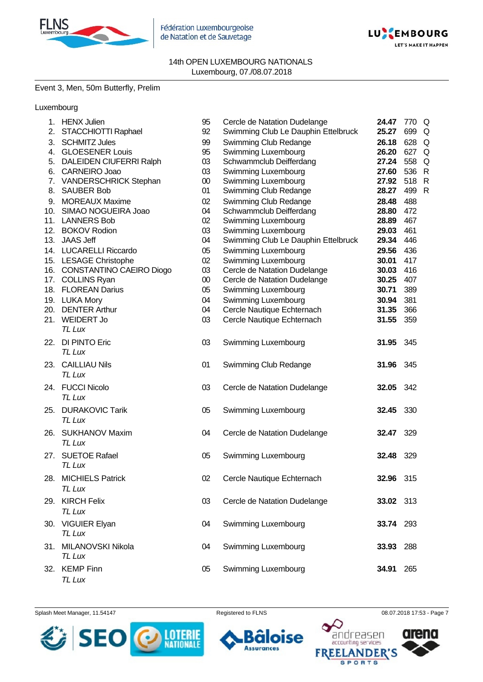

Fédération Luxembourgeoise de Natation et de Sauvetage



14th OPEN LUXEMBOURG NATIONALS Luxembourg, 07./08.07.2018

#### Event 3, Men, 50m Butterfly, Prelim

## Luxembourg

| 1.  | <b>HENX Julien</b>           | 95     | Cercle de Natation Dudelange        | 24.47     | 770 Q |              |
|-----|------------------------------|--------|-------------------------------------|-----------|-------|--------------|
| 2.  | STACCHIOTTI Raphael          | 92     | Swimming Club Le Dauphin Ettelbruck | 25.27     | 699   | Q            |
| 3.  | <b>SCHMITZ Jules</b>         | 99     | Swimming Club Redange               | 26.18     | 628   | Q            |
| 4.  | <b>GLOESENER Louis</b>       | 95     | Swimming Luxembourg                 | 26.20     | 627   | Q            |
|     | 5. DALEIDEN CIUFERRI Ralph   | 03     | Schwammclub Deifferdang             | 27.24     | 558   | Q            |
|     | 6. CARNEIRO Joao             | 03     | Swimming Luxembourg                 | 27.60     | 536   | R            |
|     | 7. VANDERSCHRICK Stephan     | $00\,$ | Swimming Luxembourg                 | 27.92     | 518   | $\mathsf{R}$ |
|     | 8. SAUBER Bob                | 01     | Swimming Club Redange               | 28.27     | 499   | R            |
|     | 9. MOREAUX Maxime            | 02     | Swimming Club Redange               | 28.48     | 488   |              |
|     | 10. SIMAO NOGUEIRA Joao      | 04     | Schwammclub Deifferdang             | 28.80     | 472   |              |
|     | 11. LANNERS Bob              | 02     | Swimming Luxembourg                 | 28.89     | 467   |              |
|     | 12. BOKOV Rodion             | 03     | Swimming Luxembourg                 | 29.03     | 461   |              |
|     | 13. JAAS Jeff                | 04     | Swimming Club Le Dauphin Ettelbruck | 29.34     | 446   |              |
|     | 14. LUCARELLI Riccardo       | 05     | Swimming Luxembourg                 | 29.56     | 436   |              |
|     | 15. LESAGE Christophe        | 02     | Swimming Luxembourg                 | 30.01     | 417   |              |
|     | 16. CONSTANTINO CAEIRO Diogo | 03     | Cercle de Natation Dudelange        | 30.03     | 416   |              |
|     | 17. COLLINS Ryan             | $00\,$ | Cercle de Natation Dudelange        | 30.25     | 407   |              |
|     | 18. FLOREAN Darius           | 05     | Swimming Luxembourg                 | 30.71     | 389   |              |
|     | 19. LUKA Mory                | 04     | Swimming Luxembourg                 | 30.94     | 381   |              |
| 20. | <b>DENTER Arthur</b>         | 04     | Cercle Nautique Echternach          | 31.35     | 366   |              |
| 21. | WEIDERT Jo                   | 03     | Cercle Nautique Echternach          | 31.55     | 359   |              |
|     | TL Lux                       |        |                                     |           |       |              |
| 22. | <b>DI PINTO Eric</b>         | 03     | Swimming Luxembourg                 | 31.95     | 345   |              |
|     | TL Lux                       |        |                                     |           |       |              |
|     | 23. CAILLIAU Nils            | 01     | Swimming Club Redange               | 31.96     | 345   |              |
|     | TL Lux                       |        |                                     |           |       |              |
|     | 24. FUCCI Nicolo             | 03     |                                     |           | 342   |              |
|     | TL Lux                       |        | Cercle de Natation Dudelange        | 32.05     |       |              |
|     |                              |        |                                     |           |       |              |
| 25. | <b>DURAKOVIC Tarik</b>       | 05     | Swimming Luxembourg                 | 32.45     | 330   |              |
|     | TL Lux                       |        |                                     |           |       |              |
| 26. | <b>SUKHANOV Maxim</b>        | 04     | Cercle de Natation Dudelange        | 32.47     | 329   |              |
|     | TL Lux                       |        |                                     |           |       |              |
| 27. | <b>SUETOE Rafael</b>         | 05     | Swimming Luxembourg                 | 32.48     | 329   |              |
|     | TL Lux                       |        |                                     |           |       |              |
| 28. | <b>MICHIELS Patrick</b>      | 02     | Cercle Nautique Echternach          | 32.96     | 315   |              |
|     | TL Lux                       |        |                                     |           |       |              |
|     |                              |        |                                     |           |       |              |
|     | 29. KIRCH Felix              | 03     | Cercle de Natation Dudelange        | 33.02 313 |       |              |
|     | TL Lux                       |        |                                     |           |       |              |
|     | 30. VIGUIER Elyan            | 04     | Swimming Luxembourg                 | 33.74 293 |       |              |
|     | TL Lux                       |        |                                     |           |       |              |
| 31. | MILANOVSKI Nikola            | 04     | Swimming Luxembourg                 | 33.93     | 288   |              |
|     | TL Lux                       |        |                                     |           |       |              |
|     | 32. KEMP Finn                | 05     | Swimming Luxembourg                 | 34.91     | 265   |              |
|     | TL Lux                       |        |                                     |           |       |              |
|     |                              |        |                                     |           |       |              |

Splash Meet Manager, 11.54147 **Registered to FLNS Registered to FLNS** 08.07.2018 17:53 - Page 7





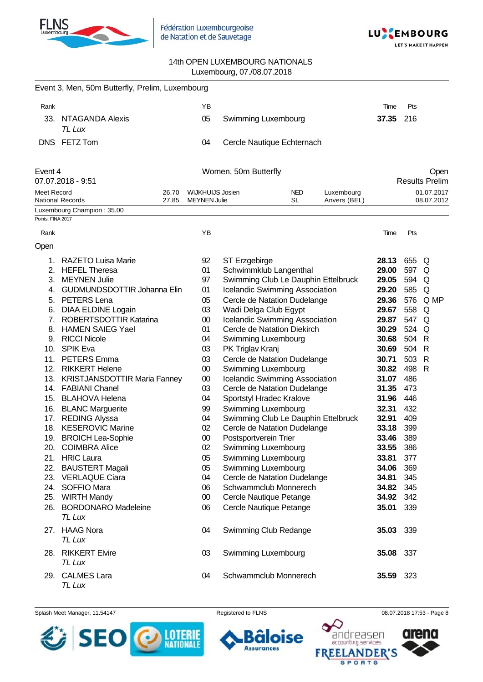

Fédération Luxembourgeoise de Natation et de Sauvetage



#### 14th OPEN LUXEMBOURG NATIONALS Luxembourg, 07./08.07.2018

|                   | Event 3, Men, 50m Butterfly, Prelim, Luxembourg        |                |                         |                      |                                                       |                            |                |            |                          |
|-------------------|--------------------------------------------------------|----------------|-------------------------|----------------------|-------------------------------------------------------|----------------------------|----------------|------------|--------------------------|
| Rank              |                                                        |                | ΥB                      |                      |                                                       |                            | Time           | Pts        |                          |
|                   | 33. NTAGANDA Alexis<br>TL Lux                          |                | 05                      |                      | Swimming Luxembourg                                   |                            | 37.35          | 216        |                          |
|                   | DNS FETZ Tom                                           |                | 04                      |                      | Cercle Nautique Echternach                            |                            |                |            |                          |
| Event 4           |                                                        |                |                         | Women, 50m Butterfly |                                                       |                            |                |            | Open                     |
|                   | 07.07.2018 - 9:51                                      |                | <b>WIJKHUIJS Josien</b> |                      |                                                       |                            |                |            | <b>Results Prelim</b>    |
| Meet Record       | <b>National Records</b>                                | 26.70<br>27.85 | <b>MEYNEN Julie</b>     |                      | <b>NED</b><br><b>SL</b>                               | Luxembourg<br>Anvers (BEL) |                |            | 01.07.2017<br>08.07.2012 |
|                   | Luxembourg Champion: 35.00                             |                |                         |                      |                                                       |                            |                |            |                          |
| Points: FINA 2017 |                                                        |                |                         |                      |                                                       |                            |                |            |                          |
| Rank              |                                                        |                | YB                      |                      |                                                       |                            | Time           | Pts        |                          |
| Open              |                                                        |                |                         |                      |                                                       |                            |                |            |                          |
| 1.                | <b>RAZETO Luisa Marie</b>                              |                | 92                      | ST Erzgebirge        |                                                       |                            | 28.13          | 655 Q      |                          |
|                   | 2. HEFEL Theresa                                       |                | 01                      |                      | Schwimmklub Langenthal                                |                            | 29.00          | 597        | Q                        |
|                   | 3. MEYNEN Julie                                        |                | 97                      |                      | Swimming Club Le Dauphin Ettelbruck                   |                            | 29.05          | 594        | Q                        |
| 4.                | <b>GUDMUNDSDOTTIR Johanna Elin</b>                     |                | 01                      |                      | <b>Icelandic Swimming Association</b>                 |                            | 29.20          | 585        | Q                        |
|                   | 5. PETERS Lena                                         |                | 05                      |                      | Cercle de Natation Dudelange                          |                            | 29.36          |            | 576 Q MP                 |
|                   | 6. DIAA ELDINE Logain                                  |                | 03                      |                      | Wadi Delga Club Egypt                                 |                            | 29.67          | 558 Q      |                          |
| 7.                | ROBERTSDOTTIR Katarina                                 |                | $00\,$                  |                      | Icelandic Swimming Association                        |                            | 29.87          | 547 Q      |                          |
|                   | 8. HAMEN SAIEG Yael                                    |                | 01                      |                      | Cercle de Natation Diekirch                           |                            | 30.29          | 524 Q      |                          |
|                   | 9. RICCI Nicole                                        |                | 04                      |                      | Swimming Luxembourg                                   |                            | 30.68          | 504 R      |                          |
|                   | 10. SPIK Eva                                           |                | 03                      | PK Triglav Kranj     |                                                       |                            | 30.69          | 504        | -R                       |
| 11.               | <b>PETERS</b> Emma                                     |                | 03                      |                      | Cercle de Natation Dudelange                          |                            | 30.71          | 503        | R                        |
|                   | 12. RIKKERT Helene<br>13. KRISTJANSDOTTIR Maria Fanney |                | $00\,$<br>$00\,$        |                      | Swimming Luxembourg<br>Icelandic Swimming Association |                            | 30.82<br>31.07 | 498<br>486 | R                        |
|                   | 14. FABIANI Chanel                                     |                | 03                      |                      | Cercle de Natation Dudelange                          |                            | 31.35          | 473        |                          |
|                   | 15. BLAHOVA Helena                                     |                | 04                      |                      | Sportstyl Hradec Kralove                              |                            | 31.96          | 446        |                          |
|                   | 16. BLANC Marguerite                                   |                | 99                      |                      | Swimming Luxembourg                                   |                            | 32.31          | 432        |                          |
|                   | 17. REDING Alyssa                                      |                | 04                      |                      | Swimming Club Le Dauphin Ettelbruck                   |                            | 32.91          | 409        |                          |
|                   | 18. KESEROVIC Marine                                   |                | 02                      |                      | Cercle de Natation Dudelange                          |                            | 33.18          | 399        |                          |
|                   | 19. BROICH Lea-Sophie                                  |                | 00                      |                      | Postsportverein Trier                                 |                            | 33.46          | 389        |                          |
|                   | 20. COIMBRA Alice                                      |                | 02                      |                      | Swimming Luxembourg                                   |                            | 33.55          | 386        |                          |
|                   | 21. HRIC Laura                                         |                | 05                      |                      | Swimming Luxembourg                                   |                            | 33.81          | 377        |                          |
|                   | 22. BAUSTERT Magali                                    |                | 05                      |                      | <b>Swimming Luxembourg</b>                            |                            | 34.06          | 369        |                          |
|                   | 23. VERLAQUE Ciara                                     |                | 04                      |                      | Cercle de Natation Dudelange                          |                            | 34.81          | 345        |                          |
|                   | 24. SOFFIO Mara                                        |                | 06                      |                      | Schwammclub Monnerech                                 |                            | 34.82          | 345        |                          |
|                   | 25. WIRTH Mandy                                        |                | $00\,$                  |                      | Cercle Nautique Petange                               |                            | 34.92          | 342        |                          |
|                   | 26. BORDONARO Madeleine<br>TL Lux                      |                | 06                      |                      | Cercle Nautique Petange                               |                            | 35.01          | 339        |                          |
|                   | 27. HAAG Nora                                          |                | 04                      |                      | Swimming Club Redange                                 |                            | 35.03          | 339        |                          |
|                   | <b>TL Lux</b>                                          |                |                         |                      |                                                       |                            |                |            |                          |
|                   | 28. RIKKERT Elvire<br>TL Lux                           |                | 03                      |                      | Swimming Luxembourg                                   |                            | 35.08          | 337        |                          |
|                   | 29. CALMES Lara<br>TL Lux                              |                | 04                      |                      | Schwammclub Monnerech                                 |                            | 35.59          | 323        |                          |

Splash Meet Manager, 11.54147 **Registered to FLNS Registered to FLNS** 08.07.2018 17:53 - Page 8

ÕĪ **Assurances** 

**loise** 



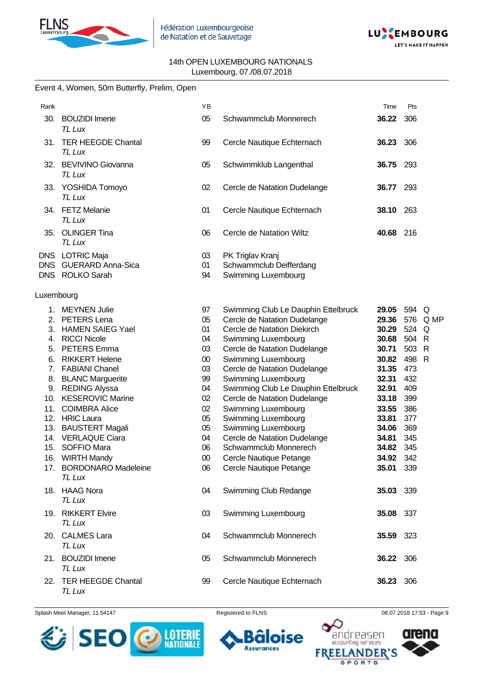



#### Event 4, Women, 50m Butterfly, Prelim, Open

| Rank                                                          |                                                                                                                                                                                                                                                                                                                                                                                                    | YB                                                                                                         |                                                                                                                                                                                                                                                                                                                                                                                                                                                                                                    | Time                                                                                                                                                      | Pts                                                                                                            |                                                           |
|---------------------------------------------------------------|----------------------------------------------------------------------------------------------------------------------------------------------------------------------------------------------------------------------------------------------------------------------------------------------------------------------------------------------------------------------------------------------------|------------------------------------------------------------------------------------------------------------|----------------------------------------------------------------------------------------------------------------------------------------------------------------------------------------------------------------------------------------------------------------------------------------------------------------------------------------------------------------------------------------------------------------------------------------------------------------------------------------------------|-----------------------------------------------------------------------------------------------------------------------------------------------------------|----------------------------------------------------------------------------------------------------------------|-----------------------------------------------------------|
| 30.                                                           | <b>BOUZIDI</b> Imene<br><b>TL Lux</b>                                                                                                                                                                                                                                                                                                                                                              | 05                                                                                                         | Schwammclub Monnerech                                                                                                                                                                                                                                                                                                                                                                                                                                                                              | 36.22                                                                                                                                                     | 306                                                                                                            |                                                           |
| 31.                                                           | <b>TER HEEGDE Chantal</b><br>TL Lux                                                                                                                                                                                                                                                                                                                                                                | 99                                                                                                         | Cercle Nautique Echternach                                                                                                                                                                                                                                                                                                                                                                                                                                                                         | 36.23 306                                                                                                                                                 |                                                                                                                |                                                           |
| 32.                                                           | <b>BEVIVINO Giovanna</b><br>TL Lux                                                                                                                                                                                                                                                                                                                                                                 | 05                                                                                                         | Schwimmklub Langenthal                                                                                                                                                                                                                                                                                                                                                                                                                                                                             | 36.75                                                                                                                                                     | 293                                                                                                            |                                                           |
|                                                               | 33. YOSHIDA Tomoyo<br><b>TL Lux</b>                                                                                                                                                                                                                                                                                                                                                                | 02                                                                                                         | Cercle de Natation Dudelange                                                                                                                                                                                                                                                                                                                                                                                                                                                                       | 36.77                                                                                                                                                     | 293                                                                                                            |                                                           |
|                                                               | 34. FETZ Melanie<br>TL Lux                                                                                                                                                                                                                                                                                                                                                                         | 01                                                                                                         | Cercle Nautique Echternach                                                                                                                                                                                                                                                                                                                                                                                                                                                                         | 38.10 263                                                                                                                                                 |                                                                                                                |                                                           |
| 35.                                                           | <b>OLINGER Tina</b><br>TL Lux                                                                                                                                                                                                                                                                                                                                                                      | 06                                                                                                         | Cercle de Natation Wiltz                                                                                                                                                                                                                                                                                                                                                                                                                                                                           | 40.68                                                                                                                                                     | 216                                                                                                            |                                                           |
|                                                               | DNS LOTRIC Maja<br>DNS GUERARD Anna-Sica<br>DNS ROLKO Sarah                                                                                                                                                                                                                                                                                                                                        | 03<br>01<br>94                                                                                             | PK Triglav Kranj<br>Schwammclub Deifferdang<br>Swimming Luxembourg                                                                                                                                                                                                                                                                                                                                                                                                                                 |                                                                                                                                                           |                                                                                                                |                                                           |
| Luxembourg                                                    |                                                                                                                                                                                                                                                                                                                                                                                                    |                                                                                                            |                                                                                                                                                                                                                                                                                                                                                                                                                                                                                                    |                                                                                                                                                           |                                                                                                                |                                                           |
| 1.<br>5.<br>6.<br>7.<br>8.<br>10.<br>11.<br>13.<br>15.<br>16. | <b>MEYNEN Julie</b><br>2. PETERS Lena<br>3. HAMEN SAIEG Yael<br>4. RICCI Nicole<br><b>PETERS</b> Emma<br><b>RIKKERT Helene</b><br><b>FABIANI Chanel</b><br><b>BLANC Marguerite</b><br>9. REDING Alyssa<br><b>KESEROVIC Marine</b><br><b>COIMBRA Alice</b><br>12. HRIC Laura<br><b>BAUSTERT Magali</b><br>14. VERLAQUE Ciara<br><b>SOFFIO Mara</b><br><b>WIRTH Mandy</b><br>17. BORDONARO Madeleine | 97<br>05<br>01<br>04<br>03<br>$00\,$<br>03<br>99<br>04<br>02<br>02<br>05<br>05<br>04<br>06<br>$00\,$<br>06 | Swimming Club Le Dauphin Ettelbruck<br>Cercle de Natation Dudelange<br>Cercle de Natation Diekirch<br>Swimming Luxembourg<br>Cercle de Natation Dudelange<br>Swimming Luxembourg<br>Cercle de Natation Dudelange<br>Swimming Luxembourg<br>Swimming Club Le Dauphin Ettelbruck<br>Cercle de Natation Dudelange<br>Swimming Luxembourg<br>Swimming Luxembourg<br>Swimming Luxembourg<br>Cercle de Natation Dudelange<br>Schwammclub Monnerech<br>Cercle Nautique Petange<br>Cercle Nautique Petange | 29.05<br>29.36<br>30.29<br>30.68<br>30.71<br>30.82<br>31.35<br>32.31<br>32.91<br>33.18<br>33.55<br>33.81<br>34.06<br>34.81<br>34.82<br>34.92<br>35.01 339 | 594 Q<br>576<br>524<br>504<br>503<br>498<br>473<br>432<br>409<br>399<br>386<br>377<br>369<br>345<br>345<br>342 | Q MP<br>Q<br>$\mathsf{R}$<br>$\mathsf{R}$<br>$\mathsf{R}$ |
|                                                               | <b>TL Lux</b><br>18. HAAG Nora<br>TL Lux                                                                                                                                                                                                                                                                                                                                                           | 04                                                                                                         | Swimming Club Redange                                                                                                                                                                                                                                                                                                                                                                                                                                                                              | 35.03 339                                                                                                                                                 |                                                                                                                |                                                           |
|                                                               | 19. RIKKERT Elvire<br>TL Lux                                                                                                                                                                                                                                                                                                                                                                       | 03                                                                                                         | Swimming Luxembourg                                                                                                                                                                                                                                                                                                                                                                                                                                                                                | 35.08 337                                                                                                                                                 |                                                                                                                |                                                           |
|                                                               | 20. CALMES Lara<br>TL Lux                                                                                                                                                                                                                                                                                                                                                                          | 04                                                                                                         | Schwammclub Monnerech                                                                                                                                                                                                                                                                                                                                                                                                                                                                              | 35.59 323                                                                                                                                                 |                                                                                                                |                                                           |
|                                                               | 21. BOUZIDI Imene<br>TL Lux                                                                                                                                                                                                                                                                                                                                                                        | 05                                                                                                         | Schwammclub Monnerech                                                                                                                                                                                                                                                                                                                                                                                                                                                                              | 36.22 306                                                                                                                                                 |                                                                                                                |                                                           |
|                                                               | 22. TER HEEGDE Chantal<br>TL Lux                                                                                                                                                                                                                                                                                                                                                                   | 99                                                                                                         | Cercle Nautique Echternach                                                                                                                                                                                                                                                                                                                                                                                                                                                                         | 36.23 306                                                                                                                                                 |                                                                                                                |                                                           |

#### Splash Meet Manager, 11.54147 **Registered to FLNS Registered to FLNS** 08.07.2018 17:53 - Page 9

6

**Assurances** 

oise



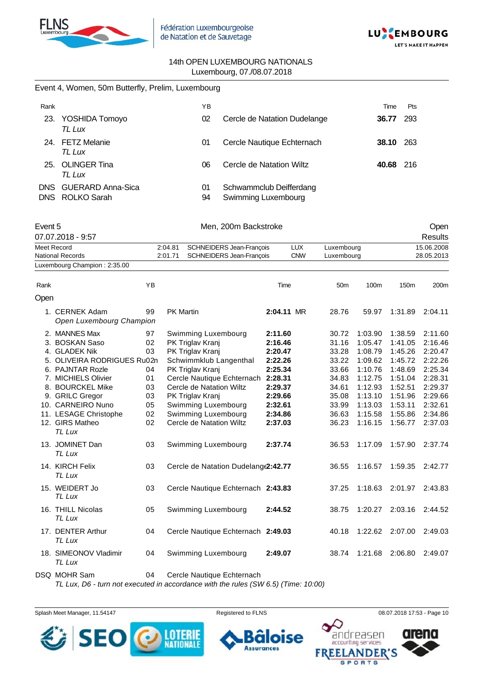

Event 4, Women, 50m Butterfly, Prelim, Luxembourg



#### 14th OPEN LUXEMBOURG NATIONALS Luxembourg, 07./08.07.2018

| Rank       |                                             |           |         | YB                       |                                                |            |            |                 |                 | Time  | Pts              |                  |
|------------|---------------------------------------------|-----------|---------|--------------------------|------------------------------------------------|------------|------------|-----------------|-----------------|-------|------------------|------------------|
| 23.        | YOSHIDA Tomoyo<br>TL Lux                    |           |         | 02                       | Cercle de Natation Dudelange                   |            |            |                 |                 | 36.77 | 293              |                  |
|            | 24. FETZ Melanie<br>TL Lux                  |           |         | 01                       | Cercle Nautique Echternach                     |            |            |                 |                 |       | <b>38.10</b> 263 |                  |
| 25.        | <b>OLINGER Tina</b><br>TL Lux               |           |         | 06                       | Cercle de Natation Wiltz                       |            |            |                 |                 | 40.68 | 216              |                  |
| <b>DNS</b> | <b>GUERARD Anna-Sica</b><br>DNS ROLKO Sarah |           |         | 01<br>94                 | Schwammclub Deifferdang<br>Swimming Luxembourg |            |            |                 |                 |       |                  |                  |
| Event 5    | 07.07.2018 - 9:57                           |           |         |                          | Men, 200m Backstroke                           |            |            |                 |                 |       |                  | Open<br>Results  |
|            | Meet Record                                 |           | 2:04.81 |                          | SCHNEIDERS Jean-François                       |            | <b>LUX</b> | Luxembourg      |                 |       |                  | 15.06.2008       |
|            | <b>National Records</b>                     |           | 2:01.71 |                          | SCHNEIDERS Jean-François                       |            | <b>CNW</b> | Luxembourg      |                 |       |                  | 28.05.2013       |
|            | Luxembourg Champion: 2:35.00                |           |         |                          |                                                |            |            |                 |                 |       |                  |                  |
|            |                                             |           |         |                          |                                                |            |            |                 |                 |       |                  |                  |
| Rank       |                                             | YB        |         |                          |                                                | Time       |            | 50 <sub>m</sub> | 100m            |       | 150m             | 200 <sub>m</sub> |
| Open       |                                             |           |         |                          |                                                |            |            |                 |                 |       |                  |                  |
|            | 1. CERNEK Adam<br>Open Luxembourg Champion  | 99        |         | PK Martin                |                                                | 2:04.11 MR |            | 28.76           | 59.97           |       | 1:31.89          | 2:04.11          |
|            | 2. MANNES Max                               | 97        |         | Swimming Luxembourg      |                                                | 2:11.60    |            | 30.72           | 1:03.90         |       | 1:38.59          | 2:11.60          |
|            | 3. BOSKAN Saso                              | 02        |         | PK Triglav Kranj         |                                                | 2:16.46    |            | 31.16           | 1:05.47         |       | 1:41.05          | 2:16.46          |
|            | 4. GLADEK Nik                               | 03        |         | PK Triglav Kranj         |                                                | 2:20.47    |            | 33.28           | 1:08.79         |       | 1:45.26          | 2:20.47          |
|            | 5. OLIVEIRA RODRIGUES Ru02n                 |           |         |                          | Schwimmklub Langenthal                         | 2:22.26    |            | 33.22           | 1:09.62         |       | 1:45.72          | 2:22.26          |
|            | 6. PAJNTAR Rozle                            | 04        |         | PK Triglav Kranj         |                                                | 2:25.34    |            | 33.66           | 1:10.76         |       | 1:48.69          | 2:25.34          |
|            | 7. MICHIELS Olivier                         | 01        |         |                          | Cercle Nautique Echternach                     | 2:28.31    |            | 34.83           | 1:12.75         |       | 1:51.04          | 2:28.31          |
|            | 8. BOURCKEL Mike                            | 03        |         | Cercle de Natation Wiltz |                                                | 2:29.37    |            | 34.61           | 1:12.93         |       | 1:52.51          | 2:29.37          |
|            | 9. GRILC Gregor                             | 03        |         | PK Triglav Kranj         |                                                | 2:29.66    |            | 35.08           | 1:13.10         |       | 1:51.96          | 2:29.66          |
|            | 10. CARNEIRO Nuno                           | 05        |         | Swimming Luxembourg      |                                                | 2:32.61    |            | 33.99           | 1:13.03         |       | 1:53.11          | 2:32.61          |
|            | 11. LESAGE Christophe                       | 02        |         | Swimming Luxembourg      |                                                | 2:34.86    |            | 36.63           | 1:15.58         |       | 1:55.86          | 2:34.86          |
|            | 12. GIRS Matheo<br>TL Lux                   | 02        |         | Cercle de Natation Wiltz |                                                | 2:37.03    |            | 36.23           | 1:16.15         |       | 1:56.77          | 2:37.03          |
|            | 13. JOMINET Dan<br>TL Lux                   | 03        |         | Swimming Luxembourg      |                                                | 2:37.74    |            | 36.53           | 1:17.09         |       | 1:57.90          | 2:37.74          |
|            | 14. KIRCH Felix<br>TL Lux                   | 03        |         |                          | Cercle de Natation Dudelang (2:42.77           |            |            | 36.55           |                 |       |                  | 2:42.77          |
|            | 15. WEIDERT Jo<br>TL Lux                    | 03        |         |                          | Cercle Nautique Echternach 2:43.83             |            |            | 37.25           | 1:18.63         |       | 2:01.97          | 2:43.83          |
|            | 16. THILL Nicolas<br>TL Lux                 | 05        |         | Swimming Luxembourg      |                                                | 2:44.52    |            | 38.75           | 1:20.27         |       | 2:03.16          | 2:44.52          |
|            | 17. DENTER Arthur<br>TL Lux                 | 04        |         |                          | Cercle Nautique Echternach 2:49.03             |            |            | 40.18           | 1:22.62         |       | 2:07.00          | 2:49.03          |
|            | 18. SIMEONOV Vladimir<br>TL Lux             | 04        |         | Swimming Luxembourg      |                                                | 2:49.07    |            | 38.74           | 1:21.68 2:06.80 |       |                  | 2:49.07          |
|            | $DCM$ $MOLD$ $Ccm$                          | $\bigcap$ |         |                          | Carola Nautiaus Eshternach                     |            |            |                 |                 |       |                  |                  |

DSQ MOHR Sam 04 Cercle Nautique Echternach

*TL Lux, D6 - turn not executed in accordance with the rules (SW 6.5) (Time: 10:00)*

Splash Meet Manager, 11.54147 **Registered to FLNS Registered to FLNS** 08.07.2018 17:53 - Page 10





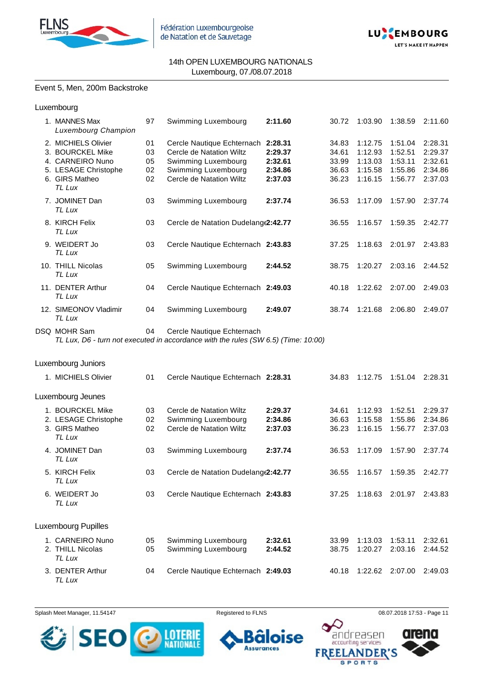



#### Event 5, Men, 200m Backstroke

Luxembourg

| 1. MANNES Max<br><b>Luxembourg Champion</b>                                                                     | 97                         | Swimming Luxembourg                                                                                                                      | 2:11.60                                  | 30.72                                     | 1:03.90                                             | 1:38.59                                             | 2:11.60                                             |
|-----------------------------------------------------------------------------------------------------------------|----------------------------|------------------------------------------------------------------------------------------------------------------------------------------|------------------------------------------|-------------------------------------------|-----------------------------------------------------|-----------------------------------------------------|-----------------------------------------------------|
| 2. MICHIELS Olivier<br>3. BOURCKEL Mike<br>4. CARNEIRO Nuno<br>5. LESAGE Christophe<br>6. GIRS Matheo<br>TL Lux | 01<br>03<br>05<br>02<br>02 | Cercle Nautique Echternach 2:28.31<br>Cercle de Natation Wiltz<br>Swimming Luxembourg<br>Swimming Luxembourg<br>Cercle de Natation Wiltz | 2:29.37<br>2:32.61<br>2:34.86<br>2:37.03 | 34.83<br>34.61<br>33.99<br>36.63<br>36.23 | 1:12.75<br>1:12.93<br>1:13.03<br>1:15.58<br>1:16.15 | 1:51.04<br>1:52.51<br>1:53.11<br>1:55.86<br>1:56.77 | 2:28.31<br>2:29.37<br>2:32.61<br>2:34.86<br>2:37.03 |
| 7. JOMINET Dan<br>TL Lux                                                                                        | 03                         | Swimming Luxembourg                                                                                                                      | 2:37.74                                  | 36.53                                     | 1:17.09                                             | 1:57.90                                             | 2:37.74                                             |
| 8. KIRCH Felix<br>TL Lux                                                                                        | 03                         | Cercle de Natation Dudelang (2:42.77                                                                                                     |                                          | 36.55                                     | 1:16.57                                             | 1:59.35                                             | 2:42.77                                             |
| 9. WEIDERT Jo<br>TL Lux                                                                                         | 03                         | Cercle Nautique Echternach 2:43.83                                                                                                       |                                          | 37.25                                     | 1:18.63                                             | 2:01.97                                             | 2:43.83                                             |
| 10. THILL Nicolas<br>TL Lux                                                                                     | 05                         | Swimming Luxembourg                                                                                                                      | 2:44.52                                  | 38.75                                     | 1:20.27                                             | 2:03.16                                             | 2:44.52                                             |
| 11. DENTER Arthur<br>TL Lux                                                                                     | 04                         | Cercle Nautique Echternach 2:49.03                                                                                                       |                                          | 40.18                                     | 1:22.62                                             | 2:07.00                                             | 2:49.03                                             |
| 12. SIMEONOV Vladimir<br>TL Lux                                                                                 | 04                         | Swimming Luxembourg                                                                                                                      | 2:49.07                                  | 38.74                                     | 1:21.68                                             | 2:06.80                                             | 2:49.07                                             |
| DSQ MOHR Sam                                                                                                    | 04                         | Cercle Nautique Echternach<br>TL Lux, D6 - turn not executed in accordance with the rules (SW 6.5) (Time: 10:00)                         |                                          |                                           |                                                     |                                                     |                                                     |
| Luxembourg Juniors                                                                                              |                            |                                                                                                                                          |                                          |                                           |                                                     |                                                     |                                                     |
| 1. MICHIELS Olivier                                                                                             | 01                         | Cercle Nautique Echternach 2:28.31                                                                                                       |                                          | 34.83                                     | 1:12.75                                             | 1:51.04                                             | 2:28.31                                             |
| Luxembourg Jeunes                                                                                               |                            |                                                                                                                                          |                                          |                                           |                                                     |                                                     |                                                     |
| 1. BOURCKEL Mike<br>2. LESAGE Christophe<br>3. GIRS Matheo<br>TL Lux                                            | 03<br>02<br>02             | Cercle de Natation Wiltz<br>Swimming Luxembourg<br>Cercle de Natation Wiltz                                                              | 2:29.37<br>2:34.86<br>2:37.03            | 34.61<br>36.63<br>36.23                   | 1:12.93<br>1:15.58<br>1:16.15                       | 1:52.51<br>1:55.86<br>1:56.77                       | 2:29.37<br>2:34.86<br>2:37.03                       |
| 4. JOMINET Dan<br>TL Lux                                                                                        | 03                         | Swimming Luxembourg                                                                                                                      | 2:37.74                                  | 36.53                                     | 1:17.09                                             | 1:57.90                                             | 2:37.74                                             |
| 5. KIRCH Felix<br>TL Lux                                                                                        | 03                         | Cercle de Natation Dudelang (2:42.77                                                                                                     |                                          | 36.55                                     | 1:16.57                                             | 1:59.35                                             | 2:42.77                                             |
| 6. WEIDERT Jo<br>TL Lux                                                                                         | 03                         | Cercle Nautique Echternach 2:43.83                                                                                                       |                                          | 37.25                                     |                                                     | 1:18.63 2:01.97                                     | 2:43.83                                             |
| Luxembourg Pupilles                                                                                             |                            |                                                                                                                                          |                                          |                                           |                                                     |                                                     |                                                     |
| 1. CARNEIRO Nuno<br>2. THILL Nicolas<br>TL Lux                                                                  | 05<br>05                   | Swimming Luxembourg<br>Swimming Luxembourg                                                                                               | 2:32.61<br>2:44.52                       | 33.99<br>38.75                            | 1:13.03<br>1:20.27                                  | 1:53.11<br>2:03.16                                  | 2:32.61<br>2:44.52                                  |
| 3. DENTER Arthur<br>TL Lux                                                                                      | 04                         | Cercle Nautique Echternach 2:49.03                                                                                                       |                                          | 40.18                                     | 1:22.62                                             | 2:07.00                                             | 2:49.03                                             |

Splash Meet Manager, 11.54147 **Registered to FLNS Registered to FLNS** 08.07.2018 17:53 - Page 11



oise 6

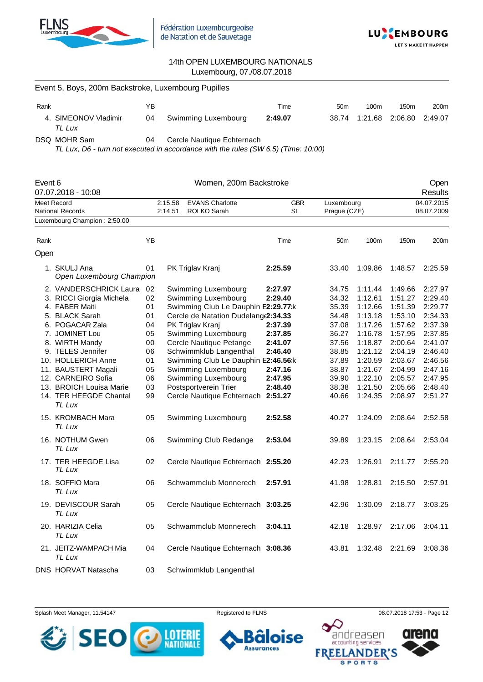



| Event 5, Boys, 200m Backstroke, Luxembourg Pupilles |    |                     |         |                 |                  |                  |                  |  |  |  |  |
|-----------------------------------------------------|----|---------------------|---------|-----------------|------------------|------------------|------------------|--|--|--|--|
| Rank                                                | ΥB |                     | Time    | 50 <sub>m</sub> | 100 <sub>m</sub> | 150 <sub>m</sub> | 200 <sub>m</sub> |  |  |  |  |
| 4. SIMEONOV Vladimir<br>TL Lux                      | 04 | Swimming Luxembourg | 2:49.07 | 38.74           | 1:21.68 2:06.80  |                  | 2:49.07          |  |  |  |  |

DSQ MOHR Sam 04 Cercle Nautique Echternach

*TL Lux, D6 - turn not executed in accordance with the rules (SW 6.5) (Time: 10:00)*

| Event 6 | 07.07.2018 - 10:08                                                                                                                                                                                                                                                                                   |                                                                            |                    | Women, 200m Backstroke                                                                                                                                                                                                                                                                                                                                                       |                                                                                                 |                                                                                                                   |                                                                                                                                             |                                                                                                                                             | Open<br>Results                                                                                                                             |
|---------|------------------------------------------------------------------------------------------------------------------------------------------------------------------------------------------------------------------------------------------------------------------------------------------------------|----------------------------------------------------------------------------|--------------------|------------------------------------------------------------------------------------------------------------------------------------------------------------------------------------------------------------------------------------------------------------------------------------------------------------------------------------------------------------------------------|-------------------------------------------------------------------------------------------------|-------------------------------------------------------------------------------------------------------------------|---------------------------------------------------------------------------------------------------------------------------------------------|---------------------------------------------------------------------------------------------------------------------------------------------|---------------------------------------------------------------------------------------------------------------------------------------------|
|         | Meet Record<br>National Records                                                                                                                                                                                                                                                                      |                                                                            | 2:15.58<br>2:14.51 | <b>EVANS Charlotte</b><br>ROLKO Sarah                                                                                                                                                                                                                                                                                                                                        | <b>GBR</b><br>SL                                                                                | Luxembourg<br>Prague (CZE)                                                                                        |                                                                                                                                             | 04.07.2015<br>08.07.2009                                                                                                                    |                                                                                                                                             |
|         | Luxembourg Champion: 2:50.00                                                                                                                                                                                                                                                                         |                                                                            |                    |                                                                                                                                                                                                                                                                                                                                                                              |                                                                                                 |                                                                                                                   |                                                                                                                                             |                                                                                                                                             |                                                                                                                                             |
| Rank    |                                                                                                                                                                                                                                                                                                      | ΥB                                                                         |                    |                                                                                                                                                                                                                                                                                                                                                                              | Time                                                                                            | 50 <sub>m</sub>                                                                                                   | 100m                                                                                                                                        | 150m                                                                                                                                        | 200m                                                                                                                                        |
| Open    |                                                                                                                                                                                                                                                                                                      |                                                                            |                    |                                                                                                                                                                                                                                                                                                                                                                              |                                                                                                 |                                                                                                                   |                                                                                                                                             |                                                                                                                                             |                                                                                                                                             |
|         | 1. SKULJ Ana<br>Open Luxembourg Champion                                                                                                                                                                                                                                                             | 01                                                                         |                    | PK Triglav Kranj                                                                                                                                                                                                                                                                                                                                                             | 2:25.59                                                                                         | 33.40                                                                                                             | 1:09.86                                                                                                                                     | 1:48.57                                                                                                                                     | 2:25.59                                                                                                                                     |
|         | 2. VANDERSCHRICK Laura<br>3. RICCI Giorgia Michela<br>4. FABER Maiti<br>5. BLACK Sarah<br>6. POGACAR Zala<br>7. JOMINET Lou<br>8. WIRTH Mandy<br>9. TELES Jennifer<br>10. HOLLERICH Anne<br>11. BAUSTERT Magali<br>12. CARNEIRO Sofia<br>13. BROICH Louisa Marie<br>14. TER HEEGDE Chantal<br>TL Lux | 02<br>02<br>01<br>01<br>04<br>05<br>00<br>06<br>01<br>05<br>06<br>03<br>99 |                    | Swimming Luxembourg<br>Swimming Luxembourg<br>Swimming Club Le Dauphin E2:29.77:k<br>Cercle de Natation Dudelang(2:34.33<br>PK Triglav Kranj<br>Swimming Luxembourg<br>Cercle Nautique Petange<br>Schwimmklub Langenthal<br>Swimming Club Le Dauphin E2:46.56:k<br>Swimming Luxembourg<br>Swimming Luxembourg<br>Postsportverein Trier<br>Cercle Nautique Echternach 2:51.27 | 2:27.97<br>2:29.40<br>2:37.39<br>2:37.85<br>2:41.07<br>2:46.40<br>2:47.16<br>2:47.95<br>2:48.40 | 34.75<br>34.32<br>35.39<br>34.48<br>37.08<br>36.27<br>37.56<br>38.85<br>37.89<br>38.87<br>39.90<br>38.38<br>40.66 | 1:11.44<br>1:12.61<br>1:12.66<br>1:13.18<br>1:17.26<br>1:16.78<br>1:18.87<br>1:21.12<br>1:20.59<br>1:21.67<br>1:22.10<br>1:21.50<br>1:24.35 | 1:49.66<br>1:51.27<br>1:51.39<br>1:53.10<br>1:57.62<br>1:57.95<br>2:00.64<br>2:04.19<br>2:03.67<br>2:04.99<br>2:05.57<br>2:05.66<br>2:08.97 | 2:27.97<br>2:29.40<br>2:29.77<br>2:34.33<br>2:37.39<br>2:37.85<br>2:41.07<br>2:46.40<br>2:46.56<br>2:47.16<br>2:47.95<br>2:48.40<br>2:51.27 |
|         | 15. KROMBACH Mara<br>TL Lux                                                                                                                                                                                                                                                                          | 05                                                                         |                    | Swimming Luxembourg                                                                                                                                                                                                                                                                                                                                                          | 2:52.58                                                                                         | 40.27                                                                                                             | 1:24.09                                                                                                                                     | 2:08.64                                                                                                                                     | 2:52.58                                                                                                                                     |
|         | 16. NOTHUM Gwen<br>TL Lux                                                                                                                                                                                                                                                                            | 06                                                                         |                    | Swimming Club Redange                                                                                                                                                                                                                                                                                                                                                        | 2:53.04                                                                                         | 39.89                                                                                                             | 1:23.15                                                                                                                                     | 2:08.64                                                                                                                                     | 2:53.04                                                                                                                                     |
|         | 17. TER HEEGDE Lisa<br>TL Lux                                                                                                                                                                                                                                                                        | 02                                                                         |                    | Cercle Nautique Echternach 2:55.20                                                                                                                                                                                                                                                                                                                                           |                                                                                                 | 42.23                                                                                                             | 1:26.91                                                                                                                                     | 2:11.77                                                                                                                                     | 2:55.20                                                                                                                                     |
|         | 18. SOFFIO Mara<br>TL Lux                                                                                                                                                                                                                                                                            | 06                                                                         |                    | Schwammclub Monnerech                                                                                                                                                                                                                                                                                                                                                        | 2:57.91                                                                                         | 41.98                                                                                                             | 1:28.81                                                                                                                                     | 2:15.50                                                                                                                                     | 2:57.91                                                                                                                                     |
|         | 19. DEVISCOUR Sarah<br>TL Lux                                                                                                                                                                                                                                                                        | 05                                                                         |                    | Cercle Nautique Echternach 3:03.25                                                                                                                                                                                                                                                                                                                                           |                                                                                                 | 42.96                                                                                                             | 1:30.09                                                                                                                                     | 2:18.77                                                                                                                                     | 3:03.25                                                                                                                                     |
|         | 20. HARIZIA Celia<br>TL Lux                                                                                                                                                                                                                                                                          | 05                                                                         |                    | Schwammclub Monnerech                                                                                                                                                                                                                                                                                                                                                        | 3:04.11                                                                                         | 42.18                                                                                                             | 1:28.97                                                                                                                                     | 2:17.06                                                                                                                                     | 3:04.11                                                                                                                                     |
|         | 21. JEITZ-WAMPACH Mia<br>TL Lux                                                                                                                                                                                                                                                                      | 04                                                                         |                    | Cercle Nautique Echternach 3:08.36                                                                                                                                                                                                                                                                                                                                           |                                                                                                 | 43.81                                                                                                             | 1:32.48                                                                                                                                     | 2:21.69                                                                                                                                     | 3:08.36                                                                                                                                     |
|         | <b>DNS HORVAT Natascha</b>                                                                                                                                                                                                                                                                           | 03                                                                         |                    | Schwimmklub Langenthal                                                                                                                                                                                                                                                                                                                                                       |                                                                                                 |                                                                                                                   |                                                                                                                                             |                                                                                                                                             |                                                                                                                                             |





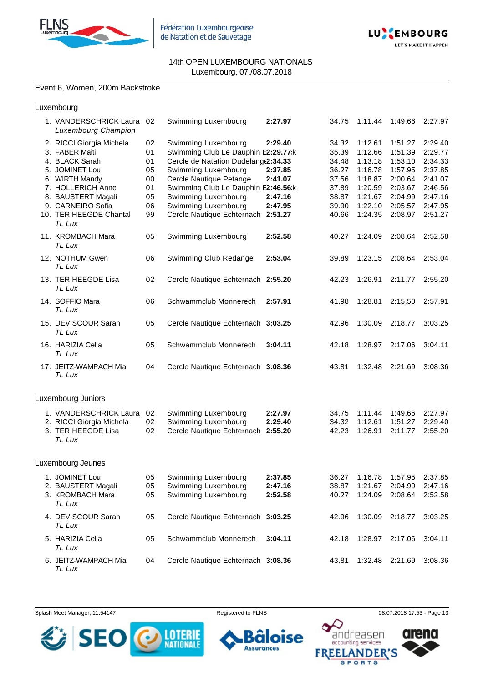



#### Event 6, Women, 200m Backstroke

| Luxembourg |
|------------|
|------------|

| 1. VANDERSCHRICK Laura<br><b>Luxembourg Champion</b>                                                                                                                                                 | 02                                                 | Swimming Luxembourg                                                                                                                                                                                                                                                            | 2:27.97                                             | 34.75                                                                         | 1:11.44                                                                                         | 1:49.66                                                                                         | 2:27.97                                                                                         |
|------------------------------------------------------------------------------------------------------------------------------------------------------------------------------------------------------|----------------------------------------------------|--------------------------------------------------------------------------------------------------------------------------------------------------------------------------------------------------------------------------------------------------------------------------------|-----------------------------------------------------|-------------------------------------------------------------------------------|-------------------------------------------------------------------------------------------------|-------------------------------------------------------------------------------------------------|-------------------------------------------------------------------------------------------------|
| 2. RICCI Giorgia Michela<br>3. FABER Maiti<br>4. BLACK Sarah<br>5. JOMINET Lou<br>6. WIRTH Mandy<br>7. HOLLERICH Anne<br>8. BAUSTERT Magali<br>9. CARNEIRO Sofia<br>10. TER HEEGDE Chantal<br>TL Lux | 02<br>01<br>01<br>05<br>00<br>01<br>05<br>06<br>99 | Swimming Luxembourg<br>Swimming Club Le Dauphin E2:29.77:k<br>Cercle de Natation Dudelang(2:34.33<br>Swimming Luxembourg<br>Cercle Nautique Petange<br>Swimming Club Le Dauphin E2:46.56:k<br>Swimming Luxembourg<br>Swimming Luxembourg<br>Cercle Nautique Echternach 2:51.27 | 2:29.40<br>2:37.85<br>2:41.07<br>2:47.16<br>2:47.95 | 34.32<br>35.39<br>34.48<br>36.27<br>37.56<br>37.89<br>38.87<br>39.90<br>40.66 | 1:12.61<br>1:12.66<br>1:13.18<br>1:16.78<br>1:18.87<br>1:20.59<br>1:21.67<br>1:22.10<br>1:24.35 | 1:51.27<br>1:51.39<br>1:53.10<br>1:57.95<br>2:00.64<br>2:03.67<br>2:04.99<br>2:05.57<br>2:08.97 | 2:29.40<br>2:29.77<br>2:34.33<br>2:37.85<br>2:41.07<br>2:46.56<br>2:47.16<br>2:47.95<br>2:51.27 |
| 11. KROMBACH Mara<br>TL Lux                                                                                                                                                                          | 05                                                 | Swimming Luxembourg                                                                                                                                                                                                                                                            | 2:52.58                                             | 40.27                                                                         | 1:24.09                                                                                         | 2:08.64                                                                                         | 2:52.58                                                                                         |
| 12. NOTHUM Gwen<br>TL Lux                                                                                                                                                                            | 06                                                 | Swimming Club Redange                                                                                                                                                                                                                                                          | 2:53.04                                             | 39.89                                                                         | 1:23.15                                                                                         | 2:08.64                                                                                         | 2:53.04                                                                                         |
| 13. TER HEEGDE Lisa<br>TL Lux                                                                                                                                                                        | 02                                                 | Cercle Nautique Echternach 2:55.20                                                                                                                                                                                                                                             |                                                     | 42.23                                                                         | 1:26.91                                                                                         | 2:11.77                                                                                         | 2:55.20                                                                                         |
| 14. SOFFIO Mara<br>TL Lux                                                                                                                                                                            | 06                                                 | Schwammclub Monnerech                                                                                                                                                                                                                                                          | 2:57.91                                             | 41.98                                                                         | 1:28.81                                                                                         | 2:15.50                                                                                         | 2:57.91                                                                                         |
| 15. DEVISCOUR Sarah<br>TL Lux                                                                                                                                                                        | 05                                                 | Cercle Nautique Echternach 3:03.25                                                                                                                                                                                                                                             |                                                     | 42.96                                                                         | 1:30.09                                                                                         | 2:18.77                                                                                         | 3:03.25                                                                                         |
| 16. HARIZIA Celia<br>TL Lux                                                                                                                                                                          | 05                                                 | Schwammclub Monnerech                                                                                                                                                                                                                                                          | 3:04.11                                             | 42.18                                                                         | 1:28.97                                                                                         | 2:17.06                                                                                         | 3:04.11                                                                                         |
| 17. JEITZ-WAMPACH Mia<br>TL Lux                                                                                                                                                                      | 04                                                 | Cercle Nautique Echternach 3:08.36                                                                                                                                                                                                                                             |                                                     | 43.81                                                                         | 1:32.48                                                                                         | 2:21.69                                                                                         | 3:08.36                                                                                         |
| Luxembourg Juniors                                                                                                                                                                                   |                                                    |                                                                                                                                                                                                                                                                                |                                                     |                                                                               |                                                                                                 |                                                                                                 |                                                                                                 |
| 1. VANDERSCHRICK Laura<br>2. RICCI Giorgia Michela<br>3. TER HEEGDE Lisa<br>TL Lux                                                                                                                   | 02<br>02<br>02                                     | Swimming Luxembourg<br>Swimming Luxembourg<br>Cercle Nautique Echternach 2:55.20                                                                                                                                                                                               | 2:27.97<br>2:29.40                                  | 34.75<br>34.32<br>42.23                                                       | 1:11.44<br>1:12.61<br>1:26.91                                                                   | 1:49.66<br>1:51.27<br>2:11.77                                                                   | 2:27.97<br>2:29.40<br>2:55.20                                                                   |
| Luxembourg Jeunes                                                                                                                                                                                    |                                                    |                                                                                                                                                                                                                                                                                |                                                     |                                                                               |                                                                                                 |                                                                                                 |                                                                                                 |
| 1. JOMINET Lou<br>2. BAUSTERT Magali<br>3. KROMBACH Mara<br>TL Lux                                                                                                                                   | 05<br>05<br>05                                     | Swimming Luxembourg<br>Swimming Luxembourg<br>Swimming Luxembourg                                                                                                                                                                                                              | 2:37.85<br>2:47.16<br>2:52.58                       | 36.27<br>40.27                                                                | 1:16.78<br>38.87 1:21.67 2:04.99<br>1:24.09                                                     | 1:57.95<br>2:08.64                                                                              | 2:37.85<br>2:47.16<br>2:52.58                                                                   |
| 4. DEVISCOUR Sarah<br>TL Lux                                                                                                                                                                         | 05                                                 | Cercle Nautique Echternach 3:03.25                                                                                                                                                                                                                                             |                                                     | 42.96                                                                         | 1:30.09                                                                                         | 2:18.77                                                                                         | 3:03.25                                                                                         |
| 5. HARIZIA Celia<br>TL Lux                                                                                                                                                                           | 05                                                 | Schwammclub Monnerech                                                                                                                                                                                                                                                          | 3:04.11                                             | 42.18                                                                         | 1:28.97                                                                                         | 2:17.06                                                                                         | 3:04.11                                                                                         |
| 6. JEITZ-WAMPACH Mia<br>TL Lux                                                                                                                                                                       | 04                                                 | Cercle Nautique Echternach 3:08.36                                                                                                                                                                                                                                             |                                                     | 43.81                                                                         | 1:32.48                                                                                         | 2:21.69                                                                                         | 3:08.36                                                                                         |

Splash Meet Manager, 11.54147 **Registered to FLNS Registered to FLNS** 08.07.2018 17:53 - Page 13



oise 6 **Assurances FREE** 

 $\Delta$ 

accounting services

**SPORTS** 

**NDER'S** 

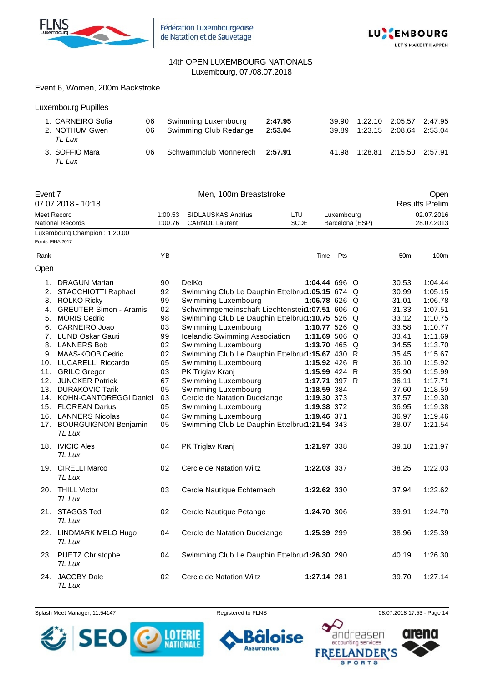

Event 6, Women, 200m Backstroke



## 14th OPEN LUXEMBOURG NATIONALS Luxembourg, 07./08.07.2018

|                   | <b>Luxembourg Pupilles</b>                                |                    |                                                    |                    |                |                    |                    |                               |
|-------------------|-----------------------------------------------------------|--------------------|----------------------------------------------------|--------------------|----------------|--------------------|--------------------|-------------------------------|
|                   | 1. CARNEIRO Sofia<br>06<br>2. NOTHUM Gwen<br>06<br>TL Lux |                    | Swimming Luxembourg<br>Swimming Club Redange       | 2:47.95<br>2:53.04 | 39.90<br>39.89 | 1:22.10<br>1:23.15 | 2:05.57<br>2:08.64 | 2:47.95<br>2:53.04            |
|                   | 3. SOFFIO Mara<br>06<br>TL Lux                            |                    | Schwammclub Monnerech                              | 2:57.91            | 41.98          | 1:28.81            | 2:15.50            | 2:57.91                       |
| Event 7           | 07.07.2018 - 10:18                                        |                    | Men, 100m Breaststroke                             |                    |                |                    |                    | Open<br><b>Results Prelim</b> |
| Meet Record       | <b>National Records</b>                                   | 1:00.53<br>1:00.76 | <b>SIDLAUSKAS Andrius</b><br><b>CARNOL Laurent</b> | LTU<br><b>SCDE</b> | Luxembourg     | Barcelona (ESP)    |                    | 02.07.2016<br>28.07.2013      |
|                   | Luxembourg Champion: 1:20.00                              |                    |                                                    |                    |                |                    |                    |                               |
| Points: FINA 2017 |                                                           |                    |                                                    |                    |                |                    |                    |                               |
| Rank              |                                                           | YB                 |                                                    | Time               | Pts            |                    | 50 <sub>m</sub>    | 100m                          |
| Open              |                                                           |                    |                                                    |                    |                |                    |                    |                               |
|                   | 1. DRAGUN Marian                                          | 90                 | DelKo                                              | 1:04.44 696 Q      |                |                    | 30.53              | 1:04.44                       |
| 2.                | STACCHIOTTI Raphael                                       | 92                 | Swimming Club Le Dauphin Ettelbruৌ 1:05.15 674 Q   |                    |                |                    | 30.99              | 1:05.15                       |
| 3.                | <b>ROLKO Ricky</b>                                        | 99                 | Swimming Luxembourg                                | 1:06.78 626 Q      |                |                    | 31.01              | 1:06.78                       |
| 4.                | <b>GREUTER Simon - Aramis</b>                             | 02                 | Schwimmgemeinschaft Liechtensteit1:07.51 606 Q     |                    |                |                    | 31.33              | 1:07.51                       |
| 5.                | <b>MORIS Cedric</b>                                       | 98                 | Swimming Club Le Dauphin Ettelbru(1:10.75 526 Q    |                    |                |                    | 33.12              | 1:10.75                       |
| 6.                | <b>CARNEIRO Joao</b>                                      | 03                 | Swimming Luxembourg                                | 1:10.77 526 $Q$    |                |                    | 33.58              | 1:10.77                       |
| 7.                | <b>LUND Oskar Gauti</b>                                   | 99                 | Icelandic Swimming Association                     | 1:11.69 506 Q      |                |                    | 33.41              | 1:11.69                       |
| 8.                | <b>LANNERS Bob</b>                                        | 02                 | Swimming Luxembourg                                | 1:13.70 465 Q      |                |                    | 34.55              | 1:13.70                       |
| 9.                | MAAS-KOOB Cedric                                          | 02                 | Swimming Club Le Dauphin Ettelbru(1:15.67 430 R    | 1:15.92 426 R      |                |                    | 35.45              | 1:15.67                       |
| 11.               | 10. LUCARELLI Riccardo<br><b>GRILC Gregor</b>             | 05<br>03           | Swimming Luxembourg<br>PK Triglav Kranj            | 1:15.99 424 R      |                |                    | 36.10<br>35.90     | 1:15.92<br>1:15.99            |
| 12.               | <b>JUNCKER Patrick</b>                                    | 67                 | Swimming Luxembourg                                | 1:17.71 397 R      |                |                    | 36.11              | 1:17.71                       |
| 13.               | <b>DURAKOVIC Tarik</b>                                    | 05                 | Swimming Luxembourg                                | 1:18.59 384        |                |                    | 37.60              | 1:18.59                       |
|                   | 14. KOHN-CANTOREGGI Daniel                                | 03                 | Cercle de Natation Dudelange                       | 1:19.30 373        |                |                    | 37.57              | 1:19.30                       |
|                   | 15. FLOREAN Darius                                        | 05                 | Swimming Luxembourg                                | 1:19.38 372        |                |                    | 36.95              | 1:19.38                       |
|                   | 16. LANNERS Nicolas                                       | 04                 | Swimming Luxembourg                                | 1:19.46 371        |                |                    | 36.97              | 1:19.46                       |
|                   | 17. BOURGUIGNON Benjamin<br>TL Lux                        | 05                 | Swimming Club Le Dauphin Ettelbru(1:21.54 343      |                    |                |                    | 38.07              | 1:21.54                       |
|                   | 18. IVICIC Ales<br>TL Lux                                 | 04                 | PK Triglav Kranj                                   | 1:21.97 338        |                |                    | 39.18              | 1:21.97                       |
|                   | 19. CIRELLI Marco<br>TL Lux                               | 02                 | Cercle de Natation Wiltz                           | 1:22.03 337        |                |                    | 38.25              | 1:22.03                       |
|                   | 20. THILL Victor<br>TL Lux                                | 03                 | Cercle Nautique Echternach                         | 1:22.62 330        |                |                    | 37.94              | 1:22.62                       |
|                   | 21. STAGGS Ted<br>TL Lux                                  | 02                 | Cercle Nautique Petange                            | 1:24.70 306        |                |                    | 39.91              | 1:24.70                       |
|                   | 22. LINDMARK MELO Hugo<br>TL Lux                          | 04                 | Cercle de Natation Dudelange                       | 1:25.39 299        |                |                    | 38.96              | 1:25.39                       |

*TL Lux* 24. JACOBY Dale 02 Cercle de Natation Wiltz **1:27.14** 281 39.70 1:27.14 *TL Lux*

Splash Meet Manager, 11.54147 **Registered to FLNS Registered to FLNS** 08.07.2018 17:53 - Page 14

23. PUETZ Christophe 04 Swimming Club Le Dauphin Ettelbruck**1:26.30** 290 40.19 1:26.30



ise



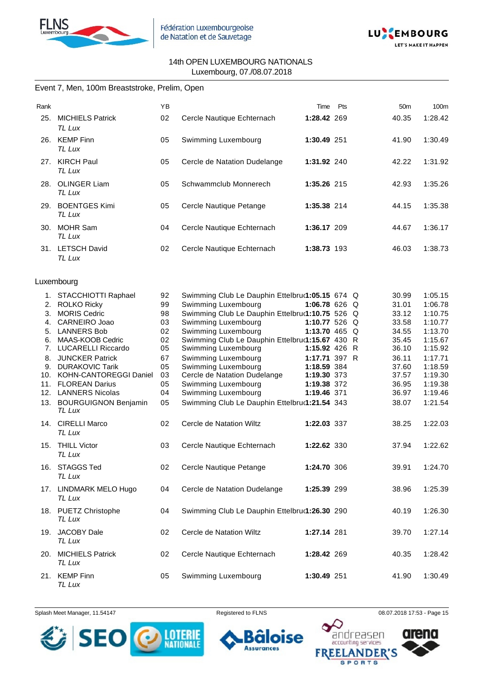



# Event 7, Men, 100m Breaststroke, Prelim, Open

| Rank |                                   | ΥB |                              | Time        | Pts | 50 <sub>m</sub> | 100 <sub>m</sub> |
|------|-----------------------------------|----|------------------------------|-------------|-----|-----------------|------------------|
| 25.  | <b>MICHIELS Patrick</b><br>TL Lux | 02 | Cercle Nautique Echternach   | 1:28.42 269 |     | 40.35           | 1:28.42          |
| 26.  | <b>KEMP Finn</b><br>TL Lux        | 05 | Swimming Luxembourg          | 1:30.49 251 |     | 41.90           | 1:30.49          |
| 27.  | <b>KIRCH Paul</b><br>TL Lux       | 05 | Cercle de Natation Dudelange | 1:31.92 240 |     | 42.22           | 1:31.92          |
| 28.  | <b>OLINGER Liam</b><br>TL Lux     | 05 | Schwammclub Monnerech        | 1:35.26 215 |     | 42.93           | 1:35.26          |
| 29.  | <b>BOENTGES Kimi</b><br>TL Lux    | 05 | Cercle Nautique Petange      | 1:35.38 214 |     | 44.15           | 1:35.38          |
| 30.  | <b>MOHR Sam</b><br>TL Lux         | 04 | Cercle Nautique Echternach   | 1:36.17 209 |     | 44.67           | 1:36.17          |
| 31.  | <b>LETSCH David</b><br>TL Lux     | 02 | Cercle Nautique Echternach   | 1:38.73 193 |     | 46.03           | 1:38.73          |

#### Luxembourg

|    | 1. STACCHIOTTI Raphael             | 92 | Swimming Club Le Dauphin Ettelbru(1:05.15 674 Q |               |  | 30.99 | 1:05.15 |
|----|------------------------------------|----|-------------------------------------------------|---------------|--|-------|---------|
|    | 2. ROLKO Ricky                     | 99 | Swimming Luxembourg                             | 1:06.78 626 Q |  | 31.01 | 1:06.78 |
| 3. | <b>MORIS Cedric</b>                | 98 | Swimming Club Le Dauphin Ettelbru(1:10.75 526 Q |               |  | 33.12 | 1:10.75 |
| 4. | CARNEIRO Joao                      | 03 | Swimming Luxembourg                             | 1:10.77 526 Q |  | 33.58 | 1:10.77 |
|    | 5. LANNERS Bob                     | 02 | Swimming Luxembourg                             | 1:13.70 465 Q |  | 34.55 | 1:13.70 |
|    | 6. MAAS-KOOB Cedric                | 02 | Swimming Club Le Dauphin Ettelbru(1:15.67 430 R |               |  | 35.45 | 1:15.67 |
| 7. | <b>LUCARELLI Riccardo</b>          | 05 | Swimming Luxembourg                             | 1:15.92 426 R |  | 36.10 | 1:15.92 |
| 8. | <b>JUNCKER Patrick</b>             | 67 | Swimming Luxembourg                             | 1:17.71 397 R |  | 36.11 | 1:17.71 |
|    | 9. DURAKOVIC Tarik                 | 05 | Swimming Luxembourg                             | 1:18.59 384   |  | 37.60 | 1:18.59 |
|    | 10. KOHN-CANTOREGGI Daniel         | 03 | Cercle de Natation Dudelange                    | 1:19.30 373   |  | 37.57 | 1:19.30 |
|    | 11. FLOREAN Darius                 | 05 | Swimming Luxembourg                             | 1:19.38 372   |  | 36.95 | 1:19.38 |
|    | 12. LANNERS Nicolas                | 04 | Swimming Luxembourg                             | 1:19.46 371   |  | 36.97 | 1:19.46 |
|    | 13. BOURGUIGNON Benjamin<br>TL Lux | 05 | Swimming Club Le Dauphin Ettelbru(1:21.54 343   |               |  | 38.07 | 1:21.54 |
|    | 14. CIRELLI Marco<br>TL Lux        | 02 | Cercle de Natation Wiltz                        | 1:22.03 337   |  | 38.25 | 1:22.03 |
|    | 15. THILL Victor<br>TL Lux         | 03 | Cercle Nautique Echternach                      | 1:22.62 330   |  | 37.94 | 1:22.62 |
|    | 16. STAGGS Ted<br>TL Lux           | 02 | Cercle Nautique Petange                         | 1:24.70 306   |  | 39.91 | 1:24.70 |
|    | 17. LINDMARK MELO Hugo<br>TL Lux   | 04 | Cercle de Natation Dudelange                    | 1:25.39 299   |  | 38.96 | 1:25.39 |
|    | 18. PUETZ Christophe<br>TL Lux     | 04 | Swimming Club Le Dauphin Ettelbru(1:26.30 290   |               |  | 40.19 | 1:26.30 |
|    | 19. JACOBY Dale<br>TL Lux          | 02 | Cercle de Natation Wiltz                        | 1:27.14 281   |  | 39.70 | 1:27.14 |
|    | 20. MICHIELS Patrick<br>TL Lux     | 02 | Cercle Nautique Echternach                      | 1:28.42 269   |  | 40.35 | 1:28.42 |
|    | 21. KEMP Finn<br>TL Lux            | 05 | Swimming Luxembourg                             | 1:30.49 251   |  | 41.90 | 1:30.49 |



ise **Assurances** 



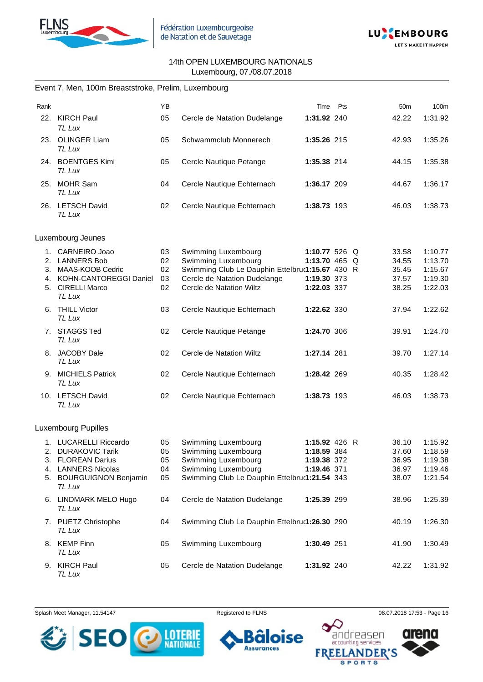



#### Event 7, Men, 100m Breaststroke, Prelim, Luxembourg

| Rank |                                    | YB |                                                 | Time          | Pts | 50 <sub>m</sub> | 100m    |
|------|------------------------------------|----|-------------------------------------------------|---------------|-----|-----------------|---------|
| 22.  | <b>KIRCH Paul</b><br>TL Lux        | 05 | Cercle de Natation Dudelange                    | 1:31.92 240   |     | 42.22           | 1:31.92 |
|      | 23. OLINGER Liam<br>TL Lux         | 05 | Schwammclub Monnerech                           | 1:35.26 215   |     | 42.93           | 1:35.26 |
|      | 24. BOENTGES Kimi<br><b>TL Lux</b> | 05 | Cercle Nautique Petange                         | 1:35.38 214   |     | 44.15           | 1:35.38 |
|      | 25. MOHR Sam<br>TL Lux             | 04 | Cercle Nautique Echternach                      | 1:36.17 209   |     | 44.67           | 1:36.17 |
|      | 26. LETSCH David<br>TL Lux         | 02 | Cercle Nautique Echternach                      | 1:38.73 193   |     | 46.03           | 1:38.73 |
|      | Luxembourg Jeunes                  |    |                                                 |               |     |                 |         |
|      | 1. CARNEIRO Joao                   | 03 | Swimming Luxembourg                             | 1:10.77 526 Q |     | 33.58           | 1:10.77 |
| 2.   | <b>LANNERS Bob</b>                 | 02 | Swimming Luxembourg                             | 1:13.70 465 Q |     | 34.55           | 1:13.70 |
| 3.   | MAAS-KOOB Cedric                   | 02 | Swimming Club Le Dauphin Ettelbru(1:15.67 430 R |               |     | 35.45           | 1:15.67 |
| 4.   | <b>KOHN-CANTOREGGI Daniel</b>      | 03 | Cercle de Natation Dudelange                    | 1:19.30 373   |     | 37.57           | 1:19.30 |
| 5.   | <b>CIRELLI Marco</b><br>TL Lux     | 02 | Cercle de Natation Wiltz                        | 1:22.03 337   |     | 38.25           | 1:22.03 |
| 6.   | <b>THILL Victor</b><br>TL Lux      | 03 | Cercle Nautique Echternach                      | 1:22.62 330   |     | 37.94           | 1:22.62 |
|      | 7. STAGGS Ted<br>TL Lux            | 02 | Cercle Nautique Petange                         | 1:24.70 306   |     | 39.91           | 1:24.70 |
|      | 8. JACOBY Dale<br>TL Lux           | 02 | Cercle de Natation Wiltz                        | 1:27.14 281   |     | 39.70           | 1:27.14 |
|      | 9. MICHIELS Patrick<br>TL Lux      | 02 | Cercle Nautique Echternach                      | 1:28.42 269   |     | 40.35           | 1:28.42 |
|      | 10. LETSCH David<br>TL Lux         | 02 | Cercle Nautique Echternach                      | 1:38.73 193   |     | 46.03           | 1:38.73 |
|      | <b>Luxembourg Pupilles</b>         |    |                                                 |               |     |                 |         |
|      | 1. LUCARELLI Riccardo              | 05 | Swimming Luxembourg                             | 1:15.92 426 R |     | 36.10           | 1:15.92 |
|      | 2. DURAKOVIC Tarik                 | 05 | Swimming Luxembourg                             | 1:18.59 384   |     | 37.60           | 1:18.59 |
|      | 3. FLOREAN Darius                  | 05 | Swimming Luxembourg                             | 1:19.38 372   |     | 36.95           | 1:19.38 |
|      | 4. LANNERS Nicolas                 | 04 | Swimming Luxembourg                             | 1:19.46 371   |     | 36.97           | 1:19.46 |
|      | 5. BOURGUIGNON Benjamin            | 05 | Swimming Club Le Dauphin Ettelbru(1:21.54 343   |               |     | 38.07           | 1:21.54 |
|      | TL Lux                             |    |                                                 |               |     |                 |         |
|      | 6. LINDMARK MELO Hugo<br>TL Lux    | 04 | Cercle de Natation Dudelange                    | 1:25.39 299   |     | 38.96           | 1:25.39 |
|      | 7. PUETZ Christophe<br>TL Lux      | 04 | Swimming Club Le Dauphin Ettelbru(1:26.30 290   |               |     | 40.19           | 1:26.30 |
|      | 8. KEMP Finn<br>TL Lux             | 05 | Swimming Luxembourg                             | 1:30.49 251   |     | 41.90           | 1:30.49 |
|      | 9. KIRCH Paul<br>TL Lux            | 05 | Cercle de Natation Dudelange                    | 1:31.92 240   |     | 42.22           | 1:31.92 |

Splash Meet Manager, 11.54147 **Registered to FLNS Registered to FLNS** 08.07.2018 17:53 - Page 16



ise

ō



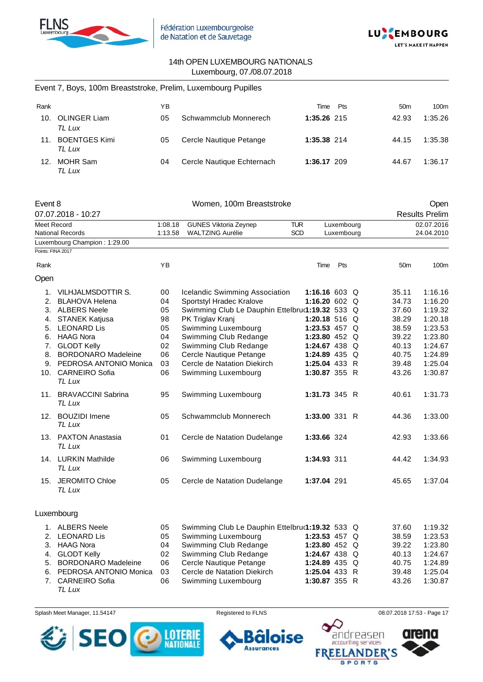



|                   | Event 7, Boys, 100m Breaststroke, Prelim, Luxembourg Pupilles |         |                                                 |               |            |                 |                       |
|-------------------|---------------------------------------------------------------|---------|-------------------------------------------------|---------------|------------|-----------------|-----------------------|
| Rank              |                                                               | ΥB      |                                                 | Time          | Pts        | 50 <sub>m</sub> | 100m                  |
|                   | 10. OLINGER Liam<br>TL Lux                                    | 05      | Schwammclub Monnerech                           | 1:35.26 215   |            | 42.93           | 1:35.26               |
|                   | 11. BOENTGES Kimi<br>TL Lux                                   | 05      | Cercle Nautique Petange                         | 1:35.38 214   |            | 44.15           | 1:35.38               |
|                   | 12. MOHR Sam<br><b>TL Lux</b>                                 | 04      | Cercle Nautique Echternach                      | 1:36.17 209   |            | 44.67           | 1:36.17               |
| Event 8           |                                                               |         | Women, 100m Breaststroke                        |               |            |                 | Open                  |
|                   | 07.07.2018 - 10:27                                            |         |                                                 |               |            |                 | <b>Results Prelim</b> |
| Meet Record       |                                                               | 1:08.18 | <b>GUNES Viktoria Zeynep</b>                    | <b>TUR</b>    | Luxembourg |                 | 02.07.2016            |
|                   | <b>National Records</b>                                       | 1:13.58 | <b>WALTZING Aurélie</b>                         | <b>SCD</b>    | Luxembourg |                 | 24.04.2010            |
| Points: FINA 2017 | Luxembourg Champion: 1:29.00                                  |         |                                                 |               |            |                 |                       |
| Rank              |                                                               | ΥB      |                                                 | Time          | Pts        | 50 <sub>m</sub> | 100m                  |
| Open              |                                                               |         |                                                 |               |            |                 |                       |
| 1.                | VILHJALMSDOTTIR S.                                            | 00      | Icelandic Swimming Association                  | 1:16.16 603 Q |            | 35.11           | 1:16.16               |
| 2.                | <b>BLAHOVA Helena</b>                                         | 04      | Sportstyl Hradec Kralove                        | 1:16.20 602 Q |            | 34.73           | 1:16.20               |
|                   | 3. ALBERS Neele                                               | 05      | Swimming Club Le Dauphin Ettelbru(1:19.32 533 Q |               |            | 37.60           | 1:19.32               |
| 4.                | <b>STANEK Katjusa</b>                                         | 98      | PK Triglav Kranj                                | 1:20.18 516 Q |            | 38.29           | 1:20.18               |
| 5.                | <b>LEONARD Lis</b>                                            | 05      | Swimming Luxembourg                             | 1:23.53 457 Q |            | 38.59           | 1:23.53               |
|                   | 6. HAAG Nora                                                  | 04      | Swimming Club Redange                           | 1:23.80 452 Q |            | 39.22           | 1:23.80               |
| 7.                | <b>GLODT Kelly</b>                                            | 02      | Swimming Club Redange                           | 1:24.67 438 Q |            | 40.13           | 1:24.67               |
| 8.                | <b>BORDONARO Madeleine</b>                                    | 06      | Cercle Nautique Petange                         | 1:24.89 435 Q |            | 40.75           | 1:24.89               |
|                   | 9. PEDROSA ANTONIO Monica                                     | 03      | Cercle de Natation Diekirch                     | 1:25.04 433 R |            | 39.48           | 1:25.04               |
| 10.               | <b>CARNEIRO Sofia</b><br>TL Lux                               | 06      | Swimming Luxembourg                             | 1:30.87 355 R |            | 43.26           | 1:30.87               |
|                   | 11. BRAVACCINI Sabrina<br>TL Lux                              | 95      | Swimming Luxembourg                             | 1:31.73 345 R |            | 40.61           | 1:31.73               |
|                   | 12. BOUZIDI Imene<br>TL Lux                                   | 05      | Schwammclub Monnerech                           | 1:33.00 331 R |            | 44.36           | 1:33.00               |
|                   | 13. PAXTON Anastasia<br>TL Lux                                | 01      | Cercle de Natation Dudelange                    | 1:33.66 324   |            | 42.93           | 1:33.66               |
|                   | 14. LURKIN Mathilde<br>TL Lux                                 | 06      | Swimming Luxembourg                             | 1:34.93 311   |            | 44.42           | 1:34.93               |
|                   | 15. JEROMITO Chloe<br>TL Lux                                  | 05      | Cercle de Natation Dudelange                    | 1:37.04 291   |            | 45.65           | 1:37.04               |
|                   | Luxembourg                                                    |         |                                                 |               |            |                 |                       |
|                   | 1. ALBERS Neele                                               | 05      | Swimming Club Le Dauphin Ettelbru(1:19.32 533 Q |               |            | 37.60           | 1:19.32               |

| 1. ALBERS Neele           | 05 | Swimming Club Le Dauphin Ettelbru(1:19.32 533 Q |               |  | 37.60 | 1:19.32 |
|---------------------------|----|-------------------------------------------------|---------------|--|-------|---------|
| 2. LEONARD Lis            | 05 | Swimming Luxembourg                             | 1:23.53 457 Q |  | 38.59 | 1:23.53 |
| 3. HAAG Nora              | 04 | Swimming Club Redange                           | 1:23.80 452 Q |  | 39.22 | 1:23.80 |
| 4. GLODT Kelly            | 02 | Swimming Club Redange                           | 1:24.67 438 Q |  | 40.13 | 1:24.67 |
| 5. BORDONARO Madeleine    | 06 | Cercle Nautique Petange                         | 1:24.89 435 Q |  | 40.75 | 1:24.89 |
| 6. PEDROSA ANTONIO Monica | 03 | Cercle de Natation Diekirch                     | 1:25.04 433 R |  | 39.48 | 1:25.04 |
| 7. CARNEIRO Sofia         | 06 | Swimming Luxembourg                             | 1:30.87 355 R |  | 43.26 | 1:30.87 |
| TL Lux                    |    |                                                 |               |  |       |         |

Splash Meet Manager, 11.54147 **Registered to FLNS Registered to FLNS** 08.07.2018 17:53 - Page 17



Õ **Assurances** 

oise

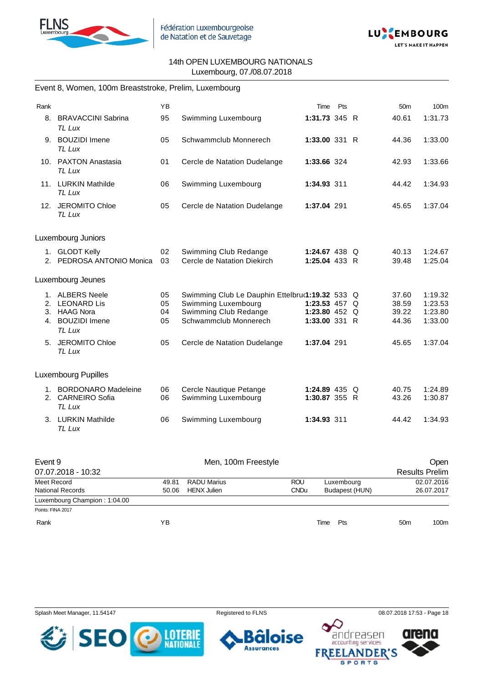



#### Event 8, Women, 100m Breaststroke, Prelim, Luxembourg

| Rank |                                                                  | <b>YB</b> |                                                      | Time                           | Pts | 50 <sub>m</sub> | 100m               |
|------|------------------------------------------------------------------|-----------|------------------------------------------------------|--------------------------------|-----|-----------------|--------------------|
| 8.   | <b>BRAVACCINI Sabrina</b><br>TL Lux                              | 95        | Swimming Luxembourg                                  | 1:31.73 345 R                  |     | 40.61           | 1:31.73            |
| 9.   | <b>BOUZIDI</b> Imene<br>TL Lux                                   | 05        | Schwammclub Monnerech                                | 1:33.00 331 R                  |     | 44.36           | 1:33.00            |
|      | 10. PAXTON Anastasia<br>TL Lux                                   | 01        | Cercle de Natation Dudelange                         | 1:33.66 324                    |     | 42.93           | 1:33.66            |
|      | 11. LURKIN Mathilde<br>TL Lux                                    | 06        | Swimming Luxembourg                                  | 1:34.93 311                    |     | 44.42           | 1:34.93            |
|      | 12. JEROMITO Chloe<br>TL Lux                                     | 05        | Cercle de Natation Dudelange                         | 1:37.04 291                    |     | 45.65           | 1:37.04            |
|      | Luxembourg Juniors                                               |           |                                                      |                                |     |                 |                    |
| 2.   | 1. GLODT Kelly<br>PEDROSA ANTONIO Monica                         | 02<br>03  | Swimming Club Redange<br>Cercle de Natation Diekirch | 1:24.67 438 Q<br>1:25.04 433 R |     | 40.13<br>39.48  | 1:24.67<br>1:25.04 |
|      | Luxembourg Jeunes                                                |           |                                                      |                                |     |                 |                    |
|      | 1. ALBERS Neele                                                  | 05        | Swimming Club Le Dauphin Ettelbrur1:19.32 533 Q      |                                |     | 37.60           | 1:19.32            |
| 2.   | <b>LEONARD Lis</b>                                               | 05        | Swimming Luxembourg                                  | 1:23.53 457 $\circ$            |     | 38.59           | 1:23.53            |
| 3.   | <b>HAAG Nora</b>                                                 | 04        | Swimming Club Redange                                | 1:23.80 452 $Q$                |     | 39.22           | 1:23.80            |
| 4.   | <b>BOUZIDI</b> Imene<br>TL Lux                                   | 05        | Schwammclub Monnerech                                | $1:33.00$ 331 R                |     | 44.36           | 1:33.00            |
| 5.   | <b>JEROMITO Chloe</b><br>TL Lux                                  | 05        | Cercle de Natation Dudelange                         | 1:37.04 291                    |     | 45.65           | 1:37.04            |
|      | <b>Luxembourg Pupilles</b>                                       |           |                                                      |                                |     |                 |                    |
| 1.   | <b>BORDONARO Madeleine</b><br>2. CARNEIRO Sofia<br><b>TL Lux</b> | 06<br>06  | Cercle Nautique Petange<br>Swimming Luxembourg       | 1:24.89 435 Q<br>1:30.87 355 R |     | 40.75<br>43.26  | 1:24.89<br>1:30.87 |
|      | 3. LURKIN Mathilde                                               | 06        | Swimming Luxembourg                                  | 1:34.93 311                    |     | 44.42           | 1:34.93            |

| Event 9                      |       | Men, 100m Freestyle |             |                |                       |            |
|------------------------------|-------|---------------------|-------------|----------------|-----------------------|------------|
| 07.07.2018 - 10:32           |       |                     |             |                | <b>Results Prelim</b> |            |
| Meet Record                  | 49.81 | RADU Marius         | <b>ROU</b>  | Luxembourg     |                       | 02.07.2016 |
| <b>National Records</b>      | 50.06 | <b>HENX Julien</b>  | <b>CNDu</b> | Budapest (HUN) |                       | 26.07.2017 |
| Luxembourg Champion: 1:04.00 |       |                     |             |                |                       |            |
| Points: FINA 2017            |       |                     |             |                |                       |            |
| Rank                         | ΥB    |                     |             | Time<br>Pts    | 50 <sub>m</sub>       | 100m       |

Splash Meet Manager, 11.54147 **Registered to FLNS Registered to FLNS** 08.07.2018 17:53 - Page 18

*TL Lux*



ise **Assurances** 



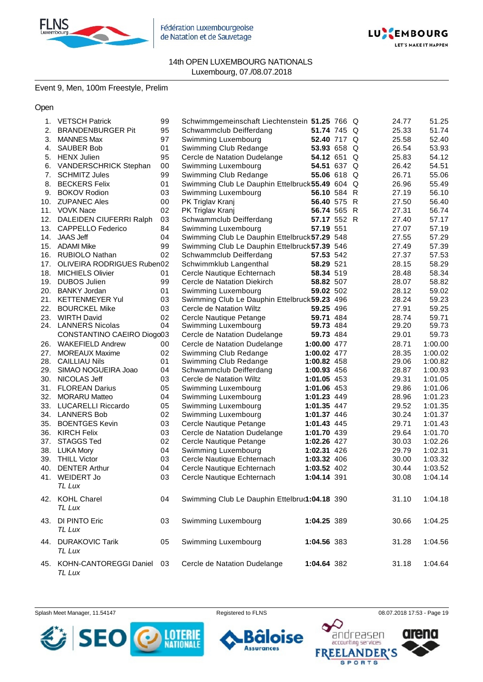

Fédération Luxembourgeoise de Natation et de Sauvetage



#### 14th OPEN LUXEMBOURG NATIONALS Luxembourg, 07./08.07.2018

Event 9, Men, 100m Freestyle, Prelim

Open

| 1.  | <b>VETSCH Patrick</b>                     | 99       | Schwimmgemeinschaft Liechtenstein 51.25 766 Q       |             |  | 24.77          | 51.25          |
|-----|-------------------------------------------|----------|-----------------------------------------------------|-------------|--|----------------|----------------|
|     | 2. BRANDENBURGER Pit                      | 95       | Schwammclub Deifferdang                             | 51.74 745 Q |  | 25.33          | 51.74          |
| 3.  | <b>MANNES Max</b>                         | 97       | Swimming Luxembourg                                 | 52.40 717 Q |  | 25.58          | 52.40          |
| 4.  | <b>SAUBER Bob</b>                         | 01       | Swimming Club Redange                               | 53.93 658 Q |  | 26.54          | 53.93          |
| 5.  | <b>HENX Julien</b>                        | 95       | Cercle de Natation Dudelange                        | 54.12 651 Q |  | 25.83          | 54.12          |
| 6.  | VANDERSCHRICK Stephan                     | 00       | Swimming Luxembourg                                 | 54.51 637 Q |  | 26.42          | 54.51          |
| 7.  | <b>SCHMITZ Jules</b>                      | 99       | Swimming Club Redange                               | 55.06 618 Q |  | 26.71          | 55.06          |
| 8.  | <b>BECKERS Felix</b>                      | 01       | Swimming Club Le Dauphin Ettelbruck 55.49 604 Q     |             |  | 26.96          | 55.49          |
| 9.  | <b>BOKOV Rodion</b>                       | 03       | Swimming Luxembourg                                 | 56.10 584 R |  | 27.19          | 56.10          |
| 10. | <b>ZUPANEC Ales</b>                       | 00       | PK Triglav Kranj                                    | 56.40 575 R |  | 27.50          | 56.40          |
| 11. | <b>VOVK Nace</b>                          | 02       | PK Triglav Kranj                                    | 56.74 565 R |  | 27.31          | 56.74          |
|     | 12. DALEIDEN CIUFERRI Ralph               | 03       | Schwammclub Deifferdang                             | 57.17 552 R |  | 27.40          | 57.17          |
| 13. | <b>CAPPELLO Federico</b>                  | 84       | Swimming Luxembourg                                 | 57.19 551   |  | 27.07          | 57.19          |
| 14. | <b>JAAS Jeff</b>                          | 04       | Swimming Club Le Dauphin Ettelbruck 57.29 548       |             |  | 27.55          | 57.29          |
| 15. | <b>ADAMI Mike</b>                         | 99       | Swimming Club Le Dauphin Ettelbruck 57.39 546       |             |  | 27.49          | 57.39          |
|     | 16. RUBIOLO Nathan                        | 02       | Schwammclub Deifferdang                             | 57.53 542   |  | 27.37          | 57.53          |
| 17. | OLIVEIRA RODRIGUES Ruben02                |          | Schwimmklub Langenthal                              | 58.29 521   |  | 28.15          | 58.29          |
| 18. | <b>MICHIELS Olivier</b>                   | 01       | Cercle Nautique Echternach                          | 58.34 519   |  | 28.48          | 58.34          |
| 19. | <b>DUBOS Julien</b>                       | 99       | Cercle de Natation Diekirch                         | 58.82 507   |  | 28.07          | 58.82          |
| 20. | <b>BANKY Jordan</b>                       | 01       | Swimming Luxembourg                                 | 59.02 502   |  | 28.12          | 59.02          |
| 21. | <b>KETTENMEYER Yul</b>                    | 03       |                                                     |             |  | 28.24          | 59.23          |
|     | <b>BOURCKEL Mike</b>                      |          | Swimming Club Le Dauphin Ettelbruck 59.23 496       | 59.25 496   |  |                |                |
| 22. |                                           | 03       | Cercle de Natation Wiltz                            | 59.71 484   |  | 27.91<br>28.74 | 59.25          |
| 23. | <b>WIRTH David</b><br>24. LANNERS Nicolas | 02<br>04 | Cercle Nautique Petange                             | 59.73 484   |  | 29.20          | 59.71<br>59.73 |
|     | CONSTANTINO CAEIRO Diogo03                |          | Swimming Luxembourg<br>Cercle de Natation Dudelange | 59.73 484   |  | 29.01          | 59.73          |
|     |                                           |          |                                                     |             |  |                |                |
| 26. | <b>WAKEFIELD Andrew</b>                   | 00       | Cercle de Natation Dudelange                        | 1:00.00 477 |  | 28.71          | 1:00.00        |
| 27. | <b>MOREAUX Maxime</b>                     | 02<br>01 | Swimming Club Redange                               | 1:00.02 477 |  | 28.35          | 1:00.02        |
|     | 28. CAILLIAU Nils                         |          | Swimming Club Redange                               | 1:00.82 458 |  | 29.06          | 1:00.82        |
| 29. | SIMAO NOGUEIRA Joao                       | 04       | Schwammclub Deifferdang                             | 1:00.93 456 |  | 28.87          | 1:00.93        |
| 30. | NICOLAS Jeff                              | 03       | Cercle de Natation Wiltz                            | 1:01.05 453 |  | 29.31          | 1:01.05        |
| 31. | <b>FLOREAN Darius</b>                     | 05       | Swimming Luxembourg                                 | 1:01.06 453 |  | 29.86          | 1:01.06        |
| 32. | <b>MORARU Matteo</b>                      | 04       | Swimming Luxembourg                                 | 1:01.23 449 |  | 28.96          | 1:01.23        |
|     | 33. LUCARELLI Riccardo                    | 05       | Swimming Luxembourg                                 | 1:01.35 447 |  | 29.52          | 1:01.35        |
|     | 34. LANNERS Bob                           | 02       | Swimming Luxembourg                                 | 1:01.37 446 |  | 30.24          | 1:01.37        |
| 35. | <b>BOENTGES Kevin</b>                     | 03       | Cercle Nautique Petange                             | 1:01.43 445 |  | 29.71          | 1:01.43        |
| 36. | <b>KIRCH Felix</b>                        | 03       | Cercle de Natation Dudelange                        | 1:01.70 439 |  | 29.64          | 1:01.70        |
| 37. | STAGGS Ted                                | 02       | Cercle Nautique Petange                             | 1:02.26 427 |  | 30.03          | 1:02.26        |
|     | 38. LUKA Mory                             | 04       | Swimming Luxembourg                                 | 1:02.31 426 |  | 29.79          | 1:02.31        |
|     | 39. THILL Victor                          | 03       | Cercle Nautique Echternach                          | 1:03.32 406 |  | 30.00          | 1:03.32        |
|     | 40. DENTER Arthur                         | 04       | Cercle Nautique Echternach                          | 1:03.52 402 |  | 30.44          | 1:03.52        |
| 41. | WEIDERT Jo                                | 03       | Cercle Nautique Echternach                          | 1:04.14 391 |  | 30.08          | 1:04.14        |
|     | TL Lux                                    |          |                                                     |             |  |                |                |
|     | 42. KOHL Charel                           | 04       | Swimming Club Le Dauphin Ettelbru(1:04.18 390       |             |  | 31.10          | 1:04.18        |
|     | TL Lux                                    |          |                                                     |             |  |                |                |
|     | 43. DI PINTO Eric                         | 03       | Swimming Luxembourg                                 | 1:04.25 389 |  | 30.66          | 1:04.25        |
|     | TL Lux                                    |          |                                                     |             |  |                |                |
|     |                                           |          |                                                     |             |  |                |                |
|     | 44. DURAKOVIC Tarik                       | 05       | Swimming Luxembourg                                 | 1:04.56 383 |  | 31.28          | 1:04.56        |
|     | TL Lux                                    |          |                                                     |             |  |                |                |
|     | 45. KOHN-CANTOREGGI Daniel 03             |          | Cercle de Natation Dudelange                        | 1:04.64 382 |  | 31.18          | 1:04.64        |
|     | TL Lux                                    |          |                                                     |             |  |                |                |

Splash Meet Manager, 11.54147 **Registered to FLNS Registered to FLNS** 08.07.2018 17:53 - Page 19





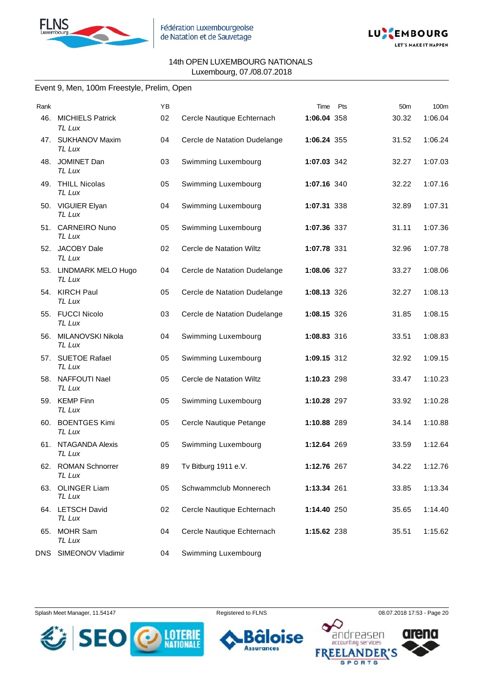



# Event 9, Men, 100m Freestyle, Prelim, Open

| Rank |                                   | YB |                              | Pts<br>Time | 50 <sub>m</sub> | 100m    |
|------|-----------------------------------|----|------------------------------|-------------|-----------------|---------|
| 46.  | <b>MICHIELS Patrick</b><br>TL Lux | 02 | Cercle Nautique Echternach   | 1:06.04 358 | 30.32           | 1:06.04 |
|      | 47. SUKHANOV Maxim<br>TL Lux      | 04 | Cercle de Natation Dudelange | 1:06.24 355 | 31.52           | 1:06.24 |
|      | 48. JOMINET Dan<br>TL Lux         | 03 | Swimming Luxembourg          | 1:07.03 342 | 32.27           | 1:07.03 |
|      | 49. THILL Nicolas<br>TL Lux       | 05 | Swimming Luxembourg          | 1:07.16 340 | 32.22           | 1:07.16 |
|      | 50. VIGUIER Elyan<br>TL Lux       | 04 | Swimming Luxembourg          | 1:07.31 338 | 32.89           | 1:07.31 |
|      | 51. CARNEIRO Nuno<br>TL Lux       | 05 | Swimming Luxembourg          | 1:07.36 337 | 31.11           | 1:07.36 |
|      | 52. JACOBY Dale<br>TL Lux         | 02 | Cercle de Natation Wiltz     | 1:07.78 331 | 32.96           | 1:07.78 |
|      | 53. LINDMARK MELO Hugo<br>TL Lux  | 04 | Cercle de Natation Dudelange | 1:08.06 327 | 33.27           | 1:08.06 |
|      | 54. KIRCH Paul<br>TL Lux          | 05 | Cercle de Natation Dudelange | 1:08.13 326 | 32.27           | 1:08.13 |
|      | 55. FUCCI Nicolo<br>TL Lux        | 03 | Cercle de Natation Dudelange | 1:08.15 326 | 31.85           | 1:08.15 |
|      | 56. MILANOVSKI Nikola<br>TL Lux   | 04 | Swimming Luxembourg          | 1:08.83 316 | 33.51           | 1:08.83 |
|      | 57. SUETOE Rafael<br>TL Lux       | 05 | Swimming Luxembourg          | 1:09.15 312 | 32.92           | 1:09.15 |
|      | 58. NAFFOUTI Nael<br>TL Lux       | 05 | Cercle de Natation Wiltz     | 1:10.23 298 | 33.47           | 1:10.23 |
|      | 59. KEMP Finn<br>TL Lux           | 05 | Swimming Luxembourg          | 1:10.28 297 | 33.92           | 1:10.28 |
|      | 60. BOENTGES Kimi<br>TL Lux       | 05 | Cercle Nautique Petange      | 1:10.88 289 | 34.14           | 1:10.88 |
| 61.  | NTAGANDA Alexis<br>TL Lux         | 05 | Swimming Luxembourg          | 1:12.64 269 | 33.59           | 1:12.64 |
|      | 62. ROMAN Schnorrer<br>TL Lux     | 89 | Tv Bitburg 1911 e.V.         | 1:12.76 267 | 34.22           | 1:12.76 |
|      | 63. OLINGER Liam<br>TL Lux        | 05 | Schwammclub Monnerech        | 1:13.34 261 | 33.85           | 1:13.34 |
|      | 64. LETSCH David<br>TL Lux        | 02 | Cercle Nautique Echternach   | 1:14.40 250 | 35.65           | 1:14.40 |
|      | 65. MOHR Sam<br>TL Lux            | 04 | Cercle Nautique Echternach   | 1:15.62 238 | 35.51           | 1:15.62 |
|      | DNS SIMEONOV Vladimir             | 04 | Swimming Luxembourg          |             |                 |         |







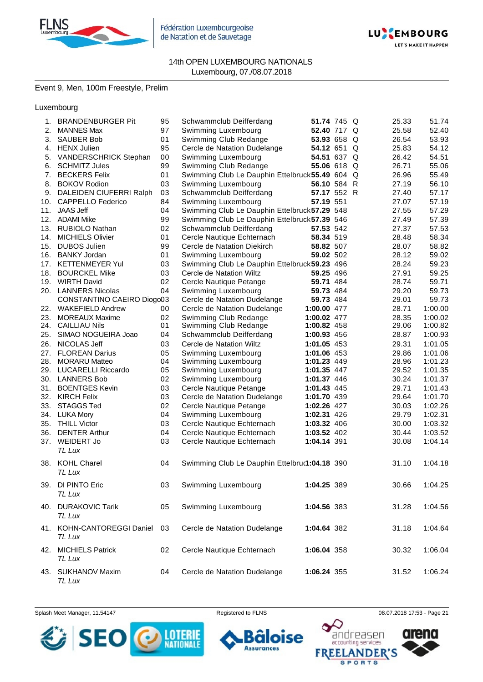

Fédération Luxembourgeoise de Natation et de Sauvetage



#### 14th OPEN LUXEMBOURG NATIONALS Luxembourg, 07./08.07.2018

# Event 9, Men, 100m Freestyle, Prelim

Luxembourg

| 1.  | <b>BRANDENBURGER Pit</b>      | 95 | Schwammclub Deifferdang                         | 51.74 745 Q |  | 25.33 | 51.74   |
|-----|-------------------------------|----|-------------------------------------------------|-------------|--|-------|---------|
| 2.  | <b>MANNES Max</b>             | 97 | Swimming Luxembourg                             | 52.40 717 Q |  | 25.58 | 52.40   |
| 3.  | <b>SAUBER Bob</b>             | 01 | Swimming Club Redange                           | 53.93 658 Q |  | 26.54 | 53.93   |
| 4.  | <b>HENX Julien</b>            | 95 | Cercle de Natation Dudelange                    | 54.12 651 Q |  | 25.83 | 54.12   |
| 5.  | <b>VANDERSCHRICK Stephan</b>  | 00 | Swimming Luxembourg                             | 54.51 637 Q |  | 26.42 | 54.51   |
| 6.  | <b>SCHMITZ Jules</b>          | 99 | Swimming Club Redange                           | 55.06 618 Q |  | 26.71 | 55.06   |
| 7.  | <b>BECKERS Felix</b>          | 01 | Swimming Club Le Dauphin Ettelbruck 55.49 604 Q |             |  | 26.96 | 55.49   |
| 8.  | <b>BOKOV Rodion</b>           | 03 | Swimming Luxembourg                             | 56.10 584 R |  | 27.19 | 56.10   |
|     | 9. DALEIDEN CIUFERRI Ralph    | 03 | Schwammclub Deifferdang                         | 57.17 552 R |  | 27.40 | 57.17   |
| 10. | <b>CAPPELLO Federico</b>      | 84 | Swimming Luxembourg                             | 57.19 551   |  | 27.07 | 57.19   |
| 11. | <b>JAAS Jeff</b>              | 04 | Swimming Club Le Dauphin Ettelbruck 57.29 548   |             |  | 27.55 | 57.29   |
|     | 12. ADAMI Mike                | 99 | Swimming Club Le Dauphin Ettelbruck 57.39 546   |             |  | 27.49 | 57.39   |
|     | 13. RUBIOLO Nathan            | 02 | Schwammclub Deifferdang                         | 57.53 542   |  | 27.37 | 57.53   |
|     | <b>MICHIELS Olivier</b>       | 01 | Cercle Nautique Echternach                      | 58.34 519   |  | 28.48 | 58.34   |
| 14. |                               |    |                                                 |             |  |       |         |
| 15. | <b>DUBOS Julien</b>           | 99 | Cercle de Natation Diekirch                     | 58.82 507   |  | 28.07 | 58.82   |
| 16. | <b>BANKY Jordan</b>           | 01 | Swimming Luxembourg                             | 59.02 502   |  | 28.12 | 59.02   |
|     | 17. KETTENMEYER Yul           | 03 | Swimming Club Le Dauphin Ettelbruck 59.23 496   |             |  | 28.24 | 59.23   |
|     | 18. BOURCKEL Mike             | 03 | Cercle de Natation Wiltz                        | 59.25 496   |  | 27.91 | 59.25   |
|     | 19. WIRTH David               | 02 | Cercle Nautique Petange                         | 59.71 484   |  | 28.74 | 59.71   |
|     | 20. LANNERS Nicolas           | 04 | Swimming Luxembourg                             | 59.73 484   |  | 29.20 | 59.73   |
|     | CONSTANTINO CAEIRO Diogo03    |    | Cercle de Natation Dudelange                    | 59.73 484   |  | 29.01 | 59.73   |
|     | 22. WAKEFIELD Andrew          | 00 | Cercle de Natation Dudelange                    | 1:00.00 477 |  | 28.71 | 1:00.00 |
| 23. | <b>MOREAUX Maxime</b>         | 02 | Swimming Club Redange                           | 1:00.02 477 |  | 28.35 | 1:00.02 |
|     | 24. CAILLIAU Nils             | 01 | Swimming Club Redange                           | 1:00.82 458 |  | 29.06 | 1:00.82 |
| 25. | SIMAO NOGUEIRA Joao           | 04 | Schwammclub Deifferdang                         | 1:00.93 456 |  | 28.87 | 1:00.93 |
| 26. | NICOLAS Jeff                  | 03 | Cercle de Natation Wiltz                        | 1:01.05 453 |  | 29.31 | 1:01.05 |
| 27. | <b>FLOREAN Darius</b>         | 05 | Swimming Luxembourg                             | 1:01.06 453 |  | 29.86 | 1:01.06 |
|     | 28. MORARU Matteo             | 04 | Swimming Luxembourg                             | 1:01.23 449 |  | 28.96 | 1:01.23 |
|     | 29. LUCARELLI Riccardo        | 05 | Swimming Luxembourg                             | 1:01.35 447 |  | 29.52 | 1:01.35 |
|     | 30. LANNERS Bob               | 02 | Swimming Luxembourg                             | 1:01.37 446 |  | 30.24 | 1:01.37 |
|     | 31. BOENTGES Kevin            | 03 | Cercle Nautique Petange                         | 1:01.43 445 |  | 29.71 | 1:01.43 |
| 32. | <b>KIRCH Felix</b>            | 03 | Cercle de Natation Dudelange                    | 1:01.70 439 |  | 29.64 | 1:01.70 |
| 33. | <b>STAGGS Ted</b>             | 02 | Cercle Nautique Petange                         | 1:02.26 427 |  | 30.03 | 1:02.26 |
|     | 34. LUKA Mory                 | 04 | Swimming Luxembourg                             | 1:02.31 426 |  | 29.79 | 1:02.31 |
|     | 35. THILL Victor              | 03 | Cercle Nautique Echternach                      | 1:03.32 406 |  | 30.00 | 1:03.32 |
|     | 36. DENTER Arthur             | 04 | Cercle Nautique Echternach                      | 1:03.52 402 |  | 30.44 | 1:03.52 |
|     | 37. WEIDERT Jo                | 03 | Cercle Nautique Echternach                      | 1:04.14 391 |  | 30.08 | 1:04.14 |
|     | TL Lux                        |    |                                                 |             |  |       |         |
|     |                               |    |                                                 |             |  |       |         |
|     | 38. KOHL Charel               | 04 | Swimming Club Le Dauphin Ettelbru(1:04.18 390   |             |  | 31.10 | 1:04.18 |
|     | TL Lux                        |    |                                                 |             |  |       |         |
|     | 39. DI PINTO Eric             | 03 | Swimming Luxembourg                             | 1:04.25 389 |  | 30.66 | 1:04.25 |
|     | TL Lux                        |    |                                                 |             |  |       |         |
|     |                               |    |                                                 |             |  |       |         |
|     | 40. DURAKOVIC Tarik           | 05 | Swimming Luxembourg                             | 1:04.56 383 |  | 31.28 | 1:04.56 |
|     | TL Lux                        |    |                                                 |             |  |       |         |
|     | 41. KOHN-CANTOREGGI Daniel 03 |    | Cercle de Natation Dudelange                    | 1:04.64 382 |  | 31.18 | 1:04.64 |
|     | TL Lux                        |    |                                                 |             |  |       |         |
|     |                               |    |                                                 |             |  |       |         |
|     | 42. MICHIELS Patrick          | 02 | Cercle Nautique Echternach                      | 1:06.04 358 |  | 30.32 | 1:06.04 |
|     | TL Lux                        |    |                                                 |             |  |       |         |
|     | 43. SUKHANOV Maxim            | 04 | Cercle de Natation Dudelange                    | 1:06.24 355 |  | 31.52 | 1:06.24 |
|     | TL Lux                        |    |                                                 |             |  |       |         |

Splash Meet Manager, 11.54147 **Registered to FLNS Registered to FLNS** 08.07.2018 17:53 - Page 21



oise ٠

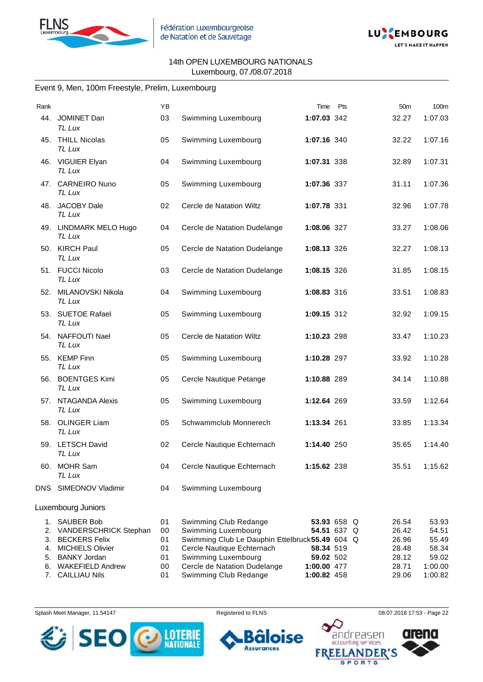



#### Event 9, Men, 100m Freestyle, Prelim, Luxembourg

| Rank |                                  | YB |                                                 | Time        | Pts | 50 <sub>m</sub> | 100m    |
|------|----------------------------------|----|-------------------------------------------------|-------------|-----|-----------------|---------|
|      | 44. JOMINET Dan<br>TL Lux        | 03 | Swimming Luxembourg                             | 1:07.03 342 |     | 32.27           | 1:07.03 |
|      | 45. THILL Nicolas<br>TL Lux      | 05 | Swimming Luxembourg                             | 1:07.16 340 |     | 32.22           | 1:07.16 |
|      | 46. VIGUIER Elyan<br>TL Lux      | 04 | Swimming Luxembourg                             | 1:07.31 338 |     | 32.89           | 1:07.31 |
|      | 47. CARNEIRO Nuno<br>TL Lux      | 05 | Swimming Luxembourg                             | 1:07.36 337 |     | 31.11           | 1:07.36 |
| 48.  | <b>JACOBY Dale</b><br>TL Lux     | 02 | Cercle de Natation Wiltz                        | 1:07.78 331 |     | 32.96           | 1:07.78 |
|      | 49. LINDMARK MELO Hugo<br>TL Lux | 04 | Cercle de Natation Dudelange                    | 1:08.06 327 |     | 33.27           | 1:08.06 |
|      | 50. KIRCH Paul<br>TL Lux         | 05 | Cercle de Natation Dudelange                    | 1:08.13 326 |     | 32.27           | 1:08.13 |
|      | 51. FUCCI Nicolo<br>TL Lux       | 03 | Cercle de Natation Dudelange                    | 1:08.15 326 |     | 31.85           | 1:08.15 |
| 52.  | MILANOVSKI Nikola<br>TL Lux      | 04 | Swimming Luxembourg                             | 1:08.83 316 |     | 33.51           | 1:08.83 |
|      | 53. SUETOE Rafael<br>TL Lux      | 05 | Swimming Luxembourg                             | 1:09.15 312 |     | 32.92           | 1:09.15 |
|      | 54. NAFFOUTI Nael<br>TL Lux      | 05 | Cercle de Natation Wiltz                        | 1:10.23 298 |     | 33.47           | 1:10.23 |
|      | 55. KEMP Finn<br>TL Lux          | 05 | Swimming Luxembourg                             | 1:10.28 297 |     | 33.92           | 1:10.28 |
|      | 56. BOENTGES Kimi<br>TL Lux      | 05 | Cercle Nautique Petange                         | 1:10.88 289 |     | 34.14           | 1:10.88 |
|      | 57. NTAGANDA Alexis<br>TL Lux    | 05 | Swimming Luxembourg                             | 1:12.64 269 |     | 33.59           | 1:12.64 |
|      | 58. OLINGER Liam<br>TL Lux       | 05 | Schwammclub Monnerech                           | 1:13.34 261 |     | 33.85           | 1:13.34 |
|      | 59. LETSCH David<br>TL Lux       | 02 | Cercle Nautique Echternach                      | 1:14.40 250 |     | 35.65           | 1:14.40 |
|      | 60. MOHR Sam<br>TL Lux           | 04 | Cercle Nautique Echternach                      | 1:15.62 238 |     | 35.51           | 1:15.62 |
| DNS  | SIMEONOV Vladimir                | 04 | Swimming Luxembourg                             |             |     |                 |         |
|      | Luxembourg Juniors               |    |                                                 |             |     |                 |         |
| 1.   | <b>SAUBER Bob</b>                | 01 | Swimming Club Redange                           | 53.93 658 Q |     | 26.54           | 53.93   |
| 2.   | <b>VANDERSCHRICK Stephan</b>     | 00 | Swimming Luxembourg                             | 54.51 637 Q |     | 26.42           | 54.51   |
| 3.   | <b>BECKERS Felix</b>             | 01 | Swimming Club Le Dauphin Ettelbruck 55.49 604 Q |             |     | 26.96           | 55.49   |
| 4.   | <b>MICHIELS Olivier</b>          | 01 | Cercle Nautique Echternach                      | 58.34 519   |     | 28.48           | 58.34   |
| 5.   | <b>BANKY Jordan</b>              | 01 | Swimming Luxembourg                             | 59.02 502   |     | 28.12           | 59.02   |
| 6.   | <b>WAKEFIELD Andrew</b>          | 00 | Cercle de Natation Dudelange                    | 1:00.00 477 |     | 28.71           | 1:00.00 |
| 7.   | <b>CAILLIAU Nils</b>             | 01 | Swimming Club Redange                           | 1:00.82 458 |     | 29.06           | 1:00.82 |



se

**Assurances** 

Splash Meet Manager, 11.54147 **Registered to FLNS Registered to FLNS** 08.07.2018 17:53 - Page 22

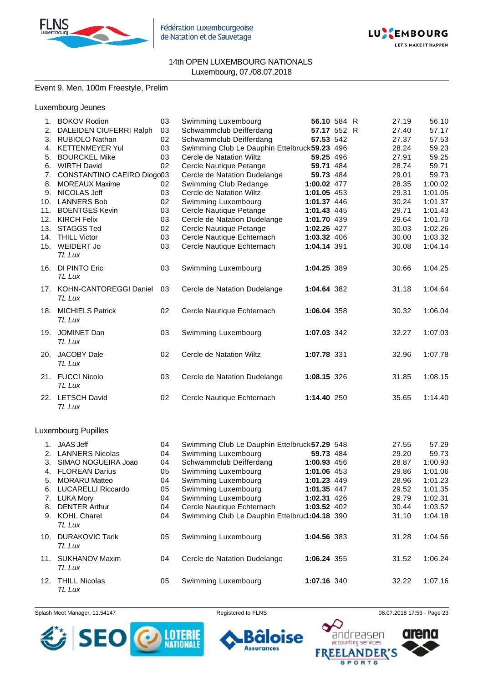



# Event 9, Men, 100m Freestyle, Prelim

# Luxembourg Jeunes

| 1.  | <b>BOKOV Rodion</b>                  | 03 | Swimming Luxembourg                           | 56.10 584 R |  | 27.19 | 56.10   |
|-----|--------------------------------------|----|-----------------------------------------------|-------------|--|-------|---------|
| 2.  | DALEIDEN CIUFERRI Ralph              | 03 | Schwammclub Deifferdang                       | 57.17 552 R |  | 27.40 | 57.17   |
| 3.  | <b>RUBIOLO Nathan</b>                | 02 | Schwammclub Deifferdang                       | 57.53 542   |  | 27.37 | 57.53   |
| 4.  | <b>KETTENMEYER Yul</b>               | 03 | Swimming Club Le Dauphin Ettelbruck 59.23 496 |             |  | 28.24 | 59.23   |
| 5.  | <b>BOURCKEL Mike</b>                 | 03 | Cercle de Natation Wiltz                      | 59.25 496   |  | 27.91 | 59.25   |
| 6.  | <b>WIRTH David</b>                   | 02 | Cercle Nautique Petange                       | 59.71 484   |  | 28.74 | 59.71   |
| 7.  | CONSTANTINO CAEIRO Diogo03           |    | Cercle de Natation Dudelange                  | 59.73 484   |  | 29.01 | 59.73   |
| 8.  | <b>MOREAUX Maxime</b>                | 02 | Swimming Club Redange                         | 1:00.02 477 |  | 28.35 | 1:00.02 |
| 9.  | NICOLAS Jeff                         | 03 | Cercle de Natation Wiltz                      | 1:01.05 453 |  | 29.31 | 1:01.05 |
| 10. | <b>LANNERS Bob</b>                   | 02 | Swimming Luxembourg                           | 1:01.37 446 |  | 30.24 | 1:01.37 |
| 11. | <b>BOENTGES Kevin</b>                | 03 | Cercle Nautique Petange                       | 1:01.43 445 |  | 29.71 | 1:01.43 |
| 12. | <b>KIRCH Felix</b>                   | 03 | Cercle de Natation Dudelange                  | 1:01.70 439 |  | 29.64 | 1:01.70 |
| 13. | <b>STAGGS Ted</b>                    | 02 | Cercle Nautique Petange                       | 1:02.26 427 |  | 30.03 | 1:02.26 |
| 14. | <b>THILL Victor</b>                  | 03 | Cercle Nautique Echternach                    | 1:03.32 406 |  | 30.00 | 1:03.32 |
| 15. | WEIDERT Jo                           | 03 | Cercle Nautique Echternach                    | 1:04.14 391 |  | 30.08 | 1:04.14 |
|     | TL Lux                               |    |                                               |             |  |       |         |
| 16. | DI PINTO Eric<br>TL Lux              | 03 | Swimming Luxembourg                           | 1:04.25 389 |  | 30.66 | 1:04.25 |
|     | 17. KOHN-CANTOREGGI Daniel<br>TL Lux | 03 | Cercle de Natation Dudelange                  | 1:04.64 382 |  | 31.18 | 1:04.64 |
|     | 18. MICHIELS Patrick<br>TL Lux       | 02 | Cercle Nautique Echternach                    | 1:06.04 358 |  | 30.32 | 1:06.04 |
|     | 19. JOMINET Dan<br>TL Lux            | 03 | Swimming Luxembourg                           | 1:07.03 342 |  | 32.27 | 1:07.03 |
|     | 20. JACOBY Dale<br>TL Lux            | 02 | Cercle de Natation Wiltz                      | 1:07.78 331 |  | 32.96 | 1:07.78 |
|     | 21. FUCCI Nicolo<br>TL Lux           | 03 | Cercle de Natation Dudelange                  | 1:08.15 326 |  | 31.85 | 1:08.15 |
|     | 22. LETSCH David<br>TL Lux           | 02 | Cercle Nautique Echternach                    | 1:14.40 250 |  | 35.65 | 1:14.40 |

# Luxembourg Pupilles

| 1.          | JAAS Jeff                        | 04 | Swimming Club Le Dauphin Ettelbruck 57.29 548 |             | 27.55 | 57.29   |
|-------------|----------------------------------|----|-----------------------------------------------|-------------|-------|---------|
|             |                                  |    |                                               |             |       |         |
| 2.          | <b>LANNERS Nicolas</b>           | 04 | Swimming Luxembourg                           | 59.73 484   | 29.20 | 59.73   |
| 3.          | SIMAO NOGUEIRA Joao              | 04 | Schwammclub Deifferdang                       | 1:00.93 456 | 28.87 | 1:00.93 |
| $4_{\cdot}$ | <b>FLOREAN Darius</b>            | 05 | Swimming Luxembourg                           | 1:01.06 453 | 29.86 | 1:01.06 |
| 5.          | <b>MORARU Matteo</b>             | 04 | Swimming Luxembourg                           | 1:01.23 449 | 28.96 | 1:01.23 |
| 6.          | <b>LUCARELLI Riccardo</b>        | 05 | Swimming Luxembourg                           | 1:01.35 447 | 29.52 | 1:01.35 |
|             | 7. LUKA Mory                     | 04 | Swimming Luxembourg                           | 1:02.31 426 | 29.79 | 1:02.31 |
| 8.          | <b>DENTER Arthur</b>             | 04 | Cercle Nautique Echternach                    | 1:03.52 402 | 30.44 | 1:03.52 |
|             | 9. KOHL Charel<br>TL Lux         | 04 | Swimming Club Le Dauphin Ettelbru(1:04.18 390 |             | 31.10 | 1:04.18 |
| 10.         | <b>DURAKOVIC Tarik</b><br>TL Lux | 05 | Swimming Luxembourg                           | 1:04.56 383 | 31.28 | 1:04.56 |
| 11.         | <b>SUKHANOV Maxim</b><br>TL Lux  | 04 | Cercle de Natation Dudelange                  | 1:06.24 355 | 31.52 | 1:06.24 |
|             | 12. THILL Nicolas<br>TL Lux      | 05 | Swimming Luxembourg                           | 1:07.16 340 | 32.22 | 1:07.16 |

Splash Meet Manager, 11.54147 **Registered to FLNS Registered to FLNS** 08.07.2018 17:53 - Page 23

ise

٠



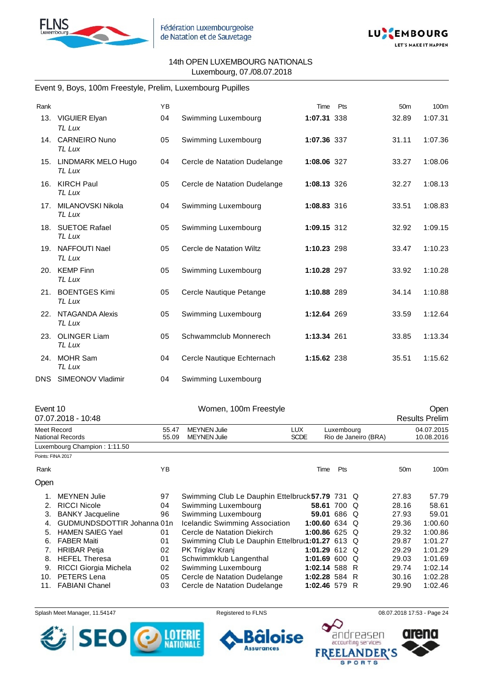



### Event 9, Boys, 100m Freestyle, Prelim, Luxembourg Pupilles

| Rank |                                  | <b>YB</b> |                              | Time        | Pts | 50 <sub>m</sub> | 100m    |
|------|----------------------------------|-----------|------------------------------|-------------|-----|-----------------|---------|
|      | 13. VIGUIER Elyan<br>TL Lux      | 04        | Swimming Luxembourg          | 1:07.31 338 |     | 32.89           | 1:07.31 |
|      | 14. CARNEIRO Nuno<br>TL Lux      | 05        | Swimming Luxembourg          | 1:07.36 337 |     | 31.11           | 1:07.36 |
|      | 15. LINDMARK MELO Hugo<br>TL Lux | 04        | Cercle de Natation Dudelange | 1:08.06 327 |     | 33.27           | 1:08.06 |
|      | 16. KIRCH Paul<br>TL Lux         | 05        | Cercle de Natation Dudelange | 1:08.13 326 |     | 32.27           | 1:08.13 |
| 17.  | MILANOVSKI Nikola<br>TL Lux      | 04        | Swimming Luxembourg          | 1:08.83 316 |     | 33.51           | 1:08.83 |
|      | 18. SUETOE Rafael<br>TL Lux      | 05        | Swimming Luxembourg          | 1:09.15 312 |     | 32.92           | 1:09.15 |
|      | 19. NAFFOUTI Nael<br>TL Lux      | 05        | Cercle de Natation Wiltz     | 1:10.23 298 |     | 33.47           | 1:10.23 |
|      | 20. KEMP Finn<br>TL Lux          | 05        | Swimming Luxembourg          | 1:10.28 297 |     | 33.92           | 1:10.28 |
|      | 21. BOENTGES Kimi<br>TL Lux      | 05        | Cercle Nautique Petange      | 1:10.88 289 |     | 34.14           | 1:10.88 |
|      | 22. NTAGANDA Alexis<br>TL Lux    | 05        | Swimming Luxembourg          | 1:12.64 269 |     | 33.59           | 1:12.64 |
|      | 23. OLINGER Liam<br>TL Lux       | 05        | Schwammclub Monnerech        | 1:13.34 261 |     | 33.85           | 1:13.34 |
|      | 24. MOHR Sam<br>TL Lux           | 04        | Cercle Nautique Echternach   | 1:15.62 238 |     | 35.51           | 1:15.62 |
|      | DNS SIMEONOV Vladimir            | 04        | Swimming Luxembourg          |             |     |                 |         |

| Event 10          |                              |       | Women, 100m Freestyle                           |               |            |                      |                 | Open                  |
|-------------------|------------------------------|-------|-------------------------------------------------|---------------|------------|----------------------|-----------------|-----------------------|
|                   | 07.07.2018 - 10:48           |       |                                                 |               |            |                      |                 | <b>Results Prelim</b> |
| Meet Record       |                              | 55.47 | <b>MEYNEN Julie</b>                             | LUX.          | Luxembourg |                      |                 | 04.07.2015            |
|                   | <b>National Records</b>      | 55.09 | <b>MEYNEN Julie</b>                             | <b>SCDE</b>   |            | Rio de Janeiro (BRA) |                 | 10.08.2016            |
|                   | Luxembourg Champion: 1:11.50 |       |                                                 |               |            |                      |                 |                       |
| Points: FINA 2017 |                              |       |                                                 |               |            |                      |                 |                       |
| Rank              |                              | YB    |                                                 | Time          | Pts        |                      | 50 <sub>m</sub> | 100m                  |
| Open              |                              |       |                                                 |               |            |                      |                 |                       |
|                   | <b>MEYNEN Julie</b>          | 97    | Swimming Club Le Dauphin Ettelbruck 57.79 731 Q |               |            |                      | 27.83           | 57.79                 |
| 2.                | <b>RICCI Nicole</b>          | 04    | Swimming Luxembourg                             | 58.61 700 Q   |            |                      | 28.16           | 58.61                 |
| 3.                | <b>BANKY Jacqueline</b>      | 96    | Swimming Luxembourg                             | 59.01 686 Q   |            |                      | 27.93           | 59.01                 |
| 4.                | GUDMUNDSDOTTIR Johanna 01n   |       | <b>Icelandic Swimming Association</b>           | 1:00.60 634 Q |            |                      | 29.36           | 1:00.60               |
| 5.                | <b>HAMEN SAIEG Yael</b>      | 01    | Cercle de Natation Diekirch                     | 1:00.86 625 Q |            |                      | 29.32           | 1:00.86               |
| 6.                | <b>FABER Maiti</b>           | 01    | Swimming Club Le Dauphin Ettelbruc1:01.27 613 Q |               |            |                      | 29.87           | 1:01.27               |
| 7.                | <b>HRIBAR Petja</b>          | 02    | PK Triglav Kranj                                | 1:01.29 612 Q |            |                      | 29.29           | 1:01.29               |
| 8.                | <b>HEFEL Theresa</b>         | 01    | Schwimmklub Langenthal                          | 1:01.69 600 Q |            |                      | 29.03           | 1:01.69               |
| 9.                | RICCI Giorgia Michela        | 02    | Swimming Luxembourg                             | 1:02.14 588 R |            |                      | 29.74           | 1:02.14               |
| 10.               | PETERS Lena                  | 05    | Cercle de Natation Dudelange                    | 1:02.28 584 R |            |                      | 30.16           | 1:02.28               |
| 11.               | <b>FABIANI Chanel</b>        | 03    | Cercle de Natation Dudelange                    | 1:02.46 579 R |            |                      | 29.90           | 1:02.46               |

Splash Meet Manager, 11.54147 **Registered to FLNS Registered to FLNS** 08.07.2018 17:53 - Page 24



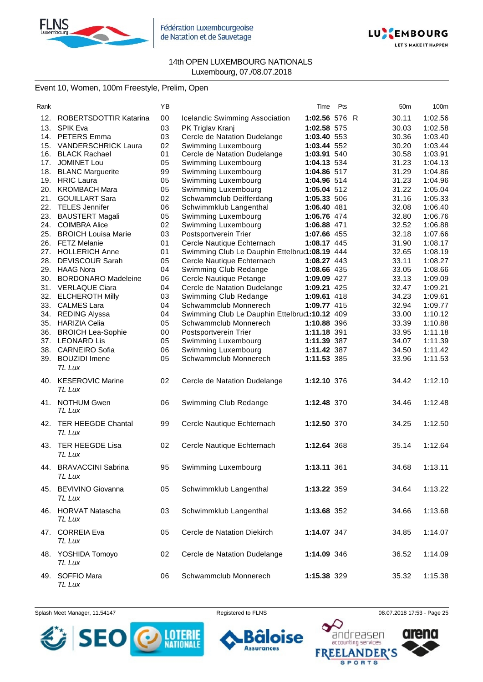

Fédération Luxembourgeoise de Natation et de Sauvetage



#### 14th OPEN LUXEMBOURG NATIONALS Luxembourg, 07./08.07.2018

# Event 10, Women, 100m Freestyle, Prelim, Open

| Rank |                            | ΥB |                                               | Time          | Pts | 50m   | 100m    |
|------|----------------------------|----|-----------------------------------------------|---------------|-----|-------|---------|
| 12.  | ROBERTSDOTTIR Katarina     | 00 | Icelandic Swimming Association                | 1:02.56 576 R |     | 30.11 | 1:02.56 |
| 13.  | <b>SPIK Eva</b>            | 03 | PK Triglav Kranj                              | 1:02.58 575   |     | 30.03 | 1:02.58 |
|      | 14. PETERS Emma            | 03 | Cercle de Natation Dudelange                  | 1:03.40 553   |     | 30.36 | 1:03.40 |
| 15.  | <b>VANDERSCHRICK Laura</b> | 02 | Swimming Luxembourg                           | 1:03.44 552   |     | 30.20 | 1:03.44 |
|      | 16. BLACK Rachael          | 01 | Cercle de Natation Dudelange                  | 1:03.91 540   |     | 30.58 | 1:03.91 |
|      | 17. JOMINET Lou            | 05 | Swimming Luxembourg                           | 1:04.13 534   |     | 31.23 | 1:04.13 |
|      | 18. BLANC Marguerite       | 99 | Swimming Luxembourg                           | 1:04.86 517   |     | 31.29 | 1:04.86 |
|      | 19. HRIC Laura             | 05 | Swimming Luxembourg                           | 1:04.96 514   |     | 31.23 | 1:04.96 |
| 20.  | <b>KROMBACH Mara</b>       | 05 | Swimming Luxembourg                           | 1:05.04 512   |     | 31.22 | 1:05.04 |
| 21.  | <b>GOUILLART Sara</b>      | 02 | Schwammclub Deifferdang                       | 1:05.33 506   |     | 31.16 | 1:05.33 |
|      | 22. TELES Jennifer         | 06 | Schwimmklub Langenthal                        | 1:06.40 481   |     | 32.08 | 1:06.40 |
|      | 23. BAUSTERT Magali        | 05 | Swimming Luxembourg                           | 1:06.76 474   |     | 32.80 | 1:06.76 |
|      | 24. COIMBRA Alice          | 02 | Swimming Luxembourg                           | 1:06.88 471   |     | 32.52 | 1:06.88 |
| 25.  | <b>BROICH Louisa Marie</b> | 03 | Postsportverein Trier                         | 1:07.66 455   |     | 32.18 | 1:07.66 |
|      | 26. FETZ Melanie           | 01 | Cercle Nautique Echternach                    | 1:08.17 445   |     | 31.90 | 1:08.17 |
| 27.  | <b>HOLLERICH Anne</b>      | 01 | Swimming Club Le Dauphin Ettelbru(1:08.19 444 |               |     | 32.65 | 1:08.19 |
|      | 28. DEVISCOUR Sarah        | 05 | Cercle Nautique Echternach                    | 1:08.27 443   |     | 33.11 | 1:08.27 |
|      | 29. HAAG Nora              | 04 | Swimming Club Redange                         | 1:08.66 435   |     | 33.05 | 1:08.66 |
|      | 30. BORDONARO Madeleine    | 06 | Cercle Nautique Petange                       | 1:09.09 427   |     | 33.13 | 1:09.09 |
|      | 31. VERLAQUE Ciara         | 04 | Cercle de Natation Dudelange                  | 1:09.21 425   |     | 32.47 | 1:09.21 |
|      | 32. ELCHEROTH Milly        | 03 | Swimming Club Redange                         | 1:09.61 418   |     | 34.23 | 1:09.61 |
|      | 33. CALMES Lara            | 04 | Schwammclub Monnerech                         | 1:09.77 415   |     | 32.94 | 1:09.77 |
| 34.  | <b>REDING Alyssa</b>       | 04 | Swimming Club Le Dauphin Ettelbru(1:10.12 409 |               |     | 33.00 | 1:10.12 |
|      | 35. HARIZIA Celia          | 05 | Schwammclub Monnerech                         | 1:10.88 396   |     | 33.39 | 1:10.88 |
|      | 36. BROICH Lea-Sophie      | 00 | Postsportverein Trier                         | 1:11.18 391   |     | 33.95 | 1:11.18 |
|      | 37. LEONARD Lis            | 05 | Swimming Luxembourg                           | 1:11.39 387   |     | 34.07 | 1:11.39 |
| 38.  | <b>CARNEIRO Sofia</b>      | 06 | Swimming Luxembourg                           | 1:11.42 387   |     | 34.50 | 1:11.42 |
| 39.  | <b>BOUZIDI</b> Imene       | 05 | Schwammclub Monnerech                         | 1:11.53 385   |     | 33.96 | 1:11.53 |
|      | TL Lux                     |    |                                               |               |     |       |         |
|      | 40. KESEROVIC Marine       | 02 | Cercle de Natation Dudelange                  | 1:12.10 376   |     | 34.42 | 1:12.10 |
|      | TL Lux                     |    |                                               |               |     |       |         |
|      |                            |    |                                               |               |     |       |         |
| 41.  | <b>NOTHUM Gwen</b>         | 06 | Swimming Club Redange                         | 1:12.48 370   |     | 34.46 | 1:12.48 |
|      | TL Lux                     |    |                                               |               |     |       |         |
| 42.  | <b>TER HEEGDE Chantal</b>  | 99 | Cercle Nautique Echternach                    | 1:12.50 370   |     | 34.25 | 1:12.50 |
|      | TL Lux                     |    |                                               |               |     |       |         |
|      | 43. TER HEEGDE Lisa        | 02 | Cercle Nautique Echternach                    | 1:12.64 368   |     | 35.14 | 1:12.64 |
|      | TL Lux                     |    |                                               |               |     |       |         |
|      |                            |    |                                               |               |     |       |         |
|      | 44. BRAVACCINI Sabrina     | 95 | Swimming Luxembourg                           | 1:13.11 361   |     | 34.68 | 1:13.11 |
|      | TL Lux                     |    |                                               |               |     |       |         |
|      | 45. BEVIVINO Giovanna      | 05 | Schwimmklub Langenthal                        | 1:13.22 359   |     | 34.64 | 1:13.22 |
|      | TL Lux                     |    |                                               |               |     |       |         |
|      |                            |    |                                               |               |     |       |         |
|      | 46. HORVAT Natascha        | 03 | Schwimmklub Langenthal                        | 1:13.68 352   |     | 34.66 | 1:13.68 |
|      | TL Lux                     |    |                                               |               |     |       |         |
|      | 47. CORREIA Eva            | 05 | Cercle de Natation Diekirch                   | 1:14.07 347   |     | 34.85 | 1:14.07 |
|      | TL Lux                     |    |                                               |               |     |       |         |
|      | 48. YOSHIDA Tomoyo         | 02 | Cercle de Natation Dudelange                  | 1:14.09 346   |     | 36.52 | 1:14.09 |
|      | TL Lux                     |    |                                               |               |     |       |         |
|      |                            |    |                                               |               |     |       |         |
|      | 49. SOFFIO Mara            | 06 | Schwammclub Monnerech                         | 1:15.38 329   |     | 35.32 | 1:15.38 |
|      | TL Lux                     |    |                                               |               |     |       |         |

Splash Meet Manager, 11.54147 **Registered to FLNS Registered to FLNS** 08.07.2018 17:53 - Page 25



ise 6 п **Assurances** 



**SPORTS**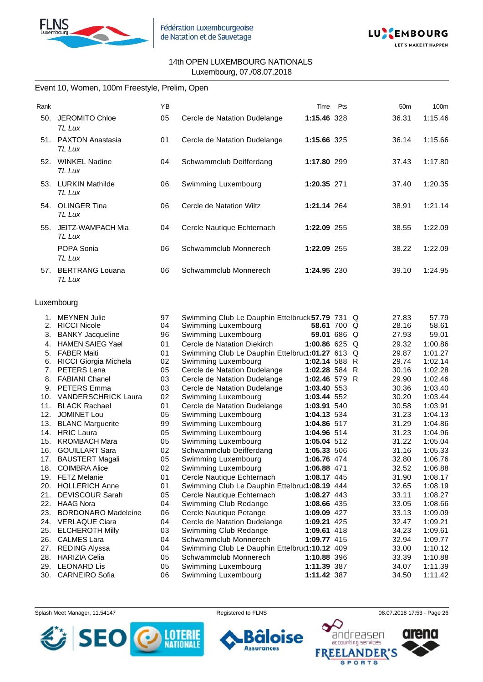



# Event 10, Women, 100m Freestyle, Prelim, Open

| Rank |                                   | YB |                              | Time        | Pts | 50 <sub>m</sub> | 100 <sub>m</sub> |
|------|-----------------------------------|----|------------------------------|-------------|-----|-----------------|------------------|
| 50.  | <b>JEROMITO Chloe</b><br>TL Lux   | 05 | Cercle de Natation Dudelange | 1:15.46 328 |     | 36.31           | 1:15.46          |
| 51.  | <b>PAXTON Anastasia</b><br>TL Lux | 01 | Cercle de Natation Dudelange | 1:15.66 325 |     | 36.14           | 1:15.66          |
| 52.  | <b>WINKEL Nadine</b><br>TL Lux    | 04 | Schwammclub Deifferdang      | 1:17.80 299 |     | 37.43           | 1:17.80          |
| 53.  | <b>LURKIN Mathilde</b><br>TL Lux  | 06 | Swimming Luxembourg          | 1:20.35 271 |     | 37.40           | 1:20.35          |
| 54.  | <b>OLINGER Tina</b><br>TL Lux     | 06 | Cercle de Natation Wiltz     | 1:21.14 264 |     | 38.91           | 1:21.14          |
| 55.  | JEITZ-WAMPACH Mia<br>TL Lux       | 04 | Cercle Nautique Echternach   | 1:22.09 255 |     | 38.55           | 1:22.09          |
|      | POPA Sonia<br>TL Lux              | 06 | Schwammclub Monnerech        | 1:22.09 255 |     | 38.22           | 1:22.09          |
|      | 57. BERTRANG Louana<br>TL Lux     | 06 | Schwammclub Monnerech        | 1:24.95 230 |     | 39.10           | 1:24.95          |

#### Luxembourg

| 1.  | <b>MEYNEN Julie</b>        | 97 | Swimming Club Le Dauphin Ettelbruck 57.79 731   |               | Q | 27.83 | 57.79   |
|-----|----------------------------|----|-------------------------------------------------|---------------|---|-------|---------|
| 2.  | <b>RICCI Nicole</b>        | 04 | Swimming Luxembourg                             | 58.61 700 Q   |   | 28.16 | 58.61   |
| 3.  | <b>BANKY Jacqueline</b>    | 96 | Swimming Luxembourg                             | 59.01 686 Q   |   | 27.93 | 59.01   |
| 4.  | <b>HAMEN SAIEG Yael</b>    | 01 | Cercle de Natation Diekirch                     | 1:00.86 625   | Q | 29.32 | 1:00.86 |
| 5.  | <b>FABER Maiti</b>         | 01 | Swimming Club Le Dauphin Ettelbru(1:01.27 613 Q |               |   | 29.87 | 1:01.27 |
| 6.  | RICCI Giorgia Michela      | 02 | Swimming Luxembourg                             | 1:02.14 588 R |   | 29.74 | 1:02.14 |
| 7.  | PETERS Lena                | 05 | Cercle de Natation Dudelange                    | 1:02.28 584 R |   | 30.16 | 1:02.28 |
| 8.  | <b>FABIANI Chanel</b>      | 03 | Cercle de Natation Dudelange                    | 1:02.46 579 R |   | 29.90 | 1:02.46 |
| 9.  | <b>PETERS Emma</b>         | 03 | Cercle de Natation Dudelange                    | 1:03.40 553   |   | 30.36 | 1:03.40 |
| 10. | <b>VANDERSCHRICK Laura</b> | 02 | Swimming Luxembourg                             | 1:03.44 552   |   | 30.20 | 1:03.44 |
| 11. | <b>BLACK Rachael</b>       | 01 | Cercle de Natation Dudelange                    | 1:03.91 540   |   | 30.58 | 1:03.91 |
| 12. | <b>JOMINET Lou</b>         | 05 | Swimming Luxembourg                             | 1:04.13 534   |   | 31.23 | 1:04.13 |
| 13. | <b>BLANC Marguerite</b>    | 99 | Swimming Luxembourg                             | 1:04.86 517   |   | 31.29 | 1:04.86 |
| 14. | <b>HRIC</b> Laura          | 05 | Swimming Luxembourg                             | 1:04.96 514   |   | 31.23 | 1:04.96 |
| 15. | <b>KROMBACH Mara</b>       | 05 | Swimming Luxembourg                             | 1:05.04 512   |   | 31.22 | 1:05.04 |
| 16. | <b>GOUILLART Sara</b>      | 02 | Schwammclub Deifferdang                         | 1:05.33 506   |   | 31.16 | 1:05.33 |
| 17. | <b>BAUSTERT Magali</b>     | 05 | Swimming Luxembourg                             | 1:06.76 474   |   | 32.80 | 1:06.76 |
| 18. | <b>COIMBRA Alice</b>       | 02 | Swimming Luxembourg                             | 1:06.88 471   |   | 32.52 | 1:06.88 |
| 19. | <b>FETZ Melanie</b>        | 01 | Cercle Nautique Echternach                      | 1:08.17 445   |   | 31.90 | 1:08.17 |
| 20. | <b>HOLLERICH Anne</b>      | 01 | Swimming Club Le Dauphin Ettelbru(1:08.19 444   |               |   | 32.65 | 1:08.19 |
| 21. | <b>DEVISCOUR Sarah</b>     | 05 | Cercle Nautique Echternach                      | 1:08.27 443   |   | 33.11 | 1:08.27 |
| 22. | <b>HAAG Nora</b>           | 04 | Swimming Club Redange                           | 1:08.66 435   |   | 33.05 | 1:08.66 |
| 23. | <b>BORDONARO Madeleine</b> | 06 | Cercle Nautique Petange                         | 1:09.09 427   |   | 33.13 | 1:09.09 |
| 24. | <b>VERLAQUE Ciara</b>      | 04 | Cercle de Natation Dudelange                    | 1:09.21 425   |   | 32.47 | 1:09.21 |
| 25. | <b>ELCHEROTH Milly</b>     | 03 | Swimming Club Redange                           | 1:09.61 418   |   | 34.23 | 1:09.61 |
| 26. | <b>CALMES Lara</b>         | 04 | Schwammclub Monnerech                           | 1:09.77 415   |   | 32.94 | 1:09.77 |
| 27. | <b>REDING Alyssa</b>       | 04 | Swimming Club Le Dauphin Ettelbrur1:10.12 409   |               |   | 33.00 | 1:10.12 |
| 28. | <b>HARIZIA Celia</b>       | 05 | Schwammclub Monnerech                           | 1:10.88 396   |   | 33.39 | 1:10.88 |
| 29. | <b>LEONARD Lis</b>         | 05 | Swimming Luxembourg                             | 1:11.39 387   |   | 34.07 | 1:11.39 |
|     | 30. CARNEIRO Sofia         | 06 | Swimming Luxembourg                             | 1:11.42 387   |   | 34.50 | 1:11.42 |

Splash Meet Manager, 11.54147 **Registered to FLNS Registered to FLNS** 08.07.2018 17:53 - Page 26

ise

ō

**Assurances** 



andreasen arena accounting services **FREE NDER'S SPORTS**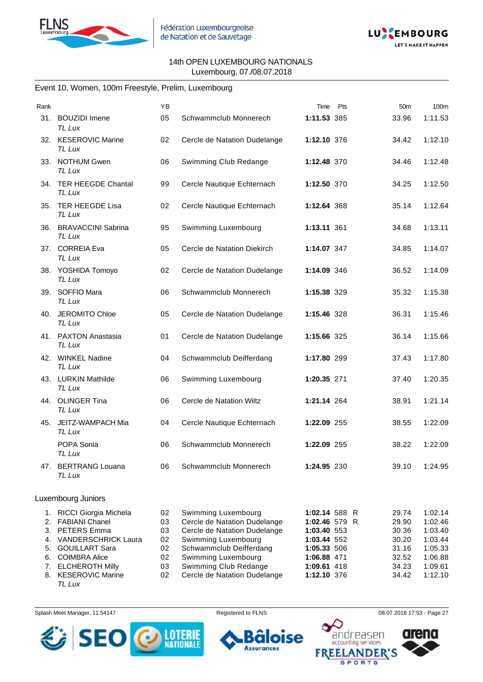



#### Event 10, Women, 100m Freestyle, Prelim, Luxembourg

| Rank           |                                                               | YB             |                                                                                     | Pts<br>Time                                   | 50 <sub>m</sub>         | 100m                          |
|----------------|---------------------------------------------------------------|----------------|-------------------------------------------------------------------------------------|-----------------------------------------------|-------------------------|-------------------------------|
| 31.            | <b>BOUZIDI</b> Imene<br>TL Lux                                | 05             | Schwammclub Monnerech                                                               | 1:11.53 385                                   | 33.96                   | 1:11.53                       |
|                | 32. KESEROVIC Marine<br><b>TL Lux</b>                         | 02             | Cercle de Natation Dudelange                                                        | 1:12.10 376                                   | 34.42                   | 1:12.10                       |
|                | 33. NOTHUM Gwen<br>TL Lux                                     | 06             | Swimming Club Redange                                                               | 1:12.48 370                                   | 34.46                   | 1:12.48                       |
|                | 34. TER HEEGDE Chantal<br>TL Lux                              | 99             | Cercle Nautique Echternach                                                          | 1:12.50 370                                   | 34.25                   | 1:12.50                       |
| 35.            | TER HEEGDE Lisa<br>TL Lux                                     | 02             | Cercle Nautique Echternach                                                          | 1:12.64 368                                   | 35.14                   | 1:12.64                       |
|                | 36. BRAVACCINI Sabrina<br><b>TL Lux</b>                       | 95             | Swimming Luxembourg                                                                 | 1:13.11 361                                   | 34.68                   | 1:13.11                       |
|                | 37. CORREIA Eva<br>TL Lux                                     | 05             | Cercle de Natation Diekirch                                                         | 1:14.07 347                                   | 34.85                   | 1:14.07                       |
|                | 38. YOSHIDA Tomoyo<br>TL Lux                                  | 02             | Cercle de Natation Dudelange                                                        | 1:14.09 346                                   | 36.52                   | 1:14.09                       |
|                | 39. SOFFIO Mara<br><b>TL Lux</b>                              | 06             | Schwammclub Monnerech                                                               | 1:15.38 329                                   | 35.32                   | 1:15.38                       |
|                | 40. JEROMITO Chloe<br>TL Lux                                  | 05             | Cercle de Natation Dudelange                                                        | 1:15.46 328                                   | 36.31                   | 1:15.46                       |
|                | 41. PAXTON Anastasia<br>TL Lux                                | 01             | Cercle de Natation Dudelange                                                        | 1:15.66 325                                   | 36.14                   | 1:15.66                       |
|                | 42. WINKEL Nadine<br>TL Lux                                   | 04             | Schwammclub Deifferdang                                                             | 1:17.80 299                                   | 37.43                   | 1:17.80                       |
|                | 43. LURKIN Mathilde<br>TL Lux                                 | 06             | Swimming Luxembourg                                                                 | 1:20.35 271                                   | 37.40                   | 1:20.35                       |
|                | 44. OLINGER Tina<br>TL Lux                                    | 06             | Cercle de Natation Wiltz                                                            | 1:21.14 264                                   | 38.91                   | 1:21.14                       |
|                | 45. JEITZ-WAMPACH Mia<br>TL Lux                               | 04             | Cercle Nautique Echternach                                                          | 1:22.09 255                                   | 38.55                   | 1:22.09                       |
|                | POPA Sonia<br>TL Lux                                          | 06             | Schwammclub Monnerech                                                               | 1:22.09 255                                   | 38.22                   | 1:22.09                       |
|                | 47. BERTRANG Louana<br>TL Lux                                 | 06             | Schwammclub Monnerech                                                               | 1:24.95 230                                   | 39.10                   | 1:24.95                       |
|                | Luxembourg Juniors                                            |                |                                                                                     |                                               |                         |                               |
| 1.<br>2.<br>3. | RICCI Giorgia Michela<br><b>FABIANI Chanel</b><br>PETERS Emma | 02<br>03<br>03 | Swimming Luxembourg<br>Cercle de Natation Dudelange<br>Cercle de Natation Dudelange | 1:02.14 588 R<br>1:02.46 579 R<br>1:03.40 553 | 29.74<br>29.90<br>30.36 | 1:02.14<br>1:02.46<br>1:03.40 |

4. VANDERSCHRICK Laura 02 Swimming Luxembourg **1:03.44** 552 30.20 1:03.44 5. GOUILLART Sara 02 Schwammclub Deifferdang **1:05.33** 506 31.16 1:05.33 6. COIMBRA Alice 02 Swimming Luxembourg **1:06.88** 471 32.52 1:06.88

7. ELCHEROTH Milly 03 Swimming Club Redange **1:09.61** 418 34.23 1:09.61 8. KESEROVIC Marine 02 Cercle de Natation Dudelange **1:12.10** 376 34.42 1:12.10 *TL Lux*

Splash Meet Manager, 11.54147 Registered to FLNS 08.07.2018 17:53 - Page 27



**se** 

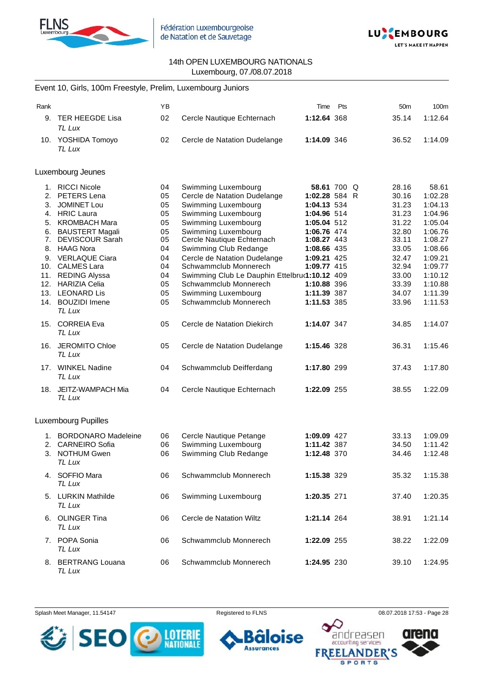



# Event 10, Girls, 100m Freestyle, Prelim, Luxembourg Juniors

| Rank                                                                                  |                                                                                                                                                                                                                                                                                                                            | YB                                                                               |                                                                                                                                                                                                                                                                                                                                                                                           | Time                                                                                                                                                                               | Pts         | 50 <sub>m</sub>                                                                                                            | 100m                                                                                                                                                 |
|---------------------------------------------------------------------------------------|----------------------------------------------------------------------------------------------------------------------------------------------------------------------------------------------------------------------------------------------------------------------------------------------------------------------------|----------------------------------------------------------------------------------|-------------------------------------------------------------------------------------------------------------------------------------------------------------------------------------------------------------------------------------------------------------------------------------------------------------------------------------------------------------------------------------------|------------------------------------------------------------------------------------------------------------------------------------------------------------------------------------|-------------|----------------------------------------------------------------------------------------------------------------------------|------------------------------------------------------------------------------------------------------------------------------------------------------|
| 9.                                                                                    | <b>TER HEEGDE Lisa</b><br><b>TL Lux</b>                                                                                                                                                                                                                                                                                    | 02                                                                               | Cercle Nautique Echternach                                                                                                                                                                                                                                                                                                                                                                | 1:12.64 368                                                                                                                                                                        |             | 35.14                                                                                                                      | 1:12.64                                                                                                                                              |
|                                                                                       | 10. YOSHIDA Tomoyo<br><b>TL Lux</b>                                                                                                                                                                                                                                                                                        | 02                                                                               | Cercle de Natation Dudelange                                                                                                                                                                                                                                                                                                                                                              | 1:14.09 346                                                                                                                                                                        |             | 36.52                                                                                                                      | 1:14.09                                                                                                                                              |
|                                                                                       | Luxembourg Jeunes                                                                                                                                                                                                                                                                                                          |                                                                                  |                                                                                                                                                                                                                                                                                                                                                                                           |                                                                                                                                                                                    |             |                                                                                                                            |                                                                                                                                                      |
| 1.<br>2.<br>3.<br>4.<br>5.<br>6.<br>7.<br>8.<br>9.<br>10.<br>11.<br>12.<br>13.<br>14. | <b>RICCI Nicole</b><br>PETERS Lena<br><b>JOMINET Lou</b><br><b>HRIC Laura</b><br><b>KROMBACH Mara</b><br><b>BAUSTERT Magali</b><br><b>DEVISCOUR Sarah</b><br><b>HAAG Nora</b><br><b>VERLAQUE Ciara</b><br><b>CALMES Lara</b><br><b>REDING Alyssa</b><br><b>HARIZIA Celia</b><br><b>LEONARD Lis</b><br><b>BOUZIDI</b> Imene | 04<br>05<br>05<br>05<br>05<br>05<br>05<br>04<br>04<br>04<br>04<br>05<br>05<br>05 | Swimming Luxembourg<br>Cercle de Natation Dudelange<br>Swimming Luxembourg<br>Swimming Luxembourg<br>Swimming Luxembourg<br>Swimming Luxembourg<br>Cercle Nautique Echternach<br>Swimming Club Redange<br>Cercle de Natation Dudelange<br>Schwammclub Monnerech<br>Swimming Club Le Dauphin Ettelbru(1:10.12 409<br>Schwammclub Monnerech<br>Swimming Luxembourg<br>Schwammclub Monnerech | 1:02.28 584 R<br>1:04.13 534<br>1:04.96 514<br>1:05.04 512<br>1:06.76 474<br>1:08.27 443<br>1:08.66 435<br>1:09.21 425<br>1:09.77 415<br>1:10.88 396<br>1:11.39 387<br>1:11.53 385 | 58.61 700 Q | 28.16<br>30.16<br>31.23<br>31.23<br>31.22<br>32.80<br>33.11<br>33.05<br>32.47<br>32.94<br>33.00<br>33.39<br>34.07<br>33.96 | 58.61<br>1:02.28<br>1:04.13<br>1:04.96<br>1:05.04<br>1:06.76<br>1:08.27<br>1:08.66<br>1:09.21<br>1:09.77<br>1:10.12<br>1:10.88<br>1:11.39<br>1:11.53 |
|                                                                                       | <b>TL Lux</b><br>15. CORREIA Eva                                                                                                                                                                                                                                                                                           | 05                                                                               | Cercle de Natation Diekirch                                                                                                                                                                                                                                                                                                                                                               | 1:14.07 347                                                                                                                                                                        |             | 34.85                                                                                                                      | 1:14.07                                                                                                                                              |
|                                                                                       | TL Lux                                                                                                                                                                                                                                                                                                                     |                                                                                  |                                                                                                                                                                                                                                                                                                                                                                                           |                                                                                                                                                                                    |             |                                                                                                                            |                                                                                                                                                      |
|                                                                                       | 16. JEROMITO Chloe<br>TL Lux                                                                                                                                                                                                                                                                                               | 05                                                                               | Cercle de Natation Dudelange                                                                                                                                                                                                                                                                                                                                                              | 1:15.46 328                                                                                                                                                                        |             | 36.31                                                                                                                      | 1:15.46                                                                                                                                              |
|                                                                                       | 17. WINKEL Nadine<br>TL Lux                                                                                                                                                                                                                                                                                                | 04                                                                               | Schwammclub Deifferdang                                                                                                                                                                                                                                                                                                                                                                   | 1:17.80 299                                                                                                                                                                        |             | 37.43                                                                                                                      | 1:17.80                                                                                                                                              |
|                                                                                       | 18. JEITZ-WAMPACH Mia<br>TL Lux                                                                                                                                                                                                                                                                                            | 04                                                                               | Cercle Nautique Echternach                                                                                                                                                                                                                                                                                                                                                                | 1:22.09 255                                                                                                                                                                        |             | 38.55                                                                                                                      | 1:22.09                                                                                                                                              |
|                                                                                       | Luxembourg Pupilles                                                                                                                                                                                                                                                                                                        |                                                                                  |                                                                                                                                                                                                                                                                                                                                                                                           |                                                                                                                                                                                    |             |                                                                                                                            |                                                                                                                                                      |
| 1.<br>2.<br>3.                                                                        | <b>BORDONARO Madeleine</b><br><b>CARNEIRO</b> Sofia<br><b>NOTHUM Gwen</b><br>TL Lux                                                                                                                                                                                                                                        | 06<br>06<br>06                                                                   | Cercle Nautique Petange<br>Swimming Luxembourg<br>Swimming Club Redange                                                                                                                                                                                                                                                                                                                   | 1:09.09 427<br>1:11.42 387<br>1:12.48 370                                                                                                                                          |             | 33.13<br>34.50<br>34.46                                                                                                    | 1:09.09<br>1:11.42<br>1:12.48                                                                                                                        |
|                                                                                       | 4. SOFFIO Mara<br>TL Lux                                                                                                                                                                                                                                                                                                   | 06                                                                               | Schwammclub Monnerech                                                                                                                                                                                                                                                                                                                                                                     | 1:15.38 329                                                                                                                                                                        |             | 35.32                                                                                                                      | 1:15.38                                                                                                                                              |
|                                                                                       | 5. LURKIN Mathilde<br>TL Lux                                                                                                                                                                                                                                                                                               | 06                                                                               | Swimming Luxembourg                                                                                                                                                                                                                                                                                                                                                                       | 1:20.35 271                                                                                                                                                                        |             | 37.40                                                                                                                      | 1:20.35                                                                                                                                              |
|                                                                                       | 6. OLINGER Tina<br>TL Lux                                                                                                                                                                                                                                                                                                  | 06                                                                               | Cercle de Natation Wiltz                                                                                                                                                                                                                                                                                                                                                                  | 1:21.14 264                                                                                                                                                                        |             | 38.91                                                                                                                      | 1:21.14                                                                                                                                              |
|                                                                                       | 7. POPA Sonia<br>TL Lux                                                                                                                                                                                                                                                                                                    | 06                                                                               | Schwammclub Monnerech                                                                                                                                                                                                                                                                                                                                                                     | 1:22.09 255                                                                                                                                                                        |             | 38.22                                                                                                                      | 1:22.09                                                                                                                                              |
|                                                                                       | 8. BERTRANG Louana<br>TL Lux                                                                                                                                                                                                                                                                                               | 06                                                                               | Schwammclub Monnerech                                                                                                                                                                                                                                                                                                                                                                     | 1:24.95 230                                                                                                                                                                        |             | 39.10                                                                                                                      | 1:24.95                                                                                                                                              |

Splash Meet Manager, 11.54147 **Registered to FLNS Registered to FLNS** 08.07.2018 17:53 - Page 28



ise ō **Assurances FREE** 

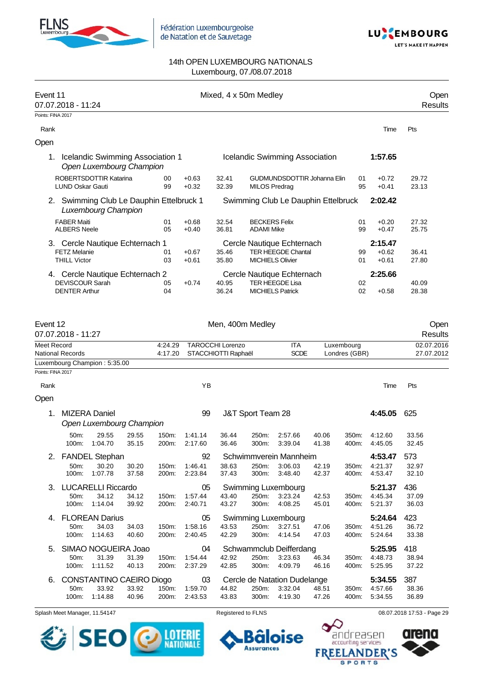

Fédération Luxembourgeoise de Natation et de Sauvetage



#### 14th OPEN LUXEMBOURG NATIONALS Luxembourg, 07./08.07.2018

| Event 11          | 07.07.2018 - 11:24                                                                |                    |                          |                                                | Mixed, 4 x 50m Medley                     |                                                         |                |                |                               | Open<br><b>Results</b>   |
|-------------------|-----------------------------------------------------------------------------------|--------------------|--------------------------|------------------------------------------------|-------------------------------------------|---------------------------------------------------------|----------------|----------------|-------------------------------|--------------------------|
| Points: FINA 2017 |                                                                                   |                    |                          |                                                |                                           |                                                         |                |                |                               |                          |
| Rank              |                                                                                   |                    |                          |                                                |                                           |                                                         |                |                | Time                          | Pts                      |
| Open              |                                                                                   |                    |                          |                                                |                                           |                                                         |                |                |                               |                          |
| 1.                | Icelandic Swimming Association 1<br>Open Luxembourg Champion                      |                    |                          |                                                |                                           | Icelandic Swimming Association                          |                |                | 1:57.65                       |                          |
|                   | ROBERTSDOTTIR Katarina<br><b>LUND Oskar Gauti</b>                                 | 00<br>99           | $+0.63$<br>$+0.32$       | 32.41<br>32.39                                 | <b>MILOS Predrag</b>                      | GUDMUNDSDOTTIR Johanna Elin                             |                | 01<br>95       | $+0.72$<br>$+0.41$            | 29.72<br>23.13           |
| 2.                | Swimming Club Le Dauphin Ettelbruck 1<br>Luxembourg Champion                      |                    |                          |                                                |                                           | Swimming Club Le Dauphin Ettelbruck                     |                |                | 2:02.42                       |                          |
|                   | <b>FABER Maiti</b><br><b>ALBERS Neele</b>                                         | 01<br>05           | $+0.68$<br>$+0.40$       | 32.54<br>36.81                                 | <b>BECKERS Felix</b><br><b>ADAMI Mike</b> |                                                         |                | 01<br>99       | $+0.20$<br>$+0.47$            | 27.32<br>25.75           |
|                   | 3. Cercle Nautique Echternach 1<br><b>FETZ Melanie</b><br><b>THILL Victor</b>     | 01<br>03           | $+0.67$<br>$+0.61$       | 35.46<br>35.80                                 | <b>MICHIELS Olivier</b>                   | Cercle Nautique Echternach<br><b>TER HEEGDE Chantal</b> |                | 99<br>01       | 2:15.47<br>$+0.62$<br>$+0.61$ | 36.41<br>27.80           |
|                   | 4. Cercle Nautique Echternach 2<br><b>DEVISCOUR Sarah</b><br><b>DENTER Arthur</b> | 05<br>04           | $+0.74$                  | 40.95<br>36.24                                 | <b>MICHIELS Patrick</b>                   | Cercle Nautique Echternach<br><b>TER HEEGDE Lisa</b>    |                | 02<br>02       | 2:25.66<br>$+0.58$            | 40.09<br>28.38           |
| Event 12          | 07.07.2018 - 11:27                                                                |                    |                          |                                                | Men, 400m Medley                          |                                                         |                |                |                               | Open<br><b>Results</b>   |
| Meet Record       | National Records                                                                  | 4:24.29<br>4:17.20 |                          | <b>TAROCCHI Lorenzo</b><br>STACCHIOTTI Raphaël |                                           | <b>ITA</b><br><b>SCDE</b>                               | Luxembourg     | Londres (GBR)  |                               | 02.07.2016<br>27.07.2012 |
| Points: FINA 2017 | Luxembourg Champion: 5:35.00                                                      |                    |                          |                                                |                                           |                                                         |                |                |                               |                          |
| Rank              |                                                                                   |                    | ΥB                       |                                                |                                           |                                                         |                |                | Time                          | Pts                      |
| Open              |                                                                                   |                    |                          |                                                |                                           |                                                         |                |                |                               |                          |
| 1.                | <b>MIZERA Daniel</b><br>Open Luxembourg Champion                                  |                    | 99                       |                                                | J&T Sport Team 28                         |                                                         |                |                | 4:45.05                       | 625                      |
|                   | 50m:<br>29.55<br>29.55<br>1:04.70<br>35.15<br>100m:                               | 150m:<br>200m:     | 1:41.14<br>2:17.60       | 36.44<br>36.46                                 | 250m:<br>300m:                            | 2:57.66<br>3:39.04                                      | 40.06<br>41.38 | 350m:<br>400m: | 4:12.60<br>4:45.05            | 33.56<br>32.45           |
|                   | 2. FANDEL Stephan<br>50m:<br>30.20<br>30.20<br>100m:<br>1:07.78<br>37.58          | 150m:<br>200m:     | 92<br>1:46.41<br>2:23.84 | 38.63<br>37.43                                 | 250m:<br>300m:                            | Schwimmverein Mannheim<br>3:06.03<br>3:48.40            | 42.19<br>42.37 | 350m:<br>400m: | 4:53.47<br>4:21.37<br>4:53.47 | 573<br>32.97<br>32.10    |
| 3.                | <b>LUCARELLI Riccardo</b><br>50m:<br>34.12<br>34.12<br>1:14.04<br>100m:<br>39.92  | 150m:<br>200m:     | 05<br>1:57.44<br>2:40.71 | 43.40<br>43.27                                 | 250m:<br>300m:                            | Swimming Luxembourg<br>3:23.24<br>4:08.25               | 42.53<br>45.01 | 350m:<br>400m: | 5:21.37<br>4:45.34<br>5:21.37 | 436<br>37.09<br>36.03    |
| 4.                | <b>FLOREAN Darius</b><br>50m:<br>34.03<br>34.03<br>1:14.63<br>100m:<br>40.60      | 150m:<br>200m:     | 05<br>1:58.16<br>2:40.45 | 43.53<br>42.29                                 | 250m:<br>300m:                            | Swimming Luxembourg<br>3:27.51<br>4:14.54               | 47.06<br>47.03 | 350m:<br>400m: | 5:24.64<br>4:51.26<br>5:24.64 | 423<br>36.72<br>33.38    |
|                   | 5. SIMAO NOGUEIRA Joao<br>31.39<br>31.39<br>50m:<br>100m:<br>1:11.52<br>40.13     | 150m:<br>200m:     | 04<br>1:54.44<br>2:37.29 | 42.92<br>42.85                                 | 250m:<br>300m:                            | Schwammclub Deifferdang<br>3:23.63<br>4:09.79           | 46.34<br>46.16 | 350m:<br>400m: | 5:25.95<br>4:48.73<br>5:25.95 | 418<br>38.94<br>37.22    |
| 6.                | CONSTANTINO CAEIRO Diogo<br>50m:<br>33.92<br>33.92<br>1:14.88<br>100m:<br>40.96   | 150m:<br>200m:     | 03<br>1:59.70<br>2:43.53 | 44.82<br>43.83                                 | 250m:<br>300m:                            | Cercle de Natation Dudelange<br>3:32.04<br>4:19.30      | 48.51<br>47.26 | 350m:<br>400m: | 5:34.55<br>4:57.66<br>5:34.55 | 387<br>38.36<br>36.89    |

Splash Meet Manager, 11.54147 **Registered to FLNS Registered to FLNS** 08.07.2018 17:53 - Page 29





 $\bullet$  $\bm{\mathcal{\mathcal{L}}}$ 

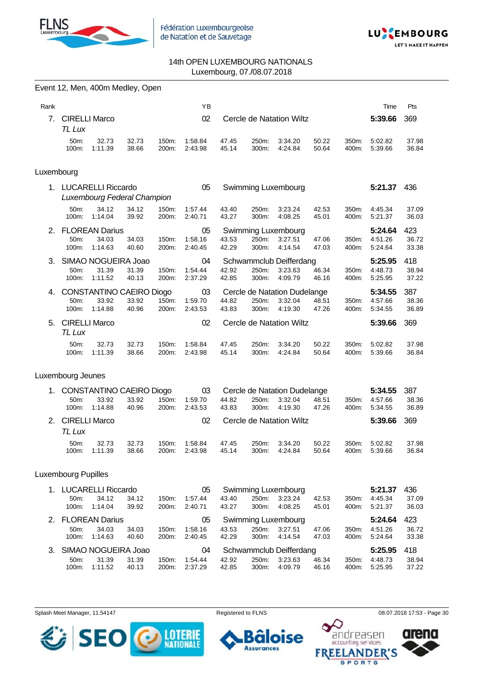



|            |                                | Event 12, Men, 400m Medley, Open                     |                |                |                          |                |                |                                                    |                |                |                               |                       |
|------------|--------------------------------|------------------------------------------------------|----------------|----------------|--------------------------|----------------|----------------|----------------------------------------------------|----------------|----------------|-------------------------------|-----------------------|
| Rank       |                                |                                                      |                |                | ΥB                       |                |                |                                                    |                |                | Time                          | Pts                   |
| 7.         | <b>CIRELLI Marco</b><br>TL Lux |                                                      |                |                | 02                       |                |                | Cercle de Natation Wiltz                           |                |                | 5:39.66                       | 369                   |
|            | 50m:<br>100m:                  | 32.73<br>1:11.39                                     | 32.73<br>38.66 | 150m:<br>200m: | 1:58.84<br>2:43.98       | 47.45<br>45.14 | 250m:<br>300m: | 3:34.20<br>4:24.84                                 | 50.22<br>50.64 | 350m:<br>400m: | 5:02.82<br>5:39.66            | 37.98<br>36.84        |
| Luxembourg |                                |                                                      |                |                |                          |                |                |                                                    |                |                |                               |                       |
|            |                                | 1. LUCARELLI Riccardo<br>Luxembourg Federal Champion |                |                | 05                       |                |                | Swimming Luxembourg                                |                |                | 5:21.37                       | 436                   |
|            | 50m:<br>100m:                  | 34.12<br>1:14.04                                     | 34.12<br>39.92 | 150m:<br>200m: | 1:57.44<br>2:40.71       | 43.40<br>43.27 | 250m:<br>300m: | 3:23.24<br>4:08.25                                 | 42.53<br>45.01 | 350m:<br>400m: | 4:45.34<br>5:21.37            | 37.09<br>36.03        |
| 2.         | 50m:<br>100m:                  | <b>FLOREAN Darius</b><br>34.03<br>1:14.63            | 34.03<br>40.60 | 150m:<br>200m: | 05<br>1:58.16<br>2:40.45 | 43.53<br>42.29 | 250m:<br>300m: | Swimming Luxembourg<br>3:27.51<br>4:14.54          | 47.06<br>47.03 | 350m:<br>400m: | 5:24.64<br>4:51.26<br>5:24.64 | 423<br>36.72<br>33.38 |
| 3.         | 50m:<br>100m:                  | SIMAO NOGUEIRA Joao<br>31.39<br>1:11.52              | 31.39<br>40.13 | 150m:<br>200m: | 04<br>1:54.44<br>2:37.29 | 42.92<br>42.85 | 250m:<br>300m: | Schwammclub Deifferdang<br>3:23.63<br>4:09.79      | 46.34<br>46.16 | 350m:<br>400m: | 5:25.95<br>4:48.73<br>5:25.95 | 418<br>38.94<br>37.22 |
|            | 50m:<br>100m:                  | 4. CONSTANTINO CAEIRO Diogo<br>33.92<br>1:14.88      | 33.92<br>40.96 | 150m:<br>200m: | 03<br>1:59.70<br>2:43.53 | 44.82<br>43.83 | 250m:<br>300m: | Cercle de Natation Dudelange<br>3:32.04<br>4:19.30 | 48.51<br>47.26 | 350m:<br>400m: | 5:34.55<br>4:57.66<br>5:34.55 | 387<br>38.36<br>36.89 |
| 5.         | <b>CIRELLI Marco</b><br>TL Lux |                                                      |                |                | 02                       |                |                | Cercle de Natation Wiltz                           |                |                | 5:39.66                       | 369                   |
|            | 50m:<br>100m:                  | 32.73<br>1:11.39                                     | 32.73<br>38.66 | 150m:<br>200m: | 1:58.84<br>2:43.98       | 47.45<br>45.14 | 250m:<br>300m: | 3:34.20<br>4:24.84                                 | 50.22<br>50.64 | 350m:<br>400m: | 5:02.82<br>5:39.66            | 37.98<br>36.84        |
|            | Luxembourg Jeunes              |                                                      |                |                |                          |                |                |                                                    |                |                |                               |                       |
| 1.         | 50m:<br>100m:                  | CONSTANTINO CAEIRO Diogo<br>33.92<br>1:14.88         | 33.92<br>40.96 | 150m:<br>200m: | 03<br>1:59.70<br>2:43.53 | 44.82<br>43.83 | 250m:<br>300m: | Cercle de Natation Dudelange<br>3:32.04<br>4:19.30 | 48.51<br>47.26 | 350m:<br>400m: | 5:34.55<br>4:57.66<br>5:34.55 | 387<br>38.36<br>36.89 |
| 2.         | <b>CIRELLI Marco</b><br>TL Lux |                                                      |                |                | 02                       |                |                | Cercle de Natation Wiltz                           |                |                | 5:39.66                       | 369                   |
|            | 50m:<br>100m:                  | 32.73<br>1:11.39                                     | 32.73<br>38.66 | 150m:<br>200m: | 1:58.84<br>2:43.98       | 47.45<br>45.14 | 250m:<br>300m: | 3:34.20<br>4:24.84                                 | 50.22<br>50.64 | 350m:<br>400m: | 5:02.82<br>5:39.66            | 37.98<br>36.84        |
|            | <b>Luxembourg Pupilles</b>     |                                                      |                |                |                          |                |                |                                                    |                |                |                               |                       |
|            | 50m:<br>100m:                  | 1. LUCARELLI Riccardo<br>34.12<br>1:14.04            | 34.12<br>39.92 | 150m:<br>200m: | 05<br>1:57.44<br>2:40.71 | 43.40<br>43.27 | 250m:<br>300m: | Swimming Luxembourg<br>3:23.24<br>4:08.25          | 42.53<br>45.01 | 350m:<br>400m: | 5:21.37<br>4:45.34<br>5:21.37 | 436<br>37.09<br>36.03 |
| 2.         | 50m:<br>100m:                  | <b>FLOREAN Darius</b><br>34.03<br>1:14.63            | 34.03<br>40.60 | 150m:<br>200m: | 05<br>1:58.16<br>2:40.45 | 43.53<br>42.29 | 250m:<br>300m: | Swimming Luxembourg<br>3:27.51<br>4:14.54          | 47.06<br>47.03 | 350m:<br>400m: | 5:24.64<br>4:51.26<br>5:24.64 | 423<br>36.72<br>33.38 |
| 3.         | 50m:<br>100m:                  | SIMAO NOGUEIRA Joao<br>31.39<br>1:11.52              | 31.39<br>40.13 | 150m:<br>200m: | 04<br>1:54.44<br>2:37.29 | 42.92<br>42.85 | 250m:<br>300m: | Schwammclub Deifferdang<br>3:23.63<br>4:09.79      | 46.34<br>46.16 | 350m:<br>400m: | 5:25.95<br>4:48.73<br>5:25.95 | 418<br>38.94<br>37.22 |
|            |                                |                                                      |                |                |                          |                |                |                                                    |                |                |                               |                       |

Splash Meet Manager, 11.54147 **Registered to FLNS Registered to FLNS** 08.07.2018 17:53 - Page 30



Ő oise 6 **Assurances** 

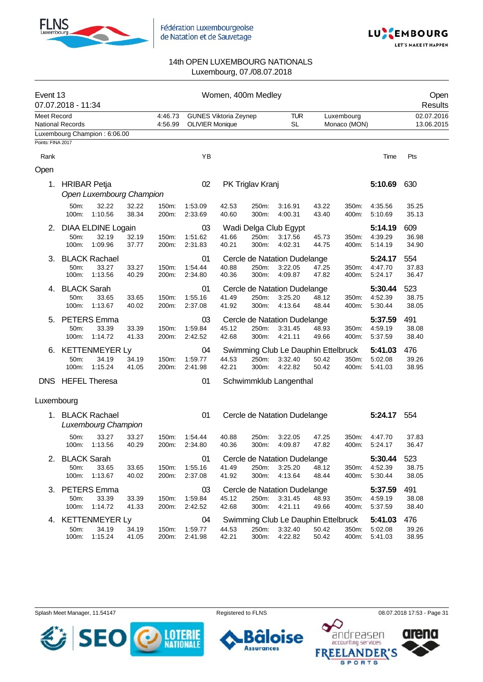



| Event 13          | 07.07.2018 - 11:34                  |                                             |                |                    |                          | Women, 400m Medley           |                  |                                                           |                |                            |                               | Open<br>Results          |
|-------------------|-------------------------------------|---------------------------------------------|----------------|--------------------|--------------------------|------------------------------|------------------|-----------------------------------------------------------|----------------|----------------------------|-------------------------------|--------------------------|
| Meet Record       | <b>National Records</b>             |                                             |                | 4:46.73<br>4:56.99 | <b>OLIVIER Monique</b>   | <b>GUNES Viktoria Zeynep</b> |                  | <b>TUR</b><br><b>SL</b>                                   |                | Luxembourg<br>Monaco (MON) |                               | 02.07.2016<br>13.06.2015 |
|                   |                                     | Luxembourg Champion: 6:06.00                |                |                    |                          |                              |                  |                                                           |                |                            |                               |                          |
| Points: FINA 2017 |                                     |                                             |                |                    |                          |                              |                  |                                                           |                |                            |                               |                          |
| Rank              |                                     |                                             |                |                    | YB                       |                              |                  |                                                           |                |                            | Time                          | Pts                      |
| Open              |                                     |                                             |                |                    |                          |                              |                  |                                                           |                |                            |                               |                          |
| 1.                | <b>HRIBAR Petja</b>                 | Open Luxembourg Champion                    |                |                    | 02                       |                              | PK Triglav Kranj |                                                           |                |                            | 5:10.69                       | 630                      |
|                   | 50m:<br>100m:                       | 32.22<br>1:10.56                            | 32.22<br>38.34 | 150m:<br>200m:     | 1:53.09<br>2:33.69       | 42.53<br>40.60               | 250m:<br>300m:   | 3:16.91<br>4:00.31                                        | 43.22<br>43.40 | 350m:<br>400m:             | 4:35.56<br>5:10.69            | 35.25<br>35.13           |
| 2.                | 50m:<br>100m:                       | DIAA ELDINE Logain<br>32.19<br>1:09.96      | 32.19<br>37.77 | 150m:<br>200m:     | 03<br>1:51.62<br>2:31.83 | 41.66<br>40.21               | 250m:<br>300m:   | Wadi Delga Club Egypt<br>3:17.56<br>4:02.31               | 45.73<br>44.75 | 350m:<br>400m:             | 5:14.19<br>4:39.29<br>5:14.19 | 609<br>36.98<br>34.90    |
| З.                | 50m:<br>100m:                       | <b>BLACK Rachael</b><br>33.27<br>1:13.56    | 33.27<br>40.29 | 150m:<br>200m:     | 01<br>1:54.44<br>2:34.80 | 40.88<br>40.36               | 250m:<br>300m:   | Cercle de Natation Dudelange<br>3:22.05<br>4:09.87        | 47.25<br>47.82 | 350m:<br>400m:             | 5:24.17<br>4:47.70<br>5:24.17 | 554<br>37.83<br>36.47    |
| 4.                | <b>BLACK Sarah</b><br>50m:<br>100m: | 33.65<br>1:13.67                            | 33.65<br>40.02 | 150m:<br>200m:     | 01<br>1:55.16<br>2:37.08 | 41.49<br>41.92               | 250m:<br>300m:   | Cercle de Natation Dudelange<br>3:25.20<br>4:13.64        | 48.12<br>48.44 | 350m:<br>400m:             | 5:30.44<br>4:52.39<br>5:30.44 | 523<br>38.75<br>38.05    |
| 5.                | 50m:<br>100m:                       | <b>PETERS</b> Emma<br>33.39<br>1:14.72      | 33.39<br>41.33 | 150m:<br>200m:     | 03<br>1:59.84<br>2:42.52 | 45.12<br>42.68               | 250m:<br>300m:   | Cercle de Natation Dudelange<br>3:31.45<br>4:21.11        | 48.93<br>49.66 | 350m:<br>400m:             | 5:37.59<br>4:59.19<br>5:37.59 | 491<br>38.08<br>38.40    |
| 6.                | 50m:<br>100m:                       | <b>KETTENMEYER Ly</b><br>34.19<br>1:15.24   | 34.19<br>41.05 | 150m:<br>200m:     | 04<br>1:59.77<br>2:41.98 | 44.53<br>42.21               | 250m:<br>300m:   | Swimming Club Le Dauphin Ettelbruck<br>3:32.40<br>4:22.82 | 50.42<br>50.42 | 350m:<br>400m:             | 5:41.03<br>5:02.08<br>5:41.03 | 476<br>39.26<br>38.95    |
| <b>DNS</b>        |                                     | <b>HEFEL Theresa</b>                        |                |                    | 01                       |                              |                  | Schwimmklub Langenthal                                    |                |                            |                               |                          |
| Luxembourg        |                                     |                                             |                |                    |                          |                              |                  |                                                           |                |                            |                               |                          |
| 1.                |                                     | <b>BLACK Rachael</b><br>Luxembourg Champion |                |                    | 01                       |                              |                  | Cercle de Natation Dudelange                              |                |                            | 5:24.17                       | 554                      |
|                   | 50m:<br>100m:                       | 33.27<br>1:13.56                            | 33.27<br>40.29 | 150m:<br>200m:     | 1:54.44<br>2:34.80       | 40.88<br>40.36               | 250m:<br>300m:   | 3:22.05<br>4:09.87                                        | 47.25<br>47.82 | 350m:<br>400m:             | 4:47.70<br>5:24.17            | 37.83<br>36.47           |
|                   | <b>BLACK Sarah</b><br>50m:<br>100m: | 33.65<br>1:13.67                            | 33.65<br>40.02 | 150m:<br>200m:     | 01<br>1:55.16<br>2:37.08 | 41.49<br>41.92               | 250m:<br>300m:   | Cercle de Natation Dudelange<br>3:25.20<br>4:13.64        | 48.12<br>48.44 | 350m:<br>400m:             | 5:30.44<br>4:52.39<br>5:30.44 | 523<br>38.75<br>38.05    |
| 3.                | 50m:<br>100m:                       | <b>PETERS</b> Emma<br>33.39<br>1:14.72      | 33.39<br>41.33 | 150m:<br>200m:     | 03<br>1:59.84<br>2:42.52 | 45.12<br>42.68               | 250m:<br>300m:   | Cercle de Natation Dudelange<br>3:31.45<br>4:21.11        | 48.93<br>49.66 | 350m:<br>400m:             | 5:37.59<br>4:59.19<br>5:37.59 | 491<br>38.08<br>38.40    |
| 4.                | 50m:<br>100m:                       | <b>KETTENMEYER Ly</b><br>34.19<br>1:15.24   | 34.19<br>41.05 | 150m:<br>200m:     | 04<br>1:59.77<br>2:41.98 | 44.53<br>42.21               | 250m:<br>300m:   | Swimming Club Le Dauphin Ettelbruck<br>3:32.40<br>4:22.82 | 50.42<br>50.42 | 350m:<br>400m:             | 5:41.03<br>5:02.08<br>5:41.03 | 476<br>39.26<br>38.95    |







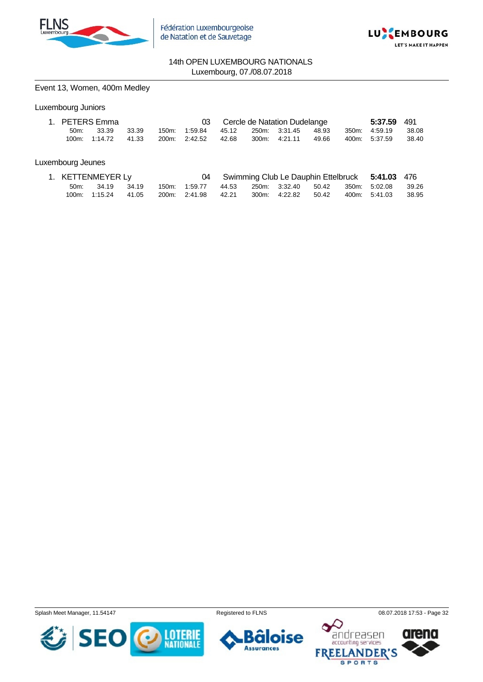



#### Event 13, Women, 400m Medley

# Luxembourg Juniors

|         | 1. PETERS Emma |       |                                   |  | 03 Cercle de Natation Dudelange |       | 5:37.59 491   |         |
|---------|----------------|-------|-----------------------------------|--|---------------------------------|-------|---------------|---------|
| $50m$ : | 33.39          | 33.39 | 150m: 1:59.84 45.12 250m: 3:31.45 |  |                                 | 48.93 | 350m 4:59.19  | - 38.08 |
|         | 100m: 1:14.72  | 41.33 | 200m. 2:42.52 42.68               |  | 300m: 4:21.11                   | 49.66 | 400m: 5:37.59 | - 38.40 |

#### Luxembourg Jeunes

|      | 1. KETTENMEYER Ly   |  |                                                       |  |                                   |  | 04 Swimming Club Le Dauphin Ettelbruck 5:41.03 476 |          |
|------|---------------------|--|-------------------------------------------------------|--|-----------------------------------|--|----------------------------------------------------|----------|
| 50m: | 34.19 34.19         |  | 150m: 1:59.77 44.53 250m: 3:32.40 50.42 350m: 5:02.08 |  |                                   |  |                                                    | -- 39.26 |
|      | 100m: 1:15.24 41.05 |  | 200m: 2:41.98 42.21                                   |  | 300m: 4:22.82 50.42 400m: 5:41.03 |  |                                                    |          |

Splash Meet Manager, 11.54147 **Registered to FLNS Registered to FLNS** 08.07.2018 17:53 - Page 32

€ **SE LOTERIE**<br>NATIONALE





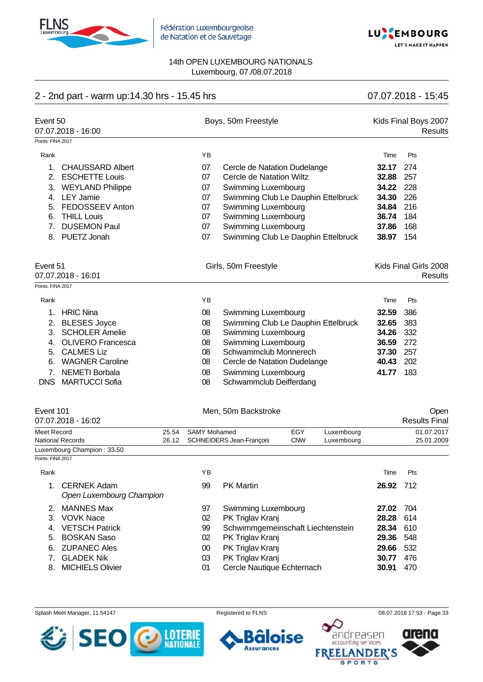



# 2 - 2nd part - warm up:14.30 hrs - 15.45 hrs 07.07.2018 - 15:45

| Event 50<br>07.07.2018 - 16:00<br>Points: FINA 2017 |                                            |       | Boys, 50m Freestyle |                                     |            | Kids Final Boys 2007 |           | <b>Results</b> |                                         |
|-----------------------------------------------------|--------------------------------------------|-------|---------------------|-------------------------------------|------------|----------------------|-----------|----------------|-----------------------------------------|
|                                                     |                                            |       |                     |                                     |            |                      |           |                |                                         |
| Rank                                                |                                            |       | YB                  |                                     |            |                      | Time      | Pts            |                                         |
| 1.                                                  | <b>CHAUSSARD Albert</b>                    |       | 07                  | Cercle de Natation Dudelange        |            |                      | 32.17     | 274            |                                         |
| 2.                                                  | <b>ESCHETTE Louis</b>                      |       | 07                  | Cercle de Natation Wiltz            |            |                      | 32.88     | 257            |                                         |
|                                                     | 3. WEYLAND Philippe                        |       | 07                  | Swimming Luxembourg                 |            |                      | 34.22     | 228            |                                         |
|                                                     | 4. LEY Jamie                               |       | 07                  | Swimming Club Le Dauphin Ettelbruck |            |                      | 34.30     | 226            |                                         |
| 5.                                                  | FEDOSSEEV Anton                            |       | 07                  | Swimming Luxembourg                 |            |                      | 34.84     | 216            |                                         |
| 6.                                                  | <b>THILL Louis</b>                         |       | 07                  | Swimming Luxembourg                 |            |                      | 36.74     | 184            |                                         |
| 7.                                                  | <b>DUSEMON Paul</b>                        |       | 07                  | Swimming Luxembourg                 |            |                      | 37.86     | 168            |                                         |
| 8.                                                  | PUETZ Jonah                                |       | 07                  | Swimming Club Le Dauphin Ettelbruck |            |                      | 38.97     | 154            |                                         |
| Event 51<br>Points: FINA 2017                       | 07.07.2018 - 16:01                         |       |                     | Girls, 50m Freestyle                |            |                      |           |                | Kids Final Girls 2008<br><b>Results</b> |
|                                                     |                                            |       |                     |                                     |            |                      |           |                |                                         |
| Rank                                                |                                            |       | YB                  |                                     |            |                      | Time      | Pts            |                                         |
| 1.                                                  | <b>HRIC Nina</b>                           |       | 08                  | Swimming Luxembourg                 |            |                      | 32.59     | 386            |                                         |
|                                                     | 2. BLESES Joyce                            |       | 08                  | Swimming Club Le Dauphin Ettelbruck |            |                      | 32.65     | 383            |                                         |
|                                                     | 3. SCHOLER Amelie                          |       | 08                  | Swimming Luxembourg                 |            |                      | 34.26     | 332            |                                         |
| 4.                                                  | <b>OLIVERO Francesca</b>                   |       | 08                  | Swimming Luxembourg                 |            |                      | 36.59     | 272            |                                         |
|                                                     | 5. CALMES Liz                              |       | 08                  | Schwammclub Monnerech               |            |                      | 37.30     | 257            |                                         |
|                                                     | 6. WAGNER Caroline                         |       | 08                  | Cercle de Natation Dudelange        |            |                      | 40.43     | 202            |                                         |
| 7.                                                  | <b>NEMETI Borbala</b>                      |       | 08                  | Swimming Luxembourg                 |            |                      | 41.77     | 183            |                                         |
| <b>DNS</b>                                          | <b>MARTUCCI Sofia</b>                      |       | 08                  | Schwammclub Deifferdang             |            |                      |           |                |                                         |
| Event 101                                           |                                            |       |                     | Men, 50m Backstroke                 |            |                      |           |                | Open                                    |
|                                                     | 07.07.2018 - 16:02                         |       |                     |                                     |            |                      |           |                | <b>Results Final</b>                    |
| Meet Record                                         |                                            | 25.54 | <b>SAMY Mohamed</b> |                                     | EGY        | Luxembourg           |           |                | 01.07.2017                              |
|                                                     | <b>National Records</b>                    | 26.12 |                     | SCHNEIDERS Jean-François            | <b>CNW</b> | Luxembourg           |           |                | 25.01.2009                              |
| Points: FINA 2017                                   | Luxembourg Champion: 33.50                 |       |                     |                                     |            |                      |           |                |                                         |
| Rank                                                |                                            |       | ΥB                  |                                     |            |                      | Time      | Pts            |                                         |
|                                                     |                                            |       |                     |                                     |            |                      |           |                |                                         |
|                                                     | 1. CERNEK Adam<br>Open Luxembourg Champion |       | 99                  | <b>PK Martin</b>                    |            |                      | 26.92 712 |                |                                         |
|                                                     | 2. MANNES Max                              |       | 97                  | Swimming Luxembourg                 |            |                      | 27.02 704 |                |                                         |
|                                                     | 3. VOVK Nace                               |       | 02                  | PK Triglav Kranj                    |            |                      | 28.28 614 |                |                                         |
|                                                     | 4. VETSCH Patrick                          |       | 99                  | Schwimmgemeinschaft Liechtenstein   |            |                      | 28.34 610 |                |                                         |
|                                                     | 5. BOSKAN Saso                             |       | 02                  | PK Triglav Kranj                    |            |                      | 29.36 548 |                |                                         |
|                                                     | 6. ZUPANEC Ales                            |       | $00\,$              | PK Triglav Kranj                    |            |                      | 29.66 532 |                |                                         |
|                                                     | 7. GLADEK Nik                              |       | 03                  | PK Triglav Kranj                    |            |                      | 30.77 476 |                |                                         |
| 8.                                                  | <b>MICHIELS Olivier</b>                    |       | 01                  | Cercle Nautique Echternach          |            |                      | 30.91     | 470            |                                         |
|                                                     |                                            |       |                     |                                     |            |                      |           |                |                                         |

Splash Meet Manager, 11.54147 **Registered to FLNS Registered to FLNS** 08.07.2018 17:53 - Page 33



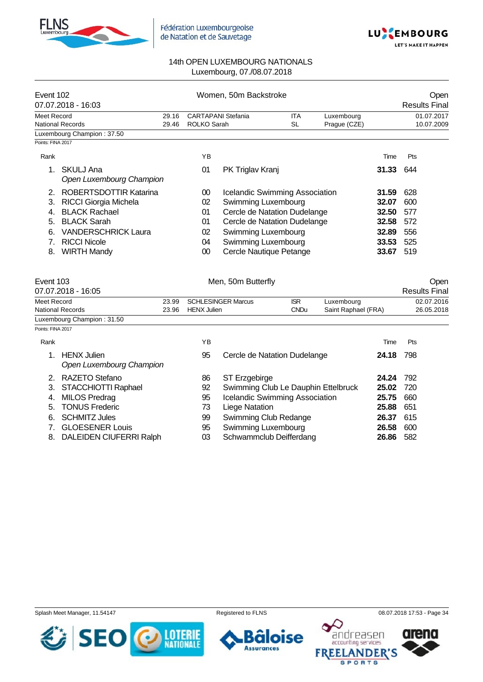



| Event 102         | 07.07.2018 - 16:03                             |       |                           | Women, 50m Backstroke                 |             |                     |       | Open<br><b>Results Final</b> |
|-------------------|------------------------------------------------|-------|---------------------------|---------------------------------------|-------------|---------------------|-------|------------------------------|
| Meet Record       |                                                | 29.16 | <b>CARTAPANI Stefania</b> |                                       | <b>ITA</b>  | Luxembourg          |       | 01.07.2017                   |
|                   | <b>National Records</b>                        | 29.46 | <b>ROLKO Sarah</b>        |                                       | <b>SL</b>   | Prague (CZE)        |       | 10.07.2009                   |
| Points: FINA 2017 | Luxembourg Champion: 37.50                     |       |                           |                                       |             |                     |       |                              |
|                   |                                                |       |                           |                                       |             |                     |       |                              |
| Rank              |                                                |       | ΥB                        |                                       |             |                     | Time  | Pts                          |
| 1.                | <b>SKULJ Ana</b><br>Open Luxembourg Champion   |       | 01                        | PK Triglav Kranj                      |             |                     | 31.33 | 644                          |
|                   | 2. ROBERTSDOTTIR Katarina                      |       | $00\,$                    | <b>Icelandic Swimming Association</b> |             |                     | 31.59 | 628                          |
| 3.                | <b>RICCI Giorgia Michela</b>                   |       | 02                        | <b>Swimming Luxembourg</b>            |             |                     | 32.07 | 600                          |
| 4.                | <b>BLACK Rachael</b>                           |       | 01                        | Cercle de Natation Dudelange          |             |                     | 32.50 | 577                          |
| 5.                | <b>BLACK Sarah</b>                             |       | 01                        | Cercle de Natation Dudelange          |             |                     | 32.58 | 572                          |
| 6.                | <b>VANDERSCHRICK Laura</b>                     |       | 02                        | Swimming Luxembourg                   |             |                     | 32.89 | 556                          |
| 7.                | <b>RICCI Nicole</b>                            |       | 04                        | Swimming Luxembourg                   |             |                     | 33.53 | 525                          |
| 8.                | <b>WIRTH Mandy</b>                             |       | $00\,$                    | Cercle Nautique Petange               |             |                     | 33.67 | 519                          |
|                   |                                                |       |                           |                                       |             |                     |       |                              |
| Event 103         | 07.07.2018 - 16:05                             |       |                           | Men, 50m Butterfly                    |             |                     |       | Open<br><b>Results Final</b> |
| Meet Record       |                                                | 23.99 |                           | <b>SCHLESINGER Marcus</b>             | <b>ISR</b>  | Luxembourg          |       | 02.07.2016                   |
|                   | <b>National Records</b>                        | 23.96 | <b>HENX Julien</b>        |                                       | <b>CNDu</b> | Saint Raphael (FRA) |       | 26.05.2018                   |
|                   | Luxembourg Champion: 31.50                     |       |                           |                                       |             |                     |       |                              |
| Points: FINA 2017 |                                                |       |                           |                                       |             |                     |       |                              |
| Rank              |                                                |       | ΥB                        |                                       |             |                     | Time  | Pts                          |
| 1.                | <b>HENX Julien</b><br>Open Luxembourg Champion |       | 95                        | Cercle de Natation Dudelange          |             |                     | 24.18 | 798                          |
| 2.                | RAZETO Stefano                                 |       | 86                        | ST Erzgebirge                         |             |                     | 24.24 | 792                          |
| 3.                | STACCHIOTTI Raphael                            |       | 92                        | Swimming Club Le Dauphin Ettelbruck   |             |                     | 25.02 | 720                          |
| 4.                | <b>MILOS Predrag</b>                           |       | 95                        | Icelandic Swimming Association        |             |                     | 25.75 | 660                          |
| 5.                | <b>TONUS Frederic</b>                          |       | 73                        | <b>Liege Natation</b>                 |             |                     | 25.88 | 651                          |
| 6.                | <b>SCHMITZ Jules</b>                           |       | 99                        | Swimming Club Redange                 |             |                     | 26.37 | 615                          |
| 7.                | <b>GLOESENER Louis</b>                         |       | 95                        | Swimming Luxembourg                   |             |                     | 26.58 | 600                          |
| 8.                | DALEIDEN CIUFERRI Ralph                        |       | 03                        | Schwammclub Deifferdang<br>26.86      |             |                     |       | 582                          |

Splash Meet Manager, 11.54147 Registered to FLNS 68.07.2018 17:53 - Page 34

SE **LOTERIE**<br>NATIONALE



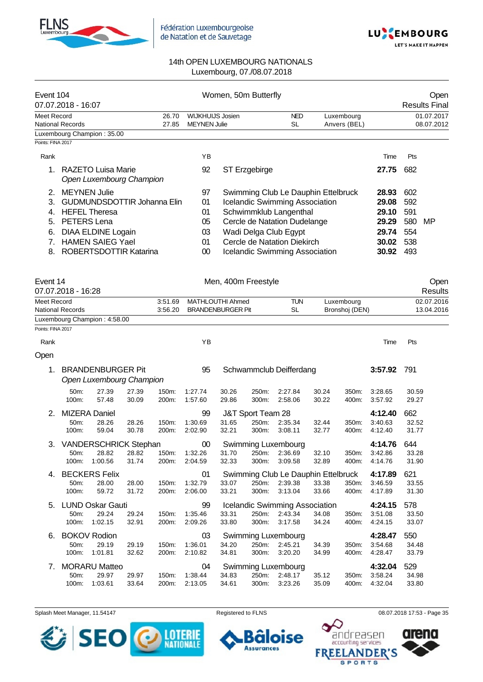



| Event 104                              | 07.07.2018 - 16:07                                                                                                                                                                                             |                |                                                | Women, 50m Butterfly                                                                                                                                                                                                                    |                         |                            |                                                             |                                               | Open<br><b>Results Final</b> |
|----------------------------------------|----------------------------------------------------------------------------------------------------------------------------------------------------------------------------------------------------------------|----------------|------------------------------------------------|-----------------------------------------------------------------------------------------------------------------------------------------------------------------------------------------------------------------------------------------|-------------------------|----------------------------|-------------------------------------------------------------|-----------------------------------------------|------------------------------|
| Meet Record                            | <b>National Records</b>                                                                                                                                                                                        | 26.70<br>27.85 | <b>WIJKHUIJS Josien</b><br><b>MEYNEN Julie</b> |                                                                                                                                                                                                                                         | <b>NED</b><br><b>SL</b> | Luxembourg<br>Anvers (BEL) |                                                             |                                               | 01.07.2017<br>08.07.2012     |
|                                        | Luxembourg Champion: 35.00                                                                                                                                                                                     |                |                                                |                                                                                                                                                                                                                                         |                         |                            |                                                             |                                               |                              |
| Points: FINA 2017                      |                                                                                                                                                                                                                |                |                                                |                                                                                                                                                                                                                                         |                         |                            |                                                             |                                               |                              |
| Rank                                   |                                                                                                                                                                                                                |                | YB                                             |                                                                                                                                                                                                                                         |                         |                            | Time                                                        | Pts                                           |                              |
| 1.                                     | <b>RAZETO Luisa Marie</b>                                                                                                                                                                                      |                | 92                                             | ST Erzgebirge                                                                                                                                                                                                                           |                         |                            | 27.75                                                       | 682                                           |                              |
| 2.<br>3.<br>4.<br>5.<br>6.<br>7.<br>8. | Open Luxembourg Champion<br><b>MEYNEN</b> Julie<br><b>GUDMUNDSDOTTIR Johanna Elin</b><br><b>HEFEL Theresa</b><br>PETERS Lena<br><b>DIAA ELDINE Logain</b><br><b>HAMEN SAIEG Yael</b><br>ROBERTSDOTTIR Katarina |                |                                                | Swimming Club Le Dauphin Ettelbruck<br><b>Icelandic Swimming Association</b><br>Schwimmklub Langenthal<br>Cercle de Natation Dudelange<br>Wadi Delga Club Egypt<br>Cercle de Natation Diekirch<br><b>Icelandic Swimming Association</b> |                         |                            | 28.93<br>29.08<br>29.10<br>29.29<br>29.74<br>30.02<br>30.92 | 602<br>592<br>591<br>580<br>554<br>538<br>493 | MP                           |
| Event 14                               | 07.07.2018 - 16:28                                                                                                                                                                                             |                |                                                | Men, 400m Freestyle                                                                                                                                                                                                                     |                         |                            |                                                             |                                               | Open<br>Results              |
| <b>Meet Record</b>                     |                                                                                                                                                                                                                | 3:51.69        | MATHLOUTHI Ahmed                               |                                                                                                                                                                                                                                         | <b>TUN</b>              | Luxembourg                 |                                                             |                                               | 02.07.2016                   |
|                                        | <b>National Records</b>                                                                                                                                                                                        | 3:56.20        |                                                | <b>BRANDENBURGER Pit</b>                                                                                                                                                                                                                | <b>SL</b>               | Bronshoj (DEN)             |                                                             |                                               | 13.04.2016                   |
|                                        | Luxembourg Champion: 4:58.00                                                                                                                                                                                   |                |                                                |                                                                                                                                                                                                                                         |                         |                            |                                                             |                                               |                              |
| Points: FINA 2017                      |                                                                                                                                                                                                                |                |                                                |                                                                                                                                                                                                                                         |                         |                            |                                                             |                                               |                              |

| Rank |                      |                                                      |                |                | ΥB                 |                |                   |                                                  |                |                | Time               | Pts            |
|------|----------------------|------------------------------------------------------|----------------|----------------|--------------------|----------------|-------------------|--------------------------------------------------|----------------|----------------|--------------------|----------------|
| Open |                      |                                                      |                |                |                    |                |                   |                                                  |                |                |                    |                |
| 1.   |                      | <b>BRANDENBURGER Pit</b><br>Open Luxembourg Champion |                |                | 95                 |                |                   | Schwammclub Deifferdang                          |                |                | 3:57.92            | 791            |
|      | 50m:<br>100m:        | 27.39<br>57.48                                       | 27.39<br>30.09 | 150m:<br>200m: | 1:27.74<br>1:57.60 | 30.26<br>29.86 | 250m:<br>300m:    | 2:27.84<br>2:58.06                               | 30.24<br>30.22 | 350m:<br>400m: | 3:28.65<br>3:57.92 | 30.59<br>29.27 |
| 2.   | <b>MIZERA Daniel</b> |                                                      |                |                | 99                 |                | J&T Sport Team 28 |                                                  |                |                | 4:12.40            | 662            |
|      | $50m$ :<br>100m:     | 28.26<br>59.04                                       | 28.26<br>30.78 | 150m:<br>200m: | 1:30.69<br>2:02.90 | 31.65<br>32.21 | 250m:<br>300m:    | 2:35.34<br>3:08.11                               | 32.44<br>32.77 | 350m:<br>400m: | 3:40.63<br>4:12.40 | 32.52<br>31.77 |
| 3.   |                      | VANDERSCHRICK Stephan                                |                |                | $00\,$             |                |                   | Swimming Luxembourg                              |                |                | 4:14.76            | 644            |
|      | 50m:                 | 28.82                                                | 28.82          | 150m:          | 1:32.26            | 31.70          | 250m:             | 2:36.69                                          | 32.10          | 350m:          | 3:42.86            | 33.28          |
|      | 100m:                | 1:00.56                                              | 31.74          | 200m:          | 2:04.59            | 32.33          | 300m:             | 3:09.58                                          | 32.89          | 400m:          | 4:14.76            | 31.90          |
|      |                      |                                                      |                |                |                    |                |                   |                                                  |                |                |                    |                |
| 4.   |                      | <b>BECKERS Felix</b>                                 |                |                | 01                 |                |                   | Swimming Club Le Dauphin Ettelbruck              |                |                | 4:17.89            | 621            |
|      | $50m$ :              | 28.00                                                | 28.00          | 150m:          | 1:32.79            | 33.07          | 250m:             | 2:39.38                                          | 33.38          | 350m:          | 3:46.59            | 33.55          |
|      | 100m:                | 59.72                                                | 31.72          | 200m:          | 2:06.00            | 33.21          | 300m:             | 3:13.04                                          | 33.66          | 400m:          | 4:17.89            | 31.30          |
| 5.   |                      | <b>LUND Oskar Gauti</b>                              |                |                | 99                 |                |                   |                                                  |                |                | 4:24.15            | 578            |
|      | 50m:                 | 29.24                                                | 29.24          | 150m:          | 1:35.46            | 33.31          | 250m:             | <b>Icelandic Swimming Association</b><br>2:43.34 | 34.08          | 350m:          | 3:51.08            | 33.50          |
|      | $100m$ :             | 1:02.15                                              | 32.91          | 200m:          | 2:09.26            | 33.80          | 300m:             | 3:17.58                                          | 34.24          | 400m:          | 4:24.15            | 33.07          |
| 6.   |                      | <b>BOKOV Rodion</b>                                  |                |                | 03                 |                |                   |                                                  |                |                | 4:28.47            | 550            |
|      | 50m:                 | 29.19                                                | 29.19          | 150m:          | 1:36.01            | 34.20          | 250m:             | Swimming Luxembourg<br>2:45.21                   | 34.39          | 350m:          | 3:54.68            | 34.48          |
|      | 100m:                | 1:01.81                                              | 32.62          | 200m:          | 2:10.82            | 34.81          | 300m:             | 3:20.20                                          | 34.99          | 400m:          | 4:28.47            | 33.79          |
| 7.   |                      | <b>MORARU Matteo</b>                                 |                |                | 04                 |                |                   |                                                  |                |                | 4:32.04            | 529            |
|      | 50m:                 | 29.97                                                | 29.97          | 150m:          | 1:38.44            | 34.83          | 250m:             | Swimming Luxembourg<br>2:48.17                   | 35.12          | 350m:          | 3:58.24            | 34.98          |

Splash Meet Manager, 11.54147 **Registered to FLNS Registered to FLNS** 08.07.2018 17:53 - Page 35



oise Õ

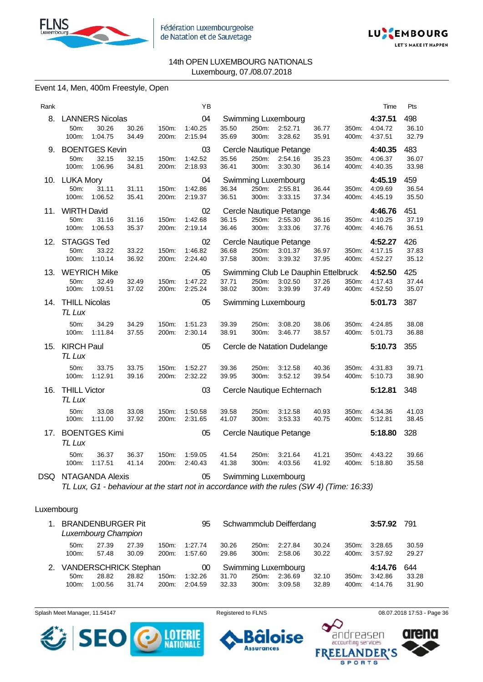



#### Event 14, Men, 400m Freestyle, Open

| Rank |                                         |                  |                |                | ΥB                       |                |                |                                                           |                |                | Time                          | Pts                   |
|------|-----------------------------------------|------------------|----------------|----------------|--------------------------|----------------|----------------|-----------------------------------------------------------|----------------|----------------|-------------------------------|-----------------------|
| 8.   | <b>LANNERS Nicolas</b><br>50m:<br>100m: | 30.26<br>1:04.75 | 30.26<br>34.49 | 150m:<br>200m: | 04<br>1:40.25<br>2:15.94 | 35.50<br>35.69 | 250m:<br>300m: | Swimming Luxembourg<br>2:52.71<br>3:28.62                 | 36.77<br>35.91 | 350m:<br>400m: | 4:37.51<br>4:04.72<br>4:37.51 | 498<br>36.10<br>32.79 |
| 9.   | <b>BOENTGES Kevin</b><br>50m:<br>100m:  | 32.15<br>1:06.96 | 32.15<br>34.81 | 150m:<br>200m: | 03<br>1:42.52<br>2:18.93 | 35.56<br>36.41 | 250m:<br>300m: | Cercle Nautique Petange<br>2:54.16<br>3:30.30             | 35.23<br>36.14 | 350m:<br>400m: | 4:40.35<br>4:06.37<br>4:40.35 | 483<br>36.07<br>33.98 |
| 10.  | LUKA Mory<br>50m:<br>100m:              | 31.11<br>1:06.52 | 31.11<br>35.41 | 150m:<br>200m: | 04<br>1:42.86<br>2:19.37 | 36.34<br>36.51 | 250m:<br>300m: | Swimming Luxembourg<br>2:55.81<br>3:33.15                 | 36.44<br>37.34 | 350m:<br>400m: | 4:45.19<br>4:09.69<br>4:45.19 | 459<br>36.54<br>35.50 |
| 11.  | <b>WIRTH David</b><br>50m:<br>100m:     | 31.16<br>1:06.53 | 31.16<br>35.37 | 150m:<br>200m: | 02<br>1:42.68<br>2:19.14 | 36.15<br>36.46 | 250m:<br>300m: | Cercle Nautique Petange<br>2:55.30<br>3:33.06             | 36.16<br>37.76 | 350m:<br>400m: | 4:46.76<br>4:10.25<br>4:46.76 | 451<br>37.19<br>36.51 |
| 12.  | <b>STAGGS Ted</b><br>50m:<br>100m:      | 33.22<br>1:10.14 | 33.22<br>36.92 | 150m:<br>200m: | 02<br>1:46.82<br>2:24.40 | 36.68<br>37.58 | 250m:<br>300m: | Cercle Nautique Petange<br>3:01.37<br>3:39.32             | 36.97<br>37.95 | 350m:<br>400m: | 4:52.27<br>4:17.15<br>4:52.27 | 426<br>37.83<br>35.12 |
| 13.  | <b>WEYRICH Mike</b><br>50m:<br>100m:    | 32.49<br>1:09.51 | 32.49<br>37.02 | 150m:<br>200m: | 05<br>1:47.22<br>2:25.24 | 37.71<br>38.02 | 250m:<br>300m: | Swimming Club Le Dauphin Ettelbruck<br>3:02.50<br>3:39.99 | 37.26<br>37.49 | 350m:<br>400m: | 4:52.50<br>4:17.43<br>4:52.50 | 425<br>37.44<br>35.07 |
|      | 14. THILL Nicolas<br>TL Lux             |                  |                |                | 05                       |                |                | Swimming Luxembourg                                       |                |                | 5:01.73                       | 387                   |
|      | 50m:<br>100m:                           | 34.29<br>1:11.84 | 34.29<br>37.55 | 150m:<br>200m: | 1:51.23<br>2:30.14       | 39.39<br>38.91 | 250m:<br>300m: | 3:08.20<br>3:46.77                                        | 38.06<br>38.57 | 350m:<br>400m: | 4:24.85<br>5:01.73            | 38.08<br>36.88        |
| 15.  | <b>KIRCH Paul</b><br>TL Lux             |                  |                |                | 05                       |                |                | Cercle de Natation Dudelange                              |                |                | 5:10.73                       | 355                   |
|      | 50m:<br>100m:                           | 33.75<br>1:12.91 | 33.75<br>39.16 | 150m:<br>200m: | 1:52.27<br>2:32.22       | 39.36<br>39.95 | 250m:<br>300m: | 3:12.58<br>3:52.12                                        | 40.36<br>39.54 | 350m:<br>400m: | 4:31.83<br>5:10.73            | 39.71<br>38.90        |
| 16.  | <b>THILL Victor</b><br>TL Lux           |                  |                |                | 03                       |                |                | Cercle Nautique Echternach                                |                |                | 5:12.81                       | 348                   |
|      | 50m:<br>100m:                           | 33.08<br>1:11.00 | 33.08<br>37.92 | 150m:<br>200m: | 1:50.58<br>2:31.65       | 39.58<br>41.07 | 250m:<br>300m: | 3:12.58<br>3:53.33                                        | 40.93<br>40.75 | 350m:<br>400m: | 4:34.36<br>5:12.81            | 41.03<br>38.45        |
| 17.  | <b>BOENTGES Kimi</b><br>TL Lux          |                  |                |                | 05                       |                |                | Cercle Nautique Petange                                   |                |                | 5:18.80                       | 328                   |
|      | 50m:<br>100m:                           | 36.37<br>1:17.51 | 36.37<br>41.14 | 150m:<br>200m: | 1:59.05<br>2:40.43       | 41.54<br>41.38 | 250m:<br>300m: | 3:21.64<br>4:03.56                                        | 41.21<br>41.92 | 350m:<br>400m: | 4:43.22<br>5:18.80            | 39.66<br>35.58        |
|      |                                         |                  |                |                |                          |                |                |                                                           |                |                |                               |                       |

DSQ NTAGANDA Alexis 05 Swimming Luxembourg *TL Lux, G1 - behaviour at the start not in accordance with the rules (SW 4) (Time: 16:33)*

# Luxembourg

|    |                     | <b>BRANDENBURGER Pit</b><br><b>Luxembourg Champion</b> |                |                             | 95                              |                |                   | Schwammclub Deifferdang                   |                |                   | 3:57.92                       | 791                   |
|----|---------------------|--------------------------------------------------------|----------------|-----------------------------|---------------------------------|----------------|-------------------|-------------------------------------------|----------------|-------------------|-------------------------------|-----------------------|
|    | 50m<br>$100m$ :     | 27.39<br>57.48                                         | 27.39<br>30.09 | 150m:<br>200 <sub>m</sub> : | 1:27.74<br>1:57.60              | 30.26<br>29.86 | 250m:<br>$300m$ : | 2:27.84<br>2:58.06                        | 30.24<br>30.22 | 350m:<br>400m:    | 3:28.65<br>3:57.92            | 30.59<br>29.27        |
| 2. | $50m$ :<br>$100m$ : | <b>VANDERSCHRICK Stephan</b><br>28.82<br>1:00.56       | 28.82<br>31.74 | 150m:<br>$200m$ :           | $\sim$ 00<br>1:32.26<br>2:04.59 | 31.70<br>32.33 | 250m:<br>$300m$ : | Swimming Luxembourg<br>2:36.69<br>3:09.58 | 32.10<br>32.89 | $350m$ :<br>400m: | 4:14.76<br>3:42.86<br>4:14.76 | 644<br>33.28<br>31.90 |

Splash Meet Manager, 11.54147 **Registered to FLNS Registered to FLNS** 08.07.2018 17:53 - Page 36





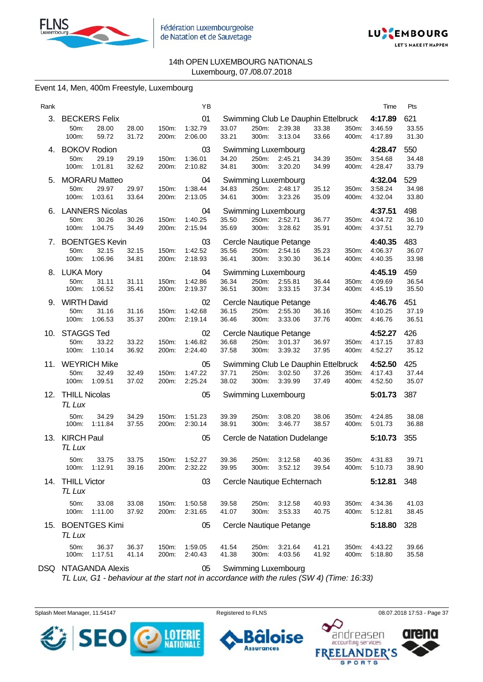



#### Event 14, Men, 400m Freestyle, Luxembourg

| Rank |                                      |                                            |                |                | ΥB                       |                |                |                                                           |                |                | Time                          | Pts                   |
|------|--------------------------------------|--------------------------------------------|----------------|----------------|--------------------------|----------------|----------------|-----------------------------------------------------------|----------------|----------------|-------------------------------|-----------------------|
| З.   | 50m:<br>100m:                        | <b>BECKERS Felix</b><br>28.00<br>59.72     | 28.00<br>31.72 | 150m:<br>200m: | 01<br>1:32.79<br>2:06.00 | 33.07<br>33.21 | 250m:<br>300m: | Swimming Club Le Dauphin Ettelbruck<br>2:39.38<br>3:13.04 | 33.38<br>33.66 | 350m:<br>400m: | 4:17.89<br>3:46.59<br>4:17.89 | 621<br>33.55<br>31.30 |
| 4.   | <b>BOKOV Rodion</b><br>50m:<br>100m: | 29.19<br>1:01.81                           | 29.19<br>32.62 | 150m:<br>200m: | 03<br>1:36.01<br>2:10.82 | 34.20<br>34.81 | 250m:<br>300m: | Swimming Luxembourg<br>2:45.21<br>3:20.20                 | 34.39<br>34.99 | 350m:<br>400m: | 4:28.47<br>3:54.68<br>4:28.47 | 550<br>34.48<br>33.79 |
| 5.   | 50m:<br>100m:                        | <b>MORARU Matteo</b><br>29.97<br>1:03.61   | 29.97<br>33.64 | 150m:<br>200m: | 04<br>1:38.44<br>2:13.05 | 34.83<br>34.61 | 250m:<br>300m: | Swimming Luxembourg<br>2:48.17<br>3:23.26                 | 35.12<br>35.09 | 350m:<br>400m: | 4:32.04<br>3:58.24<br>4:32.04 | 529<br>34.98<br>33.80 |
| 6.   | 50m:<br>100m:                        | <b>LANNERS Nicolas</b><br>30.26<br>1:04.75 | 30.26<br>34.49 | 150m:<br>200m: | 04<br>1:40.25<br>2:15.94 | 35.50<br>35.69 | 250m:<br>300m: | Swimming Luxembourg<br>2:52.71<br>3:28.62                 | 36.77<br>35.91 | 350m:<br>400m: | 4:37.51<br>4:04.72<br>4:37.51 | 498<br>36.10<br>32.79 |
| 7.   | 50m:<br>100m:                        | <b>BOENTGES Kevin</b><br>32.15<br>1:06.96  | 32.15<br>34.81 | 150m:<br>200m: | 03<br>1:42.52<br>2:18.93 | 35.56<br>36.41 | 250m:<br>300m: | Cercle Nautique Petange<br>2:54.16<br>3:30.30             | 35.23<br>36.14 | 350m:<br>400m: | 4:40.35<br>4:06.37<br>4:40.35 | 483<br>36.07<br>33.98 |
|      | 8. LUKA Mory<br>50m:<br>100m:        | 31.11<br>1:06.52                           | 31.11<br>35.41 | 150m:<br>200m: | 04<br>1:42.86<br>2:19.37 | 36.34<br>36.51 | 250m:<br>300m: | Swimming Luxembourg<br>2:55.81<br>3:33.15                 | 36.44<br>37.34 | 350m:<br>400m: | 4:45.19<br>4:09.69<br>4:45.19 | 459<br>36.54<br>35.50 |
| 9.   | <b>WIRTH David</b><br>50m:<br>100m:  | 31.16<br>1:06.53                           | 31.16<br>35.37 | 150m:<br>200m: | 02<br>1:42.68<br>2:19.14 | 36.15<br>36.46 | 250m:<br>300m: | Cercle Nautique Petange<br>2:55.30<br>3:33.06             | 36.16<br>37.76 | 350m:<br>400m: | 4:46.76<br>4:10.25<br>4:46.76 | 451<br>37.19<br>36.51 |
| 10.  | <b>STAGGS Ted</b><br>50m:<br>100m:   | 33.22<br>1:10.14                           | 33.22<br>36.92 | 150m:<br>200m: | 02<br>1:46.82<br>2:24.40 | 36.68<br>37.58 | 250m:<br>300m: | Cercle Nautique Petange<br>3:01.37<br>3:39.32             | 36.97<br>37.95 | 350m:<br>400m: | 4:52.27<br>4:17.15<br>4:52.27 | 426<br>37.83<br>35.12 |
| 11.  | 50m:<br>100m:                        | <b>WEYRICH Mike</b><br>32.49<br>1:09.51    | 32.49<br>37.02 | 150m:<br>200m: | 05<br>1:47.22<br>2:25.24 | 37.71<br>38.02 | 250m:<br>300m: | Swimming Club Le Dauphin Ettelbruck<br>3:02.50<br>3:39.99 | 37.26<br>37.49 | 350m:<br>400m: | 4:52.50<br>4:17.43<br>4:52.50 | 425<br>37.44<br>35.07 |
| 12.  | <b>THILL Nicolas</b><br>TL Lux       |                                            |                |                | 05                       |                |                | Swimming Luxembourg                                       |                |                | 5:01.73                       | 387                   |
|      | 50m:<br>100m:                        | 34.29<br>1:11.84                           | 34.29<br>37.55 | 150m:<br>200m: | 1:51.23<br>2:30.14       | 39.39<br>38.91 | 250m:<br>300m: | 3:08.20<br>3:46.77                                        | 38.06<br>38.57 | 350m:<br>400m: | 4:24.85<br>5:01.73            | 38.08<br>36.88        |
| 13.  | <b>KIRCH Paul</b><br>TL Lux          |                                            |                |                | 05                       |                |                | Cercle de Natation Dudelange                              |                |                | 5:10.73                       | 355                   |
|      | 50m:                                 | 33.75<br>100m: 1:12.91                     | 33.75<br>39.16 | 150m:<br>200m: | 1:52.27<br>2:32.22       | 39.36<br>39.95 | 250m:<br>300m: | 3:12.58<br>3:52.12                                        | 40.36<br>39.54 | 350m:<br>400m: | 4:31.83<br>5:10.73            | 39.71<br>38.90        |
| 14.  | <b>THILL Victor</b><br>TL Lux        |                                            |                |                | 03                       |                |                | Cercle Nautique Echternach                                |                |                | 5:12.81                       | 348                   |
|      | 50m:<br>100m:                        | 33.08<br>1:11.00                           | 33.08<br>37.92 | 150m:<br>200m: | 1:50.58<br>2:31.65       | 39.58<br>41.07 | 250m:<br>300m: | 3:12.58<br>3:53.33                                        | 40.93<br>40.75 | 350m:<br>400m: | 4:34.36<br>5:12.81            | 41.03<br>38.45        |
| 15.  | TL Lux                               | <b>BOENTGES Kimi</b>                       |                |                | 05                       |                |                | Cercle Nautique Petange                                   |                |                | 5:18.80                       | 328                   |
|      | 50m:<br>100m:                        | 36.37<br>1:17.51                           | 36.37<br>41.14 | 150m:<br>200m: | 1:59.05<br>2:40.43       | 41.54<br>41.38 | 250m:<br>300m: | 3:21.64<br>4:03.56                                        | 41.21<br>41.92 | 350m:<br>400m: | 4:43.22<br>5:18.80            | 39.66<br>35.58        |

DSQ NTAGANDA Alexis 05 Swimming Luxembourg

*TL Lux, G1 - behaviour at the start not in accordance with the rules (SW 4) (Time: 16:33)*

Splash Meet Manager, 11.54147 **Registered to FLNS Registered to FLNS** 08.07.2018 17:53 - Page 37

**Assurances** 

se



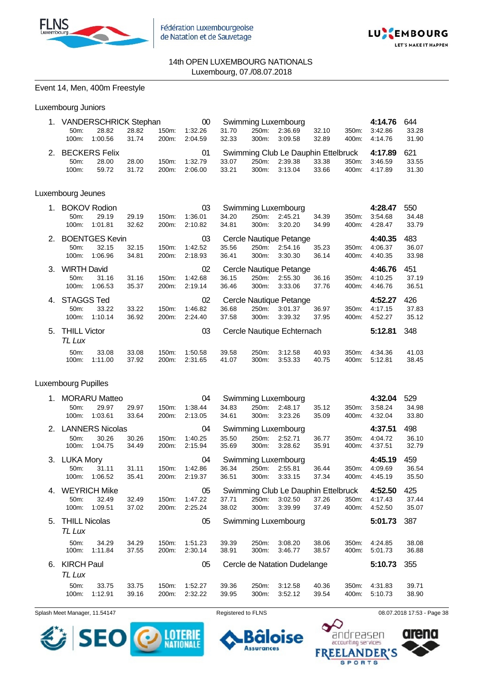



#### Event 14, Men, 400m Freestyle

| Luxembourg Juniors |  |
|--------------------|--|
|--------------------|--|

|         | 1. VANDERSCHRICK Stephan 00 |       |       |         |       |       | Swimming Luxembourg |       |       | 4:14.76                                         | 644   |
|---------|-----------------------------|-------|-------|---------|-------|-------|---------------------|-------|-------|-------------------------------------------------|-------|
| 50m     | 28.82                       | 28.82 | 150m: | 1:32.26 | 31.70 | 250m: | 2:36.69             | 32.10 | 350m: | 3:42.86                                         | 33.28 |
| 100m:   | 1:00.56                     | 31.74 | 200m: | 2:04.59 | 32.33 |       | 300m: 3:09.58       | 32.89 |       | 400m: 4:14.76                                   | 31.90 |
|         |                             |       |       |         |       |       |                     |       |       |                                                 |       |
|         | 2. BECKERS Felix            |       |       |         |       |       |                     |       |       | Swimming Club Le Dauphin Ettelbruck 4:17.89 621 |       |
| $50m$ : | 28.00                       | 28.00 | 150m: | 1:32.79 | 33.07 | 250m: | 2:39.38             | 33.38 |       | 350m. 3:46.59                                   | 33.55 |

#### Luxembourg Jeunes

| 1. |                     | <b>BOKOV Rodion</b>   |       |       | 03      |       |       | Swimming Luxembourg        |       |       | 4:28.47 | 550   |
|----|---------------------|-----------------------|-------|-------|---------|-------|-------|----------------------------|-------|-------|---------|-------|
|    | 50 <sub>m</sub>     | 29.19                 | 29.19 | 150m: | 1:36.01 | 34.20 | 250m: | 2:45.21                    | 34.39 | 350m: | 3:54.68 | 34.48 |
|    | 100m:               | 1:01.81               | 32.62 | 200m: | 2:10.82 | 34.81 | 300m: | 3:20.20                    | 34.99 | 400m: | 4:28.47 | 33.79 |
| 2. |                     | <b>BOENTGES Kevin</b> |       |       | 03      |       |       | Cercle Nautique Petange    |       |       | 4:40.35 | 483   |
|    | 50 <sub>m</sub>     | 32.15                 | 32.15 | 150m: | 1:42.52 | 35.56 | 250m: | 2:54.16                    | 35.23 | 350m: | 4:06.37 | 36.07 |
|    | 100m:               | 1:06.96               | 34.81 | 200m: | 2:18.93 | 36.41 | 300m: | 3:30.30                    | 36.14 | 400m: | 4:40.35 | 33.98 |
| 3. | <b>WIRTH David</b>  |                       |       |       | 02      |       |       | Cercle Nautique Petange    |       |       | 4:46.76 | 451   |
|    | 50 <sub>m</sub> :   | 31.16                 | 31.16 | 150m: | 1:42.68 | 36.15 | 250m: | 2:55.30                    | 36.16 | 350m: | 4:10.25 | 37.19 |
|    | 100m:               | 1:06.53               | 35.37 | 200m: | 2:19.14 | 36.46 | 300m: | 3:33.06                    | 37.76 | 400m: | 4:46.76 | 36.51 |
| 4. | <b>STAGGS Ted</b>   |                       |       |       | 02      |       |       | Cercle Nautique Petange    |       |       | 4:52.27 | 426   |
|    | $50m$ :             | 33.22                 | 33.22 | 150m: | 1:46.82 | 36.68 | 250m: | 3:01.37                    | 36.97 | 350m: | 4:17.15 | 37.83 |
|    | 100m:               | 1:10.14               | 36.92 | 200m: | 2:24.40 | 37.58 | 300m: | 3:39.32                    | 37.95 | 400m: | 4:52.27 | 35.12 |
| 5. | <b>THILL Victor</b> |                       |       |       | 03      |       |       | Cercle Nautique Echternach |       |       | 5:12.81 | 348   |
|    | TL Lux              |                       |       |       |         |       |       |                            |       |       |         |       |
|    | $50m$ :             | 33.08                 | 33.08 | 150m: | 1:50.58 | 39.58 | 250m: | 3:12.58                    | 40.93 | 350m: | 4.34.36 | 41.03 |
|    | 100m:               | 1:11.00               | 37.92 | 200m: | 2.31.65 | 41.07 | 300m: | 3:53.33                    | 40.75 | 400m: | 5:12.81 | 38.45 |

#### Luxembourg Pupilles

| 1. |                      | <b>MORARU Matteo</b>   |       |       | 04      |       |       | Swimming Luxembourg                 |       |       | 4:32.04 | 529   |
|----|----------------------|------------------------|-------|-------|---------|-------|-------|-------------------------------------|-------|-------|---------|-------|
|    | 50m:                 | 29.97                  | 29.97 | 150m: | 1:38.44 | 34.83 | 250m: | 2:48.17                             | 35.12 | 350m: | 3:58.24 | 34.98 |
|    | 100m:                | 1:03.61                | 33.64 | 200m: | 2:13.05 | 34.61 | 300m: | 3:23.26                             | 35.09 | 400m: | 4:32.04 | 33.80 |
| 2. |                      | <b>LANNERS Nicolas</b> |       |       | 04      |       |       | Swimming Luxembourg                 |       |       | 4:37.51 | 498   |
|    | 50m:                 | 30.26                  | 30.26 | 150m: | 1:40.25 | 35.50 | 250m: | 2:52.71                             | 36.77 | 350m: | 4:04.72 | 36.10 |
|    | 100m:                | 1:04.75                | 34.49 | 200m: | 2:15.94 | 35.69 | 300m: | 3:28.62                             | 35.91 | 400m: | 4:37.51 | 32.79 |
| 3. | <b>LUKA Mory</b>     |                        |       |       | 04      |       |       | Swimming Luxembourg                 |       |       | 4:45.19 | 459   |
|    | $50m$ :              | 31.11                  | 31.11 | 150m: | 1:42.86 | 36.34 | 250m: | 2:55.81                             | 36.44 | 350m: | 4:09.69 | 36.54 |
|    | 100m:                | 1:06.52                | 35.41 | 200m: | 2:19.37 | 36.51 | 300m: | 3:33.15                             | 37.34 | 400m: | 4:45.19 | 35.50 |
| 4. |                      | <b>WEYRICH Mike</b>    |       |       | 05      |       |       | Swimming Club Le Dauphin Ettelbruck |       |       | 4:52.50 | 425   |
|    | 50 <sub>m</sub> :    | 32.49                  | 32.49 | 150m: | 1:47.22 | 37.71 | 250m: | 3:02.50                             | 37.26 | 350m: | 4:17.43 | 37.44 |
|    | 100m:                | 1:09.51                | 37.02 | 200m: | 2:25.24 | 38.02 | 300m: | 3:39.99                             | 37.49 | 400m: | 4:52.50 | 35.07 |
| 5. | <b>THILL Nicolas</b> |                        |       |       | 05      |       |       | Swimming Luxembourg                 |       |       | 5:01.73 | 387   |
|    | TL Lux               |                        |       |       |         |       |       |                                     |       |       |         |       |
|    | 50m:                 | 34.29                  | 34.29 | 150m: | 1:51.23 | 39.39 | 250m: | 3:08.20                             | 38.06 | 350m: | 4:24.85 | 38.08 |
|    | 100m:                | 1:11.84                | 37.55 | 200m: | 2:30.14 | 38.91 | 300m: | 3:46.77                             | 38.57 | 400m: | 5:01.73 | 36.88 |
| 6. | <b>KIRCH Paul</b>    |                        |       |       | 05      |       |       | Cercle de Natation Dudelange        |       |       | 5:10.73 | 355   |
|    | TL Lux               |                        |       |       |         |       |       |                                     |       |       |         |       |
|    | 50m:                 | 33.75                  | 33.75 | 150m: | 1:52.27 | 39.36 | 250m: | 3:12.58                             | 40.36 | 350m: | 4:31.83 | 39.71 |
|    | 100m:                | 1:12.91                | 39.16 | 200m: | 2:32.22 | 39.95 | 300m: | 3:52.12                             | 39.54 | 400m: | 5:10.73 | 38.90 |

Splash Meet Manager, 11.54147 **Registered to FLNS Registered to FLNS** 08.07.2018 17:53 - Page 38



ise п **Assurances FREE** 

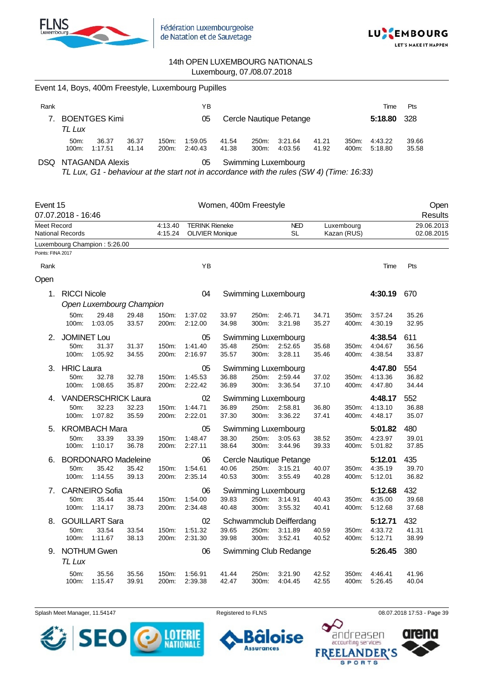



|                    |                         |                               | Event 14, Boys, 400m Freestyle, Luxembourg Pupilles |                |                        |                       |                |                                                                                           |                |                |                    |                 |
|--------------------|-------------------------|-------------------------------|-----------------------------------------------------|----------------|------------------------|-----------------------|----------------|-------------------------------------------------------------------------------------------|----------------|----------------|--------------------|-----------------|
| Rank               |                         |                               |                                                     |                | YB                     |                       |                |                                                                                           |                |                | Time               | Pts             |
| 7.                 | TL Lux                  | <b>BOENTGES Kimi</b>          |                                                     |                | 05                     |                       |                | Cercle Nautique Petange                                                                   |                |                | 5:18.80            | 328             |
|                    | 50m:<br>100m:           | 36.37<br>1:17.51              | 36.37<br>41.14                                      | 150m:<br>200m: | 1:59.05<br>2:40.43     | 41.54<br>41.38        | 250m:<br>300m: | 3:21.64<br>4:03.56                                                                        | 41.21<br>41.92 | 350m:<br>400m: | 4:43.22<br>5:18.80 | 39.66<br>35.58  |
| DSQ.               |                         | <b>NTAGANDA Alexis</b>        |                                                     |                | 05                     |                       |                | <b>Swimming Luxembourg</b>                                                                |                |                |                    |                 |
|                    |                         |                               |                                                     |                |                        |                       |                | TL Lux, G1 - behaviour at the start not in accordance with the rules (SW 4) (Time: 16:33) |                |                |                    |                 |
| Event 15           | 07.07.2018 - 16:46      |                               |                                                     |                |                        | Women, 400m Freestyle |                |                                                                                           |                |                |                    | Open<br>Results |
| <b>Meet Record</b> |                         |                               |                                                     | 4:13.40        | <b>TERINK Rieneke</b>  |                       |                | <b>NED</b><br><b>SL</b>                                                                   |                | Luxembourg     |                    | 29.06.2013      |
|                    | <b>National Records</b> | Luxembourg Champion: 5:26.00  |                                                     | 4:15.24        | <b>OLIVIER Monique</b> |                       |                |                                                                                           |                | Kazan (RUS)    |                    | 02.08.2015      |
| Points: FINA 2017  |                         |                               |                                                     |                |                        |                       |                |                                                                                           |                |                |                    |                 |
| Rank               |                         |                               |                                                     |                | YB                     |                       |                |                                                                                           |                |                | Time               | Pts             |
| Open               |                         |                               |                                                     |                |                        |                       |                |                                                                                           |                |                |                    |                 |
| 1.                 | <b>RICCI Nicole</b>     |                               |                                                     |                | 04                     |                       |                | Swimming Luxembourg                                                                       |                |                | 4:30.19            | 670             |
|                    |                         |                               | Open Luxembourg Champion                            |                |                        |                       |                |                                                                                           |                |                |                    |                 |
|                    | 50m:                    | 29.48                         | 29.48                                               | 150m:          | 1:37.02                | 33.97                 | 250m:          | 2:46.71                                                                                   | 34.71          | 350m:          | 3:57.24            | 35.26           |
|                    | 100m:                   | 1:03.05                       | 33.57                                               | 200m:          | 2:12.00                | 34.98                 | 300m:          | 3:21.98                                                                                   | 35.27          | 400m:          | 4:30.19            | 32.95           |
| 2.                 | <b>JOMINET Lou</b>      |                               |                                                     |                | 05                     |                       |                | Swimming Luxembourg                                                                       |                |                | 4:38.54            | 611             |
|                    | 50m:<br>100m:           | 31.37<br>1:05.92              | 31.37<br>34.55                                      | 150m:<br>200m: | 1:41.40<br>2:16.97     | 35.48<br>35.57        | 250m:<br>300m: | 2:52.65<br>3:28.11                                                                        | 35.68<br>35.46 | 350m:<br>400m: | 4:04.67<br>4:38.54 | 36.56<br>33.87  |
| 3.                 | <b>HRIC Laura</b>       |                               |                                                     |                | 05                     |                       |                | Swimming Luxembourg                                                                       |                |                | 4:47.80            | 554             |
|                    | 50m:                    | 32.78                         | 32.78                                               | 150m:          | 1.45.53                | 36.88                 | 250m:          | 2:59.44                                                                                   | 37.02          | 350m:          | 4:13.36            | 36.82           |
|                    | 100m:                   | 1:08.65                       | 35.87                                               | 200m:          | 2:22.42                | 36.89                 | 300m:          | 3:36.54                                                                                   | 37.10          | 400m:          | 4:47.80            | 34.44           |
| 4.                 |                         |                               | <b>VANDERSCHRICK Laura</b>                          |                | 02                     |                       |                | Swimming Luxembourg                                                                       |                |                | 4:48.17            | 552             |
|                    | 50m:<br>100m:           | 32.23<br>1:07.82              | 32.23<br>35.59                                      | 150m:<br>200m: | 1:44.71<br>2:22.01     | 36.89<br>37.30        | 250m:<br>300m: | 2:58.81<br>3:36.22                                                                        | 36.80<br>37.41 | 350m:<br>400m: | 4:13.10<br>4:48.17 | 36.88<br>35.07  |
|                    |                         |                               |                                                     |                |                        |                       |                |                                                                                           |                |                |                    |                 |
| 5.                 | 50m:                    | <b>KROMBACH Mara</b><br>33.39 | 33.39                                               | 150m:          | 05<br>1:48.47          | 38.30                 | 250m:          | Swimming Luxembourg<br>3:05.63                                                            | 38.52          | 350m:          | 5:01.82<br>4:23.97 | 480<br>39.01    |
|                    | 100m:                   | 1:10.17                       | 36.78                                               | 200m:          | 2:27.11                | 38.64                 | 300m:          | 3:44.96                                                                                   | 39.33          | 400m:          | 5:01.82            | 37.85           |
|                    |                         |                               | 6. BORDONARO Madeleine                              |                | 06                     |                       |                | Cercle Nautique Petange                                                                   |                |                | 5:12.01            | 435             |
|                    | 50m:                    | 35.42                         | 35.42                                               | 150m:          | 1:54.61                | 40.06                 | 250m:          | 3:15.21                                                                                   | 40.07          | 350m:          | 4:35.19            | 39.70           |
|                    | 100m:                   | 1:14.55                       | 39.13                                               | 200m:          | 2:35.14                | 40.53                 | 300m:          | 3:55.49                                                                                   | 40.28          | 400m:          | 5:12.01            | 36.82           |
|                    |                         | 7. CARNEIRO Sofia             |                                                     |                | 06                     |                       |                | Swimming Luxembourg                                                                       |                |                | 5:12.68            | 432             |
|                    | 50m:<br>100m:           | 35.44<br>1:14.17              | 35.44                                               | 150m:          | 1:54.00<br>2:34.48     | 39.83<br>40.48        | 250m:<br>300m: | 3:14.91<br>3:55.32                                                                        | 40.43          | 350m:          | 4:35.00            | 39.68<br>37.68  |
|                    |                         |                               | 38.73                                               | 200m:          |                        |                       |                |                                                                                           | 40.41          | 400m:          | 5:12.68            |                 |
| 8.                 |                         | <b>GOUILLART Sara</b>         |                                                     |                | 02                     |                       |                | Schwammclub Deifferdang<br>3:11.89                                                        |                |                | 5:12.71<br>4:33.72 | 432             |
|                    | 50m:<br>100m:           | 33.54<br>1:11.67              | 33.54<br>38.13                                      | 150m:<br>200m: | 1:51.32<br>2:31.30     | 39.65<br>39.98        | 250m:<br>300m: | 3:52.41                                                                                   | 40.59<br>40.52 | 350m:<br>400m: | 5:12.71            | 41.31<br>38.99  |
|                    | 9. NOTHUM Gwen          |                               |                                                     |                | 06                     |                       |                | Swimming Club Redange                                                                     |                |                | 5:26.45            | 380             |
|                    | TL Lux                  |                               |                                                     |                |                        |                       |                |                                                                                           |                |                |                    |                 |
|                    | 50m:                    | 35.56                         | 35.56                                               | 150m:          | 1:56.91                | 41.44                 | 250m:          | 3:21.90                                                                                   | 42.52          | 350m:          | 4:46.41            | 41.96           |
|                    | 100m:                   | 1:15.47                       | 39.91                                               | 200m:          | 2:39.38                | 42.47                 | 300m:          | 4:04.45                                                                                   | 42.55          | 400m:          | 5:26.45            | 40.04           |

Splash Meet Manager, 11.54147 **Registered to FLNS Registered to FLNS** 08.07.2018 17:53 - Page 39



oise  $\bullet$ **Assurances** 

 $\bullet$ 

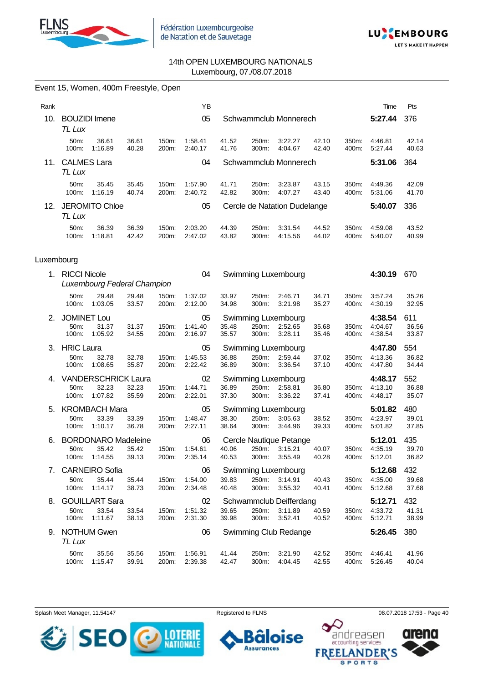



Event 15, Women, 400m Freestyle, Open

| Rank       |                                     |                                                |                |                | ΥB                       |                |                |                                               |                |                | Time                          | Pts                   |
|------------|-------------------------------------|------------------------------------------------|----------------|----------------|--------------------------|----------------|----------------|-----------------------------------------------|----------------|----------------|-------------------------------|-----------------------|
| 10.        | TL Lux                              | <b>BOUZIDI</b> Imene                           |                |                | 05                       |                |                | Schwammclub Monnerech                         |                |                | 5:27.44                       | 376                   |
|            | 50m:<br>100m:                       | 36.61<br>1:16.89                               | 36.61<br>40.28 | 150m:<br>200m: | 1:58.41<br>2:40.17       | 41.52<br>41.76 | 250m:<br>300m: | 3:22.27<br>4:04.67                            | 42.10<br>42.40 | 350m:<br>400m: | 4:46.81<br>5:27.44            | 42.14<br>40.63        |
| 11.        | <b>CALMES Lara</b><br>TL Lux        |                                                |                |                | 04                       |                |                | Schwammclub Monnerech                         |                |                | 5:31.06                       | 364                   |
|            | 50m:<br>100m:                       | 35.45<br>1:16.19                               | 35.45<br>40.74 | 150m:<br>200m: | 1:57.90<br>2:40.72       | 41.71<br>42.82 | 250m:<br>300m: | 3:23.87<br>4:07.27                            | 43.15<br>43.40 | 350m:<br>400m: | 4:49.36<br>5:31.06            | 42.09<br>41.70        |
| 12.        | TL Lux                              | <b>JEROMITO Chloe</b>                          |                |                | 05                       |                |                | Cercle de Natation Dudelange                  |                |                | 5:40.07                       | 336                   |
|            | 50m:<br>100m:                       | 36.39<br>1:18.81                               | 36.39<br>42.42 | 150m:<br>200m: | 2:03.20<br>2:47.02       | 44.39<br>43.82 | 250m:<br>300m: | 3:31.54<br>4:15.56                            | 44.52<br>44.02 | 350m:<br>400m: | 4:59.08<br>5:40.07            | 43.52<br>40.99        |
| Luxembourg |                                     |                                                |                |                |                          |                |                |                                               |                |                |                               |                       |
| 1.         | <b>RICCI Nicole</b>                 | Luxembourg Federal Champion                    |                |                | 04                       |                |                | Swimming Luxembourg                           |                |                | 4:30.19                       | 670                   |
|            | 50m:<br>100m:                       | 29.48<br>1:03.05                               | 29.48<br>33.57 | 150m:<br>200m: | 1:37.02<br>2:12.00       | 33.97<br>34.98 | 250m:<br>300m: | 2:46.71<br>3:21.98                            | 34.71<br>35.27 | 350m:<br>400m: | 3:57.24<br>4:30.19            | 35.26<br>32.95        |
| 2.         | <b>JOMINET Lou</b><br>50m:<br>100m: | 31.37<br>1:05.92                               | 31.37<br>34.55 | 150m:<br>200m: | 05<br>1:41.40<br>2:16.97 | 35.48<br>35.57 | 250m:<br>300m: | Swimming Luxembourg<br>2:52.65<br>3:28.11     | 35.68<br>35.46 | 350m:<br>400m: | 4:38.54<br>4:04.67<br>4:38.54 | 611<br>36.56<br>33.87 |
| 3.         | <b>HRIC Laura</b><br>50m:<br>100m:  | 32.78<br>1:08.65                               | 32.78<br>35.87 | 150m:<br>200m: | 05<br>1:45.53<br>2:22.42 | 36.88<br>36.89 | 250m:<br>300m: | Swimming Luxembourg<br>2:59.44<br>3:36.54     | 37.02<br>37.10 | 350m:<br>400m: | 4:47.80<br>4:13.36<br>4:47.80 | 554<br>36.82<br>34.44 |
| 4.         | 50m:<br>100m:                       | <b>VANDERSCHRICK Laura</b><br>32.23<br>1:07.82 | 32.23<br>35.59 | 150m:<br>200m: | 02<br>1:44.71<br>2:22.01 | 36.89<br>37.30 | 250m:<br>300m: | Swimming Luxembourg<br>2:58.81<br>3:36.22     | 36.80<br>37.41 | 350m:<br>400m: | 4:48.17<br>4:13.10<br>4:48.17 | 552<br>36.88<br>35.07 |
| 5.         | 50m:<br>100m:                       | <b>KROMBACH Mara</b><br>33.39<br>1:10.17       | 33.39<br>36.78 | 150m:<br>200m: | 05<br>1:48.47<br>2:27.11 | 38.30<br>38.64 | 250m:<br>300m: | Swimming Luxembourg<br>3:05.63<br>3:44.96     | 38.52<br>39.33 | 350m:<br>400m: | 5:01.82<br>4:23.97<br>5:01.82 | 480<br>39.01<br>37.85 |
| 6.         | 50m:<br>100m.                       | <b>BORDONARO Madeleine</b><br>35.42<br>1:14.55 | 35.42<br>39.13 | 150m:<br>200m: | 06<br>1:54.61<br>2:35.14 | 40.06<br>40.53 | 250m:<br>300m: | Cercle Nautique Petange<br>3:15.21<br>3:55.49 | 40.07<br>40.28 | 350m:<br>400m: | 5:12.01<br>4:35.19<br>5:12.01 | 435<br>39.70<br>36.82 |
| 7.         | 50m:<br>100m:                       | <b>CARNEIRO Sofia</b><br>35.44<br>1:14.17      | 35.44<br>38.73 | 150m:<br>200m: | 06<br>1:54.00<br>2:34.48 | 39.83<br>40.48 | 250m:<br>300m: | Swimming Luxembourg<br>3:14.91<br>3:55.32     | 40.43<br>40.41 | 350m:<br>400m: | 5:12.68<br>4:35.00<br>5:12.68 | 432<br>39.68<br>37.68 |
| 8.         | 50m:<br>100m:                       | <b>GOUILLART Sara</b><br>33.54<br>1:11.67      | 33.54<br>38.13 | 150m:<br>200m: | 02<br>1:51.32<br>2:31.30 | 39.65<br>39.98 | 250m:<br>300m: | Schwammclub Deifferdang<br>3:11.89<br>3:52.41 | 40.59<br>40.52 | 350m:<br>400m: | 5:12.71<br>4:33.72<br>5:12.71 | 432<br>41.31<br>38.99 |
|            | TL Lux                              | 9. NOTHUM Gwen                                 |                |                | 06                       |                |                | Swimming Club Redange                         |                |                | 5:26.45                       | 380                   |
|            | 50m:<br>100m:                       | 35.56<br>1:15.47                               | 35.56<br>39.91 | 150m:<br>200m: | 1:56.91<br>2:39.38       | 41.44<br>42.47 | 250m:<br>300m: | 3:21.90<br>4:04.45                            | 42.52<br>42.55 | 350m:<br>400m: | 4:46.41<br>5:26.45            | 41.96<br>40.04        |

Splash Meet Manager, 11.54147 Registered to FLNS 68.07.2018 17:53 - Page 40



oise 61 **Assurances** 

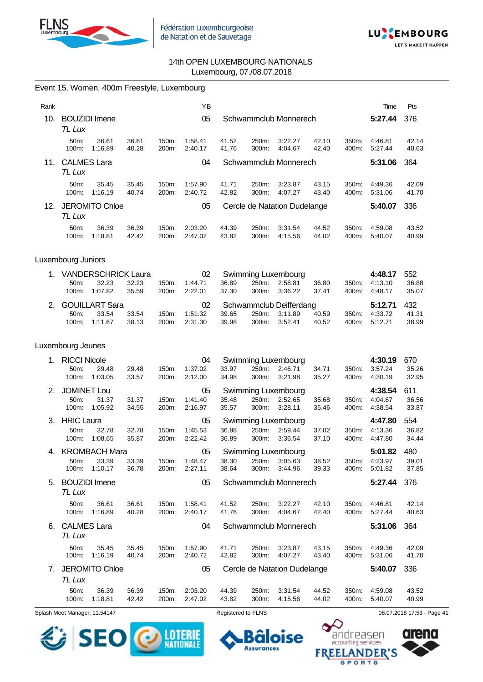



|      |                                       | Event 15, Women, 400m Freestyle, Luxembourg    |                |                |                          |                |                |                                               |                |                |                               |                       |
|------|---------------------------------------|------------------------------------------------|----------------|----------------|--------------------------|----------------|----------------|-----------------------------------------------|----------------|----------------|-------------------------------|-----------------------|
| Rank |                                       |                                                |                |                | YB                       |                |                |                                               |                |                | Time                          | Pts                   |
| 10.  | <b>BOUZIDI</b> Imene<br>TL Lux        |                                                |                |                | 05                       |                |                | Schwammclub Monnerech                         |                |                | 5:27.44                       | 376                   |
|      | 50m:<br>100m:                         | 36.61<br>1:16.89                               | 36.61<br>40.28 | 150m:<br>200m: | 1:58.41<br>2:40.17       | 41.52<br>41.76 | 250m:<br>300m: | 3:22.27<br>4:04.67                            | 42.10<br>42.40 | 350m:<br>400m: | 4:46.81<br>5:27.44            | 42.14<br>40.63        |
| 11.  | <b>CALMES Lara</b><br>TL Lux          |                                                |                |                | 04                       |                |                | Schwammclub Monnerech                         |                |                | 5:31.06                       | 364                   |
|      | 50m:<br>100m:                         | 35.45<br>1:16.19                               | 35.45<br>40.74 | 150m:<br>200m: | 1:57.90<br>2:40.72       | 41.71<br>42.82 | 250m:<br>300m: | 3:23.87<br>4:07.27                            | 43.15<br>43.40 | 350m:<br>400m: | 4:49.36<br>5:31.06            | 42.09<br>41.70        |
|      | TL Lux                                | 12. JEROMITO Chloe                             |                |                | 05                       |                |                | Cercle de Natation Dudelange                  |                |                | 5:40.07                       | 336                   |
|      | 50m:<br>100m:                         | 36.39<br>1:18.81                               | 36.39<br>42.42 | 150m:<br>200m: | 2:03.20<br>2:47.02       | 44.39<br>43.82 | 250m:<br>300m: | 3:31.54<br>4:15.56                            | 44.52<br>44.02 | 350m:<br>400m: | 4:59.08<br>5:40.07            | 43.52<br>40.99        |
|      | Luxembourg Juniors                    |                                                |                |                |                          |                |                |                                               |                |                |                               |                       |
| 1.   | 50m:<br>100m:                         | <b>VANDERSCHRICK Laura</b><br>32.23<br>1:07.82 | 32.23<br>35.59 | 150m:<br>200m: | 02<br>1:44.71<br>2:22.01 | 36.89<br>37.30 | 250m:<br>300m: | Swimming Luxembourg<br>2:58.81<br>3:36.22     | 36.80<br>37.41 | 350m:<br>400m: | 4:48.17<br>4:13.10<br>4:48.17 | 552<br>36.88<br>35.07 |
| 2.   | 50m:<br>100m:                         | <b>GOUILLART Sara</b><br>33.54<br>1:11.67      | 33.54<br>38.13 | 150m:<br>200m: | 02<br>1:51.32<br>2:31.30 | 39.65<br>39.98 | 250m:<br>300m: | Schwammclub Deifferdang<br>3:11.89<br>3:52.41 | 40.59<br>40.52 | 350m:<br>400m: | 5:12.71<br>4:33.72<br>5:12.71 | 432<br>41.31<br>38.99 |
|      | Luxembourg Jeunes                     |                                                |                |                |                          |                |                |                                               |                |                |                               |                       |
| 1.   | <b>RICCI Nicole</b><br>50m:<br>100m:  | 29.48<br>1:03.05                               | 29.48<br>33.57 | 150m:<br>200m: | 04<br>1:37.02<br>2:12.00 | 33.97<br>34.98 | 250m:<br>300m: | Swimming Luxembourg<br>2:46.71<br>3:21.98     | 34.71<br>35.27 | 350m:<br>400m: | 4:30.19<br>3:57.24<br>4:30.19 | 670<br>35.26<br>32.95 |
| 2.   | <b>JOMINET Lou</b><br>50m:<br>100m:   | 31.37<br>1:05.92                               | 31.37<br>34.55 | 150m:<br>200m: | 05<br>1:41.40<br>2:16.97 | 35.48<br>35.57 | 250m:<br>300m: | Swimming Luxembourg<br>2:52.65<br>3:28.11     | 35.68<br>35.46 | 350m:<br>400m: | 4:38.54<br>4:04.67<br>4:38.54 | 611<br>36.56<br>33.87 |
| 3.   | <b>HRIC Laura</b><br>50m:<br>$100m$ : | 32.78<br>1:08.65                               | 32.78<br>35.87 | 150m:<br>200m: | 05<br>1:45.53<br>2:22.42 | 36.88<br>36.89 | 250m:<br>300m: | Swimming Luxembourg<br>2:59.44<br>3:36.54     | 37.02<br>37.10 | 350m:<br>400m: | 4:47.80<br>4:13.36<br>4:47.80 | 554<br>36.82<br>34.44 |
| 4.   | 50m:<br>100m:                         | <b>KROMBACH Mara</b><br>33.39<br>1:10.17       | 33.39<br>36.78 | 150m:<br>200m: | 05<br>1:48.47<br>2:27.11 | 38.30<br>38.64 | 250m:<br>300m: | Swimming Luxembourg<br>3:05.63<br>3:44.96     | 38.52<br>39.33 | 350m:<br>400m: | 5:01.82<br>4:23.97<br>5:01.82 | 480<br>39.01<br>37.85 |
|      | 5. BOUZIDI Imene<br>TL Lux            |                                                |                |                | 05                       |                |                | Schwammclub Monnerech                         |                |                | 5:27.44                       | 376                   |
|      | 50m:<br>100m:                         | 36.61<br>1:16.89                               | 36.61<br>40.28 | 150m:<br>200m: | 1:58.41<br>2:40.17       | 41.52<br>41.76 | 250m:<br>300m: | 3:22.27<br>4:04.67                            | 42.10<br>42.40 | 350m:<br>400m: | 4:46.81<br>5:27.44            | 42.14<br>40.63        |
| 6.   | <b>CALMES Lara</b><br>TL Lux          |                                                |                |                | 04                       |                |                | Schwammclub Monnerech                         |                |                | 5:31.06                       | 364                   |
|      | 50m:<br>100m:                         | 35.45<br>1:16.19                               | 35.45<br>40.74 | 150m:<br>200m: | 1:57.90<br>2:40.72       | 41.71<br>42.82 | 250m:<br>300m: | 3:23.87<br>4:07.27                            | 43.15<br>43.40 | 350m:<br>400m: | 4:49.36<br>5:31.06            | 42.09<br>41.70        |
| 7.   | TL Lux                                | <b>JEROMITO Chloe</b>                          |                |                | 05                       |                |                | Cercle de Natation Dudelange                  |                |                | 5:40.07                       | 336                   |
|      | 50m:<br>100m:                         | 36.39<br>1:18.81                               | 36.39<br>42.42 | 150m:<br>200m: | 2:03.20<br>2:47.02       | 44.39<br>43.82 | 250m:<br>300m: | 3:31.54<br>4:15.56                            | 44.52<br>44.02 | 350m:<br>400m: | 4:59.08<br>5:40.07            | 43.52<br>40.99        |

Splash Meet Manager, 11.54147 Registered to FLNS 68.07.2018 17:53 - Page 41





a

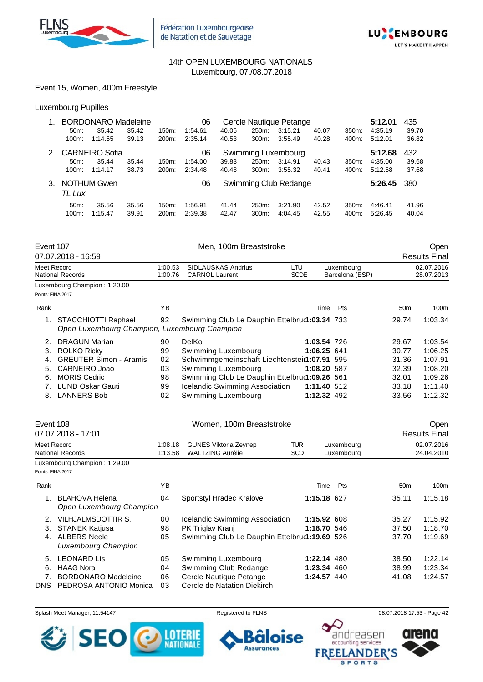



Event 15, Women, 400m Freestyle

## Luxembourg Pupilles

|               |          | <b>BORDONARO Madeleine</b> |       |          | 06      |       |          | Cercle Nautique Petange |       |          | 5:12.01 | 435   |
|---------------|----------|----------------------------|-------|----------|---------|-------|----------|-------------------------|-------|----------|---------|-------|
|               | 50m      | 35.42                      | 35.42 | 150m:    | 1:54.61 | 40.06 | 250m:    | 3:15.21                 | 40.07 | $350m$ : | 4:35.19 | 39.70 |
|               | $100m$ : | 1:14.55                    | 39.13 | 200m:    | 2:35.14 | 40.53 | 300m.    | 3:55.49                 | 40.28 | 400m:    | 5:12.01 | 36.82 |
| $\mathcal{P}$ |          | <b>CARNEIRO Sofia</b>      |       |          | 06      |       |          | Swimming Luxembourg     |       |          | 5:12.68 | 432   |
|               | 50m      | 35.44                      | 35.44 | $150m$ : | 1:54.00 | 39.83 | 250m:    | 3:14.91                 | 40.43 | 350m:    | 4:35.00 | 39.68 |
|               | $100m$ : | 1:14.17                    | 38.73 | 200m:    | 2:34.48 | 40.48 | 300m.    | 3:55.32                 | 40.41 | 400m:    | 5:12.68 | 37.68 |
| 3.            | TL Lux   | <b>NOTHUM Gwen</b>         |       |          | 06      |       |          | Swimming Club Redange   |       |          | 5:26.45 | 380   |
|               | $50m$ :  | 35.56                      | 35.56 | 150m.    | 1:56.91 | 41.44 | 250m:    | 3:21.90                 | 42.52 | $350m$ : | 4:46.41 | 41.96 |
|               | 100m:    | 1:15.47                    | 39.91 | 200m:    | 2:39.38 | 42.47 | $300m$ : | 4:04.45                 | 42.55 | 400m:    | 5:26.45 | 40.04 |

| Event 107         | 07.07.2018 - 16:59                                                   |                    | Men, 100m Breaststroke                             |                    |                               |                 | Open<br><b>Results Final</b> |
|-------------------|----------------------------------------------------------------------|--------------------|----------------------------------------------------|--------------------|-------------------------------|-----------------|------------------------------|
| Meet Record       | <b>National Records</b>                                              | 1:00.53<br>1:00.76 | <b>SIDLAUSKAS Andrius</b><br><b>CARNOL Laurent</b> | LTU<br><b>SCDE</b> | Luxembourg<br>Barcelona (ESP) |                 | 02.07.2016<br>28.07.2013     |
|                   | Luxembourg Champion: 1:20.00                                         |                    |                                                    |                    |                               |                 |                              |
| Points: FINA 2017 |                                                                      |                    |                                                    |                    |                               |                 |                              |
| Rank              |                                                                      | YB                 |                                                    | Time               | Pts                           | 50 <sub>m</sub> | 100m                         |
| 1.                | STACCHIOTTI Raphael<br>Open Luxembourg Champion, Luxembourg Champion | 92                 | Swimming Club Le Dauphin Ettelbru(1:03.34 733      |                    |                               | 29.74           | 1:03.34                      |
| 2.                | <b>DRAGUN Marian</b>                                                 | 90                 | DelKo                                              | 1:03.54 726        |                               | 29.67           | 1:03.54                      |
| 3.                | <b>ROLKO Ricky</b>                                                   | 99                 | Swimming Luxembourg                                | 1:06.25 641        |                               | 30.77           | 1:06.25                      |
| 4.                | <b>GREUTER Simon - Aramis</b>                                        | 02                 | Schwimmgemeinschaft Liechtenstein1:07.91 595       |                    |                               | 31.36           | 1:07.91                      |
| 5.                | CARNEIRO Joao                                                        | 03                 | Swimming Luxembourg                                | 1:08.20 587        |                               | 32.39           | 1:08.20                      |
| 6.                | <b>MORIS Cedric</b>                                                  | 98                 | Swimming Club Le Dauphin Ettelbru(1:09.26 561      |                    |                               | 32.01           | 1:09.26                      |
|                   | <b>LUND Oskar Gauti</b>                                              | 99                 | Icelandic Swimming Association                     | 1:11.40 512        |                               | 33.18           | 1:11.40                      |
| 8.                | <b>LANNERS Bob</b>                                                   | 02                 | Swimming Luxembourg                                | 1:12.32 492        |                               | 33.56           | 1:12.32                      |

| Event 108         |                                                   |         | Women, 100m Breaststroke                      |            |             |            |                 | Open                 |
|-------------------|---------------------------------------------------|---------|-----------------------------------------------|------------|-------------|------------|-----------------|----------------------|
|                   | 07.07.2018 - 17:01                                |         |                                               |            |             |            |                 | <b>Results Final</b> |
| Meet Record       |                                                   | 1:08.18 | <b>GUNES Viktoria Zeynep</b>                  | TUR        |             | Luxembourg |                 | 02.07.2016           |
|                   | National Records                                  | 1:13.58 | <b>WALTZING Aurélie</b>                       | <b>SCD</b> |             | Luxembourg |                 | 24.04.2010           |
|                   | Luxembourg Champion: 1:29.00                      |         |                                               |            |             |            |                 |                      |
| Points: FINA 2017 |                                                   |         |                                               |            |             |            |                 |                      |
| Rank              |                                                   | YB      |                                               |            | Time        | Pts        | 50 <sub>m</sub> | 100m                 |
|                   | <b>BLAHOVA Helena</b><br>Open Luxembourg Champion | 04      | Sportstyl Hradec Kralove                      |            | 1:15.18 627 |            | 35.11           | 1:15.18              |
| 2.                | VILHJALMSDOTTIR S.                                | 00      | Icelandic Swimming Association                |            | 1:15.92 608 |            | 35.27           | 1:15.92              |
| 3.                | <b>STANEK Katjusa</b>                             | 98      | PK Triglav Kranj                              |            | 1:18.70 546 |            | 37.50           | 1:18.70              |
| 4.                | <b>ALBERS Neele</b><br>Luxembourg Champion        | 05      | Swimming Club Le Dauphin Ettelbrur1:19.69 526 |            |             |            | 37.70           | 1:19.69              |
| 5.                | <b>LEONARD Lis</b>                                | 05      | Swimming Luxembourg                           |            | 1:22.14 480 |            | 38.50           | 1:22.14              |
| 6.                | <b>HAAG Nora</b>                                  | 04      | Swimming Club Redange                         |            | 1:23.34 460 |            | 38.99           | 1:23.34              |
| 7.                | <b>BORDONARO Madeleine</b>                        | 06      | Cercle Nautique Petange                       |            | 1:24.57 440 |            | 41.08           | 1:24.57              |
| DNS.              | PEDROSA ANTONIO Monica                            | 03      | Cercle de Natation Diekirch                   |            |             |            |                 |                      |

6

**Assurances** 

oise



Splash Meet Manager, 11.54147 Registered to FLNS 68.07.2018 17:53 - Page 42

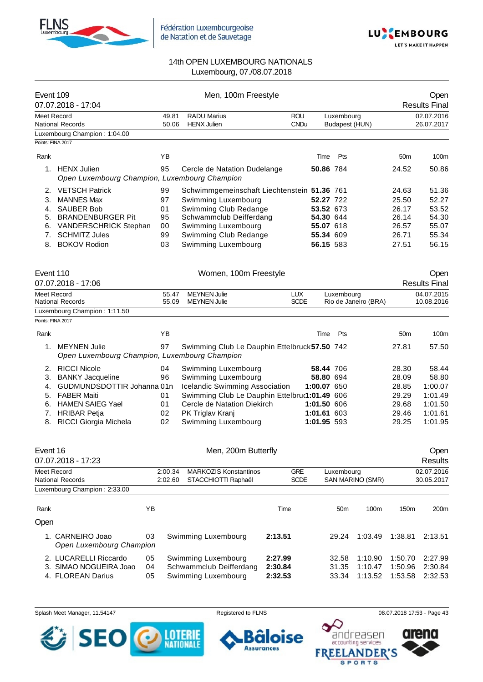



| Event 109         | 07.07.2018 - 17:04                                              |                    | Men, 100m Freestyle                                 |                           |             |                              |                      |                 | Open<br><b>Results Final</b> |
|-------------------|-----------------------------------------------------------------|--------------------|-----------------------------------------------------|---------------------------|-------------|------------------------------|----------------------|-----------------|------------------------------|
| Meet Record       | <b>National Records</b>                                         | 49.81<br>50.06     | <b>RADU Marius</b><br><b>HENX Julien</b>            | <b>ROU</b><br><b>CNDu</b> |             | Luxembourg<br>Budapest (HUN) |                      |                 | 02.07.2016<br>26.07.2017     |
|                   | Luxembourg Champion: 1:04.00                                    |                    |                                                     |                           |             |                              |                      |                 |                              |
| Points: FINA 2017 |                                                                 |                    |                                                     |                           |             |                              |                      |                 |                              |
| Rank              |                                                                 | YB                 |                                                     |                           | Time        | Pts                          |                      | 50 <sub>m</sub> | 100m                         |
|                   | 1. HENX Julien<br>Open Luxembourg Champion, Luxembourg Champion | 95                 | Cercle de Natation Dudelange                        |                           | 50.86 784   |                              |                      | 24.52           | 50.86                        |
| 2.                | <b>VETSCH Patrick</b>                                           | 99                 | Schwimmgemeinschaft Liechtenstein 51.36 761         |                           |             |                              |                      | 24.63           | 51.36                        |
| 3.                | <b>MANNES Max</b>                                               | 97                 | Swimming Luxembourg                                 |                           | 52.27 722   |                              |                      | 25.50           | 52.27                        |
| 4.                | <b>SAUBER Bob</b>                                               | 01                 | Swimming Club Redange                               |                           | 53.52 673   |                              |                      | 26.17           | 53.52                        |
| 5.                | <b>BRANDENBURGER Pit</b>                                        | 95                 | Schwammclub Deifferdang                             |                           | 54.30 644   |                              |                      | 26.14           | 54.30                        |
| 6.                | <b>VANDERSCHRICK Stephan</b>                                    | 00                 | Swimming Luxembourg                                 |                           | 55.07 618   |                              |                      | 26.57           | 55.07                        |
| 7.                | <b>SCHMITZ Jules</b>                                            | 99                 | Swimming Club Redange                               |                           | 55.34 609   |                              |                      | 26.71           | 55.34                        |
|                   | 8. BOKOV Rodion                                                 | 03                 | Swimming Luxembourg                                 |                           | 56.15 583   |                              |                      | 27.51           | 56.15                        |
| Event 110         | 07.07.2018 - 17:06                                              |                    | Women, 100m Freestyle                               |                           |             |                              |                      |                 | Open<br><b>Results Final</b> |
| Meet Record       |                                                                 | 55.47              | <b>MEYNEN Julie</b>                                 | <b>LUX</b>                |             | Luxembourg                   |                      |                 | 04.07.2015                   |
|                   | <b>National Records</b>                                         | 55.09              | <b>MEYNEN Julie</b>                                 | <b>SCDE</b>               |             |                              | Rio de Janeiro (BRA) |                 | 10.08.2016                   |
|                   | Luxembourg Champion: 1:11.50                                    |                    |                                                     |                           |             |                              |                      |                 |                              |
| Points: FINA 2017 |                                                                 |                    |                                                     |                           |             |                              |                      |                 |                              |
| Rank              |                                                                 | YB                 |                                                     |                           | Time        | Pts                          |                      | 50 <sub>m</sub> | 100m                         |
|                   | 1. MEYNEN Julie                                                 | 97                 | Swimming Club Le Dauphin Ettelbruck 57.50 742       |                           |             |                              |                      | 27.81           | 57.50                        |
|                   | Open Luxembourg Champion, Luxembourg Champion                   |                    |                                                     |                           |             |                              |                      |                 |                              |
|                   | 2. RICCI Nicole                                                 | 04                 | Swimming Luxembourg                                 |                           | 58.44 706   |                              |                      | 28.30           | 58.44                        |
| 3.                | <b>BANKY Jacqueline</b>                                         | 96                 | Swimming Luxembourg                                 |                           | 58.80 694   |                              |                      | 28.09           | 58.80                        |
|                   | 4. GUDMUNDSDOTTIR Johanna 01n                                   |                    | Icelandic Swimming Association                      |                           | 1:00.07 650 |                              |                      | 28.85           | 1:00.07                      |
| 5.                | <b>FABER Maiti</b>                                              | 01                 | Swimming Club Le Dauphin Ettelbru(1:01.49 606       |                           |             |                              |                      | 29.29           | 1:01.49                      |
| 6.                | <b>HAMEN SAIEG Yael</b>                                         | 01                 | Cercle de Natation Diekirch                         |                           | 1:01.50 606 |                              |                      | 29.68           | 1:01.50                      |
| 7.                | <b>HRIBAR Petja</b>                                             | 02                 | PK Triglav Kranj                                    |                           | 1:01.61 603 |                              |                      | 29.46           | 1:01.61                      |
|                   | 8. RICCI Giorgia Michela                                        | 02                 | Swimming Luxembourg                                 |                           | 1:01.95 593 |                              |                      | 29.25           | 1:01.95                      |
| Event 16          | 07.07.2018 - 17:23                                              |                    | Men, 200m Butterfly                                 |                           |             |                              |                      |                 | Open<br><b>Results</b>       |
|                   |                                                                 |                    |                                                     |                           |             |                              |                      |                 |                              |
| Meet Record       | <b>National Records</b>                                         | 2:00.34<br>2:02.60 | <b>MARKOZIS Konstantinos</b><br>STACCHIOTTI Raphaël | <b>GRE</b><br><b>SCDE</b> |             | Luxembourg                   | SAN MARINO (SMR)     |                 | 02.07.2016<br>30.05.2017     |
|                   | Luxembourg Champion: 2:33.00                                    |                    |                                                     |                           |             |                              |                      |                 |                              |
| Rank              |                                                                 | ΥB                 |                                                     | Time                      |             | 50 <sub>m</sub>              | 100m                 | 150m            | 200m                         |
| Open              |                                                                 |                    |                                                     |                           |             |                              |                      |                 |                              |
|                   |                                                                 |                    |                                                     |                           |             |                              |                      |                 |                              |
|                   | 1. CARNEIRO Joao<br>Open Luxembourg Champion                    | 03                 | Swimming Luxembourg                                 | 2:13.51                   |             | 29.24                        | 1:03.49              | 1:38.81         | 2:13.51                      |
|                   | 2. LUCARELLI Riccardo                                           | 05                 | Swimming Luxembourg                                 | 2:27.99                   |             | 32.58                        | 1:10.90              | 1:50.70         | 2:27.99                      |
|                   | 3. SIMAO NOGUEIRA Joao                                          | 04                 | Schwammclub Deifferdang                             | 2:30.84                   |             | 31.35                        | 1:10.47              | 1:50.96         | 2:30.84                      |
|                   | 4. FLOREAN Darius                                               | 05                 | Swimming Luxembourg                                 | 2:32.53                   |             | 33.34                        | 1:13.52              | 1:53.58         | 2:32.53                      |







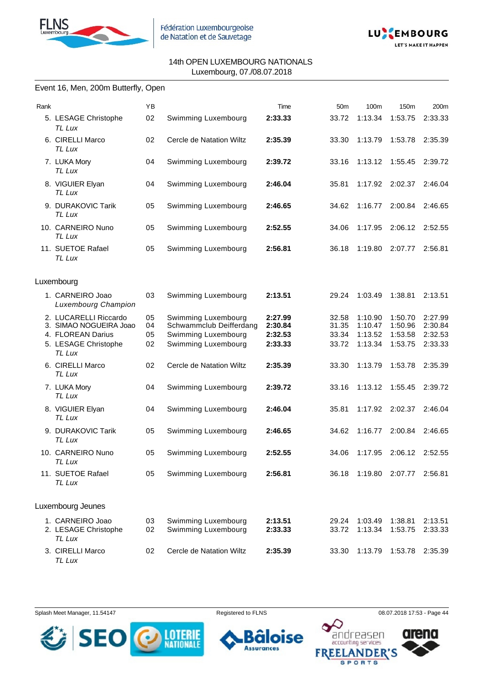



#### Event 16, Men, 200m Butterfly, Open

| Rank |                                                                                                        | ΥB                   |                                                                                              | Time                                     | 50 <sub>m</sub>                  | 100m                                     | 150m                                     | 200m                                     |
|------|--------------------------------------------------------------------------------------------------------|----------------------|----------------------------------------------------------------------------------------------|------------------------------------------|----------------------------------|------------------------------------------|------------------------------------------|------------------------------------------|
|      | 5. LESAGE Christophe<br>TL Lux                                                                         | 02                   | Swimming Luxembourg                                                                          | 2:33.33                                  | 33.72                            | 1:13.34                                  | 1:53.75                                  | 2:33.33                                  |
|      | 6. CIRELLI Marco<br>TL Lux                                                                             | 02                   | Cercle de Natation Wiltz                                                                     | 2:35.39                                  | 33.30                            | 1:13.79                                  | 1:53.78                                  | 2:35.39                                  |
|      | 7. LUKA Mory<br>TL Lux                                                                                 | 04                   | Swimming Luxembourg                                                                          | 2:39.72                                  | 33.16                            | 1:13.12                                  | 1:55.45                                  | 2:39.72                                  |
|      | 8. VIGUIER Elyan<br>TL Lux                                                                             | 04                   | Swimming Luxembourg                                                                          | 2:46.04                                  | 35.81                            | 1:17.92                                  | 2:02.37                                  | 2:46.04                                  |
|      | 9. DURAKOVIC Tarik<br>TL Lux                                                                           | 05                   | Swimming Luxembourg                                                                          | 2:46.65                                  | 34.62                            | 1:16.77                                  | 2:00.84                                  | 2:46.65                                  |
|      | 10. CARNEIRO Nuno<br>TL Lux                                                                            | 05                   | Swimming Luxembourg                                                                          | 2:52.55                                  | 34.06                            | 1:17.95                                  | 2:06.12                                  | 2:52.55                                  |
|      | 11. SUETOE Rafael<br>TL Lux                                                                            | 05                   | Swimming Luxembourg                                                                          | 2:56.81                                  | 36.18                            | 1:19.80                                  | 2:07.77                                  | 2:56.81                                  |
|      | Luxembourg                                                                                             |                      |                                                                                              |                                          |                                  |                                          |                                          |                                          |
|      | 1. CARNEIRO Joao<br><b>Luxembourg Champion</b>                                                         | 03                   | Swimming Luxembourg                                                                          | 2:13.51                                  | 29.24                            | 1:03.49                                  | 1:38.81                                  | 2:13.51                                  |
|      | 2. LUCARELLI Riccardo<br>3. SIMAO NOGUEIRA Joao<br>4. FLOREAN Darius<br>5. LESAGE Christophe<br>TL Lux | 05<br>04<br>05<br>02 | Swimming Luxembourg<br>Schwammclub Deifferdang<br>Swimming Luxembourg<br>Swimming Luxembourg | 2:27.99<br>2:30.84<br>2:32.53<br>2:33.33 | 32.58<br>31.35<br>33.34<br>33.72 | 1:10.90<br>1:10.47<br>1:13.52<br>1:13.34 | 1:50.70<br>1:50.96<br>1:53.58<br>1:53.75 | 2:27.99<br>2:30.84<br>2:32.53<br>2:33.33 |
|      | 6. CIRELLI Marco<br>TL Lux                                                                             | 02                   | Cercle de Natation Wiltz                                                                     | 2:35.39                                  | 33.30                            | 1:13.79                                  | 1:53.78                                  | 2:35.39                                  |
|      | 7. LUKA Mory<br>TL Lux                                                                                 | 04                   | Swimming Luxembourg                                                                          | 2:39.72                                  | 33.16                            | 1:13.12                                  | 1:55.45                                  | 2:39.72                                  |
|      | 8. VIGUIER Elyan<br>TL Lux                                                                             | 04                   | Swimming Luxembourg                                                                          | 2:46.04                                  | 35.81                            | 1:17.92                                  | 2:02.37                                  | 2:46.04                                  |
|      | 9. DURAKOVIC Tarik<br>TL Lux                                                                           | 05                   | Swimming Luxembourg                                                                          | 2:46.65                                  | 34.62                            | 1:16.77                                  | 2:00.84                                  | 2:46.65                                  |
|      | 10. CARNEIRO Nuno<br>I L Lux                                                                           | 05                   | Swimming Luxembourg                                                                          | 2:52.55                                  | 34.06                            | 1:17.95                                  | 2:06.12 2:52.55                          |                                          |
|      | 11. SUETOE Rafael<br>TL Lux                                                                            | 05                   | Swimming Luxembourg                                                                          | 2:56.81                                  | 36.18                            | 1:19.80                                  | 2:07.77                                  | 2:56.81                                  |
|      | Luxembourg Jeunes                                                                                      |                      |                                                                                              |                                          |                                  |                                          |                                          |                                          |
|      | 1. CARNEIRO Joao<br>2. LESAGE Christophe<br>TL Lux                                                     | 03<br>02             | Swimming Luxembourg<br>Swimming Luxembourg                                                   | 2:13.51<br>2:33.33                       | 29.24<br>33.72                   | 1:03.49<br>1:13.34                       | 1:38.81<br>1:53.75                       | 2:13.51<br>2:33.33                       |
|      | 3. CIRELLI Marco<br>TL Lux                                                                             | 02                   | Cercle de Natation Wiltz                                                                     | 2:35.39                                  | 33.30                            | 1:13.79                                  | 1:53.78                                  | 2:35.39                                  |

Splash Meet Manager, 11.54147 **Registered to FLNS Registered to FLNS** 08.07.2018 17:53 - Page 44



ise 6 o

**Assurances** 

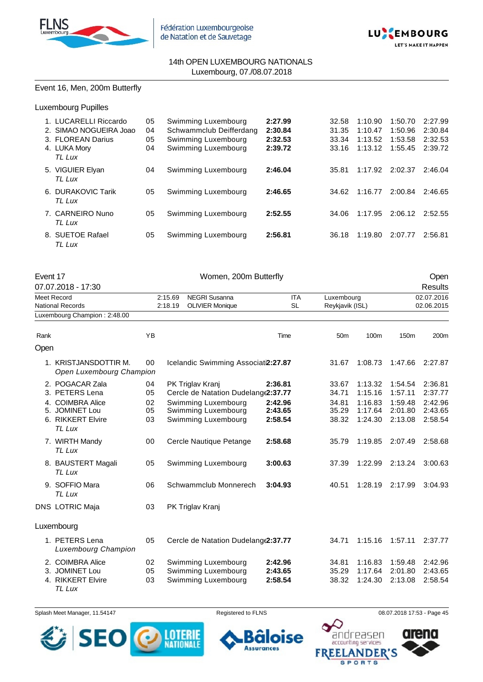



### Event 16, Men, 200m Butterfly

Luxembourg Pupilles

| 1. LUCARELLI Riccardo<br>2. SIMAO NOGUEIRA Joao<br>3. FLOREAN Darius<br>4. LUKA Mory<br>TL Lux | 05<br>04<br>05<br>04 | Swimming Luxembourg<br>Schwammclub Deifferdang<br>Swimming Luxembourg<br>Swimming Luxembourg | 2:27.99<br>2:30.84<br>2:32.53<br>2:39.72 | 32.58<br>31.35<br>33.34<br>33.16 | 1:10.90<br>1:10.47<br>1:13.52<br>1:13.12 | 1:50.70<br>1:50.96<br>1:53.58<br>1:55.45 | 2:27.99<br>2:30.84<br>2:32.53<br>2:39.72 |
|------------------------------------------------------------------------------------------------|----------------------|----------------------------------------------------------------------------------------------|------------------------------------------|----------------------------------|------------------------------------------|------------------------------------------|------------------------------------------|
| 5. VIGUIER Elyan<br>TL Lux                                                                     | 04                   | Swimming Luxembourg                                                                          | 2:46.04                                  | 35.81                            | 1:17.92                                  | 2:02.37                                  | 2:46.04                                  |
| 6. DURAKOVIC Tarik<br>TL Lux                                                                   | 05                   | Swimming Luxembourg                                                                          | 2:46.65                                  | 34.62                            | 1:16.77                                  | 2:00.84                                  | 2:46.65                                  |
| 7. CARNEIRO Nuno<br>TL Lux                                                                     | 05                   | Swimming Luxembourg                                                                          | 2:52.55                                  | 34.06                            | 1:17.95                                  | 2:06.12                                  | 2:52.55                                  |
| 8. SUETOE Rafael<br>TL Lux                                                                     | 05                   | Swimming Luxembourg                                                                          | 2:56.81                                  | 36.18                            | 1:19.80                                  | 2:07.77                                  | 2:56.81                                  |

| Event 17 | 07.07.2018 - 17:30                                                                                     |                            |                    | Women, 200m Butterfly                                                                                                         |                                          |                                           |                                                     |                                                     | Open<br><b>Results</b>                              |
|----------|--------------------------------------------------------------------------------------------------------|----------------------------|--------------------|-------------------------------------------------------------------------------------------------------------------------------|------------------------------------------|-------------------------------------------|-----------------------------------------------------|-----------------------------------------------------|-----------------------------------------------------|
|          | Meet Record<br><b>National Records</b>                                                                 |                            | 2:15.69<br>2:18.19 | <b>NEGRI Susanna</b><br><b>OLIVIER Monique</b>                                                                                | <b>ITA</b><br><b>SL</b>                  | Luxembourg<br>Reykjavik (ISL)             |                                                     |                                                     | 02.07.2016<br>02.06.2015                            |
|          | Luxembourg Champion: 2:48.00                                                                           |                            |                    |                                                                                                                               |                                          |                                           |                                                     |                                                     |                                                     |
| Rank     |                                                                                                        | YB                         |                    |                                                                                                                               | Time                                     | 50 <sub>m</sub>                           | 100m                                                | 150m                                                | 200m                                                |
| Open     |                                                                                                        |                            |                    |                                                                                                                               |                                          |                                           |                                                     |                                                     |                                                     |
|          | 1. KRISTJANSDOTTIR M.<br>Open Luxembourg Champion                                                      | 00                         |                    | Icelandic Swimming Associati2:27.87                                                                                           |                                          | 31.67                                     | 1:08.73                                             | 1:47.66                                             | 2:27.87                                             |
|          | 2. POGACAR Zala<br>3. PETERS Lena<br>4. COIMBRA Alice<br>5. JOMINET Lou<br>6. RIKKERT Elvire<br>TL Lux | 04<br>05<br>02<br>05<br>03 |                    | PK Triglav Kranj<br>Cercle de Natation Dudelang (2:37.77<br>Swimming Luxembourg<br>Swimming Luxembourg<br>Swimming Luxembourg | 2:36.81<br>2:42.96<br>2:43.65<br>2:58.54 | 33.67<br>34.71<br>34.81<br>35.29<br>38.32 | 1:13.32<br>1:15.16<br>1:16.83<br>1:17.64<br>1:24.30 | 1:54.54<br>1:57.11<br>1:59.48<br>2:01.80<br>2:13.08 | 2:36.81<br>2:37.77<br>2:42.96<br>2:43.65<br>2:58.54 |
|          | 7. WIRTH Mandy<br>TL Lux                                                                               | 00                         |                    | Cercle Nautique Petange                                                                                                       | 2:58.68                                  | 35.79                                     | 1:19.85                                             | 2:07.49                                             | 2:58.68                                             |
|          | 8. BAUSTERT Magali<br>TL Lux                                                                           | 05                         |                    | Swimming Luxembourg                                                                                                           | 3:00.63                                  | 37.39                                     | 1:22.99                                             | 2:13.24                                             | 3:00.63                                             |
|          | 9. SOFFIO Mara<br>TL Lux                                                                               | 06                         |                    | Schwammclub Monnerech                                                                                                         | 3:04.93                                  | 40.51                                     | 1:28.19                                             | 2:17.99                                             | 3:04.93                                             |
|          | <b>DNS LOTRIC Maja</b>                                                                                 | 03                         |                    | PK Triglav Kranj                                                                                                              |                                          |                                           |                                                     |                                                     |                                                     |
|          | Luxembourg                                                                                             |                            |                    |                                                                                                                               |                                          |                                           |                                                     |                                                     |                                                     |
|          | 1. PETERS Lena<br>Luxembourg Champion                                                                  | 05                         |                    | Cercle de Natation Dudelang(2:37.77                                                                                           |                                          | 34.71                                     | 1:15.16                                             | 1:57.11                                             | 2:37.77                                             |
|          | 2. COIMBRA Alice<br>3. JOMINET Lou<br>4. RIKKERT Elvire<br>TL Lux                                      | 02<br>05<br>03             |                    | Swimming Luxembourg<br>Swimming Luxembourg<br>Swimming Luxembourg                                                             | 2:42.96<br>2:43.65<br>2:58.54            | 34.81<br>35.29<br>38.32                   | 1:16.83<br>1:17.64<br>1:24.30                       | 1:59.48<br>2:01.80<br>2:13.08                       | 2:42.96<br>2:43.65<br>2:58.54                       |

Splash Meet Manager, 11.54147 **Registered to FLNS Registered to FLNS** 08.07.2018 17:53 - Page 45





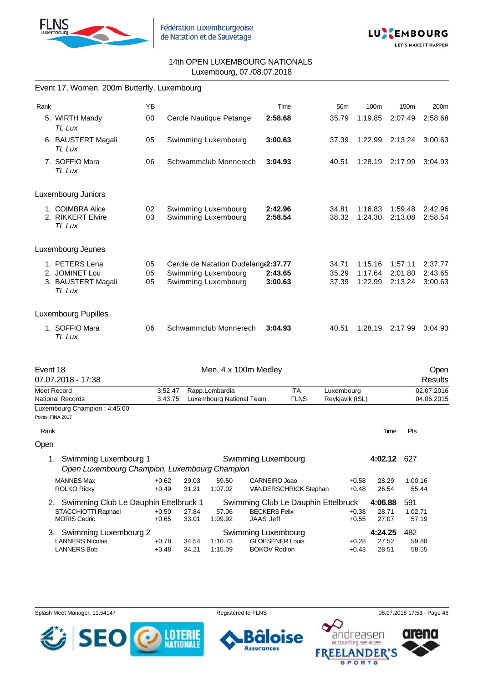



|          | Event 17, Women, 200m Butterfly, Luxembourg                                            |                    |                    |                |                                            |                                                                          |       |                               |                    |                    |                         |                          |
|----------|----------------------------------------------------------------------------------------|--------------------|--------------------|----------------|--------------------------------------------|--------------------------------------------------------------------------|-------|-------------------------------|--------------------|--------------------|-------------------------|--------------------------|
| Rank     |                                                                                        | YB                 |                    |                |                                            | Time                                                                     |       | 50 <sub>m</sub>               | 100m               | 150m               |                         | 200m                     |
|          | 5. WIRTH Mandy<br>TL Lux                                                               | 00                 |                    |                | Cercle Nautique Petange                    | 2:58.68                                                                  |       | 35.79                         | 1:19.85            | 2:07.49            |                         | 2:58.68                  |
|          | 6. BAUSTERT Magali<br>TL Lux                                                           | 05                 |                    |                | Swimming Luxembourg                        | 3:00.63                                                                  |       | 37.39                         | 1:22.99            | 2:13.24            |                         | 3:00.63                  |
|          | 7. SOFFIO Mara<br>TL Lux                                                               | 06                 |                    |                | Schwammclub Monnerech                      | 3:04.93                                                                  | 40.51 |                               | 1:28.19            | 2:17.99            |                         | 3:04.93                  |
|          | Luxembourg Juniors                                                                     |                    |                    |                |                                            |                                                                          |       |                               |                    |                    |                         |                          |
|          | 1. COIMBRA Alice<br>2. RIKKERT Elvire<br>TL Lux                                        | 02<br>03           |                    |                | Swimming Luxembourg<br>Swimming Luxembourg | 2:42.96<br>2:58.54                                                       |       | 34.81<br>38.32                | 1:16.83<br>1:24.30 | 1:59.48<br>2:13.08 |                         | 2:42.96<br>2:58.54       |
|          | Luxembourg Jeunes                                                                      |                    |                    |                |                                            |                                                                          |       |                               |                    |                    |                         |                          |
|          | 1. PETERS Lena                                                                         | 05                 |                    |                | Cercle de Natation Dudelang (2:37.77       |                                                                          |       | 34.71                         | 1:15.16            | 1:57.11            |                         | 2:37.77                  |
|          | 2. JOMINET Lou                                                                         | 05                 |                    |                | Swimming Luxembourg                        | 2:43.65                                                                  |       | 35.29                         | 1:17.64            | 2:01.80            |                         | 2:43.65                  |
|          | 3. BAUSTERT Magali<br>TL Lux                                                           | 05                 |                    |                | Swimming Luxembourg                        | 3:00.63                                                                  |       | 37.39                         | 1:22.99            | 2:13.24            |                         | 3:00.63                  |
|          | <b>Luxembourg Pupilles</b>                                                             |                    |                    |                |                                            |                                                                          |       |                               |                    |                    |                         |                          |
|          | 1. SOFFIO Mara<br>TL Lux                                                               | 06                 |                    |                | Schwammclub Monnerech                      | 3:04.93                                                                  | 40.51 |                               | 1:28.19            | 2:17.99            |                         | 3:04.93                  |
| Event 18 | 07.07.2018 - 17:38                                                                     |                    |                    |                | Men, 4 x 100m Medley                       |                                                                          |       |                               |                    |                    |                         | Open<br><b>Results</b>   |
|          | Meet Record<br><b>National Records</b>                                                 |                    | 3:52.47<br>3:43.75 |                | Rapp.Lombardia<br>Luxembourg National Team | <b>ITA</b><br><b>FLNS</b>                                                |       | Luxembourg<br>Reykjavik (ISL) |                    |                    |                         | 02.07.2016<br>04.06.2015 |
|          | Luxembourg Champion: 4:45.00                                                           |                    |                    |                |                                            |                                                                          |       |                               |                    |                    |                         |                          |
|          | Points: FINA 2017                                                                      |                    |                    |                |                                            |                                                                          |       |                               |                    |                    |                         |                          |
| Rank     |                                                                                        |                    |                    |                |                                            |                                                                          |       |                               |                    | Time               | Pts                     |                          |
| Open     |                                                                                        |                    |                    |                |                                            |                                                                          |       |                               |                    |                    |                         |                          |
|          | 1. Swimming Luxembourg 1<br>Open Luxembourg Champion, Luxembourg Champion              |                    |                    |                |                                            | Swimming Luxembourg                                                      |       |                               |                    | 4:02.12 627        |                         |                          |
|          | <b>MANNES Max</b><br><b>ROLKO Ricky</b>                                                | $+0.62$<br>$+0.49$ |                    | 29.03<br>31.21 | 59.50<br>1:07.02                           | CARNEIRO Joao<br>VANDERSCHRICK Stephan                                   |       | $+0.58$<br>$+0.48$            |                    | 28.29<br>26.54     | 1:00.16<br>55.44        |                          |
|          | 2. Swimming Club Le Dauphin Ettelbruck 1<br>STACCHIOTTI Raphael<br><b>MORIS Cedric</b> | $+0.50$<br>$+0.65$ |                    | 27.84<br>33.01 | 57.06<br>1:09.92                           | Swimming Club Le Dauphin Ettelbruck<br><b>BECKERS Felix</b><br>JAAS Jeff |       | $+0.38$<br>$+0.55$            | 4:06.88            | 28.71<br>27.07     | 591<br>1:02.71<br>57.19 |                          |
|          | 3. Swimming Luxembourg 2<br><b>LANNERS Nicolas</b>                                     | $+0.78$            |                    | 34.54          | 1:10.73                                    | Swimming Luxembourg<br><b>GLOESENER Louis</b>                            |       | $+0.28$                       | 4:24.25            | 27.52              | 482<br>59.88            |                          |

Splash Meet Manager, 11.54147 **Registered to FLNS Registered to FLNS** 08.07.2018 17:53 - Page 46

**Assurances** 

LANNERS Bob +0.48 34.21 1:15.09 BOKOV Rodion +0.43 28.51 58.55



 $\bm{\mathsf{Q}}$  $\bullet$ 

**FREEL** 

ise



**ANDER'S** 

**SPORTS**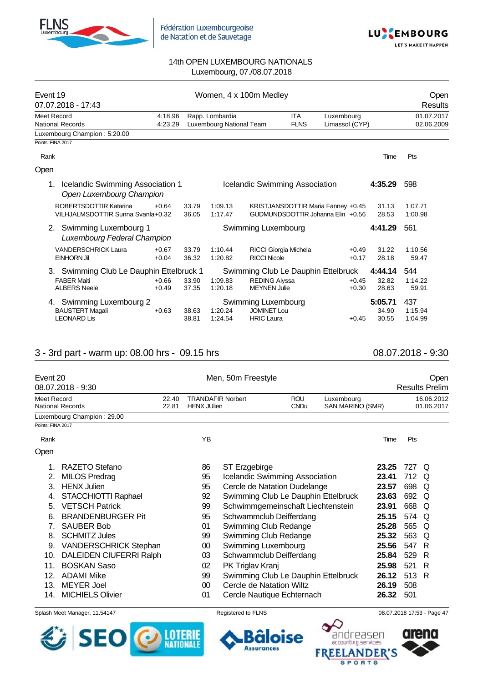



| Event 19                                                           |         |       |                          | Women, 4 x 100m Medley                |             |                                    |         | Open       |  |
|--------------------------------------------------------------------|---------|-------|--------------------------|---------------------------------------|-------------|------------------------------------|---------|------------|--|
| 07.07.2018 - 17:43                                                 |         |       |                          |                                       |             |                                    |         | Results    |  |
| Meet Record                                                        | 4:18.96 |       | Rapp. Lombardia          |                                       | <b>ITA</b>  | Luxembourg                         |         | 01.07.2017 |  |
| <b>National Records</b>                                            | 4:23.29 |       | Luxembourg National Team |                                       | <b>FLNS</b> | Limassol (CYP)                     |         | 02.06.2009 |  |
| Luxembourg Champion: 5:20.00                                       |         |       |                          |                                       |             |                                    |         |            |  |
| Points: FINA 2017                                                  |         |       |                          |                                       |             |                                    |         |            |  |
| Rank                                                               |         |       |                          |                                       |             |                                    | Time    | <b>Pts</b> |  |
| Open                                                               |         |       |                          |                                       |             |                                    |         |            |  |
| Icelandic Swimming Association 1<br>1.<br>Open Luxembourg Champion |         |       |                          | <b>Icelandic Swimming Association</b> |             |                                    | 4:35.29 | 598        |  |
| ROBERTSDOTTIR Katarina                                             | $+0.64$ | 33.79 | 1:09.13                  |                                       |             | KRISTJANSDOTTIR Maria Fanney +0.45 | 31.13   | 1:07.71    |  |
| VILHJALMSDOTTIR Sunna Svanla+0.32                                  |         | 36.05 | 1:17.47                  |                                       |             | GUDMUNDSDOTTIR Johanna Elin +0.56  | 28.53   | 1:00.98    |  |
| 2. Swimming Luxembourg 1<br>Luxembourg Federal Champion            |         |       |                          | Swimming Luxembourg                   |             |                                    | 4:41.29 | 561        |  |
| <b>VANDERSCHRICK Laura</b>                                         | $+0.67$ | 33.79 | 1:10.44                  | RICCI Giorgia Michela                 |             | $+0.49$                            | 31.22   | 1:10.56    |  |
| <b>EINHORN Jil</b>                                                 | $+0.04$ | 36.32 | 1:20.82                  | <b>RICCI Nicole</b>                   |             | $+0.17$                            | 28.18   | 59.47      |  |
| 3. Swimming Club Le Dauphin Ettelbruck 1                           |         |       |                          | Swimming Club Le Dauphin Ettelbruck   |             |                                    | 4:44.14 | 544        |  |
| <b>FABER Maiti</b>                                                 | $+0.66$ | 33.90 | 1:09.83                  | <b>REDING Alyssa</b>                  |             | $+0.45$                            | 32.82   | 1:14.22    |  |
| <b>ALBERS Neele</b>                                                | $+0.49$ | 37.35 | 1:20.18                  | <b>MEYNEN Julie</b>                   |             | $+0.30$                            | 28.63   | 59.91      |  |
| 4. Swimming Luxembourg 2                                           |         |       |                          | Swimming Luxembourg                   |             |                                    | 5:05.71 | 437        |  |
| <b>BAUSTERT Magali</b>                                             | $+0.63$ | 38.63 | 1:20.24                  | <b>JOMINET Lou</b>                    |             |                                    | 34.90   | 1:15.94    |  |
| <b>LEONARD Lis</b>                                                 |         | 38.81 | 1:24.54                  | <b>HRIC Laura</b>                     |             | $+0.45$                            | 30.55   | 1:04.99    |  |

## 3 - 3rd part - warm up: 08.00 hrs - 09.15 hrs 08.07.2018 - 9:30

|                   | Event 20<br>08.07.2018 - 9:30  |                | Men, 50m Freestyle                             |                                       |                           |                                |       | Open<br><b>Results Prelim</b> |                          |  |  |  |
|-------------------|--------------------------------|----------------|------------------------------------------------|---------------------------------------|---------------------------|--------------------------------|-------|-------------------------------|--------------------------|--|--|--|
| Meet Record       | <b>National Records</b>        | 22.40<br>22.81 | <b>TRANDAFIR Norbert</b><br><b>HENX JUlien</b> |                                       | <b>ROU</b><br><b>CNDu</b> | Luxembourg<br>SAN MARINO (SMR) |       |                               | 16.06.2012<br>01.06.2017 |  |  |  |
|                   | Luxembourg Champion: 29.00     |                |                                                |                                       |                           |                                |       |                               |                          |  |  |  |
| Points: FINA 2017 |                                |                |                                                |                                       |                           |                                |       |                               |                          |  |  |  |
| Rank              |                                |                | YB                                             |                                       |                           |                                | Time  | Pts                           |                          |  |  |  |
| Open              |                                |                |                                                |                                       |                           |                                |       |                               |                          |  |  |  |
| $1_{-}$           | RAZETO Stefano                 |                | 86                                             | ST Erzgebirge                         |                           |                                | 23.25 | 727 Q                         |                          |  |  |  |
| 2.                | <b>MILOS Predrag</b>           |                | 95                                             | <b>Icelandic Swimming Association</b> |                           |                                | 23.41 | 712                           | Q                        |  |  |  |
| 3.                | <b>HENX Julien</b>             |                | 95                                             | Cercle de Natation Dudelange          |                           |                                | 23.57 | 698                           | Q                        |  |  |  |
| 4.                | STACCHIOTTI Raphael            |                | 92                                             | Swimming Club Le Dauphin Ettelbruck   |                           |                                | 23.63 | 692                           | Q                        |  |  |  |
| 5.                | <b>VETSCH Patrick</b>          |                | 99                                             | Schwimmgemeinschaft Liechtenstein     |                           |                                | 23.91 | 668                           | Q                        |  |  |  |
| 6.                | <b>BRANDENBURGER Pit</b>       |                | 95                                             | Schwammclub Deifferdang               |                           |                                | 25.15 | 574 Q                         |                          |  |  |  |
| 7.                | <b>SAUBER Bob</b>              |                | 01                                             | Swimming Club Redange                 |                           |                                | 25.28 | 565                           | Q                        |  |  |  |
| 8.                | <b>SCHMITZ Jules</b>           |                | 99                                             | Swimming Club Redange                 |                           |                                | 25.32 | 563                           | Q                        |  |  |  |
| 9.                | <b>VANDERSCHRICK Stephan</b>   |                | $00\,$                                         | Swimming Luxembourg                   |                           |                                | 25.56 | 547                           | -R                       |  |  |  |
| 10.               | <b>DALEIDEN CIUFERRI Ralph</b> |                | 03                                             | Schwammclub Deifferdang               |                           |                                | 25.84 | 529                           | R                        |  |  |  |
| 11.               | <b>BOSKAN Saso</b>             |                | 02                                             | PK Triglav Kranj                      |                           |                                | 25.98 | 521                           | -R                       |  |  |  |
| 12.               | <b>ADAMI Mike</b>              |                | 99                                             | Swimming Club Le Dauphin Ettelbruck   |                           |                                | 26.12 | 513 R                         |                          |  |  |  |
| 13.               | <b>MEYER Joel</b>              |                | $00\,$                                         | Cercle de Natation Wiltz              |                           |                                | 26.19 | 508                           |                          |  |  |  |
| 14.               | <b>MICHIELS Olivier</b>        |                | 01                                             | Cercle Nautique Echternach            |                           |                                | 26.32 | 501                           |                          |  |  |  |

Splash Meet Manager, 11.54147 **Registered to FLNS Registered to FLNS** 08.07.2018 17:53 - Page 47





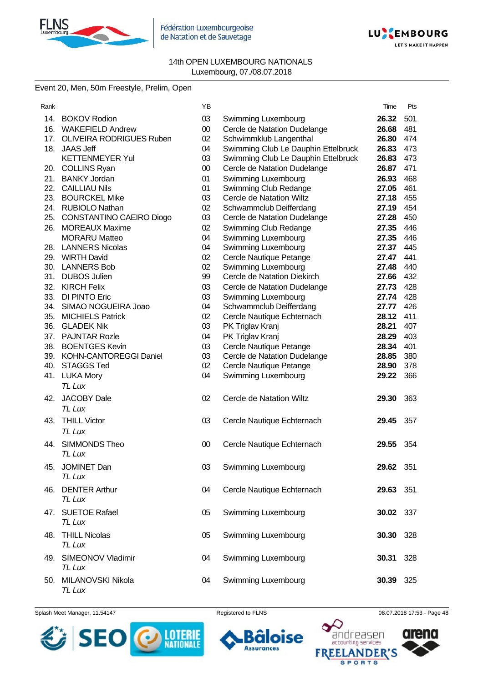



# Event 20, Men, 50m Freestyle, Prelim, Open

| Rank |                              | YB     |                                     | Time      | Pts |
|------|------------------------------|--------|-------------------------------------|-----------|-----|
|      | 14. BOKOV Rodion             | 03     | Swimming Luxembourg                 | 26.32     | 501 |
|      | 16. WAKEFIELD Andrew         | $00\,$ | Cercle de Natation Dudelange        | 26.68     | 481 |
|      | 17. OLIVEIRA RODRIGUES Ruben | 02     | Schwimmklub Langenthal              | 26.80     | 474 |
|      | 18. JAAS Jeff                | 04     | Swimming Club Le Dauphin Ettelbruck | 26.83     | 473 |
|      | <b>KETTENMEYER Yul</b>       | 03     | Swimming Club Le Dauphin Ettelbruck | 26.83     | 473 |
|      | 20. COLLINS Ryan             | $00\,$ | Cercle de Natation Dudelange        | 26.87     | 471 |
|      | 21. BANKY Jordan             | 01     | Swimming Luxembourg                 | 26.93     | 468 |
|      | 22. CAILLIAU Nils            | 01     | Swimming Club Redange               | 27.05     | 461 |
|      | 23. BOURCKEL Mike            | 03     | Cercle de Natation Wiltz            | 27.18     | 455 |
|      | 24. RUBIOLO Nathan           | 02     | Schwammclub Deifferdang             | 27.19     | 454 |
|      | 25. CONSTANTINO CAEIRO Diogo | 03     | Cercle de Natation Dudelange        | 27.28     | 450 |
|      | 26. MOREAUX Maxime           | 02     | Swimming Club Redange               | 27.35     | 446 |
|      | <b>MORARU Matteo</b>         | 04     | Swimming Luxembourg                 | 27.35     | 446 |
|      | 28. LANNERS Nicolas          | 04     | Swimming Luxembourg                 | 27.37     | 445 |
|      | 29. WIRTH David              | 02     | Cercle Nautique Petange             | 27.47     | 441 |
|      | 30. LANNERS Bob              | 02     | Swimming Luxembourg                 | 27.48     | 440 |
|      | 31. DUBOS Julien             | 99     | Cercle de Natation Diekirch         | 27.66     | 432 |
| 32.  | <b>KIRCH Felix</b>           | 03     | Cercle de Natation Dudelange        | 27.73     | 428 |
|      | 33. DI PINTO Eric            | 03     | Swimming Luxembourg                 | 27.74     | 428 |
| 34.  | SIMAO NOGUEIRA Joao          | 04     | Schwammclub Deifferdang             | 27.77     | 426 |
| 35.  | <b>MICHIELS Patrick</b>      | 02     | Cercle Nautique Echternach          | 28.12     | 411 |
| 36.  | <b>GLADEK Nik</b>            | 03     | PK Triglav Kranj                    | 28.21     | 407 |
| 37.  | <b>PAJNTAR Rozle</b>         | 04     | PK Triglav Kranj                    | 28.29     | 403 |
| 38.  | <b>BOENTGES Kevin</b>        | 03     | Cercle Nautique Petange             | 28.34     | 401 |
|      | 39. KOHN-CANTOREGGI Daniel   | 03     | Cercle de Natation Dudelange        | 28.85     | 380 |
| 40.  | <b>STAGGS Ted</b>            | 02     | Cercle Nautique Petange             | 28.90     | 378 |
|      | 41. LUKA Mory                | 04     | Swimming Luxembourg                 | 29.22     | 366 |
|      | <b>TL Lux</b>                |        |                                     |           |     |
| 42.  | <b>JACOBY Dale</b>           | 02     | <b>Cercle de Natation Wiltz</b>     | 29.30     | 363 |
|      | TL Lux                       |        |                                     |           |     |
| 43.  | <b>THILL Victor</b>          | 03     | Cercle Nautique Echternach          | 29.45     | 357 |
|      | TL Lux                       |        |                                     |           |     |
| 44.  | SIMMONDS Theo                |        |                                     | 29.55     |     |
|      | TL Lux                       | 00     | Cercle Nautique Echternach          |           | 354 |
|      |                              |        |                                     |           |     |
| 45.  | JOMINET Dan                  | 03     | Swimming Luxembourg                 | 29.62 351 |     |
|      | TL Lux                       |        |                                     |           |     |
|      | 46. DENTER Arthur            | 04     | Cercle Nautique Echternach          | 29.63     | 351 |
|      | TL Lux                       |        |                                     |           |     |
|      | 47. SUETOE Rafael            | 05     | Swimming Luxembourg                 | 30.02 337 |     |
|      | TL Lux                       |        |                                     |           |     |
| 48.  | <b>THILL Nicolas</b>         | 05     | Swimming Luxembourg                 | 30.30     | 328 |
|      | TL Lux                       |        |                                     |           |     |
|      |                              |        |                                     |           |     |
|      | 49. SIMEONOV Vladimir        | 04     | Swimming Luxembourg                 | 30.31     | 328 |
|      | TL Lux                       |        |                                     |           |     |
| 50.  | MILANOVSKI Nikola            | 04     | Swimming Luxembourg                 | 30.39     | 325 |
|      | TL Lux                       |        |                                     |           |     |

Splash Meet Manager, 11.54147 **Registered to FLNS Registered to FLNS** 08.07.2018 17:53 - Page 48



oise 6

**Assurances** 

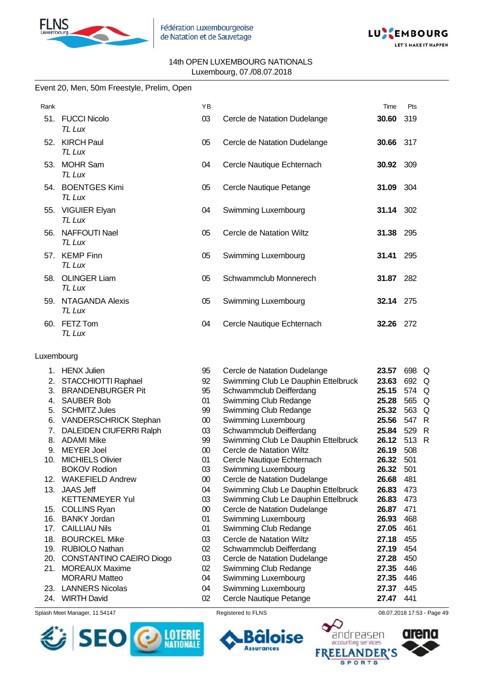



#### Event 20, Men, 50m Freestyle, Prelim, Open

| Rank |                                | YB |                              | Time             | Pts  |
|------|--------------------------------|----|------------------------------|------------------|------|
| 51.  | <b>FUCCI Nicolo</b><br>TL Lux  | 03 | Cercle de Natation Dudelange | 30.60            | 319  |
| 52.  | <b>KIRCH Paul</b><br>TL Lux    | 05 | Cercle de Natation Dudelange | 30.66 317        |      |
| 53.  | <b>MOHR Sam</b><br>TL Lux      | 04 | Cercle Nautique Echternach   | <b>30.92</b> 309 |      |
| 54.  | <b>BOENTGES Kimi</b><br>TL Lux | 05 | Cercle Nautique Petange      | <b>31.09</b> 304 |      |
| 55.  | <b>VIGUIER Elyan</b><br>TL Lux | 04 | Swimming Luxembourg          | 31.14 302        |      |
| 56.  | <b>NAFFOUTI Nael</b><br>TL Lux | 05 | Cercle de Natation Wiltz     | 31.38            | 295  |
| 57.  | <b>KEMP Finn</b><br>TL Lux     | 05 | Swimming Luxembourg          | 31.41            | 295  |
| 58.  | <b>OLINGER Liam</b><br>TL Lux  | 05 | Schwammclub Monnerech        | 31.87 282        |      |
| 59.  | NTAGANDA Alexis<br>TL Lux      | 05 | Swimming Luxembourg          | <b>32.14</b> 275 |      |
| 60.  | FETZ Tom<br>TL Lux             | 04 | Cercle Nautique Echternach   | 32.26            | -272 |

#### Luxembourg

| 1.  | <b>HENX Julien</b>             | 95     | Cercle de Natation Dudelange        | 23.57 | 698 | Q            |
|-----|--------------------------------|--------|-------------------------------------|-------|-----|--------------|
| 2.  | STACCHIOTTI Raphael            | 92     | Swimming Club Le Dauphin Ettelbruck | 23.63 | 692 | O            |
| 3.  | <b>BRANDENBURGER Pit</b>       | 95     | Schwammclub Deifferdang             | 25.15 | 574 | $\Omega$     |
| 4.  | <b>SAUBER Bob</b>              | 01     | Swimming Club Redange               | 25.28 | 565 | $\Omega$     |
| 5.  | <b>SCHMITZ Jules</b>           | 99     | Swimming Club Redange               | 25.32 | 563 | Q            |
| 6.  | <b>VANDERSCHRICK Stephan</b>   | 00     | Swimming Luxembourg                 | 25.56 | 547 | R            |
| 7.  | <b>DALEIDEN CIUFERRI Ralph</b> | 03     | Schwammclub Deifferdang             | 25.84 | 529 | R            |
| 8.  | <b>ADAMI Mike</b>              | 99     | Swimming Club Le Dauphin Ettelbruck | 26.12 | 513 | $\mathsf{R}$ |
| 9.  | <b>MEYER Joel</b>              | 00     | Cercle de Natation Wiltz            | 26.19 | 508 |              |
| 10. | <b>MICHIELS Olivier</b>        | 01     | Cercle Nautique Echternach          | 26.32 | 501 |              |
|     | <b>BOKOV Rodion</b>            | 03     | Swimming Luxembourg                 | 26.32 | 501 |              |
| 12. | <b>WAKEFIELD Andrew</b>        | 00     | Cercle de Natation Dudelange        | 26.68 | 481 |              |
| 13. | <b>JAAS Jeff</b>               | 04     | Swimming Club Le Dauphin Ettelbruck | 26.83 | 473 |              |
|     | <b>KETTENMEYER Yul</b>         | 03     | Swimming Club Le Dauphin Ettelbruck | 26.83 | 473 |              |
| 15. | <b>COLLINS Ryan</b>            | $00\,$ | Cercle de Natation Dudelange        | 26.87 | 471 |              |
| 16. | <b>BANKY Jordan</b>            | 01     | Swimming Luxembourg                 | 26.93 | 468 |              |
| 17. | <b>CAILLIAU Nils</b>           | 01     | <b>Swimming Club Redange</b>        | 27.05 | 461 |              |
| 18. | <b>BOURCKEL Mike</b>           | 03     | Cercle de Natation Wiltz            | 27.18 | 455 |              |
| 19. | RUBIOLO Nathan                 | 02     | Schwammclub Deifferdang             | 27.19 | 454 |              |
| 20. | CONSTANTINO CAEIRO Diogo       | 03     | Cercle de Natation Dudelange        | 27.28 | 450 |              |
| 21. | <b>MOREAUX Maxime</b>          | 02     | Swimming Club Redange               | 27.35 | 446 |              |
|     | <b>MORARU Matteo</b>           | 04     | Swimming Luxembourg                 | 27.35 | 446 |              |
| 23. | <b>LANNERS Nicolas</b>         | 04     | Swimming Luxembourg                 | 27.37 | 445 |              |
| 24. | <b>WIRTH David</b>             | 02     | Cercle Nautique Petange             | 27.47 | 441 |              |
|     |                                |        |                                     |       |     |              |

Splash Meet Manager, 11.54147 **Registered to FLNS Registered to FLNS** 08.07.2018 17:53 - Page 49 24. WIRTH David





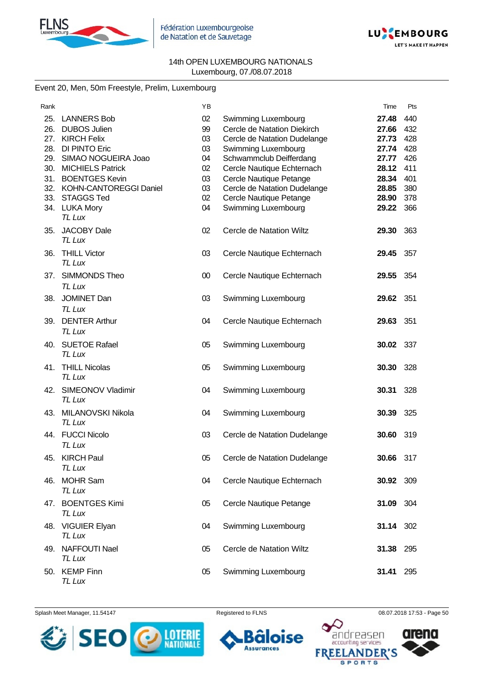



## Event 20, Men, 50m Freestyle, Prelim, Luxembourg

| Rank                            |                                                                                                                                                                                                                     | YB                                                 |                                                                                                                                                                                                                                                          | Time                                                                          | Pts                                                         |
|---------------------------------|---------------------------------------------------------------------------------------------------------------------------------------------------------------------------------------------------------------------|----------------------------------------------------|----------------------------------------------------------------------------------------------------------------------------------------------------------------------------------------------------------------------------------------------------------|-------------------------------------------------------------------------------|-------------------------------------------------------------|
| 25.<br>26.<br>28.<br>31.<br>33. | <b>LANNERS Bob</b><br><b>DUBOS Julien</b><br>27. KIRCH Felix<br><b>DI PINTO Eric</b><br>29. SIMAO NOGUEIRA Joao<br>30. MICHIELS Patrick<br><b>BOENTGES Kevin</b><br>32. KOHN-CANTOREGGI Daniel<br><b>STAGGS Ted</b> | 02<br>99<br>03<br>03<br>04<br>02<br>03<br>03<br>02 | Swimming Luxembourg<br>Cercle de Natation Diekirch<br>Cercle de Natation Dudelange<br>Swimming Luxembourg<br>Schwammclub Deifferdang<br>Cercle Nautique Echternach<br>Cercle Nautique Petange<br>Cercle de Natation Dudelange<br>Cercle Nautique Petange | 27.48<br>27.66<br>27.73<br>27.74<br>27.77<br>28.12<br>28.34<br>28.85<br>28.90 | 440<br>432<br>428<br>428<br>426<br>411<br>401<br>380<br>378 |
|                                 | 34. LUKA Mory<br>TL Lux                                                                                                                                                                                             | 04                                                 | Swimming Luxembourg                                                                                                                                                                                                                                      | 29.22                                                                         | 366                                                         |
| 35.                             | <b>JACOBY Dale</b><br><b>TL Lux</b>                                                                                                                                                                                 | 02                                                 | Cercle de Natation Wiltz                                                                                                                                                                                                                                 | 29.30                                                                         | 363                                                         |
| 36.                             | <b>THILL Victor</b><br>TL Lux                                                                                                                                                                                       | 03                                                 | Cercle Nautique Echternach                                                                                                                                                                                                                               | 29.45                                                                         | 357                                                         |
| 37.                             | SIMMONDS Theo<br>TL Lux                                                                                                                                                                                             | 00                                                 | Cercle Nautique Echternach                                                                                                                                                                                                                               | 29.55                                                                         | 354                                                         |
| 38.                             | <b>JOMINET Dan</b><br><b>TL Lux</b>                                                                                                                                                                                 | 03                                                 | Swimming Luxembourg                                                                                                                                                                                                                                      | 29.62                                                                         | 351                                                         |
| 39.                             | <b>DENTER Arthur</b><br><b>TL Lux</b>                                                                                                                                                                               | 04                                                 | Cercle Nautique Echternach                                                                                                                                                                                                                               | 29.63                                                                         | 351                                                         |
| 40.                             | <b>SUETOE Rafael</b><br>TL Lux                                                                                                                                                                                      | 05                                                 | Swimming Luxembourg                                                                                                                                                                                                                                      | 30.02                                                                         | 337                                                         |
| 41.                             | <b>THILL Nicolas</b><br><b>TL Lux</b>                                                                                                                                                                               | 05                                                 | Swimming Luxembourg                                                                                                                                                                                                                                      | 30.30                                                                         | 328                                                         |
|                                 | 42. SIMEONOV Vladimir<br>TL Lux                                                                                                                                                                                     | 04                                                 | Swimming Luxembourg                                                                                                                                                                                                                                      | 30.31                                                                         | 328                                                         |
| 43.                             | MILANOVSKI Nikola<br>TL Lux                                                                                                                                                                                         | 04                                                 | Swimming Luxembourg                                                                                                                                                                                                                                      | 30.39                                                                         | 325                                                         |
| 44.                             | <b>FUCCI Nicolo</b><br>TL Lux                                                                                                                                                                                       | 03                                                 | Cercle de Natation Dudelange                                                                                                                                                                                                                             | 30.60                                                                         | 319                                                         |
|                                 | 45. KIRCH Paul<br>TL Lux                                                                                                                                                                                            | 05                                                 | Cercle de Natation Dudelange                                                                                                                                                                                                                             | 30.66                                                                         | 317                                                         |
| 46.                             | <b>MOHR Sam</b><br>TL Lux                                                                                                                                                                                           | 04                                                 | Cercle Nautique Echternach                                                                                                                                                                                                                               | 30.92                                                                         | 309                                                         |
|                                 | 47. BOENTGES Kimi<br>TL Lux                                                                                                                                                                                         | 05                                                 | Cercle Nautique Petange                                                                                                                                                                                                                                  | 31.09                                                                         | 304                                                         |
| 48.                             | <b>VIGUIER Elyan</b><br>TL Lux                                                                                                                                                                                      | 04                                                 | Swimming Luxembourg                                                                                                                                                                                                                                      | 31.14                                                                         | 302                                                         |
| 49.                             | <b>NAFFOUTI Nael</b><br>TL Lux                                                                                                                                                                                      | 05                                                 | <b>Cercle de Natation Wiltz</b>                                                                                                                                                                                                                          | 31.38                                                                         | 295                                                         |
|                                 | 50. KEMP Finn<br><b>TL Lux</b>                                                                                                                                                                                      | 05                                                 | Swimming Luxembourg                                                                                                                                                                                                                                      | 31.41                                                                         | 295                                                         |

Splash Meet Manager, 11.54147 **Registered to FLNS Registered to FLNS** 08.07.2018 17:53 - Page 50





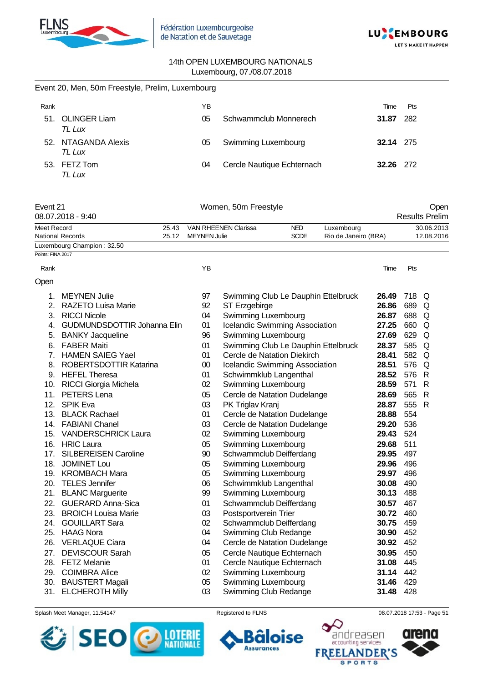

Event 20, Men, 50m Freestyle, Prelim, Luxembourg



#### 14th OPEN LUXEMBOURG NATIONALS Luxembourg, 07./08.07.2018

| Rank              |                                      |       | YB                  |                                            |                                       |                      | Time             | Pts        |                               |
|-------------------|--------------------------------------|-------|---------------------|--------------------------------------------|---------------------------------------|----------------------|------------------|------------|-------------------------------|
|                   | 51. OLINGER Liam<br>TL Lux           |       | 05                  |                                            | Schwammclub Monnerech                 |                      | 31.87            | 282        |                               |
|                   | 52. NTAGANDA Alexis<br>TL Lux        |       | 05                  | Swimming Luxembourg                        |                                       |                      | <b>32.14</b> 275 |            |                               |
|                   | 53. FETZ Tom<br>TL Lux               |       | 04                  |                                            | Cercle Nautique Echternach            |                      | 32.26            | 272        |                               |
| Event 21          | 08.07.2018 - 9:40                    |       |                     | Women, 50m Freestyle                       |                                       |                      |                  |            | Open<br><b>Results Prelim</b> |
| Meet Record       |                                      | 25.43 |                     | VAN RHEENEN Clarissa                       | <b>NED</b>                            | Luxembourg           |                  |            | 30.06.2013                    |
|                   | <b>National Records</b>              | 25.12 | <b>MEYNEN Julie</b> |                                            | <b>SCDE</b>                           | Rio de Janeiro (BRA) |                  |            | 12.08.2016                    |
| Points: FINA 2017 | Luxembourg Champion: 32.50           |       |                     |                                            |                                       |                      |                  |            |                               |
| Rank              |                                      |       | ΥB                  |                                            |                                       |                      | Time             | Pts        |                               |
| Open              |                                      |       |                     |                                            |                                       |                      |                  |            |                               |
| 1.                | <b>MEYNEN Julie</b>                  |       | 97                  |                                            | Swimming Club Le Dauphin Ettelbruck   |                      | 26.49            | 718 Q      |                               |
| 2.                | <b>RAZETO Luisa Marie</b>            |       | 92                  | ST Erzgebirge                              |                                       |                      | 26.86            | 689        | Q                             |
|                   | 3. RICCI Nicole                      |       | 04                  | Swimming Luxembourg                        |                                       |                      | 26.87            | 688        | Q                             |
| 4.                | <b>GUDMUNDSDOTTIR Johanna Elin</b>   |       | 01                  |                                            | Icelandic Swimming Association        |                      | 27.25            | 660        | Q                             |
| 5.                | <b>BANKY Jacqueline</b>              |       | 96                  | Swimming Luxembourg                        |                                       |                      | 27.69            | 629        | Q                             |
| 6.                | <b>FABER Maiti</b>                   |       | 01                  |                                            | Swimming Club Le Dauphin Ettelbruck   |                      | 28.37            | 585        | Q                             |
| 7.                | <b>HAMEN SAIEG Yael</b>              |       | 01                  |                                            | Cercle de Natation Diekirch           |                      | 28.41            | 582        | Q                             |
| 8.                | <b>ROBERTSDOTTIR Katarina</b>        |       | 00                  |                                            | <b>Icelandic Swimming Association</b> |                      | 28.51            | 576        | Q                             |
|                   | 9. HEFEL Theresa                     |       | 01                  |                                            | Schwimmklub Langenthal                |                      | 28.52            | 576        | $\mathsf{R}$                  |
|                   | 10. RICCI Giorgia Michela            |       | 02                  | Swimming Luxembourg                        |                                       |                      | 28.59            | 571        | $\mathsf{R}$                  |
| 11.               | PETERS Lena                          |       | 05                  |                                            | Cercle de Natation Dudelange          |                      | 28.69            | 565        | R                             |
| 12.               | SPIK Eva                             |       | 03                  | PK Triglav Kranj                           |                                       |                      | 28.87            | 555        | R                             |
| 13.               | <b>BLACK Rachael</b>                 |       | 01                  |                                            | Cercle de Natation Dudelange          |                      | 28.88            | 554        |                               |
|                   | 14. FABIANI Chanel                   |       | 03                  |                                            | Cercle de Natation Dudelange          |                      | 29.20            | 536        |                               |
| 15.               | <b>VANDERSCHRICK Laura</b>           |       | 02                  | Swimming Luxembourg                        |                                       |                      | 29.43            | 524        |                               |
|                   | 16. HRIC Laura                       |       | 05                  | Swimming Luxembourg                        |                                       |                      | 29.68            | 511        |                               |
| 17.               | <b>SILBEREISEN Caroline</b>          |       | 90                  |                                            | Schwammclub Deifferdang               |                      | 29.95            | 497        |                               |
|                   | 18. JOMINET Lou<br>19. KROMBACH Mara |       | 05<br>05            | Swimming Luxembourg<br>Swimming Luxembourg |                                       |                      | 29.96<br>29.97   | 496<br>496 |                               |
| 20.               | <b>TELES Jennifer</b>                |       | 06                  |                                            | Schwimmklub Langenthal                |                      | 30.08            | 490        |                               |
| 21.               | <b>BLANC Marguerite</b>              |       | 99                  | Swimming Luxembourg                        |                                       |                      | 30.13            | 488        |                               |
| 22.               | <b>GUERARD Anna-Sica</b>             |       | 01                  |                                            | Schwammclub Deifferdang               |                      | 30.57            | 467        |                               |
| 23.               | <b>BROICH Louisa Marie</b>           |       | 03                  | Postsportverein Trier                      |                                       |                      | 30.72            | 460        |                               |
| 24.               | <b>GOUILLART Sara</b>                |       | 02                  |                                            | Schwammclub Deifferdang               |                      | 30.75            | 459        |                               |
| 25.               | <b>HAAG Nora</b>                     |       | 04                  |                                            | Swimming Club Redange                 |                      | 30.90            | 452        |                               |
| 26.               | <b>VERLAQUE Ciara</b>                |       | 04                  |                                            | Cercle de Natation Dudelange          |                      | 30.92            | 452        |                               |
| 27.               | <b>DEVISCOUR Sarah</b>               |       | 05                  |                                            | Cercle Nautique Echternach            |                      | 30.95            | 450        |                               |
| 28.               | <b>FETZ Melanie</b>                  |       | 01                  |                                            | Cercle Nautique Echternach            |                      | 31.08            | 445        |                               |
| 29.               | <b>COIMBRA Alice</b>                 |       | 02                  | Swimming Luxembourg                        |                                       |                      | 31.14            | 442        |                               |
| 30.               | <b>BAUSTERT Magali</b>               |       | 05                  | Swimming Luxembourg                        |                                       |                      | 31.46            | 429        |                               |
| 31.               | <b>ELCHEROTH Milly</b>               |       | 03                  |                                            | Swimming Club Redange                 |                      | 31.48            | 428        |                               |





Splash Meet Manager, 11.54147 **Registered to FLNS Registered to FLNS** 08.07.2018 17:53 - Page 51

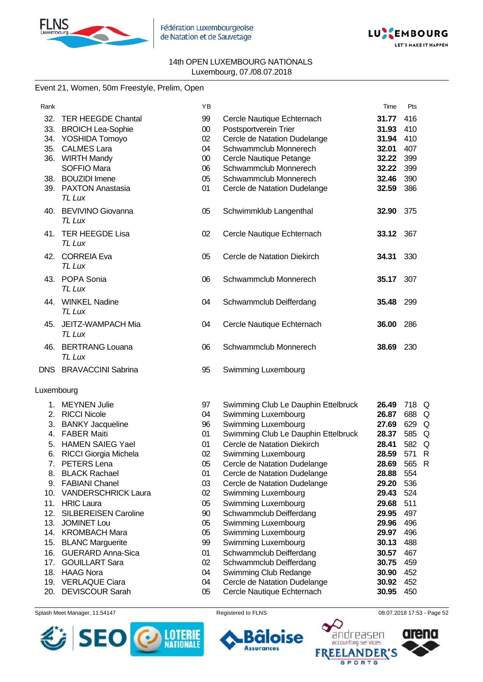



# Event 21, Women, 50m Freestyle, Prelim, Open

| Rank       |                                                  | YB       |                                                | Time             | Pts        |  |
|------------|--------------------------------------------------|----------|------------------------------------------------|------------------|------------|--|
| 32.        | <b>TER HEEGDE Chantal</b>                        | 99       | Cercle Nautique Echternach                     | 31.77            | 416        |  |
|            | 33. BROICH Lea-Sophie                            | 00       | Postsportverein Trier                          | 31.93            | 410        |  |
|            | 34. YOSHIDA Tomoyo                               | 02       | Cercle de Natation Dudelange                   | 31.94            | 410        |  |
| 35.        | <b>CALMES Lara</b>                               | 04       | Schwammclub Monnerech                          | 32.01            | 407        |  |
|            | 36. WIRTH Mandy                                  | 00       | Cercle Nautique Petange                        | 32.22            | 399        |  |
|            | SOFFIO Mara                                      | 06       | Schwammclub Monnerech                          | 32.22            | 399        |  |
| 38.        | <b>BOUZIDI</b> Imene                             | 05       | Schwammclub Monnerech                          | 32.46            | 390        |  |
|            | 39. PAXTON Anastasia<br>TL Lux                   | 01       | Cercle de Natation Dudelange                   | 32.59            | 386        |  |
|            | 40. BEVIVINO Giovanna<br>TL Lux                  | 05       | Schwimmklub Langenthal                         | <b>32.90</b> 375 |            |  |
|            | 41. TER HEEGDE Lisa<br>TL Lux                    | 02       | Cercle Nautique Echternach                     | 33.12 367        |            |  |
|            | 42. CORREIA Eva<br>TL Lux                        | 05       | Cercle de Natation Diekirch                    | 34.31            | 330        |  |
|            | 43. POPA Sonia<br><b>TL Lux</b>                  | 06       | Schwammclub Monnerech                          | 35.17            | 307        |  |
|            | 44. WINKEL Nadine<br>TL Lux                      | 04       | Schwammclub Deifferdang                        | 35.48 299        |            |  |
|            | 45. JEITZ-WAMPACH Mia<br>TL Lux                  | 04       | Cercle Nautique Echternach                     | 36.00            | 286        |  |
|            | 46. BERTRANG Louana<br>TL Lux                    | 06       | Schwammclub Monnerech                          | <b>38.69</b> 230 |            |  |
|            | DNS BRAVACCINI Sabrina                           | 95       | Swimming Luxembourg                            |                  |            |  |
| Luxembourg |                                                  |          |                                                |                  |            |  |
|            | 1. MEYNEN Julie                                  | 97       | Swimming Club Le Dauphin Ettelbruck            | 26.49            | 718 Q      |  |
|            | 2. RICCI Nicole                                  | 04       | Swimming Luxembourg                            | 26.87            | 688 Q      |  |
|            | 3. BANKY Jacqueline                              | 96       | Swimming Luxembourg                            | 27.69            | 629 Q      |  |
|            | 4. FABER Maiti                                   | 01       | Swimming Club Le Dauphin Ettelbruck            | 28.37            | 585 Q      |  |
|            | 5. HAMEN SAIEG Yael                              | 01       | Cercle de Natation Diekirch                    | 28.41            | 582 Q      |  |
|            | 6. RICCI Giorgia Michela                         | 02       | Swimming Luxembourg                            | 28.59            | 571 R      |  |
| 7.         | PETERS Lena                                      | 05       | Cercle de Natation Dudelange                   | 28.69            | 565 R      |  |
| 8.         | <b>BLACK Rachael</b>                             | 01       | Cercle de Natation Dudelange                   | 28.88            | 554        |  |
| 9.         | <b>FABIANI Chanel</b>                            | 03       | Cercle de Natation Dudelange                   | 29.20            | 536        |  |
| 10.        | <b>VANDERSCHRICK Laura</b>                       | 02       | Swimming Luxembourg                            | 29.43            | 524        |  |
| 11.<br>12. | <b>HRIC Laura</b><br><b>SILBEREISEN Caroline</b> | 05       | Swimming Luxembourg                            | 29.68            | 511<br>497 |  |
| 13.        | <b>JOMINET Lou</b>                               | 90<br>05 | Schwammclub Deifferdang<br>Swimming Luxembourg | 29.95<br>29.96   | 496        |  |
|            | 14. KROMBACH Mara                                | 05       | Swimming Luxembourg                            | 29.97            | 496        |  |
| 15.        | <b>BLANC Marguerite</b>                          | 99       | Swimming Luxembourg                            | 30.13            | 488        |  |
| 16.        | <b>GUERARD Anna-Sica</b>                         | 01       | Schwammclub Deifferdang                        | 30.57            | 467        |  |
| 17.        | <b>GOUILLART Sara</b>                            | 02       | Schwammclub Deifferdang                        | 30.75            | 459        |  |
| 18.        | <b>HAAG Nora</b>                                 | 04       | Swimming Club Redange                          | 30.90            | 452        |  |
|            | 19. VERLAQUE Ciara                               | 04       | Cercle de Natation Dudelange                   | 30.92            | 452        |  |
| 20.        | <b>DEVISCOUR Sarah</b>                           | 05       | Cercle Nautique Echternach                     | 30.95            | 450        |  |
|            |                                                  |          |                                                |                  |            |  |

### Splash Meet Manager, 11.54147 **Registered to FLNS Registered to FLNS** 08.07.2018 17:53 - Page 52





 $\Omega$ 

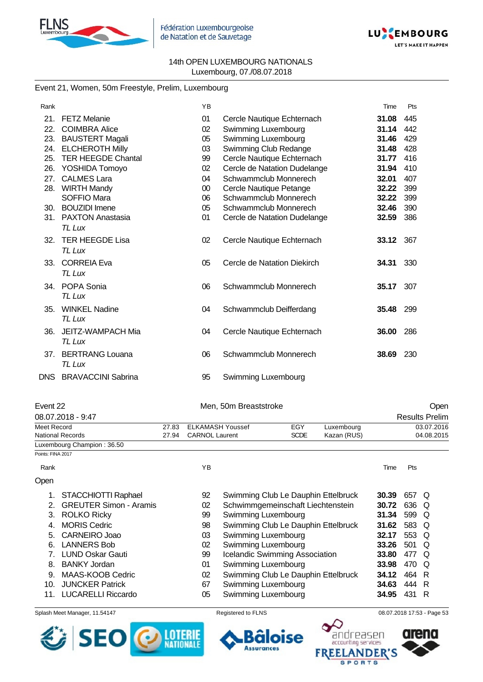



## Event 21, Women, 50m Freestyle, Prelim, Luxembourg

| Rank  |                           | YB     |                              | Time      | Pts |
|-------|---------------------------|--------|------------------------------|-----------|-----|
| 21.   | <b>FETZ Melanie</b>       | 01     | Cercle Nautique Echternach   | 31.08     | 445 |
| 22.   | <b>COIMBRA Alice</b>      | 02     | Swimming Luxembourg          | 31.14     | 442 |
| 23.   | <b>BAUSTERT Magali</b>    | 05     | Swimming Luxembourg          | 31.46     | 429 |
| 24.   | <b>ELCHEROTH Milly</b>    | 03     | Swimming Club Redange        | 31.48     | 428 |
| 25.   | <b>TER HEEGDE Chantal</b> | 99     | Cercle Nautique Echternach   | 31.77     | 416 |
| 26.   | YOSHIDA Tomoyo            | 02     | Cercle de Natation Dudelange | 31.94     | 410 |
| 27.   | <b>CALMES Lara</b>        | 04     | Schwammclub Monnerech        | 32.01     | 407 |
| 28.   | <b>WIRTH Mandy</b>        | $00\,$ | Cercle Nautique Petange      | 32.22     | 399 |
|       | SOFFIO Mara               | 06     | Schwammclub Monnerech        | 32.22     | 399 |
| 30.   | <b>BOUZIDI</b> Imene      | 05     | Schwammclub Monnerech        | 32.46     | 390 |
| 31.   | <b>PAXTON Anastasia</b>   | 01     | Cercle de Natation Dudelange | 32.59     | 386 |
|       | TL Lux                    |        |                              |           |     |
| 32.   | <b>TER HEEGDE Lisa</b>    | 02     | Cercle Nautique Echternach   | 33.12 367 |     |
|       | TL Lux                    |        |                              |           |     |
| 33.   | <b>CORREIA Eva</b>        | 05     | Cercle de Natation Diekirch  | 34.31     | 330 |
|       | TL Lux                    |        |                              |           |     |
|       |                           |        |                              |           |     |
| 34.   | POPA Sonia                | 06     | Schwammclub Monnerech        | 35.17     | 307 |
|       | TL Lux                    |        |                              |           |     |
| 35.   | <b>WINKEL Nadine</b>      | 04     | Schwammclub Deifferdang      | 35.48     | 299 |
|       | TL Lux                    |        |                              |           |     |
| 36.   | JEITZ-WAMPACH Mia         | 04     | Cercle Nautique Echternach   | 36.00     | 286 |
|       | TL Lux                    |        |                              |           |     |
|       |                           |        |                              |           |     |
| 37.   | <b>BERTRANG Louana</b>    | 06     | Schwammclub Monnerech        | 38.69     | 230 |
|       | TL Lux                    |        |                              |           |     |
| DNS . | <b>BRAVACCINI Sabrina</b> | 95     | Swimming Luxembourg          |           |     |

| Event 22                   |       | Men, 50m Breaststroke |             |             |      | Open                  |
|----------------------------|-------|-----------------------|-------------|-------------|------|-----------------------|
| 08.07.2018 - 9:47          |       |                       |             |             |      | <b>Results Prelim</b> |
| Meet Record                | 27.83 | ELKAMASH Youssef      | EGY         | Luxembourg  |      | 03.07.2016            |
| <b>National Records</b>    | 27.94 | <b>CARNOL Laurent</b> | <b>SCDE</b> | Kazan (RUS) |      | 04.08.2015            |
| Luxembourg Champion: 36.50 |       |                       |             |             |      |                       |
| Points: FINA 2017          |       |                       |             |             |      |                       |
| Rank                       |       | ΥB                    |             |             | Time | Pts                   |

| Open |                           |    |                                     |       |       |     |
|------|---------------------------|----|-------------------------------------|-------|-------|-----|
|      | 1. STACCHIOTTI Raphael    | 92 | Swimming Club Le Dauphin Ettelbruck | 30.39 | 657 Q |     |
|      | 2. GREUTER Simon - Aramis | 02 | Schwimmgemeinschaft Liechtenstein   | 30.72 | 636 Q |     |
|      | 3. ROLKO Ricky            | 99 | Swimming Luxembourg                 | 31.34 | 599 Q |     |
|      | 4. MORIS Cedric           | 98 | Swimming Club Le Dauphin Ettelbruck | 31.62 | 583 Q |     |
|      | 5. CARNEIRO Joao          | 03 | Swimming Luxembourg                 | 32.17 | 553 Q |     |
|      | 6. LANNERS Bob            | 02 | Swimming Luxembourg                 | 33.26 | 501   | - Q |
|      | 7. LUND Oskar Gauti       | 99 | Icelandic Swimming Association      | 33.80 | 477   | O   |
|      | 8. BANKY Jordan           | 01 | Swimming Luxembourg                 | 33.98 | 470   | - O |
|      | 9. MAAS-KOOB Cedric       | 02 | Swimming Club Le Dauphin Ettelbruck | 34.12 | 464   | R   |
| 10.  | <b>JUNCKER Patrick</b>    | 67 | Swimming Luxembourg                 | 34.63 | 444   | R   |
|      | <b>LUCARELLI Riccardo</b> | 05 | Swimming Luxembourg                 | 34.95 | 431   | R   |

#### Splash Meet Manager, 11.54147 **Registered to FLNS Registered to FLNS** 08.07.2018 17:53 - Page 53





 $\bullet$ 

**FREE** 

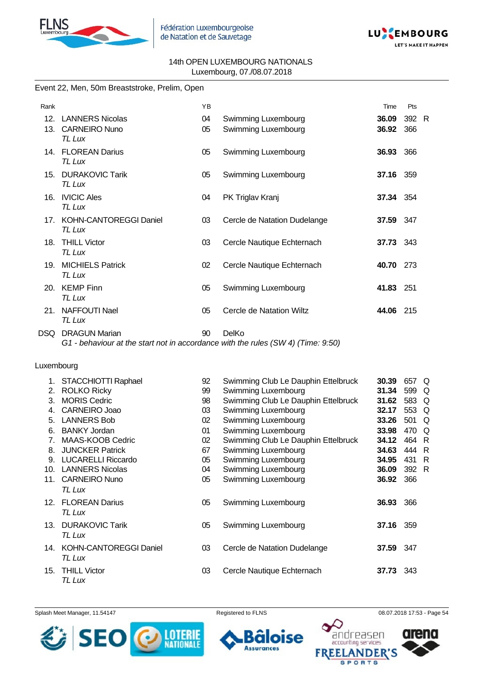



### Event 22, Men, 50m Breaststroke, Prelim, Open

| Rank            |                                      | YB |                              | Time             | Pts   |  |
|-----------------|--------------------------------------|----|------------------------------|------------------|-------|--|
| 12.             | <b>LANNERS Nicolas</b>               | 04 | Swimming Luxembourg          | 36.09            | 392 R |  |
| 13.             | <b>CARNEIRO Nuno</b><br>TL Lux       | 05 | Swimming Luxembourg          | 36.92            | 366   |  |
| $14_{-}$        | <b>FLOREAN Darius</b><br>TL Lux      | 05 | Swimming Luxembourg          | 36.93            | 366   |  |
| 15.             | <b>DURAKOVIC Tarik</b><br>TL Lux     | 05 | Swimming Luxembourg          | 37.16            | 359   |  |
| 16.             | <b>IVICIC Ales</b><br>TL Lux         | 04 | PK Triglav Kranj             | <b>37.34</b> 354 |       |  |
|                 | 17. KOHN-CANTOREGGI Daniel<br>TL Lux | 03 | Cercle de Natation Dudelange | 37.59            | 347   |  |
| 18.             | <b>THILL Victor</b><br>TL Lux        | 03 | Cercle Nautique Echternach   | 37.73 343        |       |  |
| 19 <sub>1</sub> | <b>MICHIELS Patrick</b><br>TL Lux    | 02 | Cercle Nautique Echternach   | 40.70            | 273   |  |
| 20.             | <b>KEMP Finn</b><br>TL Lux           | 05 | Swimming Luxembourg          | 41.83            | 251   |  |
| 21.             | <b>NAFFOUTI Nael</b><br>TL Lux       | 05 | Cercle de Natation Wiltz     | 44.06            | 215   |  |
| DSQ             | <b>DRAGUN Marian</b>                 | 90 | DelKo                        |                  |       |  |

*G1 - behaviour at the start not in accordance with the rules (SW 4) (Time: 9:50)*

#### Luxembourg

| 1.              | STACCHIOTTI Raphael           | 92 | Swimming Club Le Dauphin Ettelbruck | 30.39 | 657   | Q   |
|-----------------|-------------------------------|----|-------------------------------------|-------|-------|-----|
| 2.              | <b>ROLKO Ricky</b>            | 99 | Swimming Luxembourg                 | 31.34 | 599 Q |     |
| 3.              | <b>MORIS Cedric</b>           | 98 | Swimming Club Le Dauphin Ettelbruck | 31.62 | 583 Q |     |
|                 | CARNEIRO Joao                 | 03 | Swimming Luxembourg                 | 32.17 | 553   | Q   |
| 5.              | <b>LANNERS Bob</b>            | 02 | Swimming Luxembourg                 | 33.26 | 501   | Q   |
| 6.              | <b>BANKY Jordan</b>           | 01 | Swimming Luxembourg                 | 33.98 | 470   | Q   |
| 7.              | MAAS-KOOB Cedric              | 02 | Swimming Club Le Dauphin Ettelbruck | 34.12 | 464   | - R |
| 8.              | <b>JUNCKER Patrick</b>        | 67 | Swimming Luxembourg                 | 34.63 | 444   | -R  |
| 9.              | <b>LUCARELLI Riccardo</b>     | 05 | Swimming Luxembourg                 | 34.95 | 431   | - R |
| 10.             | <b>LANNERS Nicolas</b>        | 04 | Swimming Luxembourg                 | 36.09 | 392 R |     |
| 11.             | <b>CARNEIRO Nuno</b>          | 05 | Swimming Luxembourg                 | 36.92 | 366   |     |
|                 | TL Lux                        |    |                                     |       |       |     |
| 12 <sup>1</sup> | <b>FLOREAN Darius</b>         | 05 | Swimming Luxembourg                 | 36.93 | 366   |     |
|                 | TL Lux                        |    |                                     |       |       |     |
| 13.             | <b>DURAKOVIC Tarik</b>        | 05 | Swimming Luxembourg                 | 37.16 | 359   |     |
|                 | TL Lux                        |    |                                     |       |       |     |
| 14.             | <b>KOHN-CANTOREGGI Daniel</b> | 03 | Cercle de Natation Dudelange        | 37.59 | 347   |     |
|                 | TL Lux                        |    |                                     |       |       |     |
|                 |                               |    |                                     |       |       |     |
| 15.             | <b>THILL Victor</b>           | 03 | Cercle Nautique Echternach          | 37.73 | 343   |     |
|                 | TL Lux                        |    |                                     |       |       |     |

Splash Meet Manager, 11.54147 **Registered to FLNS Registered to FLNS** 08.07.2018 17:53 - Page 54



ise

**Assurances** 



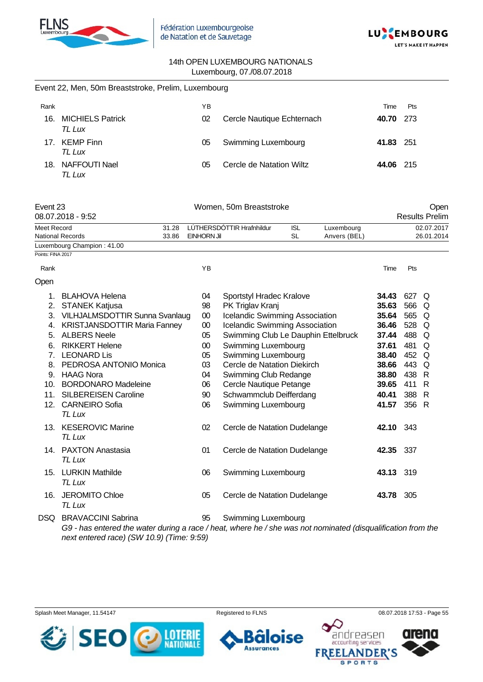

Event 22, Men, 50m Breaststroke, Prelim, Luxembourg



#### 14th OPEN LUXEMBOURG NATIONALS Luxembourg, 07./08.07.2018

| Rank              |                                     |                | YΒ          |                                       |                         |                                                         | Time         | Pts   |                               |
|-------------------|-------------------------------------|----------------|-------------|---------------------------------------|-------------------------|---------------------------------------------------------|--------------|-------|-------------------------------|
| 16.               | <b>MICHIELS Patrick</b><br>TL Lux   |                | 02          | Cercle Nautique Echternach            |                         |                                                         | 40.70        | 273   |                               |
|                   | 17. KEMP Finn<br>TL Lux             |                | 05          | Swimming Luxembourg                   |                         |                                                         | 41.83        | 251   |                               |
|                   | 18. NAFFOUTI Nael<br>TL Lux         |                | 05          | Cercle de Natation Wiltz              |                         |                                                         | 44.06        | 215   |                               |
| Event 23          | 08.07.2018 - 9:52                   |                |             | Women, 50m Breaststroke               |                         |                                                         |              |       | Open<br><b>Results Prelim</b> |
|                   |                                     |                |             |                                       |                         |                                                         |              |       |                               |
| Meet Record       | <b>National Records</b>             | 31.28<br>33.86 | EINHORN Jil | LÚTHERSDÓTTIR Hrafnhildur             | <b>ISL</b><br><b>SL</b> | Luxembourg<br>Anvers (BEL)                              |              |       | 02.07.2017<br>26.01.2014      |
|                   | Luxembourg Champion: 41.00          |                |             |                                       |                         |                                                         |              |       |                               |
| Points: FINA 2017 |                                     |                |             |                                       |                         |                                                         |              |       |                               |
| Rank              |                                     |                | YB          |                                       |                         |                                                         | Time         | Pts   |                               |
| Open              |                                     |                |             |                                       |                         |                                                         |              |       |                               |
| 1.                | BLAHOVA Helena                      |                | 04          | Sportstyl Hradec Kralove              |                         |                                                         | 34.43        | 627 Q |                               |
|                   | 2. STANEK Katjusa                   |                | 98          | PK Triglav Kranj                      |                         |                                                         | 35.63        | 566   | Q                             |
|                   | 3. VILHJALMSDOTTIR Sunna Svanlaug   |                | $00\,$      | <b>Icelandic Swimming Association</b> |                         |                                                         | 35.64        | 565   | Q                             |
|                   | 4. KRISTJANSDOTTIR Maria Fanney     |                | $00\,$      | Icelandic Swimming Association        |                         |                                                         | 36.46        | 528   | Q                             |
|                   | 5. ALBERS Neele                     |                | 05          | Swimming Club Le Dauphin Ettelbruck   |                         |                                                         | 37.44        | 488   | Q                             |
|                   | 6. RIKKERT Helene                   |                | $00\,$      | Swimming Luxembourg                   |                         |                                                         | 37.61        | 481   | Q                             |
|                   | 7. LEONARD Lis                      |                | 05          | <b>Swimming Luxembourg</b>            |                         |                                                         | 38.40        | 452   | Q                             |
|                   | 8. PEDROSA ANTONIO Monica           |                | 03          | Cercle de Natation Diekirch           |                         |                                                         | 38.66        | 443   | Q                             |
|                   | 9. HAAG Nora                        |                | 04          | Swimming Club Redange                 |                         |                                                         | 38.80        | 438   | R                             |
|                   | 10. BORDONARO Madeleine             |                | 06          | Cercle Nautique Petange               |                         |                                                         | 39.65        | 411   | R                             |
|                   | 11. SILBEREISEN Caroline            |                | 90          | Schwammclub Deifferdang               |                         |                                                         | 40.41        | 388   | R                             |
|                   | 12. CARNEIRO Sofia<br><b>TL Lux</b> |                | 06          | Swimming Luxembourg                   |                         |                                                         | 41.57        | 356 R |                               |
|                   | 13. KESEROVIC Marine<br>TL Lux      |                | 02          | Cercle de Natation Dudelange          |                         |                                                         | 42.10 343    |       |                               |
|                   | 14. PAXTON Anastasia<br>TL Lux      |                | 01          | Cercle de Natation Dudelange          |                         |                                                         | 42.35        | - 337 |                               |
|                   | 15. LURKIN Mathilde<br>TL Lux       |                | 06          | <b>Swimming Luxembourg</b>            |                         |                                                         | 43.13 319    |       |                               |
|                   | 16. JEROMITO Chloe<br>TL Lux        |                | 05          | Cercle de Natation Dudelange          |                         |                                                         | 43.78 305    |       |                               |
|                   | DSQ BRAVACCINI Sabrina              |                | 95          | Swimming Luxembourg                   |                         | $\cdot$ $\cdot$ $\cdot$ $\cdot$ $\cdot$ $\cdot$ $\cdot$ | $\mathbf{r}$ |       |                               |

*G9 - has entered the water during a race / heat, where he / she was not nominated (disqualification from the next entered race) (SW 10.9) (Time: 9:59)*







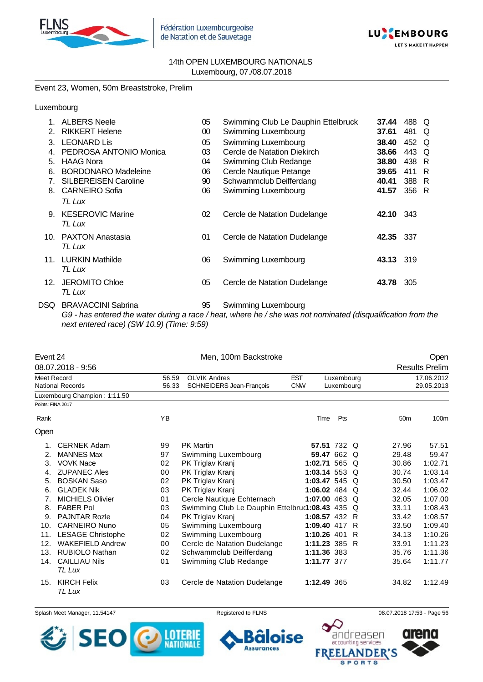



#### Event 23, Women, 50m Breaststroke, Prelim

#### Luxembourg

| 1.              | <b>ALBERS Neele</b>               | 05     | Swimming Club Le Dauphin Ettelbruck | 37.44            | 488 Q |     |
|-----------------|-----------------------------------|--------|-------------------------------------|------------------|-------|-----|
| 2.              | <b>RIKKERT Helene</b>             | $00\,$ | Swimming Luxembourg                 | 37.61            | 481   | O   |
| 3               | <b>LEONARD Lis</b>                | 05     | Swimming Luxembourg                 | 38.40            | 452 Q |     |
| 4.              | PEDROSA ANTONIO Monica            | 03     | Cercle de Natation Diekirch         | 38.66            | 443   | O   |
| 5.              | <b>HAAG Nora</b>                  | 04     | Swimming Club Redange               | 38.80            | 438   | - R |
| 6.              | <b>BORDONARO Madeleine</b>        | 06     | Cercle Nautique Petange             | 39.65            | 411   | - R |
| 7.              | <b>SILBEREISEN Caroline</b>       | 90     | Schwammclub Deifferdang             | 40.41            | 388 R |     |
|                 | 8. CARNEIRO Sofia<br>TL Lux       | 06     | Swimming Luxembourg                 | 41.57            | 356 R |     |
| 9.              | <b>KESEROVIC Marine</b><br>TL Lux | 02     | Cercle de Natation Dudelange        | <b>42.10</b> 343 |       |     |
| 10 <sub>1</sub> | <b>PAXTON Anastasia</b><br>TL Lux | 01     | Cercle de Natation Dudelange        | 42.35            | 337   |     |
| 11.             | <b>LURKIN Mathilde</b><br>TL Lux  | 06     | Swimming Luxembourg                 | 43.13 319        |       |     |
| 12.             | <b>JEROMITO Chloe</b><br>TL Lux   | 05     | Cercle de Natation Dudelange        | 43.78            | 305   |     |
|                 |                                   |        |                                     |                  |       |     |

DSQ BRAVACCINI Sabrina 95 Swimming Luxembourg *G9 - has entered the water during a race / heat, where he / she was not nominated (disqualification from the next entered race) (SW 10.9) (Time: 9:59)*

| Event 24          |                                |       | Men, 100m Backstroke                            |                      |             |    |                 | Open                  |
|-------------------|--------------------------------|-------|-------------------------------------------------|----------------------|-------------|----|-----------------|-----------------------|
|                   | 08.07.2018 - 9:56              |       |                                                 |                      |             |    |                 | <b>Results Prelim</b> |
| Meet Record       |                                | 56.59 | <b>OLVIK Andres</b>                             | <b>EST</b>           | Luxembourg  |    |                 | 17.06.2012            |
|                   | <b>National Records</b>        | 56.33 | SCHNEIDERS Jean-François                        | <b>CNW</b>           | Luxembourg  |    |                 | 29.05.2013            |
|                   | Luxembourg Champion: 1:11.50   |       |                                                 |                      |             |    |                 |                       |
| Points: FINA 2017 |                                |       |                                                 |                      |             |    |                 |                       |
| Rank              |                                | YB    |                                                 | Time                 | Pts         |    | 50 <sub>m</sub> | 100m                  |
| Open              |                                |       |                                                 |                      |             |    |                 |                       |
| 1.                | <b>CERNEK Adam</b>             | 99    | <b>PK Martin</b>                                |                      | 57.51 732 Q |    | 27.96           | 57.51                 |
| 2.                | <b>MANNES Max</b>              | 97    | Swimming Luxembourg                             |                      | 59.47 662 Q |    | 29.48           | 59.47                 |
| 3.                | <b>VOVK Nace</b>               | 02    | PK Triglav Kranj                                | 1:02.71 565 $\Omega$ |             |    | 30.86           | 1:02.71               |
| 4.                | <b>ZUPANEC Ales</b>            | 00    | PK Triglav Kranj                                | 1:03.14 553 $Q$      |             |    | 30.74           | 1:03.14               |
| 5.                | <b>BOSKAN Saso</b>             | 02    | PK Triglav Kranj                                | 1:03.47 545 Q        |             |    | 30.50           | 1:03.47               |
| 6.                | <b>GLADEK Nik</b>              | 03    | PK Triglav Kranj                                | 1:06.02 484 $\circ$  |             |    | 32.44           | 1:06.02               |
| 7.                | <b>MICHIELS Olivier</b>        | 01    | Cercle Nautique Echternach                      | 1:07.00 463 Q        |             |    | 32.05           | 1:07.00               |
| 8.                | <b>FABER Pol</b>               | 03    | Swimming Club Le Dauphin Ettelbru(1:08.43 435 Q |                      |             |    | 33.11           | 1:08.43               |
| 9.                | <b>PAJNTAR Rozle</b>           | 04    | PK Triglav Kranj                                | 1:08.57 432 R        |             |    | 33.42           | 1:08.57               |
| 10.               | <b>CARNEIRO Nuno</b>           | 05    | Swimming Luxembourg                             | 1:09.40 417          |             | -R | 33.50           | 1:09.40               |
| 11.               | <b>LESAGE Christophe</b>       | 02    | Swimming Luxembourg                             | 1:10.26 401          |             | R  | 34.13           | 1:10.26               |
| 12.               | <b>WAKEFIELD Andrew</b>        | 00    | Cercle de Natation Dudelange                    | 1:11.23 385 R        |             |    | 33.91           | 1:11.23               |
| 13.               | <b>RUBIOLO Nathan</b>          | 02    | Schwammclub Deifferdang                         | 1:11.36 383          |             |    | 35.76           | 1:11.36               |
| 14.               | <b>CAILLIAU Nils</b><br>TL Lux | 01    | Swimming Club Redange                           | 1:11.77 377          |             |    | 35.64           | 1:11.77               |
| 15.               | <b>KIRCH Felix</b><br>TL Lux   | 03    | Cercle de Natation Dudelange                    | 1:12.49 365          |             |    | 34.82           | 1:12.49               |

Splash Meet Manager, 11.54147 **Registered to FLNS Registered to FLNS** 08.07.2018 17:53 - Page 56

**Assurances** 

ise



andreasen accounting services **FRE IDER'** PORTS

n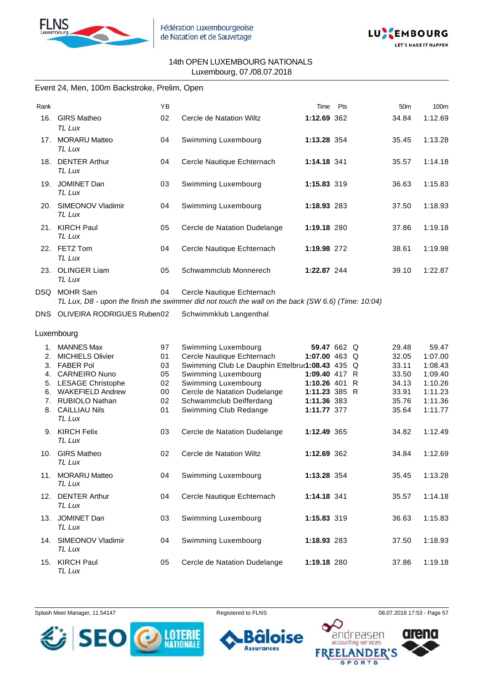



#### Event 24, Men, 100m Backstroke, Prelim, Open

| Rank |                                | YB |                              | Time        | Pts | 50 <sub>m</sub> | 100m    |
|------|--------------------------------|----|------------------------------|-------------|-----|-----------------|---------|
| 16.  | <b>GIRS Matheo</b><br>TL Lux   | 02 | Cercle de Natation Wiltz     | 1:12.69 362 |     | 34.84           | 1:12.69 |
| 17.  | <b>MORARU Matteo</b><br>TL Lux | 04 | Swimming Luxembourg          | 1:13.28 354 |     | 35.45           | 1:13.28 |
| 18.  | <b>DENTER Arthur</b><br>TL Lux | 04 | Cercle Nautique Echternach   | 1:14.18 341 |     | 35.57           | 1:14.18 |
| 19.  | <b>JOMINET Dan</b><br>TL Lux   | 03 | Swimming Luxembourg          | 1:15.83 319 |     | 36.63           | 1:15.83 |
| 20.  | SIMEONOV Vladimir<br>TL Lux    | 04 | Swimming Luxembourg          | 1:18.93 283 |     | 37.50           | 1:18.93 |
| 21.  | <b>KIRCH Paul</b><br>TL Lux    | 05 | Cercle de Natation Dudelange | 1:19.18 280 |     | 37.86           | 1:19.18 |
| 22.  | FETZ Tom<br>TL Lux             | 04 | Cercle Nautique Echternach   | 1:19.98 272 |     | 38.61           | 1:19.98 |
| 23.  | <b>OLINGER Liam</b><br>TL Lux  | 05 | Schwammclub Monnerech        | 1:22.87 244 |     | 39.10           | 1:22.87 |
| DSQ  | MOHR Sam                       | 04 | Cercle Nautique Echternach   |             |     |                 |         |

*TL Lux, D8 - upon the finish the swimmer did not touch the wall on the back (SW 6.6) (Time: 10:04)*

DNS OLIVEIRA RODRIGUES Ruben02 Schwimmklub Langenthal

Luxembourg

| <b>MANNES Max</b>       | 97                                                                                                                                                                                                                                                                                          | Swimming Luxembourg                    |                                                                                                                                                                                                                                                        |                                                                                                                                                                                                                                   | 29.48                                        | 59.47                                                       |
|-------------------------|---------------------------------------------------------------------------------------------------------------------------------------------------------------------------------------------------------------------------------------------------------------------------------------------|----------------------------------------|--------------------------------------------------------------------------------------------------------------------------------------------------------------------------------------------------------------------------------------------------------|-----------------------------------------------------------------------------------------------------------------------------------------------------------------------------------------------------------------------------------|----------------------------------------------|-------------------------------------------------------------|
|                         |                                                                                                                                                                                                                                                                                             |                                        |                                                                                                                                                                                                                                                        |                                                                                                                                                                                                                                   |                                              | 1:07.00                                                     |
| <b>FABER Pol</b>        | 03                                                                                                                                                                                                                                                                                          |                                        |                                                                                                                                                                                                                                                        |                                                                                                                                                                                                                                   | 33.11                                        | 1:08.43                                                     |
| <b>CARNEIRO Nuno</b>    | 05                                                                                                                                                                                                                                                                                          | Swimming Luxembourg                    |                                                                                                                                                                                                                                                        |                                                                                                                                                                                                                                   | 33.50                                        | 1:09.40                                                     |
|                         | 02                                                                                                                                                                                                                                                                                          | Swimming Luxembourg                    |                                                                                                                                                                                                                                                        | R                                                                                                                                                                                                                                 | 34.13                                        | 1:10.26                                                     |
| <b>WAKEFIELD Andrew</b> | 00                                                                                                                                                                                                                                                                                          | Cercle de Natation Dudelange           |                                                                                                                                                                                                                                                        |                                                                                                                                                                                                                                   | 33.91                                        | 1:11.23                                                     |
|                         | 02                                                                                                                                                                                                                                                                                          |                                        |                                                                                                                                                                                                                                                        |                                                                                                                                                                                                                                   | 35.76                                        | 1:11.36                                                     |
|                         |                                                                                                                                                                                                                                                                                             |                                        |                                                                                                                                                                                                                                                        |                                                                                                                                                                                                                                   |                                              | 1:11.77                                                     |
| TL Lux                  |                                                                                                                                                                                                                                                                                             |                                        |                                                                                                                                                                                                                                                        |                                                                                                                                                                                                                                   |                                              |                                                             |
|                         |                                                                                                                                                                                                                                                                                             |                                        |                                                                                                                                                                                                                                                        |                                                                                                                                                                                                                                   |                                              | 1:12.49                                                     |
| TL Lux                  |                                                                                                                                                                                                                                                                                             |                                        |                                                                                                                                                                                                                                                        |                                                                                                                                                                                                                                   |                                              |                                                             |
|                         |                                                                                                                                                                                                                                                                                             |                                        |                                                                                                                                                                                                                                                        |                                                                                                                                                                                                                                   |                                              | 1:12.69                                                     |
|                         |                                                                                                                                                                                                                                                                                             |                                        |                                                                                                                                                                                                                                                        |                                                                                                                                                                                                                                   |                                              |                                                             |
|                         |                                                                                                                                                                                                                                                                                             |                                        |                                                                                                                                                                                                                                                        |                                                                                                                                                                                                                                   |                                              |                                                             |
|                         |                                                                                                                                                                                                                                                                                             |                                        |                                                                                                                                                                                                                                                        |                                                                                                                                                                                                                                   |                                              | 1:13.28                                                     |
|                         |                                                                                                                                                                                                                                                                                             |                                        |                                                                                                                                                                                                                                                        |                                                                                                                                                                                                                                   |                                              |                                                             |
|                         | 04                                                                                                                                                                                                                                                                                          |                                        |                                                                                                                                                                                                                                                        |                                                                                                                                                                                                                                   | 35.57                                        | 1:14.18                                                     |
| TL Lux                  |                                                                                                                                                                                                                                                                                             |                                        |                                                                                                                                                                                                                                                        |                                                                                                                                                                                                                                   |                                              |                                                             |
|                         |                                                                                                                                                                                                                                                                                             |                                        |                                                                                                                                                                                                                                                        |                                                                                                                                                                                                                                   |                                              | 1:15.83                                                     |
|                         |                                                                                                                                                                                                                                                                                             |                                        |                                                                                                                                                                                                                                                        |                                                                                                                                                                                                                                   |                                              |                                                             |
|                         |                                                                                                                                                                                                                                                                                             |                                        |                                                                                                                                                                                                                                                        |                                                                                                                                                                                                                                   |                                              |                                                             |
|                         | 04                                                                                                                                                                                                                                                                                          | Swimming Luxembourg                    |                                                                                                                                                                                                                                                        |                                                                                                                                                                                                                                   |                                              | 1:18.93                                                     |
| TL Lux                  |                                                                                                                                                                                                                                                                                             |                                        |                                                                                                                                                                                                                                                        |                                                                                                                                                                                                                                   |                                              |                                                             |
|                         |                                                                                                                                                                                                                                                                                             |                                        |                                                                                                                                                                                                                                                        |                                                                                                                                                                                                                                   | 37.86                                        | 1:19.18                                                     |
| TL Lux                  |                                                                                                                                                                                                                                                                                             |                                        |                                                                                                                                                                                                                                                        |                                                                                                                                                                                                                                   |                                              |                                                             |
|                         | <b>MICHIELS Olivier</b><br>5. LESAGE Christophe<br><b>RUBIOLO Nathan</b><br><b>CAILLIAU Nils</b><br>9. KIRCH Felix<br><b>GIRS Matheo</b><br>TL Lux<br><b>MORARU Matteo</b><br>TL Lux<br>12. DENTER Arthur<br>13. JOMINET Dan<br>TL Lux<br>14. SIMEONOV Vladimir<br><b>KIRCH Paul</b><br>15. | 01<br>01<br>03<br>02<br>04<br>03<br>05 | Cercle Nautique Echternach<br>Schwammclub Deifferdang<br>Swimming Club Redange<br>Cercle de Natation Dudelange<br>Cercle de Natation Wiltz<br>Swimming Luxembourg<br>Cercle Nautique Echternach<br>Swimming Luxembourg<br>Cercle de Natation Dudelange | Swimming Club Le Dauphin Ettelbru(1:08.43 435<br>1:09.40 417<br>1:10.26 401<br>1:11.23 385<br>1:11.36 383<br>1:11.77 377<br>1:12.49 365<br>1:12.69 362<br>1:13.28 354<br>1:14.18 341<br>1:15.83 319<br>1:18.93 283<br>1:19.18 280 | 59.47 662 Q<br>1:07.00 463 Q<br>Q<br>R<br>-R | 32.05<br>35.64<br>34.82<br>34.84<br>35.45<br>36.63<br>37.50 |

Splash Meet Manager, 11.54147 **Registered to FLNS Registered to FLNS** 08.07.2018 17:53 - Page 57



se **Assurances** 



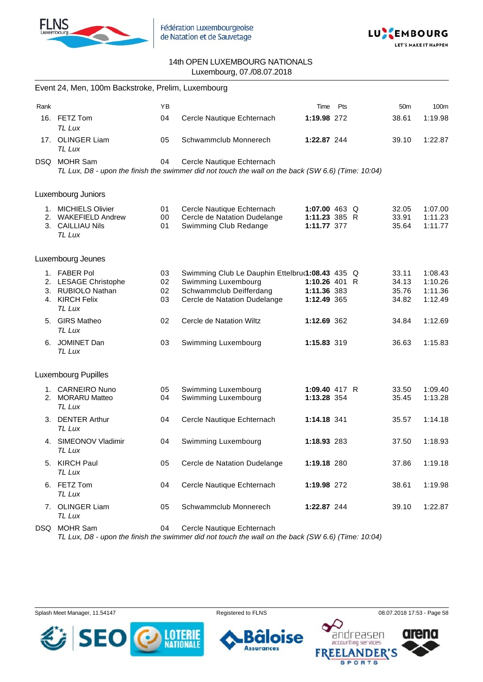



|      | Event 24, Men, 100m Backstroke, Prelim, Luxembourg                                    |                      |                                                                                                                                   |                                             |               |                                  |                                          |
|------|---------------------------------------------------------------------------------------|----------------------|-----------------------------------------------------------------------------------------------------------------------------------|---------------------------------------------|---------------|----------------------------------|------------------------------------------|
| Rank |                                                                                       | <b>YB</b>            |                                                                                                                                   | Time                                        | Pts           | 50 <sub>m</sub>                  | 100m                                     |
|      | 16. FETZ Tom<br>TL Lux                                                                | 04                   | Cercle Nautique Echternach                                                                                                        | 1:19.98 272                                 |               | 38.61                            | 1:19.98                                  |
|      | 17. OLINGER Liam<br>TL Lux                                                            | 05                   | Schwammclub Monnerech                                                                                                             | 1:22.87 244                                 |               | 39.10                            | 1:22.87                                  |
|      | DSQ MOHR Sam                                                                          | 04                   | Cercle Nautique Echternach<br>TL Lux, D8 - upon the finish the swimmer did not touch the wall on the back (SW 6.6) (Time: 10:04)  |                                             |               |                                  |                                          |
|      | Luxembourg Juniors                                                                    |                      |                                                                                                                                   |                                             |               |                                  |                                          |
|      | 1. MICHIELS Olivier<br>2. WAKEFIELD Andrew<br>3. CAILLIAU Nils<br>TL Lux              | 01<br>00<br>01       | Cercle Nautique Echternach<br>Cercle de Natation Dudelange<br>Swimming Club Redange                                               | 1:11.23 385 R<br>1:11.77 377                | 1:07.00 463 Q | 32.05<br>33.91<br>35.64          | 1:07.00<br>1:11.23<br>1:11.77            |
|      | Luxembourg Jeunes                                                                     |                      |                                                                                                                                   |                                             |               |                                  |                                          |
|      | 1. FABER Pol<br>2. LESAGE Christophe<br>3. RUBIOLO Nathan<br>4. KIRCH Felix<br>TL Lux | 03<br>02<br>02<br>03 | Swimming Club Le Dauphin Ettelbru(1:08.43 435 Q<br>Swimming Luxembourg<br>Schwammclub Deifferdang<br>Cercle de Natation Dudelange | 1:10.26 401 R<br>1:11.36 383<br>1:12.49 365 |               | 33.11<br>34.13<br>35.76<br>34.82 | 1:08.43<br>1:10.26<br>1:11.36<br>1:12.49 |
|      | 5. GIRS Matheo<br>TL Lux                                                              | 02                   | Cercle de Natation Wiltz                                                                                                          | 1:12.69 362                                 |               | 34.84                            | 1:12.69                                  |
| 6.   | JOMINET Dan<br>TL Lux                                                                 | 03                   | Swimming Luxembourg                                                                                                               | 1:15.83 319                                 |               | 36.63                            | 1:15.83                                  |
|      | <b>Luxembourg Pupilles</b>                                                            |                      |                                                                                                                                   |                                             |               |                                  |                                          |
|      | 1. CARNEIRO Nuno<br>2. MORARU Matteo<br>TL Lux                                        | 05<br>04             | Swimming Luxembourg<br>Swimming Luxembourg                                                                                        | 1:13.28 354                                 | 1:09.40 417 R | 33.50<br>35.45                   | 1:09.40<br>1:13.28                       |
|      | 3. DENTER Arthur<br>TL Lux                                                            | 04                   | Cercle Nautique Echternach                                                                                                        | 1:14.18 341                                 |               | 35.57                            | 1:14.18                                  |
|      | 4. SIMEONOV Vladimir<br>TL Lux                                                        | 04                   | Swimming Luxembourg                                                                                                               | 1:18.93 283                                 |               | 37.50                            | 1:18.93                                  |
| 5.   | <b>KIRCH Paul</b><br>TL Lux                                                           | 05                   | Cercle de Natation Dudelange                                                                                                      | 1:19.18 280                                 |               | 37.86                            | 1:19.18                                  |
| 6.   | FETZ Tom<br>TL Lux                                                                    | 04                   | Cercle Nautique Echternach                                                                                                        | 1:19.98 272                                 |               | 38.61                            | 1:19.98                                  |
|      | 7. OLINGER Liam<br>TL Lux                                                             | 05                   | Schwammclub Monnerech                                                                                                             | 1:22.87 244                                 |               | 39.10                            | 1:22.87                                  |
| DSQ  | <b>MOHR Sam</b>                                                                       | 04                   | Cercle Nautique Echternach                                                                                                        |                                             |               |                                  |                                          |

*TL Lux, D8 - upon the finish the swimmer did not touch the wall on the back (SW 6.6) (Time: 10:04)*

Splash Meet Manager, 11.54147 Registered to FLNS 68.07.2018 17:53 - Page 58



ise **Assurances** 



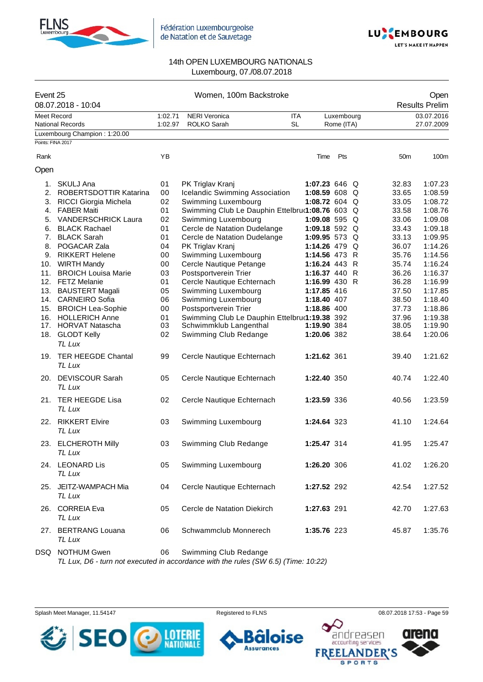



| Event 25    | 08.07.2018 - 10:04                        |                    | Women, 100m Backstroke                          |                         |                 |                          |  |                 | Open<br><b>Results Prelim</b> |
|-------------|-------------------------------------------|--------------------|-------------------------------------------------|-------------------------|-----------------|--------------------------|--|-----------------|-------------------------------|
| Meet Record | <b>National Records</b>                   | 1:02.71<br>1:02.97 | <b>NERI Veronica</b><br><b>ROLKO Sarah</b>      | <b>ITA</b><br><b>SL</b> |                 | Luxembourg<br>Rome (ITA) |  |                 | 03.07.2016<br>27.07.2009      |
|             | Luxembourg Champion: 1:20.00              |                    |                                                 |                         |                 |                          |  |                 |                               |
|             | Points: FINA 2017                         |                    |                                                 |                         |                 |                          |  |                 |                               |
| Rank        |                                           | YB                 |                                                 |                         | Time            | Pts                      |  | 50 <sub>m</sub> | 100m                          |
| Open        |                                           |                    |                                                 |                         |                 |                          |  |                 |                               |
|             | 1. SKULJ Ana                              | 01                 | PK Triglav Kranj                                |                         | 1:07.23 646 Q   |                          |  | 32.83           | 1:07.23                       |
|             | 2. ROBERTSDOTTIR Katarina                 | 00                 | Icelandic Swimming Association                  |                         | 1:08.59 608 $Q$ |                          |  | 33.65           | 1:08.59                       |
|             | 3. RICCI Giorgia Michela                  | 02                 | Swimming Luxembourg                             |                         | 1:08.72 604 Q   |                          |  | 33.05           | 1:08.72                       |
|             | 4. FABER Maiti                            | 01                 | Swimming Club Le Dauphin Ettelbru(1:08.76 603 Q |                         |                 |                          |  | 33.58           | 1:08.76                       |
|             | 5. VANDERSCHRICK Laura                    | 02                 | Swimming Luxembourg                             |                         | 1:09.08 595 $Q$ |                          |  | 33.06           | 1:09.08                       |
|             | 6. BLACK Rachael                          | 01                 | Cercle de Natation Dudelange                    |                         | 1:09.18 592 $Q$ |                          |  | 33.43           | 1:09.18                       |
|             | 7. BLACK Sarah                            | 01                 | Cercle de Natation Dudelange                    |                         | 1:09.95 573 Q   |                          |  | 33.13           | 1:09.95                       |
|             | 8. POGACAR Zala                           | 04                 | PK Triglav Kranj                                |                         | 1:14.26 479 Q   |                          |  | 36.07           | 1:14.26                       |
|             | 9. RIKKERT Helene                         | 00                 | Swimming Luxembourg                             |                         | 1:14.56 473 R   |                          |  | 35.76           | 1:14.56                       |
|             | 10. WIRTH Mandy                           | 00                 | Cercle Nautique Petange                         |                         | 1:16.24 443 R   |                          |  | 35.74           | 1:16.24                       |
|             | 11. BROICH Louisa Marie                   | 03                 | Postsportverein Trier                           |                         | 1:16.37 440 R   |                          |  | 36.26           | 1:16.37                       |
|             | 12. FETZ Melanie                          | 01                 | Cercle Nautique Echternach                      |                         | 1:16.99 430 R   |                          |  | 36.28           | 1:16.99                       |
|             | 13. BAUSTERT Magali                       | 05                 | Swimming Luxembourg                             |                         | 1:17.85 416     |                          |  | 37.50           | 1:17.85                       |
|             | 14. CARNEIRO Sofia                        | 06                 | Swimming Luxembourg                             |                         | 1:18.40 407     |                          |  | 38.50           | 1:18.40                       |
|             | 15. BROICH Lea-Sophie                     | 00                 | Postsportverein Trier                           |                         | 1:18.86 400     |                          |  | 37.73           | 1:18.86                       |
|             |                                           | 01                 |                                                 |                         |                 |                          |  |                 | 1:19.38                       |
|             | 16. HOLLERICH Anne<br>17. HORVAT Natascha | 03                 | Swimming Club Le Dauphin Ettelbru(1:19.38 392   |                         | 1:19.90 384     |                          |  | 37.96<br>38.05  | 1:19.90                       |
|             |                                           | 02                 | Schwimmklub Langenthal                          |                         |                 |                          |  | 38.64           | 1:20.06                       |
|             | 18. GLODT Kelly<br>TL Lux                 |                    | Swimming Club Redange                           |                         | 1:20.06 382     |                          |  |                 |                               |
|             | 19. TER HEEGDE Chantal<br>TL Lux          | 99                 | Cercle Nautique Echternach                      |                         | 1:21.62 361     |                          |  | 39.40           | 1:21.62                       |
|             | 20. DEVISCOUR Sarah<br><b>TL Lux</b>      | 05                 | Cercle Nautique Echternach                      |                         | 1:22.40 350     |                          |  | 40.74           | 1:22.40                       |
|             | 21. TER HEEGDE Lisa<br>TL Lux             | 02                 | Cercle Nautique Echternach                      |                         | 1:23.59 336     |                          |  | 40.56           | 1:23.59                       |
|             | 22. RIKKERT Elvire<br><b>TL Lux</b>       | 03                 | Swimming Luxembourg                             |                         | 1:24.64 323     |                          |  | 41.10           | 1:24.64                       |
|             | 23. ELCHEROTH Milly<br>TL Lux             | 03                 | Swimming Club Redange                           |                         | 1:25.47 314     |                          |  | 41.95           | 1:25.47                       |
|             | 24. LEONARD Lis<br>TL Lux                 | 05                 | Swimming Luxembourg                             |                         | 1:26.20 306     |                          |  | 41.02           | 1:26.20                       |
|             | 25. JEITZ-WAMPACH Mia<br>TL Lux           | 04                 | Cercle Nautique Echternach                      |                         | 1:27.52 292     |                          |  | 42.54           | 1:27.52                       |
|             | 26. CORREIA Eva<br>TL Lux                 | 05                 | Cercle de Natation Diekirch                     |                         | 1:27.63 291     |                          |  | 42.70           | 1:27.63                       |
|             | 27. BERTRANG Louana<br>TL Lux             | 06                 | Schwammclub Monnerech                           |                         | 1:35.76 223     |                          |  | 45.87           | 1:35.76                       |
|             | DSQ NOTHUM Gwen                           | 06                 | Swimming Club Redange                           |                         |                 |                          |  |                 |                               |

*TL Lux, D6 - turn not executed in accordance with the rules (SW 6.5) (Time: 10:22)*

Splash Meet Manager, 11.54147 **Registered to FLNS Registered to FLNS** 08.07.2018 17:53 - Page 59



**Assurances** 

ise

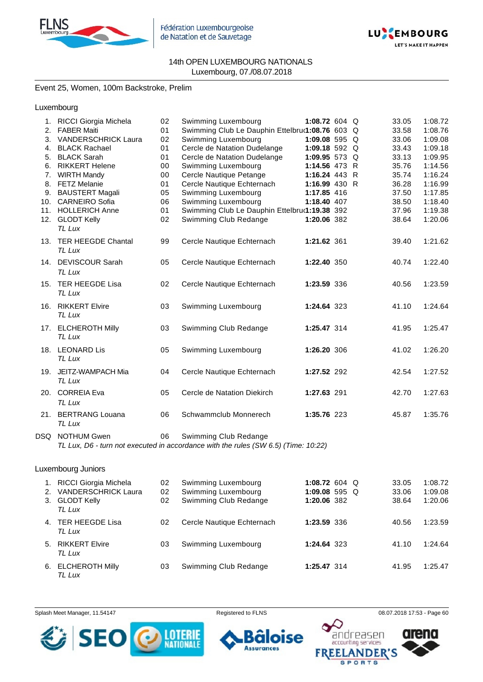



Event 25, Women, 100m Backstroke, Prelim

Luxembourg

|    | 1. RICCI Giorgia Michela      | 02 | Swimming Luxembourg                                                                                                             | 1:08.72 604 Q   |  | 33.05 | 1:08.72 |
|----|-------------------------------|----|---------------------------------------------------------------------------------------------------------------------------------|-----------------|--|-------|---------|
| 2. | <b>FABER Maiti</b>            | 01 | Swimming Club Le Dauphin Ettelbru(1:08.76 603 Q                                                                                 |                 |  | 33.58 | 1:08.76 |
| 3. | <b>VANDERSCHRICK Laura</b>    | 02 | Swimming Luxembourg                                                                                                             | 1:09.08 595 Q   |  | 33.06 | 1:09.08 |
|    | 4. BLACK Rachael              | 01 | Cercle de Natation Dudelange                                                                                                    | 1:09.18 592 Q   |  | 33.43 | 1:09.18 |
|    | 5. BLACK Sarah                | 01 | Cercle de Natation Dudelange                                                                                                    | 1:09.95 573 $Q$ |  | 33.13 | 1:09.95 |
|    | 6. RIKKERT Helene             | 00 | Swimming Luxembourg                                                                                                             | 1:14.56 473 R   |  | 35.76 | 1:14.56 |
| 7. | <b>WIRTH Mandy</b>            | 00 | Cercle Nautique Petange                                                                                                         | 1:16.24 443 R   |  | 35.74 | 1:16.24 |
| 8. | <b>FETZ Melanie</b>           | 01 | Cercle Nautique Echternach                                                                                                      | 1:16.99 430 R   |  | 36.28 | 1:16.99 |
| 9. | <b>BAUSTERT Magali</b>        | 05 | Swimming Luxembourg                                                                                                             | 1:17.85 416     |  | 37.50 | 1:17.85 |
|    | 10. CARNEIRO Sofia            | 06 | Swimming Luxembourg                                                                                                             | 1:18.40 407     |  | 38.50 | 1:18.40 |
|    | 11. HOLLERICH Anne            | 01 | Swimming Club Le Dauphin Ettelbrur1:19.38 392                                                                                   |                 |  | 37.96 | 1:19.38 |
|    | 12. GLODT Kelly               | 02 | Swimming Club Redange                                                                                                           | 1:20.06 382     |  | 38.64 | 1:20.06 |
|    | TL Lux                        |    |                                                                                                                                 |                 |  |       |         |
|    | 13. TER HEEGDE Chantal        | 99 | Cercle Nautique Echternach                                                                                                      | 1:21.62 361     |  | 39.40 | 1:21.62 |
|    | TL Lux                        |    |                                                                                                                                 |                 |  |       |         |
|    | 14. DEVISCOUR Sarah           | 05 | Cercle Nautique Echternach                                                                                                      | 1:22.40 350     |  | 40.74 | 1:22.40 |
|    | TL Lux                        |    |                                                                                                                                 |                 |  |       |         |
|    |                               |    |                                                                                                                                 |                 |  |       |         |
|    | 15. TER HEEGDE Lisa           | 02 | Cercle Nautique Echternach                                                                                                      | 1:23.59 336     |  | 40.56 | 1:23.59 |
|    | TL Lux                        |    |                                                                                                                                 |                 |  |       |         |
|    | 16. RIKKERT Elvire            | 03 | Swimming Luxembourg                                                                                                             | 1:24.64 323     |  | 41.10 | 1:24.64 |
|    | TL Lux                        |    |                                                                                                                                 |                 |  |       |         |
|    |                               |    |                                                                                                                                 |                 |  |       |         |
|    | 17. ELCHEROTH Milly<br>TL Lux | 03 | Swimming Club Redange                                                                                                           | 1:25.47 314     |  | 41.95 | 1:25.47 |
|    |                               |    |                                                                                                                                 |                 |  |       |         |
|    | 18. LEONARD Lis               | 05 | Swimming Luxembourg                                                                                                             | 1:26.20 306     |  | 41.02 | 1:26.20 |
|    | TL Lux                        |    |                                                                                                                                 |                 |  |       |         |
|    | 19. JEITZ-WAMPACH Mia         | 04 | Cercle Nautique Echternach                                                                                                      | 1:27.52 292     |  | 42.54 | 1:27.52 |
|    | TL Lux                        |    |                                                                                                                                 |                 |  |       |         |
|    |                               |    |                                                                                                                                 |                 |  |       |         |
|    | 20. CORREIA Eva               | 05 | Cercle de Natation Diekirch                                                                                                     | 1:27.63 291     |  | 42.70 | 1:27.63 |
|    | TL Lux                        |    |                                                                                                                                 |                 |  |       |         |
|    | 21. BERTRANG Louana           | 06 | Schwammclub Monnerech                                                                                                           | 1:35.76 223     |  | 45.87 | 1:35.76 |
|    | TL Lux                        |    |                                                                                                                                 |                 |  |       |         |
|    | DSQ NOTHUM Gwen               | 06 | Swimming Club Redange                                                                                                           |                 |  |       |         |
|    |                               |    | $T1$ , $1 \ldots$ Do the set consider the considered with the subscribit $(0.11/0.5)$ $(T_{\text{max}}^{\text{t}} \cdot 40.00)$ |                 |  |       |         |

*TL Lux, D6 - turn not executed in accordance with the rules (SW 6.5) (Time: 10:22)*

#### Luxembourg Juniors

| 1.<br>2. | RICCI Giorgia Michela<br><b>VANDERSCHRICK Laura</b><br>3. GLODT Kelly<br>TL Lux | 02<br>02<br>02 | Swimming Luxembourg<br>Swimming Luxembourg<br>Swimming Club Redange | 1:08.72 604 Q<br>1:09.08 595 $Q$<br>1:20.06 382 |  | 33.05<br>33.06<br>38.64 | 1:08.72<br>1:09.08<br>1:20.06 |
|----------|---------------------------------------------------------------------------------|----------------|---------------------------------------------------------------------|-------------------------------------------------|--|-------------------------|-------------------------------|
|          | 4. TER HEEGDE Lisa<br>TL Lux                                                    | 02             | Cercle Nautique Echternach                                          | 1:23.59 336                                     |  | 40.56                   | 1:23.59                       |
|          | 5. RIKKERT Elvire<br>TL Lux                                                     | 03             | Swimming Luxembourg                                                 | 1:24.64 323                                     |  | 41.10                   | 1:24.64                       |
|          | 6. ELCHEROTH Milly<br>$T1$ $\mu$                                                | 03             | Swimming Club Redange                                               | 1:25.47 314                                     |  | 41.95                   | 1:25.47                       |

Splash Meet Manager, 11.54147 **Registered to FLNS Registered to FLNS** 08.07.2018 17:53 - Page 60



ise **Assurances** 

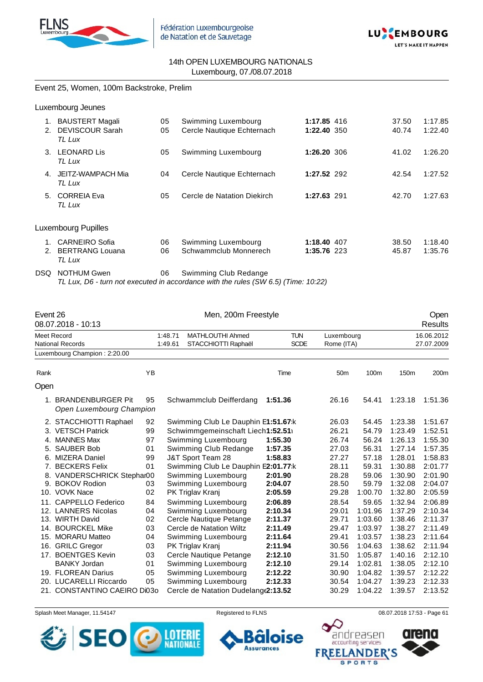



Event 25, Women, 100m Backstroke, Prelim

Luxembourg Jeunes

| 1.<br>2. | <b>BAUSTERT Magali</b><br><b>DEVISCOUR Sarah</b><br>TL Lux | 05<br>05 | Swimming Luxembourg<br>Cercle Nautique Echternach | 1:17.85 416<br>1:22.40 350 | 37.50<br>40.74 | 1:17.85<br>1:22.40 |
|----------|------------------------------------------------------------|----------|---------------------------------------------------|----------------------------|----------------|--------------------|
| 3.       | <b>LEONARD Lis</b><br>TL Lux                               | 05       | Swimming Luxembourg                               | 1:26.20 306                | 41.02          | 1:26.20            |
| 4.       | JEITZ-WAMPACH Mia<br>TL Lux                                | 04       | Cercle Nautique Echternach                        | 1:27.52 292                | 42.54          | 1:27.52            |
| 5.       | <b>CORREIA Eva</b><br>TL Lux                               | 05       | Cercle de Natation Diekirch                       | 1:27.63 291                | 42.70          | 1:27.63            |
|          | Luxembourg Pupilles                                        |          |                                                   |                            |                |                    |
| 2.       | CARNEIRO Sofia<br><b>BERTRANG Louana</b><br>TL Lux         | 06<br>06 | Swimming Luxembourg<br>Schwammclub Monnerech      | 1:18.40 407<br>1:35.76 223 | 38.50<br>45.87 | 1:18.40<br>1:35.76 |

DSQ NOTHUM Gwen 06 Swimming Club Redange *TL Lux, D6 - turn not executed in accordance with the rules (SW 6.5) (Time: 10:22)*

| Event 26 | 08.07.2018 - 10:13                               |    |         | Men, 200m Freestyle                 |             |                 |         |                  | Open<br><b>Results</b> |
|----------|--------------------------------------------------|----|---------|-------------------------------------|-------------|-----------------|---------|------------------|------------------------|
|          | Meet Record                                      |    | 1:48.71 | <b>MATHLOUTHI Ahmed</b>             | <b>TUN</b>  | Luxembourg      |         |                  | 16.06.2012             |
|          | National Records                                 |    | 1:49.61 | STACCHIOTTI Raphaël                 | <b>SCDE</b> | Rome (ITA)      |         |                  | 27.07.2009             |
|          | Luxembourg Champion: 2:20.00                     |    |         |                                     |             |                 |         |                  |                        |
|          |                                                  |    |         |                                     |             |                 |         |                  |                        |
| Rank     |                                                  | YB |         |                                     | Time        | 50 <sub>m</sub> | 100m    | 150 <sub>m</sub> | 200 <sub>m</sub>       |
| Open     |                                                  |    |         |                                     |             |                 |         |                  |                        |
|          | 1. BRANDENBURGER Pit<br>Open Luxembourg Champion | 95 |         | Schwammclub Deifferdang             | 1:51.36     | 26.16           | 54.41   | 1:23.18          | 1:51.36                |
|          | 2. STACCHIOTTI Raphael                           | 92 |         | Swimming Club Le Dauphin E1:51.67:k |             | 26.03           | 54.45   | 1:23.38          | 1:51.67                |
|          | 3. VETSCH Patrick                                | 99 |         | Schwimmgemeinschaft Liech1:52.51    |             | 26.21           | 54.79   | 1:23.49          | 1:52.51                |
| 4.       | <b>MANNES Max</b>                                | 97 |         | Swimming Luxembourg                 | 1:55.30     | 26.74           | 56.24   | 1:26.13          | 1:55.30                |
| 5.       | <b>SAUBER Bob</b>                                | 01 |         | Swimming Club Redange               | 1:57.35     | 27.03           | 56.31   | 1:27.14          | 1:57.35                |
| 6.       | MIZERA Daniel                                    | 99 |         | J&T Sport Team 28                   | 1:58.83     | 27.27           | 57.18   | 1:28.01          | 1:58.83                |
| 7.       | <b>BECKERS Felix</b>                             | 01 |         | Swimming Club Le Dauphin E2:01.77:k |             | 28.11           | 59.31   | 1:30.88          | 2:01.77                |
|          | 8. VANDERSCHRICK Stephar00                       |    |         | Swimming Luxembourg                 | 2:01.90     | 28.28           | 59.06   | 1:30.90          | 2:01.90                |
| 9.       | <b>BOKOV Rodion</b>                              | 03 |         | Swimming Luxembourg                 | 2:04.07     | 28.50           | 59.79   | 1:32.08          | 2:04.07                |
|          | 10. VOVK Nace                                    | 02 |         | PK Triglav Kranj                    | 2:05.59     | 29.28           | 1:00.70 | 1:32.80          | 2:05.59                |
| 11.      | CAPPELLO Federico                                | 84 |         | Swimming Luxembourg                 | 2:06.89     | 28.54           | 59.65   | 1:32.94          | 2:06.89                |
|          | 12. LANNERS Nicolas                              | 04 |         | Swimming Luxembourg                 | 2:10.34     | 29.01           | 1:01.96 | 1:37.29          | 2:10.34                |
|          | 13. WIRTH David                                  | 02 |         | Cercle Nautique Petange             | 2:11.37     | 29.71           | 1:03.60 | 1:38.46          | 2:11.37                |
| 14.      | <b>BOURCKEL Mike</b>                             | 03 |         | Cercle de Natation Wiltz            | 2:11.49     | 29.47           | 1:03.97 | 1:38.27          | 2:11.49                |
| 15.      | <b>MORARU Matteo</b>                             | 04 |         | Swimming Luxembourg                 | 2:11.64     | 29.41           | 1:03.57 | 1:38.23          | 2:11.64                |
|          | 16. GRILC Gregor                                 | 03 |         | PK Triglav Kranj                    | 2:11.94     | 30.56           | 1:04.63 | 1:38.62          | 2:11.94                |
| 17.      | <b>BOENTGES Kevin</b>                            | 03 |         | Cercle Nautique Petange             | 2:12.10     | 31.50           | 1:05.87 | 1:40.16          | 2:12.10                |
|          | <b>BANKY Jordan</b>                              | 01 |         | Swimming Luxembourg                 | 2:12.10     | 29.14           | 1:02.81 | 1:38.05          | 2:12.10                |
|          | 19. FLOREAN Darius                               | 05 |         | Swimming Luxembourg                 | 2:12.22     | 30.90           | 1:04.82 | 1:39.57          | 2:12.22                |
|          | 20. LUCARELLI Riccardo                           | 05 |         | Swimming Luxembourg                 | 2:12.33     | 30.54           | 1:04.27 | 1:39.23          | 2:12.33                |
|          | 21. CONSTANTINO CAEIRO DI030                     |    |         | Cercle de Natation Dudelang(2:13.52 |             | 30.29           | 1:04.22 | 1:39.57          | 2:13.52                |

Splash Meet Manager, 11.54147 **Registered to FLNS Registered to FLNS** 08.07.2018 17:53 - Page 61

**Assurances** 



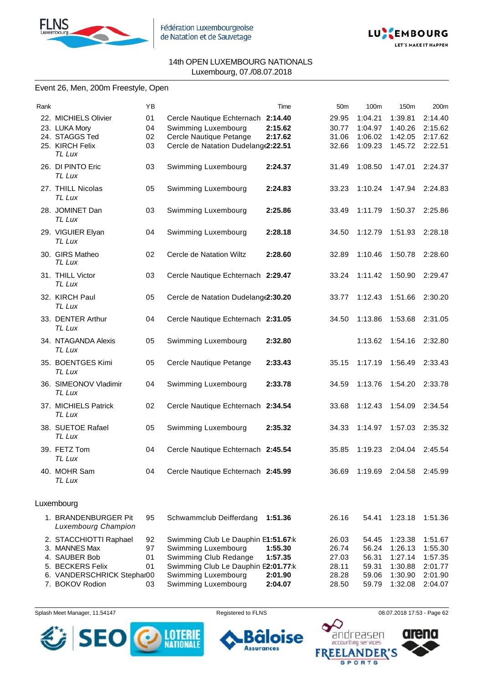



#### Event 26, Men, 200m Freestyle, Open

| Rank |                                                                                                            | YB                   |                                                                                                                                                   | Time                          | 50 <sub>m</sub>                           | 100m                                      | 150m                                                | 200m                                                |
|------|------------------------------------------------------------------------------------------------------------|----------------------|---------------------------------------------------------------------------------------------------------------------------------------------------|-------------------------------|-------------------------------------------|-------------------------------------------|-----------------------------------------------------|-----------------------------------------------------|
|      | 22. MICHIELS Olivier<br>23. LUKA Mory                                                                      | 01<br>04             | Cercle Nautique Echternach 2:14.40<br>Swimming Luxembourg                                                                                         | 2:15.62                       | 29.95<br>30.77                            | 1:04.21<br>1:04.97                        | 1:39.81<br>1:40.26                                  | 2:14.40<br>2:15.62                                  |
|      | 24. STAGGS Ted<br>25. KIRCH Felix<br>TL Lux                                                                | 02<br>03             | Cercle Nautique Petange<br>Cercle de Natation Dudelange2:22.51                                                                                    | 2:17.62                       | 31.06<br>32.66                            | 1:06.02<br>1:09.23                        | 1:42.05<br>1:45.72                                  | 2:17.62<br>2:22.51                                  |
|      | 26. DI PINTO Eric<br>TL Lux                                                                                | 03                   | Swimming Luxembourg                                                                                                                               | 2:24.37                       | 31.49                                     | 1:08.50                                   | 1:47.01                                             | 2:24.37                                             |
|      | 27. THILL Nicolas<br>TL Lux                                                                                | 05                   | Swimming Luxembourg                                                                                                                               | 2:24.83                       | 33.23                                     | 1:10.24                                   | 1:47.94                                             | 2:24.83                                             |
|      | 28. JOMINET Dan<br>TL Lux                                                                                  | 03                   | Swimming Luxembourg                                                                                                                               | 2:25.86                       | 33.49                                     | 1:11.79                                   | 1:50.37                                             | 2:25.86                                             |
|      | 29. VIGUIER Elyan<br>TL Lux                                                                                | 04                   | Swimming Luxembourg                                                                                                                               | 2:28.18                       | 34.50                                     | 1:12.79                                   | 1:51.93                                             | 2:28.18                                             |
|      | 30. GIRS Matheo<br>TL Lux                                                                                  | 02                   | Cercle de Natation Wiltz                                                                                                                          | 2:28.60                       | 32.89                                     | 1:10.46                                   | 1:50.78                                             | 2:28.60                                             |
|      | 31. THILL Victor<br>TL Lux                                                                                 | 03                   | Cercle Nautique Echternach 2:29.47                                                                                                                |                               | 33.24                                     | 1:11.42                                   | 1:50.90                                             | 2:29.47                                             |
|      | 32. KIRCH Paul<br>TL Lux                                                                                   | 05                   | Cercle de Natation Dudelang (2:30.20                                                                                                              |                               | 33.77                                     | 1:12.43                                   | 1:51.66                                             | 2:30.20                                             |
|      | 33. DENTER Arthur<br>TL Lux                                                                                | 04                   | Cercle Nautique Echternach 2:31.05                                                                                                                |                               | 34.50                                     | 1:13.86                                   | 1:53.68                                             | 2:31.05                                             |
|      | 34. NTAGANDA Alexis<br>TL Lux                                                                              | 05                   | Swimming Luxembourg                                                                                                                               | 2:32.80                       |                                           | 1:13.62                                   | 1:54.16                                             | 2:32.80                                             |
|      | 35. BOENTGES Kimi<br>TL Lux                                                                                | 05                   | Cercle Nautique Petange                                                                                                                           | 2:33.43                       | 35.15                                     | 1:17.19                                   | 1:56.49                                             | 2:33.43                                             |
|      | 36. SIMEONOV Vladimir<br>TL Lux                                                                            | 04                   | Swimming Luxembourg                                                                                                                               | 2:33.78                       | 34.59                                     | 1:13.76                                   | 1:54.20                                             | 2:33.78                                             |
|      | 37. MICHIELS Patrick<br>TL Lux                                                                             | 02                   | Cercle Nautique Echternach 2:34.54                                                                                                                |                               | 33.68                                     | 1:12.43                                   | 1:54.09                                             | 2:34.54                                             |
|      | 38. SUETOE Rafael<br>TL Lux                                                                                | 05                   | Swimming Luxembourg                                                                                                                               | 2:35.32                       | 34.33                                     | 1:14.97                                   | 1:57.03                                             | 2:35.32                                             |
|      | 39. FETZ Tom<br>TL Lux                                                                                     | 04                   | Cercle Nautique Echternach 2:45.54                                                                                                                |                               | 35.85                                     | 1:19.23                                   | 2:04.04                                             | 2:45.54                                             |
|      | 40. MOHR Sam<br>TL Lux                                                                                     | 04                   | Cercle Nautique Echternach 2:45.99                                                                                                                |                               | 36.69                                     | 1:19.69                                   | 2:04.58                                             | 2:45.99                                             |
|      | Luxembourg                                                                                                 |                      |                                                                                                                                                   |                               |                                           |                                           |                                                     |                                                     |
|      | 1. BRANDENBURGER Pit<br><b>Luxembourg Champion</b>                                                         | 95                   | Schwammclub Deifferdang                                                                                                                           | 1:51.36                       | 26.16                                     | 54.41                                     | 1:23.18                                             | 1:51.36                                             |
|      | 2. STACCHIOTTI Raphael<br>3. MANNES Max<br>4. SAUBER Bob<br>5. BECKERS Felix<br>6. VANDERSCHRICK Stephar00 | 92<br>97<br>01<br>01 | Swimming Club Le Dauphin E1:51.67:k<br>Swimming Luxembourg<br>Swimming Club Redange<br>Swimming Club Le Dauphin E2:01.77:k<br>Swimming Luxembourg | 1:55.30<br>1:57.35<br>2:01.90 | 26.03<br>26.74<br>27.03<br>28.11<br>28.28 | 54.45<br>56.24<br>56.31<br>59.31<br>59.06 | 1:23.38<br>1:26.13<br>1:27.14<br>1:30.88<br>1:30.90 | 1:51.67<br>1:55.30<br>1:57.35<br>2:01.77<br>2:01.90 |
|      | 7. BOKOV Rodion                                                                                            | 03                   | Swimming Luxembourg                                                                                                                               | 2:04.07                       | 28.50                                     | 59.79                                     | 1:32.08                                             | 2:04.07                                             |

Splash Meet Manager, 11.54147 **Registered to FLNS Registered to FLNS** 08.07.2018 17:53 - Page 62



oise 6 **Assurances** 

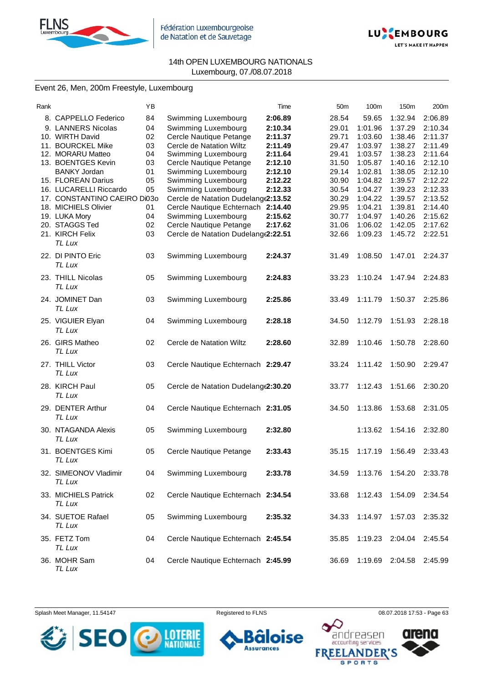



#### Event 26, Men, 200m Freestyle, Luxembourg

| Rank |                              | ΥB |                                     | Time    | 50 <sub>m</sub> | 100m    | 150m                      | 200m    |
|------|------------------------------|----|-------------------------------------|---------|-----------------|---------|---------------------------|---------|
|      | 8. CAPPELLO Federico         | 84 | Swimming Luxembourg                 | 2:06.89 | 28.54           | 59.65   | 1:32.94                   | 2:06.89 |
|      | 9. LANNERS Nicolas           | 04 | Swimming Luxembourg                 | 2:10.34 | 29.01           | 1:01.96 | 1:37.29                   | 2:10.34 |
|      | 10. WIRTH David              | 02 | Cercle Nautique Petange             | 2:11.37 | 29.71           | 1:03.60 | 1:38.46                   | 2:11.37 |
|      | 11. BOURCKEL Mike            | 03 | Cercle de Natation Wiltz            | 2:11.49 | 29.47           | 1:03.97 | 1:38.27                   | 2:11.49 |
|      | 12. MORARU Matteo            | 04 | Swimming Luxembourg                 | 2:11.64 | 29.41           | 1:03.57 | 1:38.23                   | 2:11.64 |
|      | 13. BOENTGES Kevin           | 03 | Cercle Nautique Petange             | 2:12.10 | 31.50           | 1:05.87 | 1:40.16                   | 2:12.10 |
|      | <b>BANKY Jordan</b>          | 01 | Swimming Luxembourg                 | 2:12.10 | 29.14           | 1:02.81 | 1:38.05                   | 2:12.10 |
|      | 15. FLOREAN Darius           | 05 | Swimming Luxembourg                 | 2:12.22 | 30.90           | 1:04.82 | 1:39.57                   | 2:12.22 |
|      | 16. LUCARELLI Riccardo       | 05 | Swimming Luxembourg                 | 2:12.33 | 30.54           | 1:04.27 | 1:39.23                   | 2:12.33 |
|      | 17. CONSTANTINO CAEIRO Di03o |    | Cercle de Natation Dudelang(2:13.52 |         | 30.29           | 1:04.22 | 1:39.57                   | 2:13.52 |
|      | 18. MICHIELS Olivier         | 01 | Cercle Nautique Echternach 2:14.40  |         | 29.95           | 1:04.21 | 1:39.81                   | 2:14.40 |
|      | 19. LUKA Mory                | 04 | Swimming Luxembourg                 | 2:15.62 | 30.77           | 1:04.97 | 1:40.26                   | 2:15.62 |
|      | 20. STAGGS Ted               | 02 | Cercle Nautique Petange             | 2:17.62 | 31.06           | 1:06.02 | 1:42.05                   | 2:17.62 |
|      | 21. KIRCH Felix              | 03 | Cercle de Natation Dudelange2:22.51 |         | 32.66           | 1:09.23 | 1:45.72                   | 2:22.51 |
|      | TL Lux                       |    |                                     |         |                 |         |                           |         |
|      | 22. DI PINTO Eric            | 03 | Swimming Luxembourg                 | 2:24.37 | 31.49           | 1:08.50 | 1:47.01                   | 2:24.37 |
|      | TL Lux                       |    |                                     |         |                 |         |                           |         |
|      |                              |    |                                     |         |                 |         |                           |         |
|      | 23. THILL Nicolas            | 05 | Swimming Luxembourg                 | 2:24.83 | 33.23           | 1:10.24 | 1:47.94                   | 2:24.83 |
|      | TL Lux                       |    |                                     |         |                 |         |                           |         |
|      | 24. JOMINET Dan              | 03 | Swimming Luxembourg                 | 2:25.86 | 33.49           | 1:11.79 | 1:50.37                   | 2:25.86 |
|      | TL Lux                       |    |                                     |         |                 |         |                           |         |
|      | 25. VIGUIER Elyan            | 04 | Swimming Luxembourg                 | 2:28.18 | 34.50           | 1:12.79 | 1:51.93                   | 2:28.18 |
|      | TL Lux                       |    |                                     |         |                 |         |                           |         |
|      |                              |    |                                     |         |                 |         |                           |         |
|      | 26. GIRS Matheo              | 02 | Cercle de Natation Wiltz            | 2:28.60 | 32.89           | 1:10.46 | 1:50.78                   | 2:28.60 |
|      | TL Lux                       |    |                                     |         |                 |         |                           |         |
|      | 27. THILL Victor             | 03 | Cercle Nautique Echternach 2:29.47  |         | 33.24           | 1:11.42 | 1:50.90                   | 2:29.47 |
|      | TL Lux                       |    |                                     |         |                 |         |                           |         |
|      | 28. KIRCH Paul               | 05 | Cercle de Natation Dudelang(2:30.20 |         | 33.77           | 1:12.43 | 1:51.66                   | 2:30.20 |
|      | TL Lux                       |    |                                     |         |                 |         |                           |         |
|      |                              |    |                                     |         |                 |         |                           |         |
|      | 29. DENTER Arthur            | 04 | Cercle Nautique Echternach 2:31.05  |         | 34.50           | 1:13.86 | 1:53.68                   | 2:31.05 |
|      | TL Lux                       |    |                                     |         |                 |         |                           |         |
|      | 30. NTAGANDA Alexis          | 05 | Swimming Luxembourg                 | 2:32.80 |                 | 1:13.62 | 1:54.16                   | 2:32.80 |
|      | TL Lux                       |    |                                     |         |                 |         |                           |         |
|      | 31. BOENTGES Kimi            | 05 | Cercle Nautique Petange             | 2:33.43 | 35.15           | 1:17.19 | 1:56.49                   | 2:33.43 |
|      | TL Lux                       |    |                                     |         |                 |         |                           |         |
|      |                              |    |                                     |         |                 |         |                           |         |
|      | 32. SIMEONOV Vladimir        | 04 | Swimming Luxembourg                 | 2:33.78 | 34.59           |         | 1:13.76  1:54.20  2:33.78 |         |
|      | TL Lux                       |    |                                     |         |                 |         |                           |         |
|      | 33. MICHIELS Patrick         | 02 | Cercle Nautique Echternach 2:34.54  |         | 33.68           | 1:12.43 | 1:54.09                   | 2:34.54 |
|      | TL Lux                       |    |                                     |         |                 |         |                           |         |
|      |                              |    |                                     |         |                 |         |                           |         |
|      | 34. SUETOE Rafael            | 05 | Swimming Luxembourg                 | 2:35.32 | 34.33           | 1:14.97 | 1:57.03                   | 2:35.32 |
|      | TL Lux                       |    |                                     |         |                 |         |                           |         |
|      | 35. FETZ Tom                 | 04 | Cercle Nautique Echternach 2:45.54  |         | 35.85           |         | 1:19.23 2:04.04           | 2:45.54 |
|      | TL Lux                       |    |                                     |         |                 |         |                           |         |
|      | 36. MOHR Sam                 | 04 |                                     |         |                 |         | 1:19.69 2:04.58 2:45.99   |         |
|      | TL Lux                       |    | Cercle Nautique Echternach 2:45.99  |         | 36.69           |         |                           |         |
|      |                              |    |                                     |         |                 |         |                           |         |



Ő ise 6 п **Assurances** 



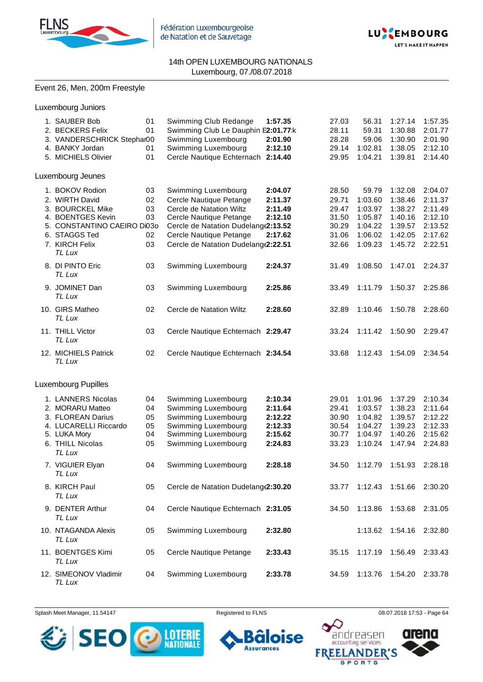



#### Event 26, Men, 200m Freestyle

Luxembourg Juniors

| 1. SAUBER Bob<br>2. BECKERS Felix<br>3. VANDERSCHRICK Stephar00<br>4. BANKY Jordan<br>5. MICHIELS Olivier                                                                                              | 01<br>01<br>01<br>01                         | Swimming Club Redange<br>Swimming Club Le Dauphin E2:01.77:k<br>Swimming Luxembourg<br>Swimming Luxembourg<br>Cercle Nautique Echternach                                                                                                                     | 1:57.35<br>2:01.90<br>2:12.10<br>2:14.40                                  | 27.03<br>28.11<br>28.28<br>29.14<br>29.95                                     | 56.31<br>59.31<br>59.06<br>1:02.81<br>1:04.21                                                 | 1:27.14<br>1:30.88<br>1:30.90<br>1:38.05<br>1:39.81                                             | 1:57.35<br>2:01.77<br>2:01.90<br>2:12.10<br>2:14.40                                             |
|--------------------------------------------------------------------------------------------------------------------------------------------------------------------------------------------------------|----------------------------------------------|--------------------------------------------------------------------------------------------------------------------------------------------------------------------------------------------------------------------------------------------------------------|---------------------------------------------------------------------------|-------------------------------------------------------------------------------|-----------------------------------------------------------------------------------------------|-------------------------------------------------------------------------------------------------|-------------------------------------------------------------------------------------------------|
| Luxembourg Jeunes                                                                                                                                                                                      |                                              |                                                                                                                                                                                                                                                              |                                                                           |                                                                               |                                                                                               |                                                                                                 |                                                                                                 |
| 1. BOKOV Rodion<br>2. WIRTH David<br>3. BOURCKEL Mike<br>4. BOENTGES Kevin<br>5. CONSTANTINO CAEIRO Di030<br>6. STAGGS Ted<br>7. KIRCH Felix<br>TL Lux<br>8. DI PINTO Eric<br>TL Lux<br>9. JOMINET Dan | 03<br>02<br>03<br>03<br>02<br>03<br>03<br>03 | Swimming Luxembourg<br>Cercle Nautique Petange<br>Cercle de Natation Wiltz<br>Cercle Nautique Petange<br>Cercle de Natation Dudelang(2:13.52<br>Cercle Nautique Petange<br>Cercle de Natation Dudelange2:22.51<br>Swimming Luxembourg<br>Swimming Luxembourg | 2:04.07<br>2:11.37<br>2:11.49<br>2:12.10<br>2:17.62<br>2:24.37<br>2:25.86 | 28.50<br>29.71<br>29.47<br>31.50<br>30.29<br>31.06<br>32.66<br>31.49<br>33.49 | 59.79<br>1:03.60<br>1:03.97<br>1:05.87<br>1:04.22<br>1:06.02<br>1:09.23<br>1:08.50<br>1:11.79 | 1:32.08<br>1:38.46<br>1:38.27<br>1:40.16<br>1:39.57<br>1:42.05<br>1:45.72<br>1:47.01<br>1:50.37 | 2:04.07<br>2:11.37<br>2:11.49<br>2:12.10<br>2:13.52<br>2:17.62<br>2:22.51<br>2:24.37<br>2:25.86 |
| TL Lux<br>10. GIRS Matheo<br>TL Lux                                                                                                                                                                    | 02                                           | Cercle de Natation Wiltz                                                                                                                                                                                                                                     | 2:28.60                                                                   | 32.89                                                                         | 1:10.46                                                                                       | 1:50.78                                                                                         | 2:28.60                                                                                         |
| 11. THILL Victor<br>TL Lux                                                                                                                                                                             | 03                                           | Cercle Nautique Echternach 2:29.47                                                                                                                                                                                                                           |                                                                           | 33.24                                                                         | 1:11.42                                                                                       | 1:50.90                                                                                         | 2:29.47                                                                                         |
| 12. MICHIELS Patrick<br>TL Lux                                                                                                                                                                         | 02                                           | Cercle Nautique Echternach 2:34.54                                                                                                                                                                                                                           |                                                                           | 33.68                                                                         | 1:12.43                                                                                       | 1:54.09                                                                                         | 2:34.54                                                                                         |
| Luxembourg Pupilles                                                                                                                                                                                    |                                              |                                                                                                                                                                                                                                                              |                                                                           |                                                                               |                                                                                               |                                                                                                 |                                                                                                 |
| 1. LANNERS Nicolas<br>2. MORARU Matteo<br>3. FLOREAN Darius<br>4. LUCARELLI Riccardo<br>5. LUKA Mory<br>6. THILL Nicolas<br>TL Lux                                                                     | 04<br>04<br>05<br>05<br>04<br>05             | Swimming Luxembourg<br>Swimming Luxembourg<br>Swimming Luxembourg<br>Swimming Luxembourg<br>Swimming Luxembourg<br>Swimming Luxembourg                                                                                                                       | 2:10.34<br>2:11.64<br>2:12.22<br>2:12.33<br>2:15.62<br>2:24.83            | 29.01<br>29.41<br>30.90<br>30.54<br>30.77<br>33.23                            | 1:01.96<br>1:03.57<br>1:04.82<br>1:04.27<br>1:04.97<br>1:10.24                                | 1:37.29<br>1:38.23<br>1:39.57<br>1:39.23<br>1:40.26<br>1:47.94                                  | 2:10.34<br>2:11.64<br>2:12.22<br>2:12.33<br>2:15.62<br>2:24.83                                  |
| 7. VIGUIER Elyan<br>TL Lux                                                                                                                                                                             | 04                                           | Swimming Luxembourg                                                                                                                                                                                                                                          | 2:28.18                                                                   | 34.50                                                                         | 1:12.79                                                                                       | 1:51.93                                                                                         | 2:28.18                                                                                         |
| 8. KIRCH Paul<br>TL Lux                                                                                                                                                                                | 05                                           | Cercle de Natation Dudelang(2:30.20                                                                                                                                                                                                                          |                                                                           | 33.77                                                                         | 1:12.43                                                                                       | 1:51.66                                                                                         | 2:30.20                                                                                         |
| 9. DENTER Arthur<br>TL Lux                                                                                                                                                                             | 04                                           | Cercle Nautique Echternach 2:31.05                                                                                                                                                                                                                           |                                                                           | 34.50                                                                         | 1:13.86                                                                                       | 1:53.68                                                                                         | 2:31.05                                                                                         |
| 10. NTAGANDA Alexis<br>TL Lux                                                                                                                                                                          | 05                                           | Swimming Luxembourg                                                                                                                                                                                                                                          | 2:32.80                                                                   |                                                                               | 1:13.62                                                                                       | 1:54.16                                                                                         | 2:32.80                                                                                         |
| 11. BOENTGES Kimi<br>TL Lux                                                                                                                                                                            | 05                                           | Cercle Nautique Petange                                                                                                                                                                                                                                      | 2:33.43                                                                   | 35.15                                                                         | 1:17.19                                                                                       | 1:56.49                                                                                         | 2:33.43                                                                                         |
| 12. SIMEONOV Vladimir<br>TL Lux                                                                                                                                                                        | 04                                           | Swimming Luxembourg                                                                                                                                                                                                                                          | 2:33.78                                                                   | 34.59                                                                         | 1:13.76                                                                                       | 1:54.20                                                                                         | 2:33.78                                                                                         |

Splash Meet Manager, 11.54147 **Registered to FLNS Registered to FLNS** 08.07.2018 17:53 - Page 64





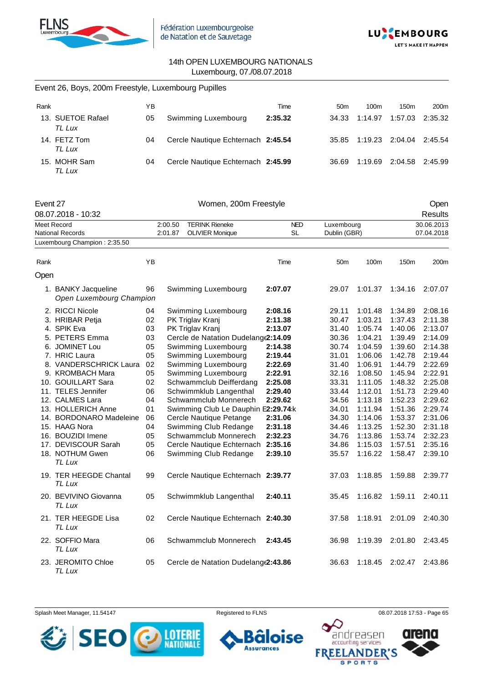



|                    | Event 26, Boys, 200m Freestyle, Luxembourg Pupilles |    |                                     |            |                 |              |         |                        |
|--------------------|-----------------------------------------------------|----|-------------------------------------|------------|-----------------|--------------|---------|------------------------|
| Rank               |                                                     | YB |                                     | Time       | 50 <sub>m</sub> | 100m         | 150m    | 200m                   |
|                    | 13. SUETOE Rafael<br>TL Lux                         | 05 | Swimming Luxembourg                 | 2:35.32    | 34.33           | 1:14.97      | 1:57.03 | 2:35.32                |
|                    | 14. FETZ Tom<br>TL Lux                              | 04 | Cercle Nautique Echternach 2:45.54  |            | 35.85           | 1:19.23      | 2:04.04 | 2:45.54                |
|                    | 15. MOHR Sam<br>TL Lux                              | 04 | Cercle Nautique Echternach 2:45.99  |            | 36.69           | 1:19.69      | 2:04.58 | 2:45.99                |
| Event 27           | 08.07.2018 - 10:32                                  |    | Women, 200m Freestyle               |            |                 |              |         | Open<br><b>Results</b> |
| <b>Meet Record</b> |                                                     |    | 2:00.50<br><b>TERINK Rieneke</b>    | <b>NED</b> | Luxembourg      |              |         | 30.06.2013             |
| National Records   |                                                     |    | 2:01.87<br><b>OLIVIER Monique</b>   | <b>SL</b>  |                 | Dublin (GBR) |         | 07.04.2018             |
|                    | Luxembourg Champion: 2:35.50                        |    |                                     |            |                 |              |         |                        |
| Rank               |                                                     | ΥB |                                     | Time       | 50 <sub>m</sub> | 100m         | 150m    | 200m                   |
| Open               |                                                     |    |                                     |            |                 |              |         |                        |
|                    | 1. BANKY Jacqueline<br>Open Luxembourg Champion     | 96 | Swimming Luxembourg                 | 2:07.07    | 29.07           | 1:01.37      | 1:34.16 | 2:07.07                |
|                    | 2. RICCI Nicole                                     | 04 | Swimming Luxembourg                 | 2:08.16    | 29.11           | 1:01.48      | 1:34.89 | 2:08.16                |
|                    | 3. HRIBAR Petja                                     | 02 | PK Triglav Kranj                    | 2:11.38    | 30.47           | 1:03.21      | 1:37.43 | 2:11.38                |
|                    | 4. SPIK Eva                                         | 03 | PK Triglav Kranj                    | 2:13.07    | 31.40           | 1:05.74      | 1:40.06 | 2:13.07                |
|                    | 5. PETERS Emma                                      | 03 | Cercle de Natation Dudelang(2:14.09 |            | 30.36           | 1:04.21      | 1:39.49 | 2:14.09                |
|                    | 6. JOMINET Lou                                      | 05 | Swimming Luxembourg                 | 2:14.38    | 30.74           | 1:04.59      | 1:39.60 | 2:14.38                |
|                    | 7. HRIC Laura                                       | 05 | Swimming Luxembourg                 | 2:19.44    | 31.01           | 1:06.06      | 1:42.78 | 2:19.44                |
|                    | 8. VANDERSCHRICK Laura                              | 02 | Swimming Luxembourg                 | 2:22.69    | 31.40           | 1:06.91      | 1:44.79 | 2:22.69                |
|                    | 9. KROMBACH Mara                                    | 05 | Swimming Luxembourg                 | 2:22.91    | 32.16           | 1:08.50      | 1:45.94 | 2:22.91                |
|                    | 10. GOUILLART Sara                                  | 02 | Schwammclub Deifferdang             | 2:25.08    | 33.31           | 1:11.05      | 1:48.32 | 2:25.08                |
|                    | 11. TELES Jennifer                                  | 06 | Schwimmklub Langenthal              | 2:29.40    | 33.44           | 1:12.01      | 1:51.73 | 2:29.40                |
|                    | 12. CALMES Lara                                     | 04 | Schwammclub Monnerech               | 2:29.62    | 34.56           | 1:13.18      | 1:52.23 | 2:29.62                |
|                    | 13. HOLLERICH Anne                                  | 01 | Swimming Club Le Dauphin E2:29.74:k |            | 34.01           | 1:11.94      | 1:51.36 | 2:29.74                |
|                    | 14. BORDONARO Madeleine                             | 06 | Cercle Nautique Petange             | 2:31.06    | 34.30           | 1:14.06      | 1:53.37 | 2:31.06                |
|                    | 15. HAAG Nora                                       | 04 | Swimming Club Redange               | 2:31.18    | 34.46           | 1:13.25      | 1:52.30 | 2:31.18                |
|                    | 16. BOUZIDI Imene                                   | 05 | Schwammclub Monnerech               | 2:32.23    | 34.76           | 1:13.86      | 1:53.74 | 2:32.23                |
|                    | 17. DEVISCOUR Sarah                                 | 05 | Cercle Nautique Echternach          | 2:35.16    | 34.86           | 1:15.03      | 1:57.51 | 2:35.16                |

*TL Lux* 19. TER HEEGDE Chantal 99 Cercle Nautique Echternach **2:39.77** 37.03 1:18.85 1:59.88 2:39.77 *TL Lux* 20. BEVIVINO Giovanna 05 Schwimmklub Langenthal **2:40.11** 35.45 1:16.82 1:59.11 2:40.11 *TL Lux* 21. TER HEEGDE Lisa 02 Cercle Nautique Echternach **2:40.30** 37.58 1:18.91 2:01.09 2:40.30 *TL Lux* 22. SOFFIO Mara 06 Schwammclub Monnerech **2:43.45** 36.98 1:19.39 2:01.80 2:43.45 *TL Lux* 23. JEROMITO Chloe 05 Cercle de Natation Dudelange**2:43.86** 36.63 1:18.45 2:02.47 2:43.86 *TL Lux*

18. NOTHUM Gwen 06 Swimming Club Redange **2:39.10** 35.57 1:16.22 1:58.47 2:39.10







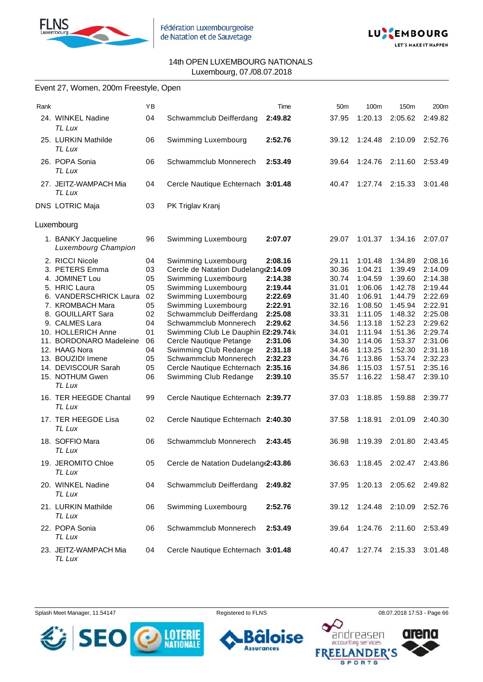



#### Event 27, Women, 200m Freestyle, Open

| Rank |                                                                                                                                                                                                                                                                                                                                                                 | YB                                                                                           |                                                                                                                                                                                                                                                                                                                                                                                                                                                                   | Time                                                                                                                             | 50 <sub>m</sub>                                                                                                                              | 100m                                                                                                                                                                         | 150m                                                                                                                                                                         | 200m                                                                                                                                                                         |
|------|-----------------------------------------------------------------------------------------------------------------------------------------------------------------------------------------------------------------------------------------------------------------------------------------------------------------------------------------------------------------|----------------------------------------------------------------------------------------------|-------------------------------------------------------------------------------------------------------------------------------------------------------------------------------------------------------------------------------------------------------------------------------------------------------------------------------------------------------------------------------------------------------------------------------------------------------------------|----------------------------------------------------------------------------------------------------------------------------------|----------------------------------------------------------------------------------------------------------------------------------------------|------------------------------------------------------------------------------------------------------------------------------------------------------------------------------|------------------------------------------------------------------------------------------------------------------------------------------------------------------------------|------------------------------------------------------------------------------------------------------------------------------------------------------------------------------|
|      | 24. WINKEL Nadine<br>TL Lux                                                                                                                                                                                                                                                                                                                                     | 04                                                                                           | Schwammclub Deifferdang                                                                                                                                                                                                                                                                                                                                                                                                                                           | 2:49.82                                                                                                                          | 37.95                                                                                                                                        | 1:20.13                                                                                                                                                                      | 2:05.62                                                                                                                                                                      | 2:49.82                                                                                                                                                                      |
|      | 25. LURKIN Mathilde<br>TL Lux                                                                                                                                                                                                                                                                                                                                   | 06                                                                                           | Swimming Luxembourg                                                                                                                                                                                                                                                                                                                                                                                                                                               | 2:52.76                                                                                                                          | 39.12                                                                                                                                        | 1:24.48                                                                                                                                                                      | 2:10.09                                                                                                                                                                      | 2:52.76                                                                                                                                                                      |
|      | 26. POPA Sonia<br>TL Lux                                                                                                                                                                                                                                                                                                                                        | 06                                                                                           | Schwammclub Monnerech                                                                                                                                                                                                                                                                                                                                                                                                                                             | 2:53.49                                                                                                                          | 39.64                                                                                                                                        | 1:24.76                                                                                                                                                                      | 2:11.60                                                                                                                                                                      | 2:53.49                                                                                                                                                                      |
|      | 27. JEITZ-WAMPACH Mia<br>TL Lux                                                                                                                                                                                                                                                                                                                                 | 04                                                                                           | Cercle Nautique Echternach 3:01.48                                                                                                                                                                                                                                                                                                                                                                                                                                |                                                                                                                                  | 40.47                                                                                                                                        | 1:27.74                                                                                                                                                                      | 2:15.33                                                                                                                                                                      | 3:01.48                                                                                                                                                                      |
|      | <b>DNS LOTRIC Maja</b>                                                                                                                                                                                                                                                                                                                                          | 03                                                                                           | PK Triglav Kranj                                                                                                                                                                                                                                                                                                                                                                                                                                                  |                                                                                                                                  |                                                                                                                                              |                                                                                                                                                                              |                                                                                                                                                                              |                                                                                                                                                                              |
|      | Luxembourg                                                                                                                                                                                                                                                                                                                                                      |                                                                                              |                                                                                                                                                                                                                                                                                                                                                                                                                                                                   |                                                                                                                                  |                                                                                                                                              |                                                                                                                                                                              |                                                                                                                                                                              |                                                                                                                                                                              |
|      | 1. BANKY Jacqueline<br><b>Luxembourg Champion</b>                                                                                                                                                                                                                                                                                                               | 96                                                                                           | Swimming Luxembourg                                                                                                                                                                                                                                                                                                                                                                                                                                               | 2:07.07                                                                                                                          | 29.07                                                                                                                                        | 1:01.37                                                                                                                                                                      | 1:34.16                                                                                                                                                                      | 2:07.07                                                                                                                                                                      |
|      | 2. RICCI Nicole<br>3. PETERS Emma<br>4. JOMINET Lou<br>5. HRIC Laura<br>6. VANDERSCHRICK Laura<br>7. KROMBACH Mara<br>8. GOUILLART Sara<br>9. CALMES Lara<br>10. HOLLERICH Anne<br>11. BORDONARO Madeleine<br>12. HAAG Nora<br>13. BOUZIDI Imene<br>14. DEVISCOUR Sarah<br>15. NOTHUM Gwen<br>TL Lux<br>16. TER HEEGDE Chantal<br>TL Lux<br>17. TER HEEGDE Lisa | 04<br>03<br>05<br>05<br>02<br>05<br>02<br>04<br>01<br>06<br>04<br>05<br>05<br>06<br>99<br>02 | Swimming Luxembourg<br>Cercle de Natation Dudelang(2:14.09<br>Swimming Luxembourg<br>Swimming Luxembourg<br>Swimming Luxembourg<br>Swimming Luxembourg<br>Schwammclub Deifferdang<br>Schwammclub Monnerech<br>Swimming Club Le Dauphin E2:29.74:k<br>Cercle Nautique Petange<br>Swimming Club Redange<br>Schwammclub Monnerech<br>Cercle Nautique Echternach<br>Swimming Club Redange<br>Cercle Nautique Echternach 2:39.77<br>Cercle Nautique Echternach 2:40.30 | 2:08.16<br>2:14.38<br>2:19.44<br>2:22.69<br>2:22.91<br>2:25.08<br>2:29.62<br>2:31.06<br>2:31.18<br>2:32.23<br>2:35.16<br>2:39.10 | 29.11<br>30.36<br>30.74<br>31.01<br>31.40<br>32.16<br>33.31<br>34.56<br>34.01<br>34.30<br>34.46<br>34.76<br>34.86<br>35.57<br>37.03<br>37.58 | 1:01.48<br>1:04.21<br>1:04.59<br>1:06.06<br>1:06.91<br>1:08.50<br>1:11.05<br>1:13.18<br>1:11.94<br>1:14.06<br>1:13.25<br>1:13.86<br>1:15.03<br>1:16.22<br>1:18.85<br>1:18.91 | 1:34.89<br>1:39.49<br>1:39.60<br>1:42.78<br>1:44.79<br>1:45.94<br>1:48.32<br>1:52.23<br>1:51.36<br>1:53.37<br>1:52.30<br>1:53.74<br>1:57.51<br>1:58.47<br>1:59.88<br>2:01.09 | 2:08.16<br>2:14.09<br>2:14.38<br>2:19.44<br>2:22.69<br>2:22.91<br>2:25.08<br>2:29.62<br>2:29.74<br>2:31.06<br>2:31.18<br>2:32.23<br>2:35.16<br>2:39.10<br>2:39.77<br>2:40.30 |
|      | TL Lux                                                                                                                                                                                                                                                                                                                                                          |                                                                                              |                                                                                                                                                                                                                                                                                                                                                                                                                                                                   |                                                                                                                                  |                                                                                                                                              |                                                                                                                                                                              |                                                                                                                                                                              |                                                                                                                                                                              |
|      | 18. SOFFIO Mara<br>TL Lux                                                                                                                                                                                                                                                                                                                                       | 06                                                                                           | Schwammclub Monnerech                                                                                                                                                                                                                                                                                                                                                                                                                                             | 2:43.45                                                                                                                          | 36.98                                                                                                                                        | 1:19.39                                                                                                                                                                      | 2:01.80                                                                                                                                                                      | 2:43.45                                                                                                                                                                      |
|      | 19. JEROMITO Chloe<br>TL Lux                                                                                                                                                                                                                                                                                                                                    | 05                                                                                           | Cercle de Natation Dudelang (2:43.86                                                                                                                                                                                                                                                                                                                                                                                                                              |                                                                                                                                  | 36.63                                                                                                                                        |                                                                                                                                                                              | 1:18.45 2:02.47 2:43.86                                                                                                                                                      |                                                                                                                                                                              |
|      | 20. WINKEL Nadine<br>TL Lux                                                                                                                                                                                                                                                                                                                                     | 04                                                                                           | Schwammclub Deifferdang                                                                                                                                                                                                                                                                                                                                                                                                                                           | 2:49.82                                                                                                                          | 37.95                                                                                                                                        | 1:20.13                                                                                                                                                                      | 2:05.62                                                                                                                                                                      | 2:49.82                                                                                                                                                                      |
|      | 21. LURKIN Mathilde<br>TL Lux                                                                                                                                                                                                                                                                                                                                   | 06                                                                                           | Swimming Luxembourg                                                                                                                                                                                                                                                                                                                                                                                                                                               | 2:52.76                                                                                                                          | 39.12                                                                                                                                        | 1:24.48                                                                                                                                                                      | 2:10.09                                                                                                                                                                      | 2:52.76                                                                                                                                                                      |
|      | 22. POPA Sonia<br>TL Lux                                                                                                                                                                                                                                                                                                                                        | 06                                                                                           | Schwammclub Monnerech                                                                                                                                                                                                                                                                                                                                                                                                                                             | 2:53.49                                                                                                                          | 39.64                                                                                                                                        | 1:24.76 2:11.60                                                                                                                                                              |                                                                                                                                                                              | 2:53.49                                                                                                                                                                      |
|      | 23. JEITZ-WAMPACH Mia<br>TL Lux                                                                                                                                                                                                                                                                                                                                 | 04                                                                                           | Cercle Nautique Echternach 3:01.48                                                                                                                                                                                                                                                                                                                                                                                                                                |                                                                                                                                  | 40.47                                                                                                                                        | 1:27.74 2:15.33                                                                                                                                                              |                                                                                                                                                                              | 3:01.48                                                                                                                                                                      |



oise 6 **Assurances** 



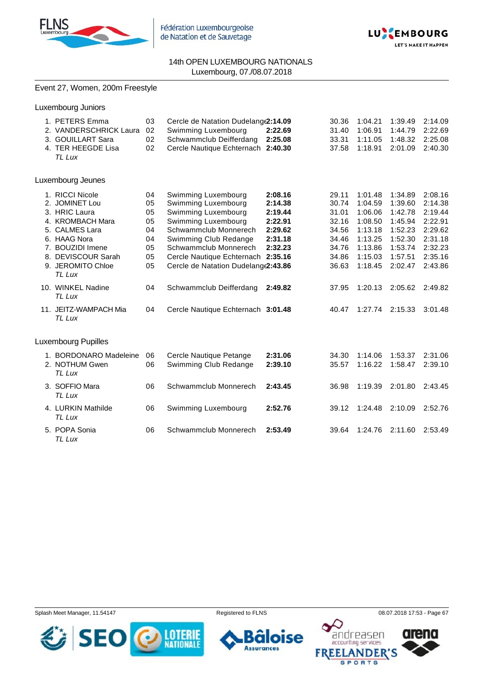



### Event 27, Women, 200m Freestyle

| Luxembourg Juniors                                                                                                                                                                |                                                    |                                                                                                                                                                                                                                                   |                                                                           |                                                                               |                                                                                                 |                                                                                                 |                                                                                                 |
|-----------------------------------------------------------------------------------------------------------------------------------------------------------------------------------|----------------------------------------------------|---------------------------------------------------------------------------------------------------------------------------------------------------------------------------------------------------------------------------------------------------|---------------------------------------------------------------------------|-------------------------------------------------------------------------------|-------------------------------------------------------------------------------------------------|-------------------------------------------------------------------------------------------------|-------------------------------------------------------------------------------------------------|
| 1. PETERS Emma<br>2. VANDERSCHRICK Laura<br>3. GOUILLART Sara<br>4. TER HEEGDE Lisa<br>TL Lux                                                                                     | 03<br>02<br>02<br>02                               | Cercle de Natation Dudelang (2:14.09<br>Swimming Luxembourg<br>Schwammclub Deifferdang<br>Cercle Nautique Echternach 2:40.30                                                                                                                      | 2:22.69<br>2:25.08                                                        | 30.36<br>31.40<br>33.31<br>37.58                                              | 1:04.21<br>1:06.91<br>1:11.05<br>1:18.91                                                        | 1:39.49<br>1:44.79<br>1:48.32<br>2:01.09                                                        | 2:14.09<br>2:22.69<br>2:25.08<br>2:40.30                                                        |
| Luxembourg Jeunes                                                                                                                                                                 |                                                    |                                                                                                                                                                                                                                                   |                                                                           |                                                                               |                                                                                                 |                                                                                                 |                                                                                                 |
| 1. RICCI Nicole<br>2. JOMINET Lou<br>3. HRIC Laura<br>4. KROMBACH Mara<br>5. CALMES Lara<br>6. HAAG Nora<br>7. BOUZIDI Imene<br>8. DEVISCOUR Sarah<br>9. JEROMITO Chloe<br>TL Lux | 04<br>05<br>05<br>05<br>04<br>04<br>05<br>05<br>05 | Swimming Luxembourg<br>Swimming Luxembourg<br>Swimming Luxembourg<br>Swimming Luxembourg<br>Schwammclub Monnerech<br>Swimming Club Redange<br>Schwammclub Monnerech<br>Cercle Nautique Echternach 2:35.16<br>Cercle de Natation Dudelang (2:43.86 | 2:08.16<br>2:14.38<br>2:19.44<br>2:22.91<br>2:29.62<br>2:31.18<br>2:32.23 | 29.11<br>30.74<br>31.01<br>32.16<br>34.56<br>34.46<br>34.76<br>34.86<br>36.63 | 1:01.48<br>1:04.59<br>1:06.06<br>1:08.50<br>1:13.18<br>1:13.25<br>1:13.86<br>1:15.03<br>1:18.45 | 1:34.89<br>1:39.60<br>1:42.78<br>1:45.94<br>1:52.23<br>1:52.30<br>1:53.74<br>1:57.51<br>2:02.47 | 2:08.16<br>2:14.38<br>2:19.44<br>2:22.91<br>2:29.62<br>2:31.18<br>2:32.23<br>2:35.16<br>2:43.86 |
| 10. WINKEL Nadine<br>TL Lux                                                                                                                                                       | 04                                                 | Schwammclub Deifferdang                                                                                                                                                                                                                           | 2:49.82                                                                   | 37.95                                                                         | 1:20.13                                                                                         | 2:05.62                                                                                         | 2:49.82                                                                                         |
| 11. JEITZ-WAMPACH Mia<br>TL Lux                                                                                                                                                   | 04                                                 | Cercle Nautique Echternach 3:01.48                                                                                                                                                                                                                |                                                                           | 40.47                                                                         | 1:27.74                                                                                         | 2:15.33                                                                                         | 3:01.48                                                                                         |
| <b>Luxembourg Pupilles</b>                                                                                                                                                        |                                                    |                                                                                                                                                                                                                                                   |                                                                           |                                                                               |                                                                                                 |                                                                                                 |                                                                                                 |
| 1. BORDONARO Madeleine<br>2. NOTHUM Gwen<br>TL Lux                                                                                                                                | 06<br>06                                           | Cercle Nautique Petange<br>Swimming Club Redange                                                                                                                                                                                                  | 2:31.06<br>2:39.10                                                        | 34.30<br>35.57                                                                | 1:14.06<br>1:16.22                                                                              | 1:53.37<br>1:58.47                                                                              | 2:31.06<br>2:39.10                                                                              |
| 3. SOFFIO Mara<br>TL Lux                                                                                                                                                          | 06                                                 | Schwammclub Monnerech                                                                                                                                                                                                                             | 2:43.45                                                                   | 36.98                                                                         | 1:19.39                                                                                         | 2:01.80                                                                                         | 2:43.45                                                                                         |
| 4. LURKIN Mathilde<br>TL Lux                                                                                                                                                      | 06                                                 | Swimming Luxembourg                                                                                                                                                                                                                               | 2:52.76                                                                   | 39.12                                                                         | 1:24.48                                                                                         | 2:10.09                                                                                         | 2:52.76                                                                                         |
| 5. POPA Sonia<br>TL Lux                                                                                                                                                           | 06                                                 | Schwammclub Monnerech                                                                                                                                                                                                                             | 2:53.49                                                                   | 39.64                                                                         | 1:24.76                                                                                         | 2:11.60                                                                                         | 2:53.49                                                                                         |

Splash Meet Manager, 11.54147 **Registered to FLNS Registered to FLNS** 08.07.2018 17:53 - Page 67





 $\Omega$ 

**FREE** 



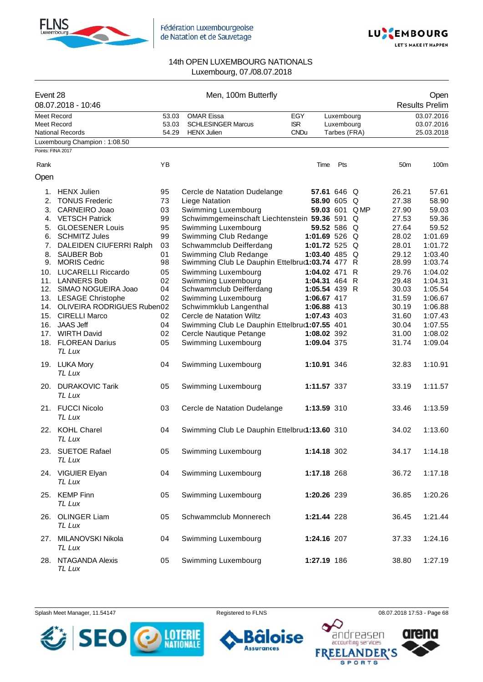



| Event 28           | 08.07.2018 - 10:46             |       | Men, 100m Butterfly                             |             |               |              |               |                 | Open<br><b>Results Prelim</b> |
|--------------------|--------------------------------|-------|-------------------------------------------------|-------------|---------------|--------------|---------------|-----------------|-------------------------------|
| <b>Meet Record</b> |                                | 53.03 | <b>OMAR Eissa</b>                               | <b>EGY</b>  |               | Luxembourg   |               |                 | 03.07.2016                    |
| Meet Record        |                                | 53.03 | <b>SCHLESINGER Marcus</b>                       | <b>ISR</b>  |               | Luxembourg   |               |                 | 03.07.2016                    |
|                    | <b>National Records</b>        | 54.29 | <b>HENX Julien</b>                              | <b>CNDu</b> |               | Tarbes (FRA) |               |                 | 25.03.2018                    |
|                    | Luxembourg Champion: 1:08.50   |       |                                                 |             |               |              |               |                 |                               |
| Points: FINA 2017  |                                |       |                                                 |             |               |              |               |                 |                               |
| Rank               |                                | YB    |                                                 |             | Time          | Pts          |               | 50 <sub>m</sub> | 100m                          |
| Open               |                                |       |                                                 |             |               |              |               |                 |                               |
|                    | 1. HENX Julien                 | 95    | Cercle de Natation Dudelange                    |             | 57.61 646 Q   |              |               | 26.21           | 57.61                         |
|                    | 2. TONUS Frederic              | 73    | Liege Natation                                  |             | 58.90 605 Q   |              |               | 27.38           | 58.90                         |
|                    | 3. CARNEIRO Joao               | 03    | Swimming Luxembourg                             |             |               |              | 59.03 601 QMP | 27.90           | 59.03                         |
|                    | 4. VETSCH Patrick              | 99    | Schwimmgemeinschaft Liechtenstein 59.36 591 Q   |             |               |              |               | 27.53           | 59.36                         |
|                    | 5. GLOESENER Louis             | 95    | Swimming Luxembourg                             |             | 59.52 586 Q   |              |               | 27.64           | 59.52                         |
|                    | 6. SCHMITZ Jules               | 99    | Swimming Club Redange                           |             | 1:01.69 526 Q |              |               | 28.02           | 1:01.69                       |
|                    | 7. DALEIDEN CIUFERRI Ralph     | 03    | Schwammclub Deifferdang                         |             | 1:01.72 525 Q |              |               | 28.01           | 1:01.72                       |
| 8.                 | <b>SAUBER Bob</b>              | 01    | Swimming Club Redange                           |             | 1:03.40 485 Q |              |               | 29.12           | 1:03.40                       |
|                    | 9. MORIS Cedric                | 98    | Swimming Club Le Dauphin Ettelbrud1:03.74 477 R |             |               |              |               | 28.99           | 1:03.74                       |
|                    | 10. LUCARELLI Riccardo         | 05    | Swimming Luxembourg                             |             | 1:04.02 471   |              | R             | 29.76           | 1:04.02                       |
|                    | 11. LANNERS Bob                | 02    | Swimming Luxembourg                             |             | 1:04.31 464 R |              |               | 29.48           | 1:04.31                       |
|                    | 12. SIMAO NOGUEIRA Joao        | 04    | Schwammclub Deifferdang                         |             | 1:05.54 439 R |              |               | 30.03           | 1:05.54                       |
|                    | 13. LESAGE Christophe          | 02    | Swimming Luxembourg                             |             | 1:06.67 417   |              |               | 31.59           | 1:06.67                       |
|                    | 14. OLIVEIRA RODRIGUES Ruben02 |       | Schwimmklub Langenthal                          |             | 1:06.88 413   |              |               | 30.19           | 1:06.88                       |
|                    | 15. CIRELLI Marco              | 02    | Cercle de Natation Wiltz                        |             | 1:07.43 403   |              |               | 31.60           | 1:07.43                       |
|                    | 16. JAAS Jeff                  | 04    | Swimming Club Le Dauphin Ettelbru(1:07.55 401   |             |               |              |               | 30.04           | 1:07.55                       |
|                    | 17. WIRTH David                | 02    | Cercle Nautique Petange                         |             | 1:08.02 392   |              |               | 31.00           | 1:08.02                       |
|                    | 18. FLOREAN Darius             | 05    | Swimming Luxembourg                             |             |               |              |               | 31.74           | 1:09.04                       |
|                    | TL Lux                         |       |                                                 |             | 1:09.04 375   |              |               |                 |                               |
|                    | 19. LUKA Mory                  | 04    | Swimming Luxembourg                             |             | 1:10.91 346   |              |               | 32.83           | 1:10.91                       |
|                    | TL Lux                         |       |                                                 |             |               |              |               |                 |                               |
|                    | 20. DURAKOVIC Tarik            | 05    | Swimming Luxembourg                             |             | 1:11.57 337   |              |               | 33.19           | 1:11.57                       |
|                    | TL Lux                         |       |                                                 |             |               |              |               |                 |                               |
|                    | 21. FUCCI Nicolo<br>TL Lux     | 03    | Cercle de Natation Dudelange                    |             | 1:13.59 310   |              |               | 33.46           | 1:13.59                       |
|                    | 22. KOHL Charel                |       |                                                 |             |               |              |               | 34.02           |                               |
|                    | TL Lux                         | 04    | Swimming Club Le Dauphin Ettelbru(1:13.60 310   |             |               |              |               |                 | 1:13.60                       |
|                    | 23. SUETOE Rafael              | 05    | Swimming Luxembourg                             |             | 1:14.18 302   |              |               | 34.17           | 1:14.18                       |
|                    | TL Lux                         |       |                                                 |             |               |              |               |                 |                               |
|                    |                                |       |                                                 |             |               |              |               |                 |                               |
|                    | 24. VIGUIER Elyan              | 04    | Swimming Luxembourg                             |             | 1:17.18 268   |              |               | 36.72           | 1:17.18                       |
|                    | TL Lux                         |       |                                                 |             |               |              |               |                 |                               |
|                    | 25. KEMP Finn                  | 05    | Swimming Luxembourg                             |             | 1:20.26 239   |              |               | 36.85           | 1:20.26                       |
|                    | TL Lux                         |       |                                                 |             |               |              |               |                 |                               |
|                    |                                |       |                                                 |             |               |              |               |                 |                               |
|                    | 26. OLINGER Liam               | 05    | Schwammclub Monnerech                           |             | 1:21.44 228   |              |               | 36.45           | 1:21.44                       |
|                    | TL Lux                         |       |                                                 |             |               |              |               |                 |                               |
|                    | 27. MILANOVSKI Nikola          | 04    | Swimming Luxembourg                             |             | 1:24.16 207   |              |               | 37.33           | 1:24.16                       |
|                    | TL Lux                         |       |                                                 |             |               |              |               |                 |                               |
|                    |                                |       |                                                 |             |               |              |               |                 |                               |
|                    | 28. NTAGANDA Alexis<br>TL Lux  | 05    | Swimming Luxembourg                             |             | 1:27.19 186   |              |               | 38.80           | 1:27.19                       |



 $\ddot{\mathbf{z}}$  $\bm{\mathcal{\mathcal{L}}}$ **loise** ÕĪ **Assurances** 



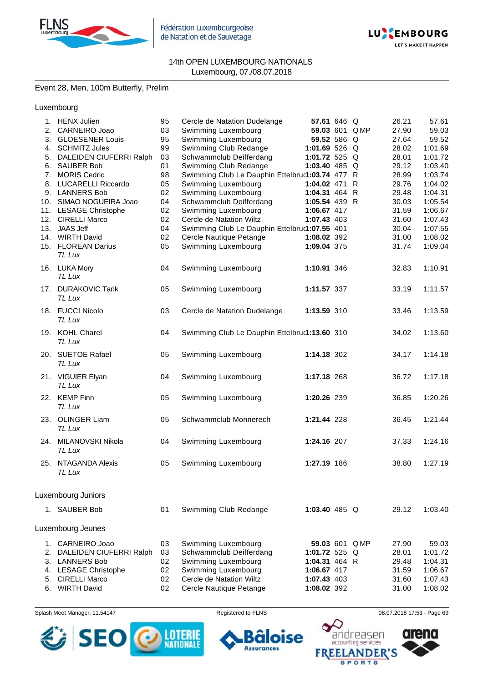

Fédération Luxembourgeoise de Natation et de Sauvetage



#### 14th OPEN LUXEMBOURG NATIONALS Luxembourg, 07./08.07.2018

## Event 28, Men, 100m Butterfly, Prelim

Luxembourg

|    | 1. HENX Julien             | 95 | Cercle de Natation Dudelange                    | 57.61 646 Q     |      | 26.21 | 57.61   |
|----|----------------------------|----|-------------------------------------------------|-----------------|------|-------|---------|
|    | 2. CARNEIRO Joao           | 03 | Swimming Luxembourg                             | 59.03 601 QMP   |      | 27.90 | 59.03   |
| 3. | <b>GLOESENER Louis</b>     | 95 | Swimming Luxembourg                             | 59.52 586 Q     |      | 27.64 | 59.52   |
|    | 4. SCHMITZ Jules           | 99 | Swimming Club Redange                           | 1:01.69 526 Q   |      | 28.02 | 1:01.69 |
|    | 5. DALEIDEN CIUFERRI Ralph | 03 | Schwammclub Deifferdang                         | 1:01.72 525 $Q$ |      | 28.01 | 1:01.72 |
| 6. | <b>SAUBER Bob</b>          | 01 | Swimming Club Redange                           | 1:03.40 485 Q   |      | 29.12 | 1:03.40 |
| 7. | <b>MORIS Cedric</b>        | 98 | Swimming Club Le Dauphin Ettelbru(1:03.74 477 R |                 |      | 28.99 | 1:03.74 |
| 8. | <b>LUCARELLI Riccardo</b>  | 05 | Swimming Luxembourg                             | 1:04.02 471 R   |      | 29.76 | 1:04.02 |
|    | 9. LANNERS Bob             | 02 | Swimming Luxembourg                             | 1:04.31 464 R   |      | 29.48 | 1:04.31 |
|    | 10. SIMAO NOGUEIRA Joao    | 04 | Schwammclub Deifferdang                         | 1:05.54 439 R   |      | 30.03 | 1:05.54 |
|    | 11. LESAGE Christophe      | 02 | Swimming Luxembourg                             | 1:06.67 417     |      | 31.59 | 1:06.67 |
|    | 12. CIRELLI Marco          | 02 | Cercle de Natation Wiltz                        | 1:07.43 403     |      | 31.60 | 1:07.43 |
|    | 13. JAAS Jeff              | 04 | Swimming Club Le Dauphin Ettelbru(1:07.55 401   |                 |      | 30.04 | 1:07.55 |
|    | 14. WIRTH David            | 02 | Cercle Nautique Petange                         | 1:08.02 392     |      | 31.00 | 1:08.02 |
|    |                            |    |                                                 |                 |      |       | 1:09.04 |
|    | 15. FLOREAN Darius         | 05 | Swimming Luxembourg                             | 1:09.04 375     |      | 31.74 |         |
|    | TL Lux                     |    |                                                 |                 |      |       |         |
|    | 16. LUKA Mory              | 04 | Swimming Luxembourg                             | 1:10.91 346     |      | 32.83 | 1:10.91 |
|    | TL Lux                     |    |                                                 |                 |      |       |         |
|    |                            |    |                                                 |                 |      |       |         |
|    | 17. DURAKOVIC Tarik        | 05 | Swimming Luxembourg                             | 1:11.57 337     |      | 33.19 | 1:11.57 |
|    | TL Lux                     |    |                                                 |                 |      |       |         |
|    | 18. FUCCI Nicolo           | 03 | Cercle de Natation Dudelange                    | 1:13.59 310     |      | 33.46 | 1:13.59 |
|    | TL Lux                     |    |                                                 |                 |      |       |         |
|    |                            |    |                                                 |                 |      |       |         |
|    | 19. KOHL Charel            | 04 | Swimming Club Le Dauphin Ettelbru(1:13.60 310   |                 |      | 34.02 | 1:13.60 |
|    | TL Lux                     |    |                                                 |                 |      |       |         |
|    | 20. SUETOE Rafael          | 05 | Swimming Luxembourg                             | 1:14.18 302     |      | 34.17 | 1:14.18 |
|    | TL Lux                     |    |                                                 |                 |      |       |         |
|    |                            |    |                                                 |                 |      |       |         |
|    | 21. VIGUIER Elyan          | 04 | Swimming Luxembourg                             | 1:17.18 268     |      | 36.72 | 1:17.18 |
|    | TL Lux                     |    |                                                 |                 |      |       |         |
|    | 22. KEMP Finn              | 05 | Swimming Luxembourg                             | 1:20.26 239     |      | 36.85 | 1:20.26 |
|    | TL Lux                     |    |                                                 |                 |      |       |         |
|    |                            |    |                                                 |                 |      |       |         |
|    | 23. OLINGER Liam           | 05 | Schwammclub Monnerech                           | 1:21.44 228     |      | 36.45 | 1:21.44 |
|    | TL Lux                     |    |                                                 |                 |      |       |         |
|    | 24. MILANOVSKI Nikola      | 04 | Swimming Luxembourg                             | 1:24.16 207     |      | 37.33 | 1:24.16 |
|    | TL Lux                     |    |                                                 |                 |      |       |         |
|    |                            |    |                                                 |                 |      |       |         |
|    | 25. NTAGANDA Alexis        | 05 | Swimming Luxembourg                             | 1:27.19 186     |      | 38.80 | 1:27.19 |
|    | TL Lux                     |    |                                                 |                 |      |       |         |
|    |                            |    |                                                 |                 |      |       |         |
|    |                            |    |                                                 |                 |      |       |         |
|    | Luxembourg Juniors         |    |                                                 |                 |      |       |         |
|    | 1. SAUBER Bob              | 01 | Swimming Club Redange                           | 1:03.40 485 $Q$ |      | 29.12 | 1:03.40 |
|    |                            |    |                                                 |                 |      |       |         |
|    |                            |    |                                                 |                 |      |       |         |
|    | Luxembourg Jeunes          |    |                                                 |                 |      |       |         |
| 1. | CARNEIRO Joao              | 03 | Swimming Luxembourg                             | 59.03 601       | Q MP | 27.90 | 59.03   |
| 2. | DALEIDEN CIUFERRI Ralph    | 03 | Schwammclub Deifferdang                         | 1:01.72 525 $Q$ |      | 28.01 | 1:01.72 |
| 3. | <b>LANNERS Bob</b>         | 02 | Swimming Luxembourg                             | 1:04.31 464 R   |      | 29.48 | 1:04.31 |
|    |                            |    |                                                 |                 |      |       |         |
| 4. | <b>LESAGE Christophe</b>   | 02 | Swimming Luxembourg                             | 1:06.67 417     |      | 31.59 | 1:06.67 |
| 5. | <b>CIRELLI Marco</b>       | 02 | Cercle de Natation Wiltz                        | 1:07.43 403     |      | 31.60 | 1:07.43 |
| 6. | <b>WIRTH David</b>         | 02 | Cercle Nautique Petange                         | 1:08.02 392     |      | 31.00 | 1:08.02 |

Splash Meet Manager, 11.54147 **Registered to FLNS Registered to FLNS** 08.07.2018 17:53 - Page 69



oise 6

**Assurances** 

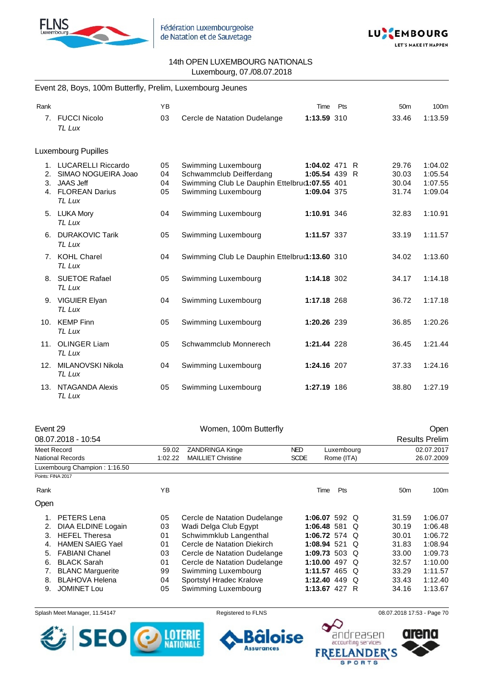



#### Event 28, Boys, 100m Butterfly, Prelim, Luxembourg Jeunes

| Rank           |                                                                                                     | <b>YB</b>            |                                                                                                                        | Time                                          | Pts | 50 <sub>m</sub>                  | 100m                                     |
|----------------|-----------------------------------------------------------------------------------------------------|----------------------|------------------------------------------------------------------------------------------------------------------------|-----------------------------------------------|-----|----------------------------------|------------------------------------------|
|                | 7. FUCCI Nicolo<br>TL Lux                                                                           | 03                   | Cercle de Natation Dudelange                                                                                           | 1:13.59 310                                   |     | 33.46                            | 1:13.59                                  |
|                | Luxembourg Pupilles                                                                                 |                      |                                                                                                                        |                                               |     |                                  |                                          |
| 1.<br>2.<br>3. | <b>LUCARELLI Riccardo</b><br>SIMAO NOGUEIRA Joao<br><b>JAAS Jeff</b><br>4. FLOREAN Darius<br>TL Lux | 05<br>04<br>04<br>05 | Swimming Luxembourg<br>Schwammclub Deifferdang<br>Swimming Club Le Dauphin Ettelbru(1:07.55 401<br>Swimming Luxembourg | 1:04.02 471 R<br>1:05.54 439 R<br>1:09.04 375 |     | 29.76<br>30.03<br>30.04<br>31.74 | 1:04.02<br>1:05.54<br>1:07.55<br>1:09.04 |
|                | 5. LUKA Mory<br>TL Lux                                                                              | 04                   | Swimming Luxembourg                                                                                                    | 1:10.91 346                                   |     | 32.83                            | 1:10.91                                  |
| 6.             | <b>DURAKOVIC Tarik</b><br>TL Lux                                                                    | 05                   | Swimming Luxembourg                                                                                                    | 1:11.57 337                                   |     | 33.19                            | 1:11.57                                  |
|                | 7. KOHL Charel<br>TL Lux                                                                            | 04                   | Swimming Club Le Dauphin Ettelbru(1:13.60 310                                                                          |                                               |     | 34.02                            | 1:13.60                                  |
|                | 8. SUETOE Rafael<br>TL Lux                                                                          | 05                   | Swimming Luxembourg                                                                                                    | 1:14.18 302                                   |     | 34.17                            | 1:14.18                                  |
|                | 9. VIGUIER Elyan<br>TL Lux                                                                          | 04                   | Swimming Luxembourg                                                                                                    | 1:17.18 268                                   |     | 36.72                            | 1:17.18                                  |
|                | 10. KEMP Finn<br>TL Lux                                                                             | 05                   | Swimming Luxembourg                                                                                                    | 1:20.26 239                                   |     | 36.85                            | 1:20.26                                  |
| 11.            | <b>OLINGER Liam</b><br>TL Lux                                                                       | 05                   | Schwammclub Monnerech                                                                                                  | 1:21.44 228                                   |     | 36.45                            | 1:21.44                                  |
| 12.            | MILANOVSKI Nikola<br>TL Lux                                                                         | 04                   | Swimming Luxembourg                                                                                                    | 1:24.16 207                                   |     | 37.33                            | 1:24.16                                  |
| 13.            | NTAGANDA Alexis<br>TL Lux                                                                           | 05                   | Swimming Luxembourg                                                                                                    | 1:27.19 186                                   |     | 38.80                            | 1:27.19                                  |

| Event 29                |                                                                                 | Women, 100m Butterfly        |                                                              |            |                                                                                                                              | <b>Open</b>                                                                       |                       |  |
|-------------------------|---------------------------------------------------------------------------------|------------------------------|--------------------------------------------------------------|------------|------------------------------------------------------------------------------------------------------------------------------|-----------------------------------------------------------------------------------|-----------------------|--|
|                         |                                                                                 |                              |                                                              |            |                                                                                                                              |                                                                                   | <b>Results Prelim</b> |  |
| Meet Record             |                                                                                 | <b>ZANDRINGA Kinge</b>       | <b>NED</b>                                                   |            |                                                                                                                              | 02.07.2017                                                                        |                       |  |
| National Records        |                                                                                 | <b>MAILLIET Christine</b>    | <b>SCDE</b>                                                  |            |                                                                                                                              | 26.07.2009                                                                        |                       |  |
|                         |                                                                                 |                              |                                                              |            |                                                                                                                              |                                                                                   |                       |  |
|                         |                                                                                 |                              |                                                              |            |                                                                                                                              |                                                                                   |                       |  |
|                         | YB.                                                                             |                              |                                                              | <b>Pts</b> |                                                                                                                              | 50 <sub>m</sub>                                                                   | 100m                  |  |
|                         |                                                                                 |                              |                                                              |            |                                                                                                                              |                                                                                   |                       |  |
| PETERS Lena             | 05                                                                              | Cercle de Natation Dudelange |                                                              |            |                                                                                                                              | 31.59                                                                             | 1:06.07               |  |
| DIAA ELDINE Logain      | 03                                                                              | Wadi Delga Club Egypt        |                                                              |            |                                                                                                                              | 30.19                                                                             | 1:06.48               |  |
| <b>HEFEL Theresa</b>    | 01                                                                              | Schwimmklub Langenthal       |                                                              |            |                                                                                                                              | 30.01                                                                             | 1:06.72               |  |
| <b>HAMEN SAIEG Yael</b> | 01                                                                              | Cercle de Natation Diekirch  |                                                              |            |                                                                                                                              | 31.83                                                                             | 1:08.94               |  |
| <b>FABIANI Chanel</b>   | 03                                                                              |                              |                                                              |            |                                                                                                                              | 33.00                                                                             | 1:09.73               |  |
| <b>BLACK Sarah</b>      | 01                                                                              |                              |                                                              |            |                                                                                                                              | 32.57                                                                             | 1:10.00               |  |
| <b>BLANC Marguerite</b> | 99                                                                              | Swimming Luxembourg          |                                                              |            |                                                                                                                              | 33.29                                                                             | 1:11.57               |  |
| <b>BLAHOVA Helena</b>   | 04                                                                              | Sportstyl Hradec Kralove     |                                                              |            |                                                                                                                              | 33.43                                                                             | 1:12.40               |  |
| <b>JOMINET Lou</b>      | 05                                                                              | Swimming Luxembourg          |                                                              |            |                                                                                                                              | 34.16                                                                             | 1:13.67               |  |
| Rank<br>2.<br>7.        | 08.07.2018 - 10:54<br>Luxembourg Champion: 1:16.50<br>Points: FINA 2017<br>Open | 59.02<br>1:02.22             | Cercle de Natation Dudelange<br>Cercle de Natation Dudelange |            | Time<br>1:06.48 581<br>1:06.72 574<br>1:08.94 521<br>1:09.73 503<br>1:10.00 497<br>1:11.57 465<br>1:12.40 449<br>1:13.67 427 | Luxembourg<br>Rome (ITA)<br>1:06.07 592 Q<br>Q<br>O<br>O<br>O<br>O<br>O<br>Q<br>R |                       |  |

Splash Meet Manager, 11.54147 Registered to FLNS 68.07.2018 17:53 - Page 70





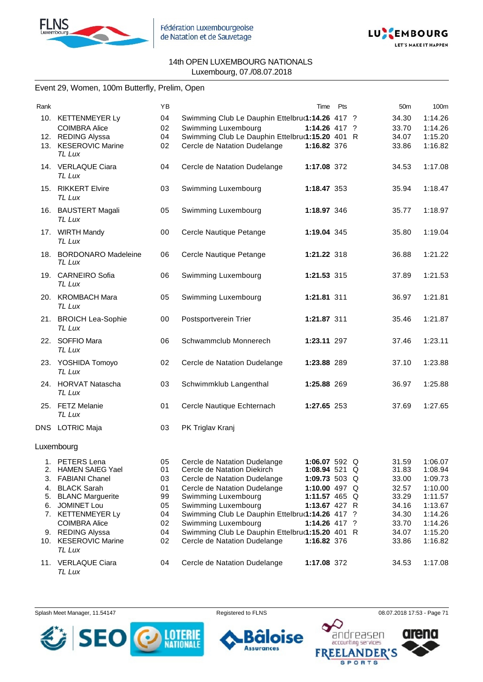



## Event 29, Women, 100m Butterfly, Prelim, Open

| Rank |                                   | YB |                                                                | Time            | Pts | 50 <sub>m</sub> | 100m    |
|------|-----------------------------------|----|----------------------------------------------------------------|-----------------|-----|-----------------|---------|
|      | 10. KETTENMEYER Ly                | 04 | Swimming Club Le Dauphin Ettelbruৌ 114.26 417 ?                |                 |     | 34.30           | 1:14.26 |
|      | <b>COIMBRA Alice</b>              | 02 | Swimming Luxembourg                                            | 1:14.26 417 ?   |     | 33.70           | 1:14.26 |
|      | 12. REDING Alyssa                 | 04 | Swimming Club Le Dauphin Ettelbru(1:15.20 401 R                |                 |     | 34.07           | 1:15.20 |
|      | 13. KESEROVIC Marine              | 02 | Cercle de Natation Dudelange                                   | 1:16.82 376     |     | 33.86           | 1:16.82 |
|      | TL Lux                            |    |                                                                |                 |     |                 |         |
|      | 14. VERLAQUE Ciara                | 04 | Cercle de Natation Dudelange                                   | 1:17.08 372     |     | 34.53           | 1:17.08 |
|      | TL Lux                            |    |                                                                |                 |     |                 |         |
|      |                                   |    |                                                                |                 |     |                 |         |
|      | 15. RIKKERT Elvire<br>TL Lux      | 03 | Swimming Luxembourg                                            | 1:18.47 353     |     | 35.94           | 1:18.47 |
|      |                                   |    |                                                                |                 |     |                 |         |
|      | 16. BAUSTERT Magali               | 05 | Swimming Luxembourg                                            | 1:18.97 346     |     | 35.77           | 1:18.97 |
|      | <b>TL Lux</b>                     |    |                                                                |                 |     |                 |         |
|      | 17. WIRTH Mandy                   | 00 | Cercle Nautique Petange                                        | 1:19.04 345     |     | 35.80           | 1:19.04 |
|      | TL Lux                            |    |                                                                |                 |     |                 |         |
|      |                                   |    |                                                                |                 |     |                 |         |
|      | 18. BORDONARO Madeleine<br>TL Lux | 06 | Cercle Nautique Petange                                        | 1:21.22 318     |     | 36.88           | 1:21.22 |
|      |                                   |    |                                                                |                 |     |                 |         |
|      | 19. CARNEIRO Sofia                | 06 | Swimming Luxembourg                                            | 1:21.53 315     |     | 37.89           | 1:21.53 |
|      | TL Lux                            |    |                                                                |                 |     |                 |         |
|      | 20. KROMBACH Mara                 | 05 | Swimming Luxembourg                                            | 1:21.81 311     |     | 36.97           | 1:21.81 |
|      | TL Lux                            |    |                                                                |                 |     |                 |         |
|      | 21. BROICH Lea-Sophie             | 00 |                                                                | 1:21.87 311     |     | 35.46           | 1:21.87 |
|      | TL Lux                            |    | Postsportverein Trier                                          |                 |     |                 |         |
|      |                                   |    |                                                                |                 |     |                 |         |
|      | 22. SOFFIO Mara                   | 06 | Schwammclub Monnerech                                          | 1:23.11 297     |     | 37.46           | 1:23.11 |
|      | TL Lux                            |    |                                                                |                 |     |                 |         |
|      | 23. YOSHIDA Tomoyo                | 02 | Cercle de Natation Dudelange                                   | 1:23.88 289     |     | 37.10           | 1:23.88 |
|      | TL Lux                            |    |                                                                |                 |     |                 |         |
|      | 24. HORVAT Natascha               | 03 | Schwimmklub Langenthal                                         | 1:25.88 269     |     | 36.97           | 1:25.88 |
|      | TL Lux                            |    |                                                                |                 |     |                 |         |
|      |                                   |    |                                                                |                 |     |                 |         |
|      | 25. FETZ Melanie                  | 01 | Cercle Nautique Echternach                                     | 1:27.65 253     |     | 37.69           | 1:27.65 |
|      | TL Lux                            |    |                                                                |                 |     |                 |         |
|      | DNS LOTRIC Maja                   | 03 | PK Triglav Kranj                                               |                 |     |                 |         |
|      |                                   |    |                                                                |                 |     |                 |         |
|      | Luxembourg                        |    |                                                                |                 |     |                 |         |
|      | 1. PETERS Lena                    |    |                                                                | 1:06.07 592 Q   |     | 31.59 1:06.07   |         |
|      | 2. HAMEN SAIEG Yael               | 01 | 05 Cercle de Natation Dudelange<br>Cercle de Natation Diekirch | 1:08.94 521 Q   |     | 31.83           | 1:08.94 |
| 3.   | <b>FABIANI Chanel</b>             | 03 | Cercle de Natation Dudelange                                   | 1:09.73 503 Q   |     | 33.00           | 1:09.73 |
| 4.   | <b>BLACK Sarah</b>                | 01 | Cercle de Natation Dudelange                                   | 1:10.00 497 $Q$ |     | 32.57           | 1:10.00 |
| 5.   | <b>BLANC Marguerite</b>           | 99 | Swimming Luxembourg                                            | 1:11.57 465 Q   |     | 33.29           | 1:11.57 |
| 6.   | <b>JOMINET Lou</b>                | 05 | Swimming Luxembourg                                            | 1:13.67 427 R   |     | 34.16           | 1:13.67 |
|      | 7. KETTENMEYER Ly                 | 04 | Swimming Club Le Dauphin Ettelbru(1:14.26 417 ?                |                 |     | 34.30           | 1:14.26 |
|      | <b>COIMBRA Alice</b>              | 02 | Swimming Luxembourg                                            | $1:14.26$ 417 ? |     | 33.70           | 1:14.26 |
|      | 9. REDING Alyssa                  | 04 | Swimming Club Le Dauphin Ettelbru(1:15.20 401 R                |                 |     | 34.07           | 1:15.20 |
|      | 10. KESEROVIC Marine              | 02 | Cercle de Natation Dudelange                                   | 1:16.82 376     |     | 33.86           | 1:16.82 |
|      | TL Lux                            |    |                                                                |                 |     |                 |         |
|      |                                   |    |                                                                |                 |     |                 |         |
|      | 11. VERLAQUE Ciara                | 04 | Cercle de Natation Dudelange                                   | 1:17.08 372     |     | 34.53           | 1:17.08 |
|      | TL Lux                            |    |                                                                |                 |     |                 |         |

Splash Meet Manager, 11.54147 **Registered to FLNS Registered to FLNS** 08.07.2018 17:53 - Page 71

6 п

**Assurances** 



ise



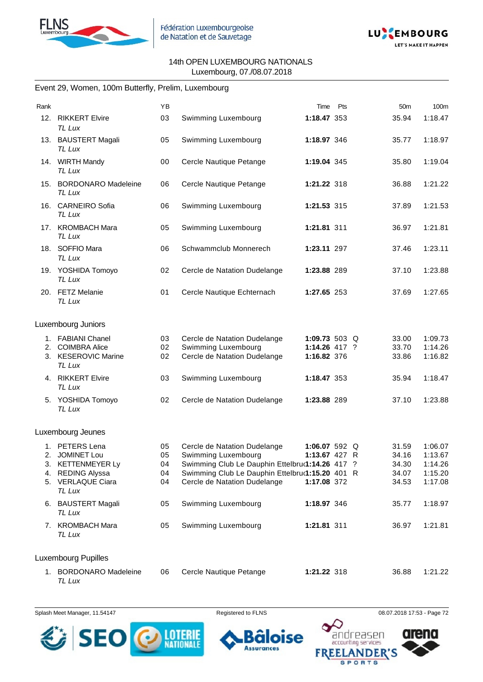



## Event 29, Women, 100m Butterfly, Prelim, Luxembourg

| Rank     |                                                                                                                  | YB                         |                                                                                                                                                                                           | Time                                            | Pts | 50 <sub>m</sub>                           | 100m                                                |
|----------|------------------------------------------------------------------------------------------------------------------|----------------------------|-------------------------------------------------------------------------------------------------------------------------------------------------------------------------------------------|-------------------------------------------------|-----|-------------------------------------------|-----------------------------------------------------|
| 12.      | <b>RIKKERT Elvire</b><br>TL Lux                                                                                  | 03                         | Swimming Luxembourg                                                                                                                                                                       | 1:18.47 353                                     |     | 35.94                                     | 1:18.47                                             |
|          | 13. BAUSTERT Magali<br>TL Lux                                                                                    | 05                         | Swimming Luxembourg                                                                                                                                                                       | 1:18.97 346                                     |     | 35.77                                     | 1:18.97                                             |
|          | 14. WIRTH Mandy<br>TL Lux                                                                                        | 00                         | Cercle Nautique Petange                                                                                                                                                                   | 1:19.04 345                                     |     | 35.80                                     | 1:19.04                                             |
|          | 15. BORDONARO Madeleine<br>TL Lux                                                                                | 06                         | Cercle Nautique Petange                                                                                                                                                                   | 1:21.22 318                                     |     | 36.88                                     | 1:21.22                                             |
| 16.      | <b>CARNEIRO Sofia</b><br>TL Lux                                                                                  | 06                         | Swimming Luxembourg                                                                                                                                                                       | 1:21.53 315                                     |     | 37.89                                     | 1:21.53                                             |
|          | 17. KROMBACH Mara<br><b>TL Lux</b>                                                                               | 05                         | Swimming Luxembourg                                                                                                                                                                       | 1:21.81 311                                     |     | 36.97                                     | 1:21.81                                             |
|          | 18. SOFFIO Mara<br><b>TL Lux</b>                                                                                 | 06                         | Schwammclub Monnerech                                                                                                                                                                     | 1:23.11 297                                     |     | 37.46                                     | 1:23.11                                             |
|          | 19. YOSHIDA Tomoyo<br>TL Lux                                                                                     | 02                         | Cercle de Natation Dudelange                                                                                                                                                              | 1:23.88 289                                     |     | 37.10                                     | 1:23.88                                             |
|          | 20. FETZ Melanie<br>TL Lux                                                                                       | 01                         | Cercle Nautique Echternach                                                                                                                                                                | 1:27.65 253                                     |     | 37.69                                     | 1:27.65                                             |
|          | Luxembourg Juniors                                                                                               |                            |                                                                                                                                                                                           |                                                 |     |                                           |                                                     |
| 2.       | 1. FABIANI Chanel<br><b>COIMBRA Alice</b><br>3. KESEROVIC Marine<br>TL Lux                                       | 03<br>02<br>02             | Cercle de Natation Dudelange<br>Swimming Luxembourg<br>Cercle de Natation Dudelange                                                                                                       | 1:09.73 503 Q<br>1:14.26 417 ?<br>1:16.82 376   |     | 33.00<br>33.70<br>33.86                   | 1:09.73<br>1:14.26<br>1:16.82                       |
|          | 4. RIKKERT Elvire<br>TL Lux                                                                                      | 03                         | Swimming Luxembourg                                                                                                                                                                       | 1:18.47 353                                     |     | 35.94                                     | 1:18.47                                             |
|          | 5. YOSHIDA Tomoyo<br>TL Lux                                                                                      | 02                         | Cercle de Natation Dudelange                                                                                                                                                              | 1:23.88 289                                     |     | 37.10                                     | 1:23.88                                             |
|          | Luxembourg Jeunes                                                                                                |                            |                                                                                                                                                                                           |                                                 |     |                                           |                                                     |
| 1.<br>4. | <b>PETERS Lena</b><br>2. JOMINET Lou<br>3. KETTENMEYER Ly<br><b>REDING Alyssa</b><br>5. VERLAQUE Ciara<br>TL Lux | 05<br>05<br>04<br>04<br>04 | Cercle de Natation Dudelange<br>Swimming Luxembourg<br>Swimming Club Le Dauphin Ettelbru(1:14.26 417 ?<br>Swimming Club Le Dauphin Ettelbru(1:15.20 401 R<br>Cercle de Natation Dudelange | 1:06.07 592 $Q$<br>1:13.67 427 R<br>1:17.08 372 |     | 31.59<br>34.16<br>34.30<br>34.07<br>34.53 | 1:06.07<br>1:13.67<br>1:14.26<br>1:15.20<br>1:17.08 |
|          | 6. BAUSTERT Magali<br>TL Lux                                                                                     | 05                         | Swimming Luxembourg                                                                                                                                                                       | 1:18.97 346                                     |     | 35.77                                     | 1:18.97                                             |
|          | 7. KROMBACH Mara<br>TL Lux                                                                                       | 05                         | Swimming Luxembourg                                                                                                                                                                       | 1:21.81 311                                     |     | 36.97                                     | 1:21.81                                             |
|          | Luxembourg Pupilles                                                                                              |                            |                                                                                                                                                                                           |                                                 |     |                                           |                                                     |
|          | 1. BORDONARO Madeleine<br>TL Lux                                                                                 | 06                         | Cercle Nautique Petange                                                                                                                                                                   | 1:21.22 318                                     |     | 36.88                                     | 1:21.22                                             |



ise ٠ ٠ **Assurances** 



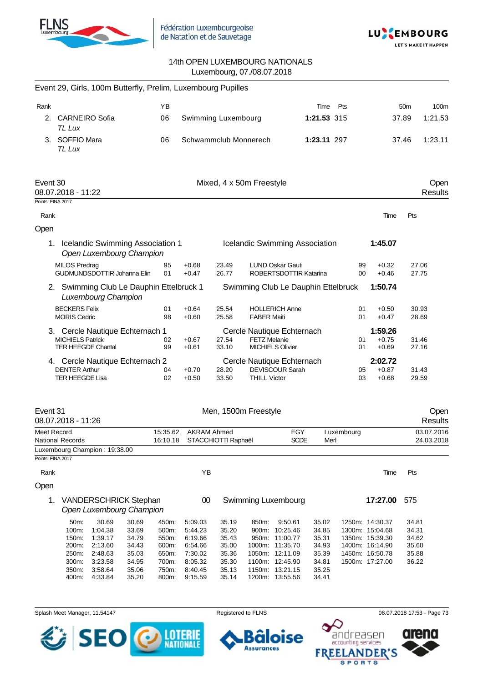



|                               | Event 29, Girls, 100m Butterfly, Prelim, Luxembourg Pupilles                            |                                                                                    |                                                                      |                                                                      |                                                                                      |                                                                      |                     |                                                                                                                                            |                                                                      |            |                                                                                                                |                                                    |                          |
|-------------------------------|-----------------------------------------------------------------------------------------|------------------------------------------------------------------------------------|----------------------------------------------------------------------|----------------------------------------------------------------------|--------------------------------------------------------------------------------------|----------------------------------------------------------------------|---------------------|--------------------------------------------------------------------------------------------------------------------------------------------|----------------------------------------------------------------------|------------|----------------------------------------------------------------------------------------------------------------|----------------------------------------------------|--------------------------|
| Rank                          |                                                                                         |                                                                                    |                                                                      | ΥB                                                                   |                                                                                      |                                                                      |                     |                                                                                                                                            | Time                                                                 | Pts        |                                                                                                                | 50 <sub>m</sub>                                    | 100m                     |
| 2.                            | <b>CARNEIRO Sofia</b><br>TL Lux                                                         |                                                                                    |                                                                      | 06                                                                   | Swimming Luxembourg                                                                  |                                                                      |                     |                                                                                                                                            | 1:21.53 315                                                          |            |                                                                                                                | 37.89                                              | 1:21.53                  |
|                               | 3. SOFFIO Mara<br>TL Lux                                                                |                                                                                    |                                                                      | 06                                                                   | Schwammclub Monnerech                                                                |                                                                      |                     |                                                                                                                                            | 1:23.11 297                                                          |            |                                                                                                                | 37.46                                              | 1:23.11                  |
| Event 30<br>Points: FINA 2017 | 08.07.2018 - 11:22                                                                      |                                                                                    |                                                                      |                                                                      |                                                                                      | Mixed, 4 x 50m Freestyle                                             |                     |                                                                                                                                            |                                                                      |            |                                                                                                                |                                                    | Open<br><b>Results</b>   |
| Rank                          |                                                                                         |                                                                                    |                                                                      |                                                                      |                                                                                      |                                                                      |                     |                                                                                                                                            |                                                                      |            | Time                                                                                                           | Pts                                                |                          |
| Open                          |                                                                                         |                                                                                    |                                                                      |                                                                      |                                                                                      |                                                                      |                     |                                                                                                                                            |                                                                      |            |                                                                                                                |                                                    |                          |
|                               | 1. Icelandic Swimming Association 1                                                     |                                                                                    | Open Luxembourg Champion                                             |                                                                      |                                                                                      |                                                                      |                     | Icelandic Swimming Association                                                                                                             |                                                                      |            | 1:45.07                                                                                                        |                                                    |                          |
|                               | <b>MILOS Predrag</b><br>GUDMUNDSDOTTIR Johanna Elin                                     |                                                                                    |                                                                      | 95<br>01                                                             | $+0.68$<br>$+0.47$                                                                   | 23.49<br>26.77                                                       |                     | <b>LUND Oskar Gauti</b><br>ROBERTSDOTTIR Katarina                                                                                          |                                                                      | 99<br>00   | $+0.32$<br>$+0.46$                                                                                             |                                                    | 27.06<br>27.75           |
|                               | 2. Swimming Club Le Dauphin Ettelbruck 1                                                | Luxembourg Champion                                                                |                                                                      |                                                                      |                                                                                      |                                                                      |                     | Swimming Club Le Dauphin Ettelbruck                                                                                                        |                                                                      |            | 1:50.74                                                                                                        |                                                    |                          |
|                               | <b>BECKERS Felix</b><br><b>MORIS Cedric</b>                                             |                                                                                    |                                                                      | 01<br>98                                                             | $+0.64$<br>$+0.60$                                                                   | 25.54<br>25.58                                                       | <b>FABER Maiti</b>  | <b>HOLLERICH Anne</b>                                                                                                                      |                                                                      | 01<br>01   | $+0.50$<br>$+0.47$                                                                                             |                                                    | 30.93<br>28.69           |
|                               | 3. Cercle Nautique Echternach 1<br><b>MICHIELS Patrick</b><br><b>TER HEEGDE Chantal</b> |                                                                                    |                                                                      | 02<br>99                                                             | $+0.67$<br>$+0.61$                                                                   | 27.54<br>33.10                                                       | <b>FETZ Melanie</b> | Cercle Nautique Echternach<br><b>MICHIELS Olivier</b>                                                                                      |                                                                      | 01<br>01   | 1:59.26<br>$+0.75$<br>$+0.69$                                                                                  |                                                    | 31.46<br>27.16           |
|                               | 4. Cercle Nautique Echternach 2<br><b>DENTER Arthur</b><br><b>TER HEEGDE Lisa</b>       |                                                                                    |                                                                      | 04<br>02                                                             | $+0.70$<br>$+0.50$                                                                   | 28.20<br>33.50                                                       | <b>THILL Victor</b> | Cercle Nautique Echternach<br><b>DEVISCOUR Sarah</b>                                                                                       |                                                                      | 05<br>03   | 2:02.72<br>$+0.87$<br>$+0.68$                                                                                  |                                                    | 31.43<br>29.59           |
| Event 31                      | 08.07.2018 - 11:26                                                                      |                                                                                    |                                                                      |                                                                      |                                                                                      | Men, 1500m Freestyle                                                 |                     |                                                                                                                                            |                                                                      |            |                                                                                                                |                                                    | Open<br><b>Results</b>   |
| Meet Record                   | <b>National Records</b>                                                                 |                                                                                    |                                                                      | 15:35.62                                                             | <b>AKRAM Ahmed</b><br>16:10.18 STACCHIOTTI Raphaël                                   |                                                                      |                     | EGY<br><b>SCDE</b>                                                                                                                         | Merl                                                                 | Luxembourg |                                                                                                                |                                                    | 03.07.2016<br>24.03.2018 |
| Points: FINA 2017             | Luxembourg Champion: 19:38.00                                                           |                                                                                    |                                                                      |                                                                      |                                                                                      |                                                                      |                     |                                                                                                                                            |                                                                      |            |                                                                                                                |                                                    |                          |
| Rank                          |                                                                                         |                                                                                    |                                                                      |                                                                      | ΥB                                                                                   |                                                                      |                     |                                                                                                                                            |                                                                      |            | Time                                                                                                           | Pts                                                |                          |
| Open                          |                                                                                         |                                                                                    |                                                                      |                                                                      |                                                                                      |                                                                      |                     |                                                                                                                                            |                                                                      |            |                                                                                                                |                                                    |                          |
| 1.                            |                                                                                         |                                                                                    | <b>VANDERSCHRICK Stephan</b><br>Open Luxembourg Champion             |                                                                      | 00                                                                                   |                                                                      |                     | Swimming Luxembourg                                                                                                                        |                                                                      |            | 17:27.00                                                                                                       | 575                                                |                          |
|                               | 50m:<br>100m:<br>150m:<br>200m:<br>250m:<br>300m:<br>350m:<br>400m:                     | 30.69<br>1:04.38<br>1:39.17<br>2:13.60<br>2:48.63<br>3:23.58<br>3:58.64<br>4:33.84 | 30.69<br>33.69<br>34.79<br>34.43<br>35.03<br>34.95<br>35.06<br>35.20 | 450m:<br>500m:<br>550m:<br>600m:<br>650m:<br>700m:<br>750m:<br>800m: | 5:09.03<br>5:44.23<br>6:19.66<br>6:54.66<br>7:30.02<br>8:05.32<br>8:40.45<br>9:15.59 | 35.19<br>35.20<br>35.43<br>35.00<br>35.36<br>35.30<br>35.13<br>35.14 | 850m:               | 9:50.61<br>900m: 10:25.46<br>950m: 11:00.77<br>1000m: 11:35.70<br>1050m: 12:11.09<br>1100m: 12:45.90<br>1150m: 13:21.15<br>1200m: 13:55.56 | 35.02<br>34.85<br>35.31<br>34.93<br>35.39<br>34.81<br>35.25<br>34.41 |            | 1250m: 14:30.37<br>1300m: 15:04.68<br>1350m: 15:39.30<br>1400m: 16:14.90<br>1450m: 16:50.78<br>1500m: 17:27.00 | 34.81<br>34.31<br>34.62<br>35.60<br>35.88<br>36.22 |                          |





 $\bullet$ 

Splash Meet Manager, 11.54147 Registered to FLNS 68.07.2018 17:53 - Page 73

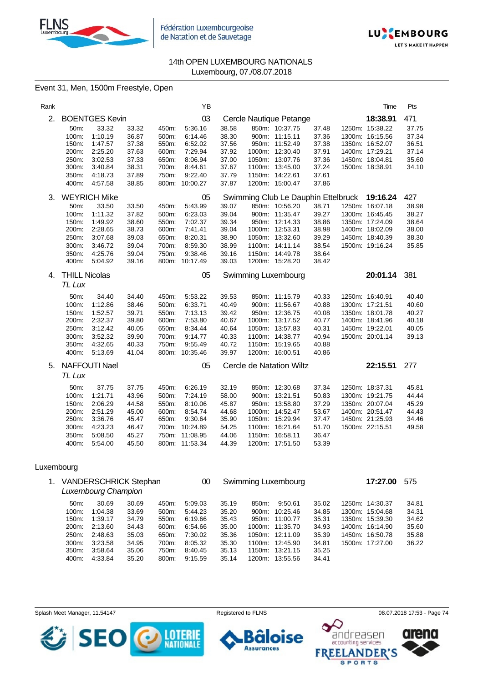



## Event 31, Men, 1500m Freestyle, Open

| Rank |                      |                       |                |                | YB                  |                |                                     |                | Time            | Pts   |
|------|----------------------|-----------------------|----------------|----------------|---------------------|----------------|-------------------------------------|----------------|-----------------|-------|
| 2.   |                      | <b>BOENTGES Kevin</b> |                |                | 03                  |                | Cercle Nautique Petange             |                | 18:38.91        | 471   |
|      | 50m:                 | 33.32                 | 33.32          | 450m:          | 5:36.16             | 38.58          | 850m: 10:37.75                      | 37.48          | 1250m: 15:38.22 | 37.75 |
|      | 100m:                | 1:10.19               | 36.87          | 500m.          | 6:14.46             | 38.30          | 900m: 11:15.11                      | 37.36          | 1300m: 16:15.56 | 37.34 |
|      | 150m:                | 1:47.57               | 37.38          | 550m:          | 6:52.02             | 37.56          | 950m: 11:52.49                      | 37.38          | 1350m: 16:52.07 | 36.51 |
|      | 200m:                | 2:25.20               | 37.63          | 600m:          | 7:29.94             | 37.92          | 1000m: 12:30.40                     | 37.91          | 1400m: 17:29.21 | 37.14 |
|      | 250m:                | 3:02.53               | 37.33          | 650m.          | 8:06.94             | 37.00          | 1050m: 13:07.76                     | 37.36          | 1450m: 18:04.81 | 35.60 |
|      | 300m:                | 3:40.84               | 38.31          | 700m:          | 8:44.61<br>9:22.40  | 37.67          | 1100m: 13:45.00                     | 37.24          | 1500m: 18:38.91 | 34.10 |
|      | 350m:<br>400m:       | 4:18.73<br>4:57.58    | 37.89<br>38.85 | 750m:          | 800m: 10:00.27      | 37.79<br>37.87 | 1150m: 14:22.61<br>1200m: 15:00.47  | 37.61<br>37.86 |                 |       |
|      |                      |                       |                |                |                     |                |                                     |                |                 |       |
| 3.   |                      | <b>WEYRICH Mike</b>   |                |                | 05                  |                | Swimming Club Le Dauphin Ettelbruck |                | 19:16.24        | 427   |
|      | 50m:                 | 33.50                 | 33.50          | 450m:          | 5:43.99             | 39.07          | 850m: 10:56.20                      | 38.71          | 1250m: 16:07.18 | 38.98 |
|      | 100m:                | 1:11.32               | 37.82          | 500m:          | 6:23.03             | 39.04          | 900m: 11:35.47                      | 39.27          | 1300m: 16:45.45 | 38.27 |
|      | 150m:                | 1:49.92               | 38.60          | 550m:          | 7:02.37             | 39.34          | 950m: 12:14.33                      | 38.86          | 1350m: 17:24.09 | 38.64 |
|      | 200m:                | 2:28.65               | 38.73          | 600m:          | 7.41.41             | 39.04          | 1000m: 12:53.31                     | 38.98          | 1400m: 18:02.09 | 38.00 |
|      | 250m:                | 3:07.68               | 39.03          | 650m:          | 8:20.31             | 38.90          | 1050m: 13:32.60                     | 39.29          | 1450m: 18:40.39 | 38.30 |
|      | 300m:                | 3:46.72               | 39.04          | 700m:          | 8:59.30             | 38.99          | 1100m: 14:11.14                     | 38.54          | 1500m: 19:16.24 | 35.85 |
|      | 350m:<br>400m:       | 4:25.76<br>5:04.92    | 39.04<br>39.16 | 750m:<br>800m: | 9:38.46<br>10:17.49 | 39.16<br>39.03 | 1150m: 14:49.78<br>1200m: 15:28.20  | 38.64<br>38.42 |                 |       |
|      |                      |                       |                |                |                     |                |                                     |                |                 |       |
| 4.   | <b>THILL Nicolas</b> |                       |                |                | 05                  |                | Swimming Luxembourg                 |                | 20:01.14        | 381   |
|      | TL Lux               |                       |                |                |                     |                |                                     |                |                 |       |
|      | 50m:                 | 34.40                 | 34.40          | 450m:          | 5:53.22             | 39.53          | 850m: 11:15.79                      | 40.33          | 1250m: 16:40.91 | 40.40 |
|      | 100m:                | 1:12.86               | 38.46          | 500m:          | 6:33.71             | 40.49          | 900m: 11:56.67                      | 40.88          | 1300m: 17:21.51 | 40.60 |
|      | 150m:                | 1:52.57               | 39.71          | 550m:          | 7:13.13             | 39.42          | 950m: 12:36.75                      | 40.08          | 1350m: 18:01.78 | 40.27 |
|      | 200m:                | 2:32.37               | 39.80          | 600m:          | 7:53.80             | 40.67          | 1000m: 13:17.52                     | 40.77          | 1400m: 18:41.96 | 40.18 |
|      | 250m:                | 3:12.42               | 40.05          | 650m:          | 8:34.44             | 40.64          | 1050m: 13:57.83                     | 40.31          | 1450m: 19:22.01 | 40.05 |
|      | 300m:                | 3:52.32               | 39.90          | 700m:          | 9:14.77             | 40.33          | 1100m: 14:38.77                     | 40.94          | 1500m: 20:01.14 | 39.13 |
|      | 350m:                | 4:32.65               | 40.33          | 750m:          | 9:55.49             | 40.72          | 1150m: 15:19.65                     | 40.88          |                 |       |
|      | 400m:                | 5:13.69               | 41.04          | 800m:          | 10:35.46            | 39.97          | 1200m: 16:00.51                     | 40.86          |                 |       |
| 5.   |                      | <b>NAFFOUTI Nael</b>  |                |                | 05                  |                | Cercle de Natation Wiltz            |                | 22:15.51        | 277   |
|      | TL Lux               |                       |                |                |                     |                |                                     |                |                 |       |
|      | 50m:                 | 37.75                 | 37.75          | 450m:          | 6:26.19             | 32.19          | 850m: 12:30.68                      | 37.34          | 1250m: 18:37.31 | 45.81 |
|      | 100m:                | 1:21.71               | 43.96          | 500m:          | 7:24.19             | 58.00          | 900m: 13:21.51                      | 50.83          | 1300m: 19:21.75 | 44.44 |
|      | 150m:                | 2:06.29               | 44.58          | 550m:          | 8:10.06             | 45.87          | 950m: 13:58.80                      | 37.29          | 1350m: 20:07.04 | 45.29 |
|      | 200m:                | 2:51.29               | 45.00          | 600m:          | 8:54.74             | 44.68          | 1000m: 14:52.47                     | 53.67          | 1400m: 20:51.47 | 44.43 |
|      | 250m:                | 3:36.76               | 45.47          | 650m:          | 9:30.64             | 35.90          | 1050m: 15:29.94                     | 37.47          | 1450m: 21:25.93 | 34.46 |
|      | 300m:                | 4:23.23               | 46.47          | 700m:          | 10:24.89            | 54.25          | 1100m: 16:21.64                     | 51.70          | 1500m: 22:15.51 | 49.58 |
|      | 350m:                | 5:08.50               | 45.27          |                | 750m: 11:08.95      | 44.06          | 1150m: 16:58.11                     | 36.47          |                 |       |
|      | 400m:                | 5:54.00               | 45.50          |                | 800m: 11:53.34      | 44.39          | 1200m: 17:51.50                     | 53.39          |                 |       |

## Luxembourg

| $1_{\cdot}$ |                  | <b>VANDERSCHRICK Stephan</b><br>Luxembourg Champion |       |          | 00      |       |        | Swimming Luxembourg |       | 17:27.00        | 575   |
|-------------|------------------|-----------------------------------------------------|-------|----------|---------|-------|--------|---------------------|-------|-----------------|-------|
|             | $50m$ :          | 30.69                                               | 30.69 | 450m:    | 5:09.03 | 35.19 | 850m:  | 9:50.61             | 35.02 | 1250m: 14:30.37 | 34.81 |
|             | 100m:            | 1:04.38                                             | 33.69 | $500m$ : | 5:44.23 | 35.20 | 900m:  | 10:25.46            | 34.85 | 1300m: 15:04.68 | 34.31 |
|             | 150m:            | 1:39.17                                             | 34.79 | 550m:    | 6:19.66 | 35.43 |        | 950m: 11:00.77      | 35.31 | 1350m: 15:39.30 | 34.62 |
|             | 200m:            | 2:13.60                                             | 34.43 | 600m:    | 6:54.66 | 35.00 |        | 1000m: 11:35.70     | 34.93 | 1400m: 16:14.90 | 35.60 |
|             | 250m:            | 2:48.63                                             | 35.03 | 650m:    | 7:30.02 | 35.36 |        | 1050m: 12:11.09     | 35.39 | 1450m: 16:50.78 | 35.88 |
|             | 300 <sub>m</sub> | 3:23.58                                             | 34.95 | 700m:    | 8:05.32 | 35.30 |        | 1100m: 12:45.90     | 34.81 | 1500m: 17:27.00 | 36.22 |
|             | 350m:            | 3.58.64                                             | 35.06 | 750m:    | 8:40.45 | 35.13 |        | 1150m: 13:21.15     | 35.25 |                 |       |
|             | 400m:            | 4:33.84                                             | 35.20 | 800m:    | 9:15.59 | 35.14 | 1200m: | 13:55.56            | 34.41 |                 |       |

Splash Meet Manager, 11.54147 **Registered to FLNS Registered to FLNS** 08.07.2018 17:53 - Page 74



ise п **Assurances** 



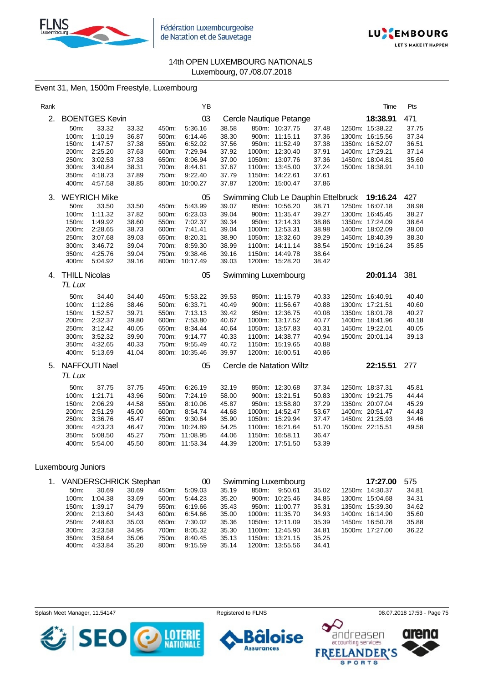



## Event 31, Men, 1500m Freestyle, Luxembourg

| Rank |                      |                       |                |                | YB                 |                |                                     |                | Time            | Pts            |
|------|----------------------|-----------------------|----------------|----------------|--------------------|----------------|-------------------------------------|----------------|-----------------|----------------|
| 2.   |                      | <b>BOENTGES Kevin</b> |                |                | 03                 |                | Cercle Nautique Petange             |                | 18:38.91        | 471            |
|      | 50m:                 | 33.32                 | 33.32          | 450m:          | 5:36.16            | 38.58          | 850m: 10:37.75                      | 37.48          | 1250m: 15:38.22 | 37.75          |
|      | 100m:                | 1:10.19               | 36.87          | 500m:          | 6:14.46            | 38.30          | 900m: 11:15.11                      | 37.36          | 1300m: 16:15.56 | 37.34          |
|      | 150m:                | 1:47.57               | 37.38          | 550m:          | 6:52.02            | 37.56          | 950m: 11:52.49                      | 37.38          | 1350m: 16:52.07 | 36.51          |
|      | 200m:                | 2:25.20               | 37.63          | 600m:          | 7:29.94            | 37.92          | 1000m: 12:30.40                     | 37.91          | 1400m: 17:29.21 | 37.14          |
|      | 250m:                | 3:02.53               | 37.33          | 650m:          | 8:06.94            | 37.00          | 1050m: 13:07.76                     | 37.36          | 1450m: 18:04.81 | 35.60          |
|      | 300m:<br>350m:       | 3:40.84<br>4:18.73    | 38.31<br>37.89 | 700m:<br>750m: | 8:44.61<br>9:22.40 | 37.67<br>37.79 | 1100m: 13:45.00<br>1150m: 14:22.61  | 37.24<br>37.61 | 1500m: 18:38.91 | 34.10          |
|      | 400m:                | 4:57.58               | 38.85          |                | 800m: 10:00.27     | 37.87          | 1200m: 15:00.47                     | 37.86          |                 |                |
|      |                      |                       |                |                |                    |                |                                     |                |                 |                |
| 3.   |                      | <b>WEYRICH Mike</b>   |                |                | 05                 |                | Swimming Club Le Dauphin Ettelbruck |                | 19:16.24        | 427            |
|      | 50m:                 | 33.50                 | 33.50          | 450m:          | 5:43.99            | 39.07          | 850m: 10:56.20                      | 38.71          | 1250m: 16:07.18 | 38.98          |
|      | 100m:                | 1:11.32               | 37.82          | 500m:          | 6:23.03            | 39.04          | 900m: 11:35.47                      | 39.27          | 1300m: 16:45.45 | 38.27          |
|      | 150m:                | 1:49.92               | 38.60          | 550m.          | 7:02.37            | 39.34          | 950m: 12:14.33                      | 38.86          | 1350m: 17:24.09 | 38.64          |
|      | 200m:                | 2:28.65               | 38.73          | 600m:          | 7:41.41            | 39.04          | 1000m: 12:53.31                     | 38.98          | 1400m: 18:02.09 | 38.00          |
|      | 250m:<br>300m:       | 3:07.68<br>3:46.72    | 39.03<br>39.04 | 650m:<br>700m: | 8:20.31<br>8:59.30 | 38.90<br>38.99 | 1050m: 13:32.60<br>1100m: 14:11.14  | 39.29<br>38.54 | 1450m: 18:40.39 | 38.30<br>35.85 |
|      | 350m:                | 4:25.76               | 39.04          | 750m:          | 9:38.46            | 39.16          | 1150m: 14:49.78                     | 38.64          | 1500m: 19:16.24 |                |
|      | 400m:                | 5:04.92               | 39.16          | 800m:          | 10:17.49           | 39.03          | 1200m: 15:28.20                     | 38.42          |                 |                |
|      |                      |                       |                |                |                    |                |                                     |                |                 |                |
| 4.   | <b>THILL Nicolas</b> |                       |                |                | 05                 |                | Swimming Luxembourg                 |                | 20:01.14        | 381            |
|      | TL Lux               |                       |                |                |                    |                |                                     |                |                 |                |
|      | 50m:                 | 34.40                 | 34.40          | 450m:          | 5:53.22            | 39.53          | 850m: 11:15.79                      | 40.33          | 1250m: 16:40.91 | 40.40          |
|      | 100m:                | 1:12.86               | 38.46          | 500m:          | 6:33.71            | 40.49          | 900m: 11:56.67                      | 40.88          | 1300m: 17:21.51 | 40.60          |
|      | 150m:                | 1:52.57               | 39.71          | 550m:          | 7:13.13            | 39.42          | 950m: 12:36.75                      | 40.08          | 1350m: 18:01.78 | 40.27          |
|      | 200m:                | 2:32.37               | 39.80          | 600m:          | 7:53.80            | 40.67          | 1000m: 13:17.52                     | 40.77          | 1400m: 18:41.96 | 40.18          |
|      | 250m:                | 3:12.42               | 40.05          | 650m:          | 8:34.44            | 40.64          | 1050m: 13:57.83                     | 40.31          | 1450m: 19:22.01 | 40.05          |
|      | 300m:                | 3:52.32               | 39.90          | 700m:          | 9:14.77            | 40.33          | 1100m: 14:38.77                     | 40.94          | 1500m: 20:01.14 | 39.13          |
|      | 350m:                | 4:32.65               | 40.33          | 750m:          | 9:55.49            | 40.72          | 1150m: 15:19.65                     | 40.88          |                 |                |
|      | 400m:                | 5:13.69               | 41.04          | 800m:          | 10:35.46           | 39.97          | 1200m: 16:00.51                     | 40.86          |                 |                |
| 5.   |                      | <b>NAFFOUTI Nael</b>  |                |                | 05                 |                | Cercle de Natation Wiltz            |                | 22:15.51        | 277            |
|      | TL Lux               |                       |                |                |                    |                |                                     |                |                 |                |
|      | 50m:                 | 37.75                 | 37.75          | 450m:          | 6:26.19            | 32.19          | 850m: 12:30.68                      | 37.34          | 1250m: 18:37.31 | 45.81          |
|      | 100m:                | 1:21.71               | 43.96          | 500m:          | 7:24.19            | 58.00          | 900m: 13:21.51                      | 50.83          | 1300m: 19:21.75 | 44.44          |
|      | 150m:                | 2:06.29               | 44.58          | 550m:          | 8:10.06            | 45.87          | 950m: 13:58.80                      | 37.29          | 1350m: 20:07.04 | 45.29          |
|      | 200m:                | 2:51.29               | 45.00          | 600m:          | 8:54.74            | 44.68          | 1000m: 14:52.47                     | 53.67          | 1400m: 20:51.47 | 44.43          |
|      | 250m:                | 3:36.76               | 45.47          | 650m:          | 9:30.64            | 35.90          | 1050m: 15:29.94                     | 37.47          | 1450m: 21:25.93 | 34.46          |
|      | 300m:                | 4:23.23               | 46.47          | 700m:          | 10:24.89           | 54.25          | 1100m: 16:21.64                     | 51.70          | 1500m: 22:15.51 | 49.58          |
|      | 350m:                | 5:08.50               | 45.27          |                | 750m: 11:08.95     | 44.06          | 1150m: 16:58.11                     | 36.47          |                 |                |
|      | 400m:                | 5:54.00               | 45.50          |                | 800m: 11:53.34     | 44.39          | 1200m: 17:51.50                     | 53.39          |                 |                |

## Luxembourg Juniors

|       | 1. VANDERSCHRICK Stephan |       |       |         | Swimming Luxembourg |       |                 |       |  | 17:27.00        | 575   |
|-------|--------------------------|-------|-------|---------|---------------------|-------|-----------------|-------|--|-----------------|-------|
| 50m:  | 30.69                    | 30.69 | 450m: | 5:09.03 | 35.19               | 850m: | 9:50.61         | 35.02 |  | 1250m: 14:30.37 | 34.81 |
| 100m: | 1:04.38                  | 33.69 | 500m: | 5:44.23 | 35.20               |       | 900m: 10:25.46  | 34.85 |  | 1300m: 15:04.68 | 34.31 |
| 150m: | 1:39.17                  | 34.79 | 550m: | 6:19.66 | 35.43               |       | 950m: 11:00.77  | 35.31 |  | 1350m: 15:39.30 | 34.62 |
|       | 200m: 2:13.60            | 34.43 | 600m: | 6:54.66 | 35.00               |       | 1000m: 11:35.70 | 34.93 |  | 1400m: 16:14.90 | 35.60 |
| 250m: | 2:48.63                  | 35.03 | 650m: | 7:30.02 | 35.36               |       | 1050m: 12:11.09 | 35.39 |  | 1450m: 16:50.78 | 35.88 |
|       | 300m: 3:23.58            | 34.95 | 700m: | 8:05.32 | 35.30               |       | 1100m: 12:45.90 | 34.81 |  | 1500m: 17:27.00 | 36.22 |
| 350m: | 3:58.64                  | 35.06 | 750m: | 8:40.45 | 35.13               |       | 1150m: 13:21.15 | 35.25 |  |                 |       |
| 400m: | 4:33.84                  | 35.20 | 800m: | 9:15.59 | 35.14               |       | 1200m: 13:55.56 | 34.41 |  |                 |       |

Splash Meet Manager, 11.54147 **Registered to FLNS Registered to FLNS** 08.07.2018 17:53 - Page 75

**Assurances** 



andreasen ise accounting services **FREE NDER'S SPORTS** 

arer

10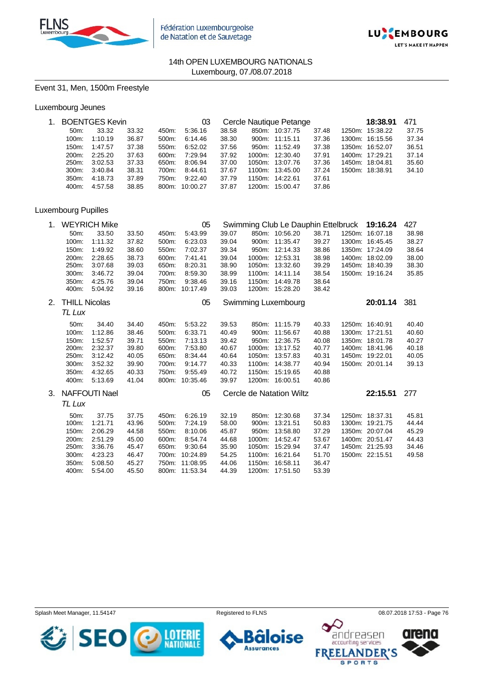



## Event 31, Men, 1500m Freestyle

|                 | 1. BOENTGES Kevin |       |          | 03       |       | Cercle Nautique Petange | 18:38.91        | 471   |                 |       |
|-----------------|-------------------|-------|----------|----------|-------|-------------------------|-----------------|-------|-----------------|-------|
| 50 <sub>m</sub> | 33.32             | 33.32 | 450m:    | 5:36.16  | 38.58 | 850m:                   | 10:37.75        | 37.48 | 1250m: 15:38.22 | 37.75 |
| 100m:           | 1:10.19           | 36.87 | $500m$ : | 6:14.46  | 38.30 |                         | 900m: 11:15.11  | 37.36 | 1300m: 16:15.56 | 37.34 |
| 150m:           | 1:47.57           | 37.38 | 550m:    | 6:52.02  | 37.56 |                         | 950m: 11:52.49  | 37.38 | 1350m: 16:52.07 | 36.51 |
| $200m$ :        | 2:25.20           | 37.63 | 600m:    | 7:29.94  | 37.92 |                         | 1000m: 12:30.40 | 37.91 | 1400m: 17:29.21 | 37.14 |
| 250m:           | 3:02.53           | 37.33 | 650m:    | 8.06.94  | 37.00 |                         | 1050m: 13:07.76 | 37.36 | 1450m: 18:04.81 | 35.60 |
| $300m$ :        | 3:40.84           | 38.31 | 700m:    | 8:44.61  | 37.67 |                         | 1100m: 13:45.00 | 37.24 | 1500m: 18:38.91 | 34.10 |
| $350m$ :        | 4:18.73           | 37.89 | 750m:    | 9:22.40  | 37.79 |                         | 1150m: 14:22.61 | 37.61 |                 |       |
| 400m:           | 4:57.58           | 38.85 | 800m:    | 10:00.27 | 37.87 | 1200m:                  | 15:00.47        | 37.86 |                 |       |

## Luxembourg Pupilles

| 1. |                      | <b>WEYRICH Mike</b>  |       |       | 05             |       |        | Swimming Club Le Dauphin Ettelbruck |       | 19:16.24        | 427   |
|----|----------------------|----------------------|-------|-------|----------------|-------|--------|-------------------------------------|-------|-----------------|-------|
|    | 50m:                 | 33.50                | 33.50 | 450m: | 5:43.99        | 39.07 |        | 850m: 10:56.20                      | 38.71 | 1250m: 16:07.18 | 38.98 |
|    | 100m:                | 1:11.32              | 37.82 | 500m: | 6:23.03        | 39.04 |        | 900m: 11:35.47                      | 39.27 | 1300m: 16:45.45 | 38.27 |
|    | 150m.                | 1:49.92              | 38.60 | 550m: | 7:02.37        | 39.34 |        | 950m: 12:14.33                      | 38.86 | 1350m: 17:24.09 | 38.64 |
|    | 200m:                | 2:28.65              | 38.73 | 600m: | 7:41.41        | 39.04 |        | 1000m: 12:53.31                     | 38.98 | 1400m: 18:02.09 | 38.00 |
|    | 250m:                | 3:07.68              | 39.03 | 650m: | 8:20.31        | 38.90 |        | 1050m: 13:32.60                     | 39.29 | 1450m: 18:40.39 | 38.30 |
|    | 300m:                | 3:46.72              | 39.04 | 700m: | 8:59.30        | 38.99 |        | 1100m: 14:11.14                     | 38.54 | 1500m: 19:16.24 | 35.85 |
|    | 350m:                | 4:25.76              | 39.04 | 750m: | 9:38.46        | 39.16 |        | 1150m: 14:49.78                     | 38.64 |                 |       |
|    | 400m:                | 5:04.92              | 39.16 |       | 800m: 10:17.49 | 39.03 |        | 1200m: 15:28.20                     | 38.42 |                 |       |
| 2. | <b>THILL Nicolas</b> |                      |       |       | 05             |       |        | Swimming Luxembourg                 |       | 20:01.14        | 381   |
|    | TL Lux               |                      |       |       |                |       |        |                                     |       |                 |       |
|    | 50m:                 | 34.40                | 34.40 | 450m: | 5:53.22        | 39.53 |        | 850m: 11:15.79                      | 40.33 | 1250m: 16:40.91 | 40.40 |
|    | 100m:                | 1:12.86              | 38.46 | 500m: | 6:33.71        | 40.49 |        | 900m: 11:56.67                      | 40.88 | 1300m: 17:21.51 | 40.60 |
|    | 150m.                | 1:52.57              | 39.71 | 550m: | 7:13.13        | 39.42 |        | 950m: 12:36.75                      | 40.08 | 1350m: 18:01.78 | 40.27 |
|    | 200m:                | 2:32.37              | 39.80 | 600m: | 7:53.80        | 40.67 |        | 1000m: 13:17.52                     | 40.77 | 1400m: 18:41.96 | 40.18 |
|    | 250m:                | 3:12.42              | 40.05 | 650m: | 8:34.44        | 40.64 |        | 1050m: 13:57.83                     | 40.31 | 1450m: 19:22.01 | 40.05 |
|    | 300m:                | 3:52.32              | 39.90 | 700m: | 9:14.77        | 40.33 |        | 1100m: 14:38.77                     | 40.94 | 1500m: 20:01.14 | 39.13 |
|    | 350m:                | 4:32.65              | 40.33 | 750m: | 9:55.49        | 40.72 | 1150m: | 15:19.65                            | 40.88 |                 |       |
|    | 400m:                | 5:13.69              | 41.04 | 800m: | 10:35.46       | 39.97 |        | 1200m: 16:00.51                     | 40.86 |                 |       |
| 3. |                      | <b>NAFFOUTI Nael</b> |       |       | 05             |       |        | Cercle de Natation Wiltz            |       | 22:15.51        | 277   |
|    | TL Lux               |                      |       |       |                |       |        |                                     |       |                 |       |
|    | 50m:                 | 37.75                | 37.75 | 450m: | 6:26.19        | 32.19 |        | 850m: 12:30.68                      | 37.34 | 1250m: 18:37.31 | 45.81 |
|    | 100m:                | 1:21.71              | 43.96 | 500m: | 7:24.19        | 58.00 |        | 900m: 13:21.51                      | 50.83 | 1300m: 19:21.75 | 44.44 |
|    | 150m:                | 2:06.29              | 44.58 | 550m: | 8:10.06        | 45.87 |        | 950m: 13:58.80                      | 37.29 | 1350m: 20:07.04 | 45.29 |
|    | 200m:                | 2:51.29              | 45.00 | 600m: | 8:54.74        | 44.68 |        | 1000m: 14:52.47                     | 53.67 | 1400m: 20:51.47 | 44.43 |
|    | 250m:                | 3:36.76              | 45.47 | 650m: | 9:30.64        | 35.90 | 1050m: | 15:29.94                            | 37.47 | 1450m: 21:25.93 | 34.46 |
|    | 300m:                | 4:23.23              | 46.47 | 700m: | 10:24.89       | 54.25 | 1100m: | 16:21.64                            | 51.70 | 1500m: 22:15.51 | 49.58 |
|    | 350m:                | 5:08.50              | 45.27 | 750m: | 11:08.95       | 44.06 | 1150m: | 16:58.11                            | 36.47 |                 |       |
|    | 400m:                | 5:54.00              | 45.50 |       | 800m: 11:53.34 | 44.39 |        | 1200m: 17:51.50                     | 53.39 |                 |       |

Splash Meet Manager, 11.54147 **Registered to FLNS Registered to FLNS** 08.07.2018 17:53 - Page 76



ise ٠ **Assurances** 

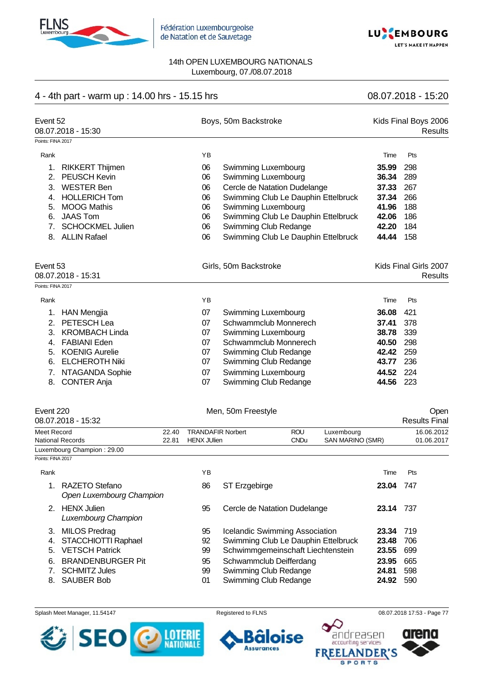



# 4 - 4th part - warm up : 14.00 hrs - 15.15 hrs 08.07.2018 - 15:20

| Event 52<br>08.07.2018 - 15:30 |    | Boys, 50m Backstroke                |       | Kids Final Boys 2006<br>Results |
|--------------------------------|----|-------------------------------------|-------|---------------------------------|
| Points: FINA 2017              |    |                                     |       |                                 |
| Rank                           | YB |                                     | Time  | Pts                             |
| <b>RIKKERT Thijmen</b><br>1.   | 06 | Swimming Luxembourg                 | 35.99 | 298                             |
| <b>PEUSCH Kevin</b><br>2.      | 06 | Swimming Luxembourg                 | 36.34 | 289                             |
| <b>WESTER Ben</b><br>3.        | 06 | Cercle de Natation Dudelange        | 37.33 | 267                             |
| <b>HOLLERICH Tom</b><br>4.     | 06 | Swimming Club Le Dauphin Ettelbruck | 37.34 | 266                             |
| <b>MOOG Mathis</b><br>5.       | 06 | Swimming Luxembourg                 | 41.96 | 188                             |
| <b>JAAS Tom</b><br>6.          | 06 | Swimming Club Le Dauphin Ettelbruck | 42.06 | 186                             |
| <b>SCHOCKMEL Julien</b><br>7.  | 06 | Swimming Club Redange               | 42.20 | 184                             |
| <b>ALLIN Rafael</b><br>8.      | 06 | Swimming Club Le Dauphin Ettelbruck | 44.44 | 158                             |
| Event 53                       |    | Girls, 50m Backstroke               |       | Kids Final Girls 2007           |
| 08.07.2018 - 15:31             |    |                                     |       | Results                         |
| Points: FINA 2017              |    |                                     |       |                                 |
| Rank                           | YB |                                     | Time  | Pts                             |
| <b>HAN Mengjia</b><br>1.       | 07 | Swimming Luxembourg                 | 36.08 | 421                             |
| PETESCH Lea<br>2.              | 07 | Schwammclub Monnerech               | 37.41 | 378                             |
| <b>KROMBACH Linda</b><br>3.    | 07 | Swimming Luxembourg                 | 38.78 | 339                             |
| <b>FABIANI Eden</b><br>4.      | 07 | Schwammclub Monnerech               | 40.50 | 298                             |
| <b>KOENIG Aurelie</b><br>5.    | 07 | Swimming Club Redange               | 42.42 | 259                             |
| <b>ELCHEROTH Niki</b><br>6.    | 07 | Swimming Club Redange               | 43.77 | 236                             |
| NTAGANDA Sophie<br>7.          | 07 | Swimming Luxembourg                 | 44.52 | 224                             |
| <b>CONTER Anja</b><br>8.       | 07 | Swimming Club Redange               | 44.56 | 223                             |

| Event 220<br>08.07.2018 - 15:32 |       | Men, 50m Freestyle       |             |                  | Open<br><b>Results Final</b> |
|---------------------------------|-------|--------------------------|-------------|------------------|------------------------------|
| Meet Record                     | 22.40 | <b>TRANDAFIR Norbert</b> | <b>ROU</b>  | Luxembourg       | 16.06.2012                   |
| National Records                | 22.81 | <b>HENX JUlien</b>       | <b>CNDu</b> | SAN MARINO (SMR) | 01.06.2017                   |
| Luxembourg Champion: 29.00      |       |                          |             |                  |                              |

Points: FINA 2017

| Rank |                                                  | ΥB |                                     | Time  | Pts  |
|------|--------------------------------------------------|----|-------------------------------------|-------|------|
|      | RAZETO Stefano<br>Open Luxembourg Champion       | 86 | ST Erzgebirge                       | 23.04 | 747  |
| 2    | <b>HENX Julien</b><br><b>Luxembourg Champion</b> | 95 | Cercle de Natation Dudelange        | 23.14 | -737 |
|      | 3. MILOS Predrag                                 | 95 | Icelandic Swimming Association      | 23.34 | -719 |
| 4.   | STACCHIOTTI Raphael                              | 92 | Swimming Club Le Dauphin Ettelbruck | 23.48 | 706  |
| 5.   | <b>VETSCH Patrick</b>                            | 99 | Schwimmgemeinschaft Liechtenstein   | 23.55 | 699  |
| 6.   | <b>BRANDENBURGER Pit</b>                         | 95 | Schwammclub Deifferdang             | 23.95 | 665  |
|      | <b>SCHMITZ Jules</b>                             | 99 | Swimming Club Redange               | 24.81 | 598  |
| 8.   | <b>SAUBER Bob</b>                                | 01 | Swimming Club Redange               | 24.92 | 590  |

#### Splash Meet Manager, 11.54147 **Registered to FLNS Registered to FLNS** 08.07.2018 17:53 - Page 77







**ANDER'S SPORTS** 

arena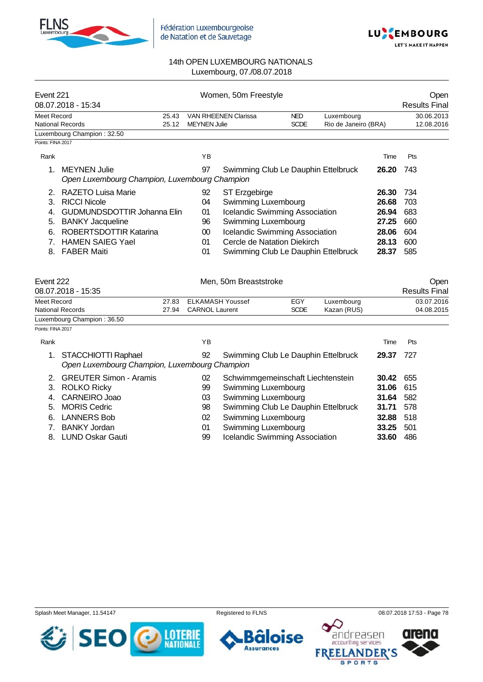



| Event 221          | 08.07.2018 - 15:34                                                   |                | Women, 50m Freestyle  |                                       | Open<br><b>Results Final</b>          |                                    |       |                              |
|--------------------|----------------------------------------------------------------------|----------------|-----------------------|---------------------------------------|---------------------------------------|------------------------------------|-------|------------------------------|
| <b>Meet Record</b> | National Records                                                     | 25.43<br>25.12 | <b>MEYNEN Julie</b>   | <b>VAN RHEENEN Clarissa</b>           | <b>NED</b><br><b>SCDE</b>             | Luxembourg<br>Rio de Janeiro (BRA) |       | 30.06.2013<br>12.08.2016     |
|                    | Luxembourg Champion: 32.50                                           |                |                       |                                       |                                       |                                    |       |                              |
| Points: FINA 2017  |                                                                      |                |                       |                                       |                                       |                                    |       |                              |
| Rank               |                                                                      |                | YB                    |                                       |                                       |                                    | Time  | Pts                          |
| 1.                 | <b>MEYNEN Julie</b><br>Open Luxembourg Champion, Luxembourg Champion |                | 97                    | Swimming Club Le Dauphin Ettelbruck   |                                       |                                    | 26.20 | 743                          |
| 2.                 | <b>RAZETO Luisa Marie</b>                                            |                | 92                    | ST Erzgebirge                         |                                       |                                    | 26.30 | 734                          |
| 3.                 | <b>RICCI Nicole</b>                                                  |                | 04                    | Swimming Luxembourg                   |                                       |                                    | 26.68 | 703                          |
| 4.                 | <b>GUDMUNDSDOTTIR Johanna Elin</b>                                   |                | 01                    | <b>Icelandic Swimming Association</b> |                                       |                                    | 26.94 | 683                          |
| 5.                 | <b>BANKY Jacqueline</b>                                              |                | 96                    | Swimming Luxembourg                   |                                       |                                    | 27.25 | 660                          |
| 6.                 | <b>ROBERTSDOTTIR Katarina</b>                                        |                | 00                    | <b>Icelandic Swimming Association</b> |                                       |                                    | 28.06 | 604                          |
| 7.                 | <b>HAMEN SAIEG Yael</b>                                              |                | 01                    | Cercle de Natation Diekirch           |                                       |                                    | 28.13 | 600                          |
| 8.                 | <b>FABER Maiti</b>                                                   |                | 01                    | Swimming Club Le Dauphin Ettelbruck   |                                       |                                    | 28.37 | 585                          |
|                    |                                                                      |                |                       |                                       |                                       |                                    |       |                              |
| Event 222          | 08.07.2018 - 15:35                                                   |                |                       | Men, 50m Breaststroke                 |                                       |                                    |       | Open<br><b>Results Final</b> |
| <b>Meet Record</b> |                                                                      | 27.83          |                       | <b>ELKAMASH Youssef</b>               | <b>EGY</b>                            | Luxembourg                         |       | 03.07.2016                   |
|                    | National Records                                                     | 27.94          | <b>CARNOL Laurent</b> |                                       | <b>SCDE</b>                           | Kazan (RUS)                        |       | 04.08.2015                   |
| Points: FINA 2017  | Luxembourg Champion: 36.50                                           |                |                       |                                       |                                       |                                    |       |                              |
|                    |                                                                      |                |                       |                                       |                                       |                                    |       |                              |
| Rank               |                                                                      |                | YB                    |                                       |                                       |                                    | Time  | Pts                          |
| 1.                 | STACCHIOTTI Raphael<br>Open Luxembourg Champion, Luxembourg Champion |                | 92                    | Swimming Club Le Dauphin Ettelbruck   |                                       |                                    | 29.37 | 727                          |
| 2.                 | <b>GREUTER Simon - Aramis</b>                                        |                | 02                    | Schwimmgemeinschaft Liechtenstein     |                                       |                                    | 30.42 | 655                          |
| 3.                 | <b>ROLKO Ricky</b>                                                   |                | 99                    | Swimming Luxembourg                   |                                       |                                    | 31.06 | 615                          |
| 4.                 | <b>CARNEIRO Joao</b>                                                 |                | 03                    | Swimming Luxembourg                   |                                       |                                    | 31.64 | 582                          |
| 5.                 | <b>MORIS Cedric</b>                                                  |                | 98                    | Swimming Club Le Dauphin Ettelbruck   |                                       |                                    | 31.71 | 578                          |
| 6.                 | <b>LANNERS Bob</b>                                                   |                | 02                    | Swimming Luxembourg                   |                                       |                                    | 32.88 | 518                          |
| 7.                 | <b>BANKY Jordan</b>                                                  |                | 01                    | Swimming Luxembourg                   |                                       |                                    | 33.25 | 501                          |
| 8.                 | <b>LUND Oskar Gauti</b>                                              |                | 99                    |                                       | <b>Icelandic Swimming Association</b> |                                    | 33.60 | 486                          |

Splash Meet Manager, 11.54147 **Registered to FLNS Registered to FLNS** 08.07.2018 17:53 - Page 78









J  $\bullet$ 

**FREEI**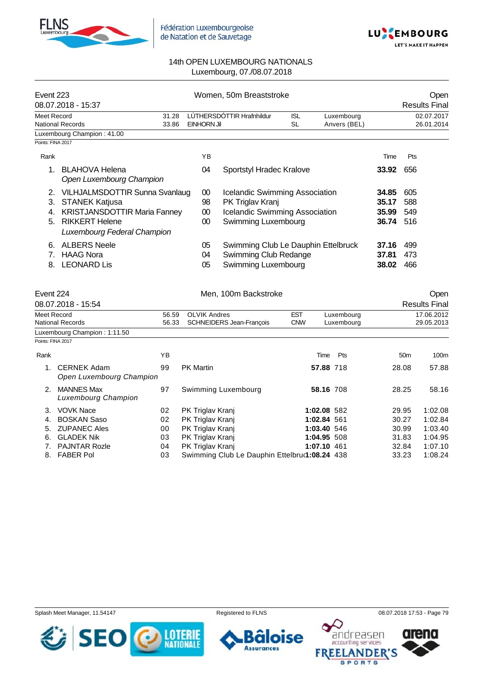



| Event 223            | 08.07.2018 - 15:37                                                                                                                                            |       |                      | Women. 50m Breaststroke                                                                                            |            | Open<br><b>Results Final</b> |                                  |                          |
|----------------------|---------------------------------------------------------------------------------------------------------------------------------------------------------------|-------|----------------------|--------------------------------------------------------------------------------------------------------------------|------------|------------------------------|----------------------------------|--------------------------|
| Meet Record          |                                                                                                                                                               | 31.28 |                      | LÚTHERSDÓTTIR Hrafnhildur                                                                                          | <b>ISL</b> | Luxembourg                   |                                  | 02.07.2017               |
|                      | National Records                                                                                                                                              | 33.86 | <b>EINHORN Jil</b>   |                                                                                                                    | <b>SL</b>  | Anvers (BEL)                 |                                  | 26.01.2014               |
|                      | Luxembourg Champion: 41.00                                                                                                                                    |       |                      |                                                                                                                    |            |                              |                                  |                          |
| Points: FINA 2017    |                                                                                                                                                               |       |                      |                                                                                                                    |            |                              |                                  |                          |
| Rank                 |                                                                                                                                                               |       | ΥB                   |                                                                                                                    |            |                              | Time                             | Pts                      |
|                      | <b>BLAHOVA Helena</b><br>Open Luxembourg Champion                                                                                                             |       | 04                   | Sportstyl Hradec Kralove                                                                                           |            |                              | 33.92                            | 656                      |
| 2.<br>3.<br>4.<br>5. | <b>VILHJALMSDOTTIR Sunna Svanlaug</b><br><b>STANEK Katjusa</b><br><b>KRISTJANSDOTTIR Maria Fanney</b><br><b>RIKKERT Helene</b><br>Luxembourg Federal Champion |       | 00<br>98<br>00<br>00 | Icelandic Swimming Association<br>PK Triglav Kranj<br><b>Icelandic Swimming Association</b><br>Swimming Luxembourg |            |                              | 34.85<br>35.17<br>35.99<br>36.74 | 605<br>588<br>549<br>516 |
| 6.<br>8.             | <b>ALBERS Neele</b><br><b>HAAG Nora</b><br><b>LEONARD Lis</b>                                                                                                 |       | 05<br>04<br>05       | Swimming Club Le Dauphin Ettelbruck<br>Swimming Club Redange<br>Swimming Luxembourg                                |            |                              | 37.16<br>37.81<br>38.02          | 499<br>473<br>466        |

| Event 224         |                                                |       | Men, 100m Backstroke                          |             | Open       |                 |                      |
|-------------------|------------------------------------------------|-------|-----------------------------------------------|-------------|------------|-----------------|----------------------|
|                   | 08.07.2018 - 15:54                             |       |                                               |             |            |                 | <b>Results Final</b> |
|                   | Meet Record                                    | 56.59 | <b>OLVIK Andres</b>                           | <b>EST</b>  | Luxembourg |                 | 17.06.2012           |
|                   | <b>National Records</b>                        | 56.33 | <b>SCHNEIDERS Jean-Francois</b>               | <b>CNW</b>  | Luxemboura |                 | 29.05.2013           |
|                   | Luxembourg Champion: 1:11.50                   |       |                                               |             |            |                 |                      |
| Points: FINA 2017 |                                                |       |                                               |             |            |                 |                      |
| Rank              |                                                | ΥB    |                                               | Time        | Pts        | 50 <sub>m</sub> | 100m                 |
| 1.                | <b>CERNEK Adam</b><br>Open Luxembourg Champion | 99    | <b>PK Martin</b>                              | 57.88 718   |            | 28.08           | 57.88                |
| 2.                | <b>MANNES Max</b><br>Luxembourg Champion       | 97    | Swimming Luxembourg                           | 58.16 708   |            | 28.25           | 58.16                |
| 3.                | <b>VOVK Nace</b>                               | 02    | PK Triglav Kranj                              | 1:02.08 582 |            | 29.95           | 1:02.08              |
| 4.                | <b>BOSKAN Saso</b>                             | 02    | PK Triglav Kranj                              | 1:02.84 561 |            | 30.27           | 1:02.84              |
| 5.                | <b>ZUPANEC Ales</b>                            | 00    | PK Triglav Kranj                              | 1:03.40 546 |            | 30.99           | 1:03.40              |
| 6.                | <b>GLADEK Nik</b>                              | 03    | PK Triglav Kranj                              | 1:04.95 508 |            | 31.83           | 1:04.95              |
| 7.                | <b>PAJNTAR Rozle</b>                           | 04    | PK Triglav Kranj                              | 1:07.10 461 |            | 32.84           | 1:07.10              |
| 8.                | <b>FABER Pol</b>                               | 03    | Swimming Club Le Dauphin Ettelbru(1:08.24 438 |             |            | 33.23           | 1:08.24              |

Splash Meet Manager, 11.54147 Registered to FLNS 68.07.2018 17:53 - Page 79



**loise** ÕĪ **Assurances** 

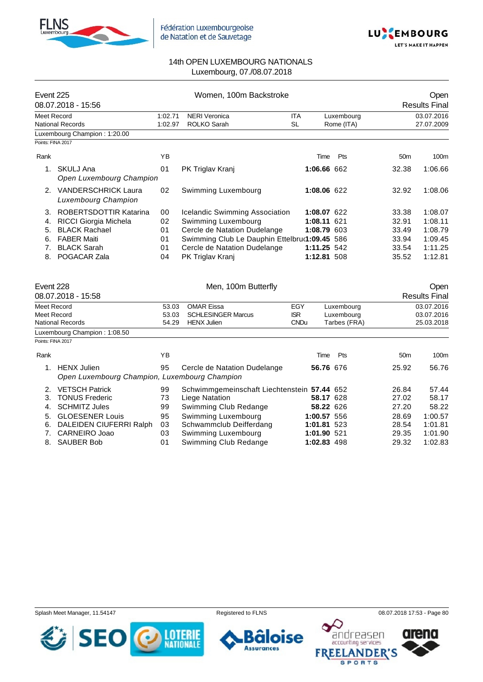



| Event 225          | 08.07.2018 - 15:56                                              |                                                     | Women, 100m Backstroke                      |             | Open<br><b>Results Final</b> |              |                 |                      |
|--------------------|-----------------------------------------------------------------|-----------------------------------------------------|---------------------------------------------|-------------|------------------------------|--------------|-----------------|----------------------|
| <b>Meet Record</b> |                                                                 | 1:02.71                                             | <b>NERI Veronica</b>                        | <b>ITA</b>  |                              | Luxembourg   |                 | 03.07.2016           |
|                    | <b>National Records</b>                                         | 1:02.97                                             | <b>ROLKO Sarah</b>                          | <b>SL</b>   |                              | Rome (ITA)   |                 | 27.07.2009           |
|                    | Luxembourg Champion: 1:20.00                                    |                                                     |                                             |             |                              |              |                 |                      |
| Points: FINA 2017  |                                                                 |                                                     |                                             |             |                              |              |                 |                      |
| Rank               |                                                                 | YB                                                  |                                             |             | Time                         | Pts          | 50 <sub>m</sub> | 100m                 |
|                    | 1. SKULJ Ana<br>Open Luxembourg Champion                        | 01                                                  | PK Triglav Kranj                            |             | 1:06.66 662                  |              | 32.38           | 1:06.66              |
|                    | 2. VANDERSCHRICK Laura<br>Luxembourg Champion                   | 02                                                  | Swimming Luxembourg                         |             | 1:08.06 622                  |              | 32.92           | 1:08.06              |
| 3.                 | <b>ROBERTSDOTTIR Katarina</b>                                   | 00                                                  | Icelandic Swimming Association              |             | 1:08.07 622                  |              | 33.38           | 1:08.07              |
| 4.                 | RICCI Giorgia Michela                                           | 02                                                  | Swimming Luxembourg                         |             | 1:08.11 621                  |              | 32.91           | 1:08.11              |
| 5.                 | <b>BLACK Rachael</b>                                            | 01                                                  | Cercle de Natation Dudelange                |             | 1:08.79 603                  |              | 33.49           | 1:08.79              |
| 6.                 | <b>FABER Maiti</b>                                              | 01<br>Swimming Club Le Dauphin Ettelbru(1:09.45 586 |                                             |             |                              |              | 33.94           | 1:09.45              |
| 7.                 | <b>BLACK Sarah</b>                                              | 01                                                  | Cercle de Natation Dudelange                |             | 1:11.25 542                  |              | 33.54           | 1:11.25              |
| 8.                 | POGACAR Zala                                                    | 04                                                  | PK Triglav Kranj                            |             | 1:12.81 508                  |              | 35.52           | 1:12.81              |
|                    |                                                                 |                                                     |                                             |             |                              |              |                 |                      |
| Event 228          |                                                                 |                                                     | Men, 100m Butterfly                         |             |                              |              |                 | Open                 |
|                    | 08.07.2018 - 15:58                                              |                                                     |                                             |             |                              |              |                 | <b>Results Final</b> |
| Meet Record        |                                                                 | 53.03                                               | <b>OMAR Eissa</b>                           | EGY         |                              | Luxembourg   |                 | 03.07.2016           |
| Meet Record        |                                                                 | 53.03                                               | <b>SCHLESINGER Marcus</b>                   | <b>ISR</b>  |                              | Luxembourg   |                 | 03.07.2016           |
|                    | <b>National Records</b>                                         | 54.29                                               | <b>HENX Julien</b>                          | <b>CNDu</b> |                              | Tarbes (FRA) |                 | 25.03.2018           |
|                    | Luxembourg Champion: 1:08.50                                    |                                                     |                                             |             |                              |              |                 |                      |
| Points: FINA 2017  |                                                                 |                                                     |                                             |             |                              |              |                 |                      |
| Rank               |                                                                 | YB                                                  |                                             |             | Time                         | Pts          | 50 <sub>m</sub> | 100m                 |
|                    | 1. HENX Julien<br>Open Luxembourg Champion, Luxembourg Champion | 95                                                  | Cercle de Natation Dudelange                |             | 56.76 676                    |              | 25.92           | 56.76                |
| 2.                 | <b>VETSCH Patrick</b>                                           | 99                                                  | Schwimmgemeinschaft Liechtenstein 57.44 652 |             |                              |              | 26.84           | 57.44                |
| 3.                 | <b>TONUS Frederic</b>                                           | 73                                                  | Liege Natation                              |             | 58.17 628                    |              | 27.02           | 58.17                |
| 4.                 | <b>SCHMITZ Jules</b>                                            | 99                                                  | Swimming Club Redange                       |             | 58.22 626                    |              | 27.20           | 58.22                |
| 5.                 | <b>GLOESENER Louis</b>                                          | 95                                                  | Swimming Luxembourg                         |             | 1:00.57 556                  |              | 28.69           | 1:00.57              |
| 6.                 | DALEIDEN CIUFERRI Ralph                                         | 03                                                  | Schwammclub Deifferdang                     |             | 1:01.81 523                  |              | 28.54           | 1:01.81              |
| 7.                 | CARNEIRO Joao                                                   | 03                                                  | Swimming Luxembourg                         |             | 1:01.90 521                  |              | 29.35           | 1:01.90              |
| 8.                 | <b>SAUBER Bob</b>                                               | 01                                                  | Swimming Club Redange                       |             | 1:02.83 498                  |              | 29.32           | 1:02.83              |

Splash Meet Manager, 11.54147 **Registered to FLNS Registered to FLNS** 08.07.2018 17:53 - Page 80

**loise** 

ÕĪ **Assurances** 



 $\bullet$  $\bm{\mathcal{\mathcal{L}}}$ andreasen arena **FREELANDER'S SPORTS**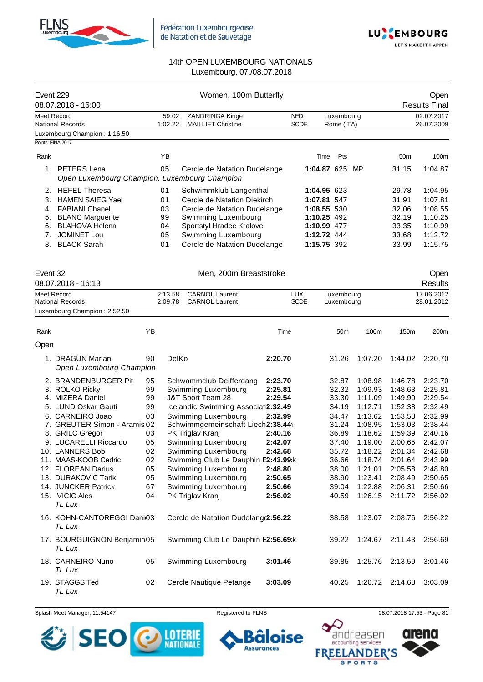



| Event 229 | 08.07.2018 - 16:00                                              |    |                    | Women, 100m Butterfly                          |         |                           |                          |                 |         |                 | Open<br><b>Results Final</b> |
|-----------|-----------------------------------------------------------------|----|--------------------|------------------------------------------------|---------|---------------------------|--------------------------|-----------------|---------|-----------------|------------------------------|
|           | Meet Record<br><b>National Records</b>                          |    | 59.02<br>1:02.22   | ZANDRINGA Kinge<br><b>MAILLIET Christine</b>   |         | <b>NED</b><br><b>SCDE</b> | Luxembourg<br>Rome (ITA) |                 |         |                 | 02.07.2017<br>26.07.2009     |
|           | Luxembourg Champion: 1:16.50                                    |    |                    |                                                |         |                           |                          |                 |         |                 |                              |
|           | Points: FINA 2017                                               |    |                    |                                                |         |                           |                          |                 |         |                 |                              |
| Rank      |                                                                 |    | ΥB                 |                                                |         |                           | Time                     | Pts             |         | 50 <sub>m</sub> | 100m                         |
|           | 1. PETERS Lena<br>Open Luxembourg Champion, Luxembourg Champion |    | 05                 | Cercle de Natation Dudelange                   |         |                           | 1:04.87 625              |                 | MP      | 31.15           | 1:04.87                      |
| 2.        | <b>HEFEL Theresa</b>                                            |    | 01                 | Schwimmklub Langenthal                         |         |                           | 1:04.95 623              |                 |         | 29.78           | 1:04.95                      |
| 3.        | <b>HAMEN SAIEG Yael</b>                                         |    | 01                 | Cercle de Natation Diekirch                    |         |                           | 1:07.81 547              |                 |         | 31.91           | 1:07.81                      |
| 4.        | <b>FABIANI Chanel</b>                                           |    | 03                 | Cercle de Natation Dudelange                   |         |                           | 1:08.55 530              |                 |         | 32.06           | 1:08.55                      |
| 5.        | <b>BLANC Marguerite</b>                                         |    | 99                 | Swimming Luxembourg                            |         |                           | 1:10.25 492              |                 |         | 32.19           | 1:10.25                      |
| 6.        | <b>BLAHOVA Helena</b>                                           |    | 04                 | Sportstyl Hradec Kralove                       |         |                           | 1:10.99 477              |                 |         | 33.35           | 1:10.99                      |
| 7.        | <b>JOMINET Lou</b>                                              |    | 05                 | Swimming Luxembourg                            |         |                           | 1:12.72 444              |                 |         | 33.68           | 1:12.72                      |
| 8.        | <b>BLACK Sarah</b>                                              |    | 01                 | Cercle de Natation Dudelange                   |         |                           | 1:15.75 392              |                 |         | 33.99           | 1:15.75                      |
| Event 32  |                                                                 |    |                    | Men, 200m Breaststroke                         |         |                           |                          |                 |         |                 | Open                         |
|           | 08.07.2018 - 16:13                                              |    |                    |                                                |         |                           |                          |                 |         |                 | <b>Results</b>               |
|           | Meet Record<br><b>National Records</b>                          |    | 2:13.58<br>2:09.78 | <b>CARNOL Laurent</b><br><b>CARNOL Laurent</b> |         | <b>LUX</b><br><b>SCDE</b> | Luxembourg<br>Luxembourg |                 |         |                 | 17.06.2012<br>28.01.2012     |
|           | Luxembourg Champion: 2:52.50                                    |    |                    |                                                |         |                           |                          |                 |         |                 |                              |
|           |                                                                 |    |                    |                                                |         |                           |                          |                 |         |                 |                              |
| Rank      |                                                                 | ΥB |                    |                                                | Time    |                           |                          | 50 <sub>m</sub> | 100m    | 150m            | 200m                         |
| Open      |                                                                 |    |                    |                                                |         |                           |                          |                 |         |                 |                              |
|           | 1. DRAGUN Marian<br>Open Luxembourg Champion                    | 90 | DelKo              |                                                | 2:20.70 |                           | 31.26                    |                 | 1:07.20 | 1:44.02         | 2:20.70                      |
|           | 2. BRANDENBURGER Pit                                            | 95 |                    | Schwammclub Deifferdang                        | 2:23.70 |                           | 32.87                    |                 | 1:08.98 | 1:46.78         | 2:23.70                      |
|           | 3. ROLKO Ricky                                                  | 99 |                    | Swimming Luxembourg                            | 2:25.81 |                           | 32.32                    |                 | 1:09.93 | 1:48.63         | 2:25.81                      |
|           | 4. MIZERA Daniel                                                | 99 |                    | J&T Sport Team 28                              | 2:29.54 |                           | 33.30                    |                 | 1:11.09 | 1:49.90         | 2:29.54                      |
|           | 5. LUND Oskar Gauti                                             | 99 |                    | Icelandic Swimming Associati2:32.49            |         |                           | 34.19                    |                 | 1:12.71 | 1:52.38         | 2:32.49                      |
|           | 6. CARNEIRO Joao                                                | 03 |                    | Swimming Luxembourg                            | 2:32.99 |                           | 34.47                    |                 | 1:13.62 | 1:53.58         | 2:32.99                      |
|           | 7. GREUTER Simon - Aramis 02                                    |    |                    | Schwimmgemeinschaft Liech2:38.44               |         |                           | 31.24                    |                 | 1:08.95 | 1:53.03         | 2:38.44                      |
|           | 8. GRILC Gregor                                                 | 03 |                    | PK Triglav Kranj                               | 2:40.16 |                           | 36.89                    |                 | 1:18.62 | 1:59.39         | 2:40.16                      |
|           | 9. LUCARELLI Riccardo                                           | 05 |                    | Swimming Luxembourg                            | 2:42.07 |                           | 37.40                    |                 | 1:19.00 | 2:00.65         | 2:42.07                      |
|           | 10. LANNERS Bob                                                 | 02 |                    | Swimming Luxembourg                            | 2:42.68 |                           | 35.72                    |                 | 1:18.22 | 2:01.34         | 2:42.68                      |
|           | 11. MAAS-KOOB Cedric                                            | 02 |                    | Swimming Club Le Dauphin E2:43.99:k            |         |                           | 36.66                    |                 | 1:18.74 | 2:01.64         | 2:43.99                      |
|           | 12. FLOREAN Darius                                              | 05 |                    | Swimming Luxembourg                            | 2:48.80 |                           | 38.00                    |                 | 1:21.01 | 2:05.58         | 2:48.80                      |
|           | 13. DURAKOVIC Tarik                                             | 05 |                    | Swimming Luxembourg                            | 2:50.65 |                           | 38.90                    |                 | 1:23.41 | 2:08.49         | 2:50.65                      |
|           | 14. JUNCKER Patrick                                             | 67 |                    | Swimming Luxembourg                            | 2:50.66 |                           | 39.04                    |                 | 1:22.88 | 2:06.31         | 2:50.66                      |
|           | 15. IVICIC Ales<br>TL Lux                                       | 04 |                    | PK Triglav Kranj                               | 2:56.02 |                           | 40.59                    |                 | 1:26.15 | 2:11.72         | 2:56.02                      |
|           | 16. KOHN-CANTOREGGI Dani03<br>TL Lux                            |    |                    | Cercle de Natation Dudelang (2:56.22           |         |                           | 38.58                    |                 | 1:23.07 | 2:08.76         | 2:56.22                      |
|           | 17. BOURGUIGNON Benjamin05<br>TL Lux                            |    |                    | Swimming Club Le Dauphin E2:56.69:k            |         |                           | 39.22                    |                 | 1:24.67 | 2:11.43         | 2:56.69                      |
|           | 18. CARNEIRO Nuno<br>TL Lux                                     | 05 |                    | Swimming Luxembourg                            | 3:01.46 |                           | 39.85                    |                 | 1:25.76 | 2:13.59         | 3:01.46                      |
|           | 19. STAGGS Ted<br>TL Lux                                        | 02 |                    | Cercle Nautique Petange                        | 3:03.09 |                           | 40.25                    |                 | 1:26.72 | 2:14.68         | 3:03.09                      |

Splash Meet Manager, 11.54147 **Registered to FLNS Registered to FLNS** 08.07.2018 17:53 - Page 81



oise Õ

**Assurances** 

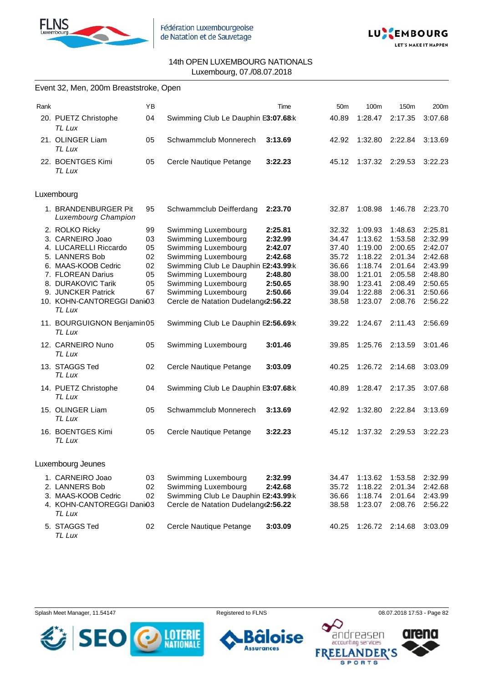



|      | Event 32, Men, 200m Breaststroke, Open                                                                                                                                                                        |                                              |                                                                                                                                                                                                                                             |                                                                           |                                                                               |                                                                                                 |                                                                                                 |                                                                                                 |
|------|---------------------------------------------------------------------------------------------------------------------------------------------------------------------------------------------------------------|----------------------------------------------|---------------------------------------------------------------------------------------------------------------------------------------------------------------------------------------------------------------------------------------------|---------------------------------------------------------------------------|-------------------------------------------------------------------------------|-------------------------------------------------------------------------------------------------|-------------------------------------------------------------------------------------------------|-------------------------------------------------------------------------------------------------|
| Rank |                                                                                                                                                                                                               | YB                                           |                                                                                                                                                                                                                                             | Time                                                                      | 50 <sub>m</sub>                                                               | 100m                                                                                            | 150m                                                                                            | 200m                                                                                            |
|      | 20. PUETZ Christophe<br>TL Lux                                                                                                                                                                                | 04                                           | Swimming Club Le Dauphin E3:07.68:k                                                                                                                                                                                                         |                                                                           | 40.89                                                                         | 1:28.47                                                                                         | 2:17.35                                                                                         | 3:07.68                                                                                         |
|      | 21. OLINGER Liam<br><b>TL Lux</b>                                                                                                                                                                             | 05                                           | Schwammclub Monnerech                                                                                                                                                                                                                       | 3:13.69                                                                   | 42.92                                                                         | 1:32.80                                                                                         | 2:22.84                                                                                         | 3:13.69                                                                                         |
|      | 22. BOENTGES Kimi<br><b>TL Lux</b>                                                                                                                                                                            | 05                                           | Cercle Nautique Petange                                                                                                                                                                                                                     | 3:22.23                                                                   | 45.12                                                                         | 1:37.32                                                                                         | 2:29.53                                                                                         | 3:22.23                                                                                         |
|      | Luxembourg                                                                                                                                                                                                    |                                              |                                                                                                                                                                                                                                             |                                                                           |                                                                               |                                                                                                 |                                                                                                 |                                                                                                 |
|      | 1. BRANDENBURGER Pit<br><b>Luxembourg Champion</b>                                                                                                                                                            | 95                                           | Schwammclub Deifferdang                                                                                                                                                                                                                     | 2:23.70                                                                   | 32.87                                                                         | 1:08.98                                                                                         | 1:46.78                                                                                         | 2:23.70                                                                                         |
|      | 2. ROLKO Ricky<br>3. CARNEIRO Joao<br>4. LUCARELLI Riccardo<br>5. LANNERS Bob<br>6. MAAS-KOOB Cedric<br>7. FLOREAN Darius<br>8. DURAKOVIC Tarik<br>9. JUNCKER Patrick<br>10. KOHN-CANTOREGGI Dani03<br>TL Lux | 99<br>03<br>05<br>02<br>02<br>05<br>05<br>67 | Swimming Luxembourg<br>Swimming Luxembourg<br>Swimming Luxembourg<br>Swimming Luxembourg<br>Swimming Club Le Dauphin E2:43.99:k<br>Swimming Luxembourg<br>Swimming Luxembourg<br>Swimming Luxembourg<br>Cercle de Natation Dudelang(2:56.22 | 2:25.81<br>2:32.99<br>2:42.07<br>2:42.68<br>2:48.80<br>2:50.65<br>2:50.66 | 32.32<br>34.47<br>37.40<br>35.72<br>36.66<br>38.00<br>38.90<br>39.04<br>38.58 | 1:09.93<br>1:13.62<br>1:19.00<br>1:18.22<br>1:18.74<br>1:21.01<br>1:23.41<br>1:22.88<br>1:23.07 | 1:48.63<br>1:53.58<br>2:00.65<br>2:01.34<br>2:01.64<br>2:05.58<br>2:08.49<br>2:06.31<br>2:08.76 | 2:25.81<br>2:32.99<br>2:42.07<br>2:42.68<br>2:43.99<br>2:48.80<br>2:50.65<br>2:50.66<br>2:56.22 |
|      | 11. BOURGUIGNON Benjamin05<br>TL Lux                                                                                                                                                                          |                                              | Swimming Club Le Dauphin E2:56.69:k                                                                                                                                                                                                         |                                                                           | 39.22                                                                         | 1:24.67                                                                                         | 2:11.43                                                                                         | 2:56.69                                                                                         |
|      | 12. CARNEIRO Nuno<br>TL Lux                                                                                                                                                                                   | 05                                           | Swimming Luxembourg                                                                                                                                                                                                                         | 3:01.46                                                                   | 39.85                                                                         | 1:25.76                                                                                         | 2:13.59                                                                                         | 3:01.46                                                                                         |
|      | 13. STAGGS Ted<br>TL Lux                                                                                                                                                                                      | 02                                           | Cercle Nautique Petange                                                                                                                                                                                                                     | 3:03.09                                                                   | 40.25                                                                         | 1:26.72                                                                                         | 2:14.68                                                                                         | 3:03.09                                                                                         |
|      | 14. PUETZ Christophe<br>TL Lux                                                                                                                                                                                | 04                                           | Swimming Club Le Dauphin E3:07.68:k                                                                                                                                                                                                         |                                                                           | 40.89                                                                         | 1:28.47                                                                                         | 2:17.35                                                                                         | 3:07.68                                                                                         |
|      | 15. OLINGER Liam<br>TL Lux                                                                                                                                                                                    | 05                                           | Schwammclub Monnerech                                                                                                                                                                                                                       | 3:13.69                                                                   | 42.92                                                                         | 1:32.80                                                                                         | 2:22.84                                                                                         | 3:13.69                                                                                         |
|      | 16. BOENTGES Kimi<br>TL Lux                                                                                                                                                                                   | 05                                           | Cercle Nautique Petange                                                                                                                                                                                                                     | 3:22.23                                                                   | 45.12                                                                         | 1:37.32                                                                                         | 2:29.53                                                                                         | 3:22.23                                                                                         |
|      | Luxembourg Jeunes                                                                                                                                                                                             |                                              |                                                                                                                                                                                                                                             |                                                                           |                                                                               |                                                                                                 |                                                                                                 |                                                                                                 |
|      | 1. CARNEIRO Joao<br>2. LANNERS Bob<br>3. MAAS-KOOB Cedric<br>4. KOHN-CANTOREGGI Dani03<br>TL Lux                                                                                                              | 03<br>02<br>02                               | Swimming Luxembourg<br>Swimming Luxembourg<br>Swimming Club Le Dauphin E2:43.99:k<br>Cercle de Natation Dudelang(2:56.22                                                                                                                    | 2:32.99<br>2:42.68                                                        | 34.47<br>35.72<br>36.66<br>38.58                                              | 1:13.62<br>1:18.22<br>1:18.74<br>1:23.07                                                        | 1:53.58<br>2:01.34<br>2:01.64<br>2:08.76                                                        | 2:32.99<br>2:42.68<br>2:43.99<br>2:56.22                                                        |
|      | 5. STAGGS Ted                                                                                                                                                                                                 | 02                                           | Cercle Nautique Petange                                                                                                                                                                                                                     | 3:03.09                                                                   | 40.25                                                                         |                                                                                                 | 1:26.72 2:14.68                                                                                 | 3:03.09                                                                                         |

*TL Lux*

Splash Meet Manager, 11.54147 **Registered to FLNS Registered to FLNS** 08.07.2018 17:53 - Page 82



ise 6 п **Assurances** 



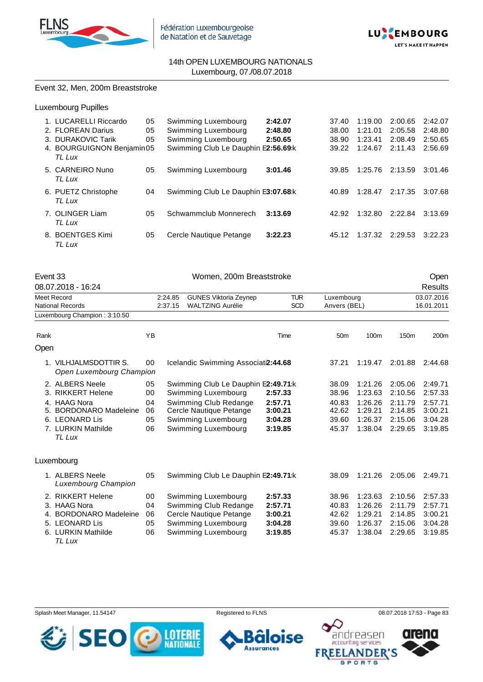



## Event 32, Men, 200m Breaststroke

Luxembourg Pupilles

| 1. LUCARELLI Riccardo<br>2. FLOREAN Darius                | 05<br>05 | Swimming Luxembourg<br>Swimming Luxembourg                 | 2:42.07<br>2:48.80 | 37.40<br>38.00 | 1:19.00<br>1:21.01 | 2:00.65<br>2:05.58 | 2:42.07<br>2:48.80 |
|-----------------------------------------------------------|----------|------------------------------------------------------------|--------------------|----------------|--------------------|--------------------|--------------------|
| 3. DURAKOVIC Tarik<br>4. BOURGUIGNON Benjamin05<br>TL Lux | 05       | Swimming Luxembourg<br>Swimming Club Le Dauphin E2:56.69:k | 2:50.65            | 38.90<br>39.22 | 1:23.41<br>1:24.67 | 2:08.49<br>2:11.43 | 2:50.65<br>2:56.69 |
| 5. CARNEIRO Nuno<br>TL Lux                                | 05       | Swimming Luxembourg                                        | 3:01.46            | 39.85          | 1:25.76            | 2:13.59            | 3:01.46            |
| 6. PUETZ Christophe<br>TL Lux                             | 04       | Swimming Club Le Dauphin E3:07.68:k                        |                    | 40.89          | 1:28.47            | 2:17.35            | 3:07.68            |
| 7. OLINGER Liam<br>TL Lux                                 | 05       | Schwammclub Monnerech                                      | 3:13.69            | 42.92          | 1:32.80            | 2:22.84            | 3:13.69            |
| 8. BOENTGES Kimi<br>TL Lux                                | 05       | Cercle Nautique Petange                                    | 3:22.23            | 45.12          | 1:37.32            | 2:29.53            | 3:22.23            |

| Event 33<br>08.07.2018 - 16:24                                                                                                             | Women, 200m Breaststroke                                                      |  |                                                                                                                                                              |                                                     |                                                    |                                                                | Open<br><b>Results</b>                                         |                                                                |  |
|--------------------------------------------------------------------------------------------------------------------------------------------|-------------------------------------------------------------------------------|--|--------------------------------------------------------------------------------------------------------------------------------------------------------------|-----------------------------------------------------|----------------------------------------------------|----------------------------------------------------------------|----------------------------------------------------------------|----------------------------------------------------------------|--|
| Meet Record<br><b>National Records</b>                                                                                                     | <b>GUNES Viktoria Zeynep</b><br>2:24.85<br><b>WALTZING Aurélie</b><br>2:37.15 |  |                                                                                                                                                              | <b>TUR</b><br><b>SCD</b>                            | Luxembourg<br>Anvers (BEL)                         |                                                                |                                                                | 03.07.2016<br>16.01.2011                                       |  |
| Luxembourg Champion: 3:10.50                                                                                                               |                                                                               |  |                                                                                                                                                              |                                                     |                                                    |                                                                |                                                                |                                                                |  |
| Rank                                                                                                                                       | YB                                                                            |  |                                                                                                                                                              | Time                                                | 50 <sub>m</sub>                                    | 100m                                                           | 150m                                                           | 200m                                                           |  |
| Open                                                                                                                                       |                                                                               |  |                                                                                                                                                              |                                                     |                                                    |                                                                |                                                                |                                                                |  |
| 1. VILHJALMSDOTTIR S.<br>Open Luxembourg Champion                                                                                          | 00                                                                            |  | Icelandic Swimming Associati2:44.68                                                                                                                          |                                                     | 37.21                                              | 1:19.47                                                        | 2:01.88                                                        | 2:44.68                                                        |  |
| 2. ALBERS Neele<br>3. RIKKERT Helene<br>4. HAAG Nora<br><b>BORDONARO Madeleine</b><br>5.<br>6. LEONARD Lis<br>7. LURKIN Mathilde<br>TL Lux | 05<br>00<br>04<br>06<br>05<br>06                                              |  | Swimming Club Le Dauphin E2:49.71:k<br>Swimming Luxembourg<br>Swimming Club Redange<br>Cercle Nautique Petange<br>Swimming Luxembourg<br>Swimming Luxembourg | 2:57.33<br>2:57.71<br>3:00.21<br>3:04.28<br>3:19.85 | 38.09<br>38.96<br>40.83<br>42.62<br>39.60<br>45.37 | 1:21.26<br>1:23.63<br>1:26.26<br>1:29.21<br>1:26.37<br>1:38.04 | 2:05.06<br>2:10.56<br>2:11.79<br>2:14.85<br>2:15.06<br>2:29.65 | 2:49.71<br>2:57.33<br>2:57.71<br>3:00.21<br>3:04.28<br>3:19.85 |  |
| Luxembourg                                                                                                                                 |                                                                               |  |                                                                                                                                                              |                                                     |                                                    |                                                                |                                                                |                                                                |  |
| 1. ALBERS Neele<br>Luxembourg Champion                                                                                                     | 05                                                                            |  | Swimming Club Le Dauphin E2:49.71:k                                                                                                                          |                                                     | 38.09                                              | 1:21.26                                                        | 2:05.06                                                        | 2:49.71                                                        |  |
| 2. RIKKERT Helene<br>3. HAAG Nora<br><b>BORDONARO Madeleine</b><br>4.<br>5. LEONARD Lis<br>6. LURKIN Mathilde                              | 00<br>04<br>06<br>05<br>06                                                    |  | Swimming Luxembourg<br>Swimming Club Redange<br>Cercle Nautique Petange<br>Swimming Luxembourg<br>Swimming Luxembourg                                        | 2:57.33<br>2:57.71<br>3:00.21<br>3:04.28<br>3:19.85 | 38.96<br>40.83<br>42.62<br>39.60<br>45.37          | 1:23.63<br>1:26.26<br>1:29.21<br>1:26.37<br>1:38.04            | 2:10.56<br>2:11.79<br>2:14.85<br>2:15.06<br>2:29.65            | 2:57.33<br>2:57.71<br>3:00.21<br>3:04.28<br>3:19.85            |  |

*TL Lux*

Splash Meet Manager, 11.54147 **Registered to FLNS** 808.07.2018 17:53 - Page 83



ise **Assurances** 



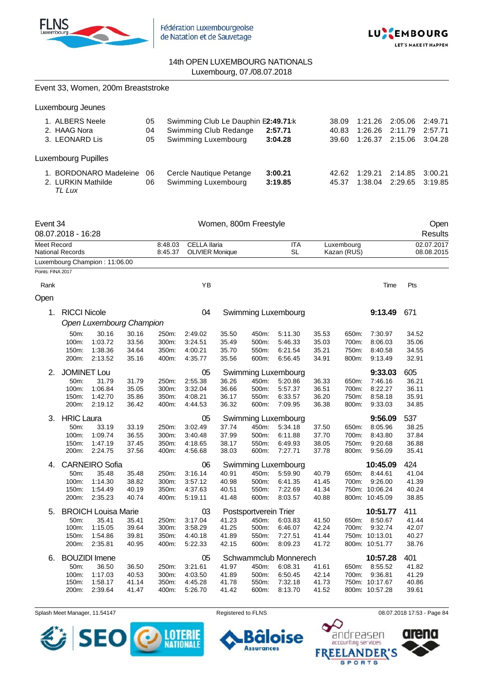



|                   |                              | Event 33, Women, 200m Breaststroke |                |                |                                     |                       |                |                       |                |             |                                  |         |                |                        |
|-------------------|------------------------------|------------------------------------|----------------|----------------|-------------------------------------|-----------------------|----------------|-----------------------|----------------|-------------|----------------------------------|---------|----------------|------------------------|
|                   | Luxembourg Jeunes            |                                    |                |                |                                     |                       |                |                       |                |             |                                  |         |                |                        |
|                   | 1. ALBERS Neele              |                                    |                | 05             | Swimming Club Le Dauphin E2:49.71:k |                       |                |                       |                | 38.09       | 1:21.26                          | 2:05.06 |                | 2:49.71                |
|                   | 2. HAAG Nora                 |                                    |                | 04             | Swimming Club Redange               |                       |                | 2:57.71               |                | 40.83       | 1:26.26                          | 2:11.79 |                | 2:57.71                |
|                   | 3. LEONARD Lis               |                                    |                | 05             | Swimming Luxembourg                 |                       |                | 3:04.28               |                | 39.60       | 1:26.37                          | 2:15.06 |                | 3:04.28                |
|                   | <b>Luxembourg Pupilles</b>   |                                    |                |                |                                     |                       |                |                       |                |             |                                  |         |                |                        |
|                   |                              | 1. BORDONARO Madeleine             |                | 06             | Cercle Nautique Petange             |                       |                | 3:00.21               |                | 42.62       | 1:29.21                          | 2:14.85 |                | 3:00.21                |
|                   | 2. LURKIN Mathilde<br>TL Lux |                                    |                | 06             | Swimming Luxembourg                 |                       |                | 3:19.85               |                | 45.37       | 1:38.04                          | 2:29.65 |                | 3:19.85                |
| Event 34          | 08.07.2018 - 16:28           |                                    |                |                |                                     | Women, 800m Freestyle |                |                       |                |             |                                  |         |                | Open<br><b>Results</b> |
| Meet Record       |                              |                                    |                | 8:48.03        | <b>CELLA llaria</b>                 |                       |                | <b>ITA</b>            |                | Luxembourg  |                                  |         |                | 02.07.2017             |
|                   | National Records             |                                    |                | 8:45.37        | <b>OLIVIER Monique</b>              |                       |                | SL                    |                | Kazan (RUS) |                                  |         |                | 08.08.2015             |
| Points: FINA 2017 |                              | Luxembourg Champion: 11:06.00      |                |                |                                     |                       |                |                       |                |             |                                  |         |                |                        |
| Rank              |                              |                                    |                |                | YB                                  |                       |                |                       |                |             |                                  | Time    | Pts            |                        |
| Open              |                              |                                    |                |                |                                     |                       |                |                       |                |             |                                  |         |                |                        |
| 1.                | <b>RICCI Nicole</b>          |                                    |                |                | 04                                  |                       |                | Swimming Luxembourg   |                |             | 9:13.49                          |         | 671            |                        |
|                   |                              | Open Luxembourg Champion           |                |                |                                     |                       |                |                       |                |             |                                  |         |                |                        |
|                   | 50m:                         | 30.16                              | 30.16          | 250m:          | 2:49.02                             | 35.50                 | 450m:          | 5:11.30               | 35.53          | 650m:       | 7:30.97                          |         | 34.52          |                        |
|                   | 100m:                        | 1:03.72                            | 33.56          | 300m:          | 3:24.51                             | 35.49                 | 500m:          | 5:46.33               | 35.03          | 700m:       | 8:06.03                          |         | 35.06          |                        |
|                   | 150m:                        | 1:38.36                            | 34.64          | 350m:          | 4:00.21                             | 35.70                 | 550m:          | 6:21.54               | 35.21          | 750m:       | 8:40.58                          |         | 34.55          |                        |
|                   | 200m:                        | 2:13.52                            | 35.16          | 400m:          | 4:35.77                             | 35.56                 | 600m:          | 6:56.45               | 34.91          | 800m:       | 9:13.49                          |         | 32.91          |                        |
| 2.                | <b>JOMINET Lou</b>           |                                    |                |                | 05                                  |                       |                | Swimming Luxembourg   |                |             | 9:33.03                          |         | 605            |                        |
|                   | 50m:                         | 31.79                              | 31.79          | 250m:          | 2:55.38                             | 36.26                 | 450m.          | 5:20.86               | 36.33          | 650m:       | 7:46.16                          |         | 36.21          |                        |
|                   | 100m:                        | 1:06.84                            | 35.05          | 300m:          | 3:32.04                             | 36.66                 | 500m:          | 5:57.37               | 36.51          | 700m:       | 8:22.27                          |         | 36.11          |                        |
|                   | 150m:                        | 1:42.70                            | 35.86          | 350m:          | 4:08.21                             | 36.17                 | 550m:          | 6:33.57               | 36.20          | 750m:       | 8:58.18                          |         | 35.91          |                        |
|                   | 200m:                        | 2:19.12                            | 36.42          | 400m:          | 4:44.53                             | 36.32                 | 600m:          | 7:09.95               | 36.38          | 800m:       | 9:33.03                          |         | 34.85          |                        |
| 3.                | <b>HRIC Laura</b>            |                                    |                |                | 05                                  |                       |                | Swimming Luxembourg   |                |             | 9:56.09                          |         | 537            |                        |
|                   | 50m:                         | 33.19                              | 33.19          | 250m:          | 3:02.49                             | 37.74                 | 450m:          | 5:34.18               | 37.50          | 650m:       | 8:05.96                          |         | 38.25          |                        |
|                   | 100m:                        | 1:09.74                            | 36.55          | 300m:          | 3:40.48                             | 37.99                 | 500m:          | 6:11.88               | 37.70          | 700m:       | 8:43.80                          |         | 37.84          |                        |
|                   | 150m:                        | 1:47.19                            | 37.45          | 350m:          | 4:18.65                             | 38.17                 | 550m:          | 6:49.93               | 38.05          | 750m:       | 9:20.68                          |         | 36.88          |                        |
|                   |                              | 200m: 2:24.75                      | 37.56          | 400m:          | 4:56.68                             | 38.03                 |                | 600m: 7:27.71         | 37.78          |             | 800m: 9:56.09                    |         | 35.41          |                        |
| 4.                |                              | <b>CARNEIRO Sofia</b>              |                |                | 06                                  |                       |                | Swimming Luxembourg   |                |             | 10:45.09                         |         | 424            |                        |
|                   | 50m:                         | 35.48                              | 35.48          | 250m:          | 3:16.14                             | 40.91                 | 450m:          | 5:59.90               | 40.79          |             | 650m: 8:44.61                    |         | 41.04          |                        |
|                   | 100m:                        | 1:14.30                            | 38.82          | 300m:          | 3:57.12                             | 40.98                 | 500m:          | 6:41.35               | 41.45          | 700m:       | 9:26.00                          |         | 41.39          |                        |
|                   | 150m:                        | 1:54.49                            | 40.19          | 350m:          | 4:37.63                             | 40.51                 | 550m:          | 7:22.69               | 41.34          |             | 750m: 10:06.24                   |         | 40.24          |                        |
|                   | 200m:                        | 2:35.23                            | 40.74          | 400m:          | 5:19.11                             | 41.48                 | 600m:          | 8:03.57               | 40.88          |             | 800m: 10:45.09                   |         | 38.85          |                        |
| 5.                |                              | <b>BROICH Louisa Marie</b>         |                |                | 03                                  | Postsportverein Trier |                |                       |                |             | 10:51.77                         |         | 411            |                        |
|                   | 50m:                         | 35.41                              | 35.41          | 250m:          | 3:17.04                             | 41.23                 | 450m:          | 6:03.83               | 41.50          | 650m:       | 8:50.67                          |         | 41.44          |                        |
|                   | 100m:                        | 1:15.05                            | 39.64          | 300m:          | 3:58.29                             | 41.25                 | 500m:          | 6:46.07               | 42.24          | 700m:       | 9:32.74                          |         | 42.07          |                        |
|                   | 150m:                        | 1:54.86<br>2:35.81                 | 39.81          | 350m:<br>400m: | 4:40.18                             | 41.89                 | 550m:          | 7:27.51               | 41.44          |             | 750m: 10:13.01                   |         | 40.27          |                        |
|                   | 200m:                        |                                    | 40.95          |                | 5.22.33                             | 42.15                 | 600m:          | 8:09.23               | 41.72          |             | 800m: 10:51.77                   |         | 38.76          |                        |
| 6.                |                              | <b>BOUZIDI</b> Imene               |                |                | 05                                  |                       |                | Schwammclub Monnerech |                |             | 10:57.28                         |         | 401            |                        |
|                   | 50m:                         | 36.50                              | 36.50          | 250m:          | 3:21.61                             | 41.97                 | 450m:          | 6:08.31               | 41.61          |             | 650m: 8:55.52                    |         | 41.82          |                        |
|                   | 100m:                        | 1:17.03                            | 40.53          | 300m:          | 4:03.50                             | 41.89                 | 500m:          | 6:50.45               | 42.14          |             | 700m: 9:36.81                    |         | 41.29          |                        |
|                   | 150m:<br>200m:               | 1:58.17<br>2:39.64                 | 41.14<br>41.47 | 350m.<br>400m: | 4:45.28<br>5:26.70                  | 41.78<br>41.42        | 550m:<br>600m: | 7:32.18<br>8:13.70    | 41.73<br>41.52 |             | 750m: 10:17.67<br>800m: 10:57.28 |         | 40.86<br>39.61 |                        |
|                   |                              |                                    |                |                |                                     |                       |                |                       |                |             |                                  |         |                |                        |

Splash Meet Manager, 11.54147 **Registered to FLNS Registered to FLNS** 08.07.2018 17:53 - Page 84





 $\bullet$  $\bm{\mathcal{\mathcal{L}}}$ 

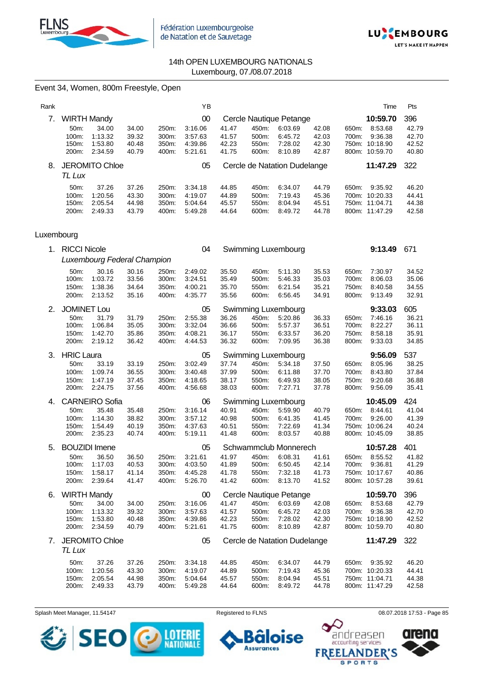



# Event 34, Women, 800m Freestyle, Open

| Rank |                   |                       |       |                    | YB      |       |       |                              |       |       | Time           | Pts   |
|------|-------------------|-----------------------|-------|--------------------|---------|-------|-------|------------------------------|-------|-------|----------------|-------|
| 7.   |                   | <b>WIRTH Mandy</b>    |       |                    | 00      |       |       | Cercle Nautique Petange      |       |       | 10:59.70       | 396   |
|      | 50 <sub>m</sub> : | 34.00                 | 34.00 | 250m:              | 3.16.06 | 41.47 | 450m: | 6:03.69                      | 42.08 | 650m: | 8:53.68        | 42.79 |
|      | $100m$ :          | 1:13.32               | 39.32 | 300m:              | 3:57.63 | 41.57 | 500m: | 6:45.72                      | 42.03 | 700m: | 9:36.38        | 42.70 |
|      | 150m:             | 1:53.80               | 40.48 | 350m:              | 4:39.86 | 42.23 | 550m: | 7:28.02                      | 42.30 |       | 750m: 10:18.90 | 42.52 |
|      | 200m:             | 2:34.59               | 40.79 | 400m:              | 5:21.61 | 41.75 | 600m: | 8:10.89                      | 42.87 |       | 800m: 10:59.70 | 40.80 |
| 8.   |                   | <b>JEROMITO Chloe</b> |       |                    | 05      |       |       | Cercle de Natation Dudelange |       |       | 11:47.29       | 322   |
|      | TL Lux            |                       |       |                    |         |       |       |                              |       |       |                |       |
|      |                   |                       |       |                    |         |       |       |                              |       |       |                |       |
|      | 50 <sub>m</sub> : | 37.26                 | 37.26 | 250 <sub>m</sub> : | 3:34.18 | 44.85 | 450m: | 6:34.07                      | 44.79 | 650m: | 9:35.92        | 46.20 |
|      | $100m$ :          | 1:20.56               | 43.30 | 300m:              | 4:19.07 | 44.89 | 500m: | 7:19.43                      | 45.36 | 700m: | 10:20.33       | 44.41 |
|      | 150m:             | 2:05.54               | 44.98 | 350m:              | 5:04.64 | 45.57 | 550m: | 8:04.94                      | 45.51 |       | 750m: 11:04.71 | 44.38 |

## Luxembourg

|    | 1. RICCI Nicole                 |                                        |                                  |                                  | 04                                       |                                  |                                  | Swimming Luxembourg                      |                                  |                                  | 9:13.49                                                       | 671                              |
|----|---------------------------------|----------------------------------------|----------------------------------|----------------------------------|------------------------------------------|----------------------------------|----------------------------------|------------------------------------------|----------------------------------|----------------------------------|---------------------------------------------------------------|----------------------------------|
|    |                                 | Luxembourg Federal Champion            |                                  |                                  |                                          |                                  |                                  |                                          |                                  |                                  |                                                               |                                  |
|    | 50m:<br>100m:<br>150m:<br>200m: | 30.16<br>1:03.72<br>1:38.36<br>2:13.52 | 30.16<br>33.56<br>34.64<br>35.16 | 250m:<br>300m:<br>350m:<br>400m: | 2:49.02<br>3.24.51<br>4:00.21<br>4:35.77 | 35.50<br>35.49<br>35.70<br>35.56 | 450m:<br>500m:<br>550m:<br>600m: | 5:11.30<br>5.46.33<br>6:21.54<br>6:56.45 | 35.53<br>35.03<br>35.21<br>34.91 | 650m:<br>700m:<br>750m:<br>800m: | 7:30.97<br>8:06.03<br>8:40.58<br>9:13.49                      | 34.52<br>35.06<br>34.55<br>32.91 |
| 2. | <b>JOMINET Lou</b>              |                                        |                                  |                                  | 05                                       |                                  |                                  | Swimming Luxembourg                      |                                  |                                  | 9:33.03                                                       | 605                              |
|    | 50m:<br>100m:<br>150m:<br>200m: | 31.79<br>1:06.84<br>1:42.70<br>2:19.12 | 31.79<br>35.05<br>35.86<br>36.42 | 250m:<br>300m:<br>350m:<br>400m: | 2:55.38<br>3:32.04<br>4:08.21<br>4:44.53 | 36.26<br>36.66<br>36.17<br>36.32 | 450m:<br>500m:<br>550m:<br>600m: | 5:20.86<br>5:57.37<br>6:33.57<br>7:09.95 | 36.33<br>36.51<br>36.20<br>36.38 | 650m:<br>700m:<br>750m:<br>800m: | 7:46.16<br>8:22.27<br>8:58.18<br>9:33.03                      | 36.21<br>36.11<br>35.91<br>34.85 |
| 3. | <b>HRIC Laura</b>               |                                        |                                  |                                  | 05                                       |                                  |                                  | Swimming Luxembourg                      |                                  |                                  | 9:56.09                                                       | 537                              |
|    | 50m:<br>100m:<br>150m:<br>200m: | 33.19<br>1:09.74<br>1:47.19<br>2:24.75 | 33.19<br>36.55<br>37.45<br>37.56 | 250m:<br>300m:<br>350m:<br>400m: | 3:02.49<br>3:40.48<br>4:18.65<br>4:56.68 | 37.74<br>37.99<br>38.17<br>38.03 | 450m:<br>500m:<br>550m:<br>600m: | 5:34.18<br>6:11.88<br>6:49.93<br>7.27.71 | 37.50<br>37.70<br>38.05<br>37.78 | 650m:<br>700m:<br>750m:<br>800m: | 8:05.96<br>8:43.80<br>9:20.68<br>9:56.09                      | 38.25<br>37.84<br>36.88<br>35.41 |
| 4. |                                 | <b>CARNEIRO Sofia</b>                  |                                  |                                  | 06                                       |                                  |                                  | Swimming Luxembourg                      |                                  |                                  | 10:45.09                                                      | 424                              |
|    | 50m:<br>100m:<br>150m:<br>200m: | 35.48<br>1:14.30<br>1:54.49<br>2:35.23 | 35.48<br>38.82<br>40.19<br>40.74 | 250m:<br>300m:<br>350m:<br>400m: | 3:16.14<br>3:57.12<br>4:37.63<br>5:19.11 | 40.91<br>40.98<br>40.51<br>41.48 | 450m:<br>500m:<br>550m:<br>600m: | 5:59.90<br>6:41.35<br>7:22.69<br>8:03.57 | 40.79<br>41.45<br>41.34<br>40.88 | 650m:<br>700m:                   | 8:44.61<br>9:26.00<br>750m: 10:06.24<br>800m: 10:45.09        | 41.04<br>41.39<br>40.24<br>38.85 |
| 5. |                                 | <b>BOUZIDI</b> Imene                   |                                  |                                  | 05                                       |                                  |                                  | Schwammclub Monnerech                    |                                  |                                  | 10:57.28                                                      | 401                              |
|    | 50m:<br>100m:<br>150m:<br>200m: | 36.50<br>1:17.03<br>1:58.17<br>2:39.64 | 36.50<br>40.53<br>41.14<br>41.47 | 250m:<br>300m:<br>350m:<br>400m: | 3:21.61<br>4:03.50<br>4:45.28<br>5:26.70 | 41.97<br>41.89<br>41.78<br>41.42 | 450m:<br>500m:<br>550m:<br>600m: | 6.08.31<br>6:50.45<br>7:32.18<br>8:13.70 | 41.61<br>42.14<br>41.73<br>41.52 | 650m:<br>700m:                   | 8:55.52<br>9.36.81<br>750m: 10:17.67<br>800m: 10:57.28        | 41.82<br>41.29<br>40.86<br>39.61 |
| 6. | <b>WIRTH Mandy</b>              |                                        |                                  |                                  | 00                                       |                                  |                                  | Cercle Nautique Petange                  |                                  |                                  | 10:59.70                                                      | 396                              |
|    | 50m:<br>100m:<br>150m:<br>200m: | 34.00<br>1:13.32<br>1:53.80<br>2:34.59 | 34.00<br>39.32<br>40.48<br>40.79 | 250m:<br>300m:<br>350m:<br>400m: | 3:16.06<br>3:57.63<br>4:39.86<br>5:21.61 | 41.47<br>41.57<br>42.23<br>41.75 | 450m:<br>500m:<br>550m:<br>600m: | 6:03.69<br>6:45.72<br>7:28.02<br>8:10.89 | 42.08<br>42.03<br>42.30<br>42.87 | 650m:<br>700m:                   | 8:53.68<br>9:36.38<br>750m: 10:18.90<br>800m: 10:59.70        | 42.79<br>42.70<br>42.52<br>40.80 |
| 7. | TL Lux                          | <b>JEROMITO Chloe</b>                  |                                  |                                  | 05                                       |                                  |                                  | Cercle de Natation Dudelange             |                                  |                                  | 11:47.29                                                      | 322                              |
|    | 50m:<br>100m:<br>150m:<br>200m: | 37.26<br>1:20.56<br>2:05.54<br>2:49.33 | 37.26<br>43.30<br>44.98<br>43.79 | 250m:<br>300m:<br>350m:<br>400m: | 3:34.18<br>4:19.07<br>5:04.64<br>5:49.28 | 44.85<br>44.89<br>45.57<br>44.64 | 450m:<br>500m:<br>550m:<br>600m: | 6:34.07<br>7:19.43<br>8:04.94<br>8:49.72 | 44.79<br>45.36<br>45.51<br>44.78 | 650m:                            | 9:35.92<br>700m: 10:20.33<br>750m: 11:04.71<br>800m: 11:47.29 | 46.20<br>44.41<br>44.38<br>42.58 |

Splash Meet Manager, 11.54147 **Registered to FLNS Registered to FLNS** 08.07.2018 17:53 - Page 85

卷 **SE LOTERIE NATIONALE** 



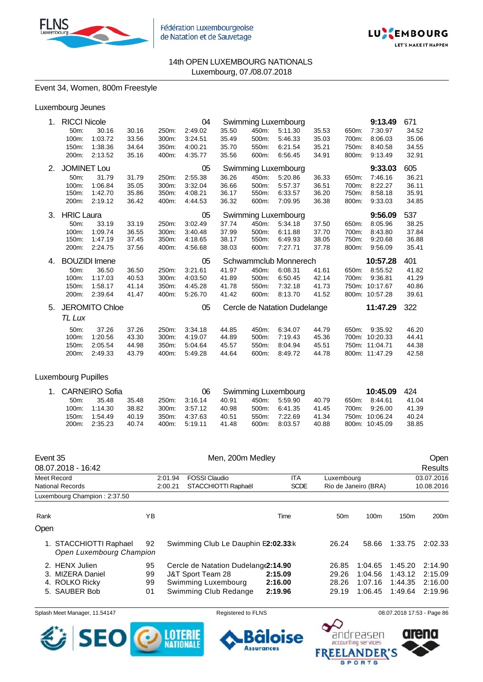



## Event 34, Women, 800m Freestyle

| Luxembourg Jeunes |  |
|-------------------|--|
|                   |  |

| 1. | 04<br><b>RICCI Nicole</b><br>Swimming Luxembourg |                       |       |       |         |       |       | 9:13.49                      | 671   |       |                |       |
|----|--------------------------------------------------|-----------------------|-------|-------|---------|-------|-------|------------------------------|-------|-------|----------------|-------|
|    | 50m:                                             | 30.16                 | 30.16 | 250m: | 2:49.02 | 35.50 | 450m: | 5:11.30                      | 35.53 | 650m: | 7:30.97        | 34.52 |
|    | 100m:                                            | 1:03.72               | 33.56 | 300m: | 3:24.51 | 35.49 | 500m: | 5:46.33                      | 35.03 | 700m: | 8:06.03        | 35.06 |
|    | 150m:                                            | 1:38.36               | 34.64 | 350m: | 4:00.21 | 35.70 | 550m: | 6:21.54                      | 35.21 | 750m: | 8:40.58        | 34.55 |
|    | 200m:                                            | 2:13.52               | 35.16 | 400m: | 4:35.77 | 35.56 | 600m: | 6:56.45                      | 34.91 | 800m: | 9:13.49        | 32.91 |
| 2. | <b>JOMINET Lou</b>                               |                       |       |       | 05      |       |       | Swimming Luxembourg          |       |       | 9:33.03        | 605   |
|    | 50m:                                             | 31.79                 | 31.79 | 250m: | 2:55.38 | 36.26 | 450m: | 5:20.86                      | 36.33 | 650m: | 7:46.16        | 36.21 |
|    | 100m:                                            | 1:06.84               | 35.05 | 300m: | 3:32.04 | 36.66 | 500m: | 5:57.37                      | 36.51 | 700m: | 8:22.27        | 36.11 |
|    | 150m:                                            | 1:42.70               | 35.86 | 350m: | 4:08.21 | 36.17 | 550m: | 6:33.57                      | 36.20 | 750m: | 8:58.18        | 35.91 |
|    | 200m:                                            | 2:19.12               | 36.42 | 400m: | 4:44.53 | 36.32 | 600m: | 7:09.95                      | 36.38 | 800m: | 9:33.03        | 34.85 |
| 3. | <b>HRIC Laura</b>                                |                       |       |       | 05      |       |       | Swimming Luxembourg          |       |       | 9:56.09        | 537   |
|    | 50m:                                             | 33.19                 | 33.19 | 250m: | 3:02.49 | 37.74 | 450m: | 5:34.18                      | 37.50 | 650m: | 8:05.96        | 38.25 |
|    | 100m:                                            | 1:09.74               | 36.55 | 300m: | 3:40.48 | 37.99 | 500m: | 6:11.88                      | 37.70 | 700m: | 8:43.80        | 37.84 |
|    | 150m:                                            | 1:47.19               | 37.45 | 350m: | 4:18.65 | 38.17 | 550m: | 6:49.93                      | 38.05 | 750m: | 9:20.68        | 36.88 |
|    | 200m:                                            | 2:24.75               | 37.56 | 400m: | 4:56.68 | 38.03 | 600m: | 7:27.71                      | 37.78 | 800m: | 9:56.09        | 35.41 |
| 4. |                                                  | <b>BOUZIDI</b> Imene  |       |       | 05      |       |       | Schwammclub Monnerech        |       |       | 10:57.28       | 401   |
|    | 50 <sub>m</sub> :                                | 36.50                 | 36.50 | 250m: | 3:21.61 | 41.97 | 450m: | 6:08.31                      | 41.61 | 650m: | 8:55.52        | 41.82 |
|    | 100m:                                            | 1:17.03               | 40.53 | 300m: | 4:03.50 | 41.89 | 500m: | 6:50.45                      | 42.14 | 700m: | 9:36.81        | 41.29 |
|    | 150m:                                            | 1:58.17               | 41.14 | 350m: | 4:45.28 | 41.78 | 550m: | 7:32.18                      | 41.73 |       | 750m: 10:17.67 | 40.86 |
|    | 200m:                                            | 2:39.64               | 41.47 | 400m: | 5:26.70 | 41.42 | 600m: | 8:13.70                      | 41.52 |       | 800m: 10:57.28 | 39.61 |
| 5. |                                                  | <b>JEROMITO Chloe</b> |       |       | 05      |       |       | Cercle de Natation Dudelange |       |       | 11:47.29       | 322   |
|    | TL Lux                                           |                       |       |       |         |       |       |                              |       |       |                |       |
|    | 50 <sub>m</sub> :                                | 37.26                 | 37.26 | 250m: | 3:34.18 | 44.85 | 450m: | 6:34.07                      | 44.79 | 650m: | 9:35.92        | 46.20 |
|    | 100m:                                            | 1:20.56               | 43.30 | 300m: | 4:19.07 | 44.89 | 500m: | 7:19.43                      | 45.36 |       | 700m: 10:20.33 | 44.41 |
|    | 150m:                                            | 2:05.54               | 44.98 | 350m: | 5:04.64 | 45.57 | 550m: | 8:04.94                      | 45.51 |       | 750m: 11:04.71 | 44.38 |
|    | 200m:                                            | 2:49.33               | 43.79 | 400m: | 5:49.28 | 44.64 | 600m: | 8:49.72                      | 44.78 |       | 800m: 11:47.29 | 42.58 |
|    |                                                  |                       |       |       |         |       |       |                              |       |       |                |       |

## Luxembourg Pupilles

| 1. CARNEIRO Sofia |               |       |       |               |       |          | Swimming Luxembourg |       | 10:45.09       | -424  |
|-------------------|---------------|-------|-------|---------------|-------|----------|---------------------|-------|----------------|-------|
| $50m$ :           | 35.48         | 35.48 |       | 250m. 3:16.14 | 40.91 | 450m:    | 5:59.90             | 40.79 | 650m: 8:44.61  | 41.04 |
|                   | 100m: 1:14.30 | 38.82 |       | 300m. 3:57.12 | 40.98 | $500m$ : | 6:41.35             | 41.45 | 700m: 9:26.00  | 41.39 |
|                   | 150m: 1:54.49 | 40.19 | 350m: | 4:37.63       | 40.51 | 550m:    | 7:22.69             | 41.34 | 750m: 10:06.24 | 40.24 |
| 200m:             | 2:35.23       | 40.74 |       | 400m: 5:19.11 | 41.48 | 600m:    | 8:03.57             | 40.88 | 800m: 10:45.09 | 38.85 |

| Event 35                        | 08.07.2018 - 16:42                                                 |                      | Men, 200m Medley                                                                                          |                               |                                  | <b>Open</b><br>Results                   |                                          |                                          |  |  |
|---------------------------------|--------------------------------------------------------------------|----------------------|-----------------------------------------------------------------------------------------------------------|-------------------------------|----------------------------------|------------------------------------------|------------------------------------------|------------------------------------------|--|--|
| Meet Record<br>National Records |                                                                    |                      | <b>FOSSI Claudio</b><br>2:01.94<br>STACCHIOTTI Raphaël<br>2:00.21                                         | <b>ITA</b><br><b>SCDE</b>     | Luxembourg                       | Rio de Janeiro (BRA)                     | 03.07.2016<br>10.08.2016                 |                                          |  |  |
|                                 | Luxembourg Champion: 2:37.50                                       |                      |                                                                                                           |                               |                                  |                                          |                                          |                                          |  |  |
| Rank                            |                                                                    | ΥB                   |                                                                                                           | Time                          | 50 <sub>m</sub>                  | 100 <sub>m</sub>                         | 150 <sub>m</sub>                         | 200 <sub>m</sub>                         |  |  |
| Open                            |                                                                    |                      |                                                                                                           |                               |                                  |                                          |                                          |                                          |  |  |
|                                 | 1. STACCHIOTTI Raphael<br>Open Luxembourg Champion                 | 92                   | Swimming Club Le Dauphin E2:02.33:k                                                                       |                               | 26.24                            | 58.66                                    | 1:33.75                                  | 2:02.33                                  |  |  |
| З.                              | 2. HENX Julien<br>MIZERA Daniel<br>4. ROLKO Ricky<br>5. SAUBER Bob | 95<br>99<br>99<br>01 | Cercle de Natation Dudelang (2:14.90<br>J&T Sport Team 28<br>Swimming Luxembourg<br>Swimming Club Redange | 2:15.09<br>2:16.00<br>2:19.96 | 26.85<br>29.26<br>28.26<br>29.19 | 1:04.65<br>1:04.56<br>1:07.16<br>1:06.45 | 1:45.20<br>1:43.12<br>1:44.35<br>1:49.64 | 2:14.90<br>2:15.09<br>2:16.00<br>2:19.96 |  |  |

Splash Meet Manager, 11.54147 **Registered to FLNS Registered to FLNS** 08.07.2018 17:53 - Page 86



ise

п

**Assurances** 

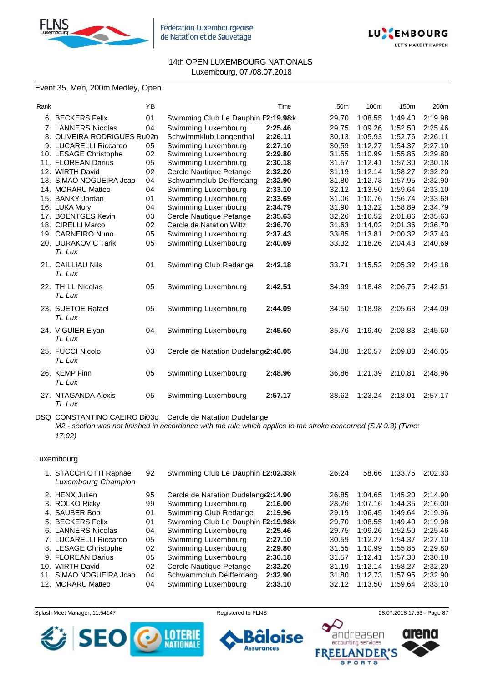



# Event 35, Men, 200m Medley, Open

| Rank |                                    | YB |                                     | Time    | 50 <sub>m</sub> | 100m    | 150 <sub>m</sub> | 200m    |
|------|------------------------------------|----|-------------------------------------|---------|-----------------|---------|------------------|---------|
|      | 6. BECKERS Felix                   | 01 | Swimming Club Le Dauphin E2:19.98 k |         | 29.70           | 1:08.55 | 1:49.40          | 2:19.98 |
|      | 7. LANNERS Nicolas                 | 04 | Swimming Luxembourg                 | 2:25.46 | 29.75           | 1:09.26 | 1:52.50          | 2:25.46 |
|      | 8. OLIVEIRA RODRIGUES Ru02n        |    | Schwimmklub Langenthal              | 2:26.11 | 30.13           | 1:05.93 | 1:52.76          | 2:26.11 |
|      | 9. LUCARELLI Riccardo              | 05 | Swimming Luxembourg                 | 2:27.10 | 30.59           | 1:12.27 | 1:54.37          | 2:27.10 |
|      | 10. LESAGE Christophe              | 02 | Swimming Luxembourg                 | 2:29.80 | 31.55           | 1:10.99 | 1:55.85          | 2:29.80 |
|      | 11. FLOREAN Darius                 | 05 | Swimming Luxembourg                 | 2:30.18 | 31.57           | 1:12.41 | 1:57.30          | 2:30.18 |
|      | 12. WIRTH David                    | 02 | Cercle Nautique Petange             | 2:32.20 | 31.19           | 1:12.14 | 1:58.27          | 2:32.20 |
|      | 13. SIMAO NOGUEIRA Joao            | 04 | Schwammclub Deifferdang             | 2:32.90 | 31.80           | 1:12.73 | 1:57.95          | 2:32.90 |
|      | 14. MORARU Matteo                  | 04 | Swimming Luxembourg                 | 2:33.10 | 32.12           | 1:13.50 | 1:59.64          | 2:33.10 |
|      | 15. BANKY Jordan                   | 01 | Swimming Luxembourg                 | 2:33.69 | 31.06           | 1:10.76 | 1:56.74          | 2:33.69 |
|      | 16. LUKA Mory                      | 04 | Swimming Luxembourg                 | 2:34.79 | 31.90           | 1:13.22 | 1:58.89          | 2:34.79 |
|      | 17. BOENTGES Kevin                 | 03 | Cercle Nautique Petange             | 2:35.63 | 32.26           | 1:16.52 | 2:01.86          | 2:35.63 |
|      | 18. CIRELLI Marco                  | 02 | Cercle de Natation Wiltz            | 2:36.70 | 31.63           | 1:14.02 | 2:01.36          | 2:36.70 |
|      | 19. CARNEIRO Nuno                  | 05 | Swimming Luxembourg                 | 2:37.43 | 33.85           | 1:13.81 | 2:00.32          | 2:37.43 |
|      | 20. DURAKOVIC Tarik<br>TL Lux      | 05 | Swimming Luxembourg                 | 2:40.69 | 33.32           | 1:18.26 | 2:04.43          | 2:40.69 |
|      | 21. CAILLIAU Nils<br>TL Lux        | 01 | Swimming Club Redange               | 2:42.18 | 33.71           | 1:15.52 | 2:05.32          | 2:42.18 |
|      | 22. THILL Nicolas<br><b>TL Lux</b> | 05 | Swimming Luxembourg                 | 2:42.51 | 34.99           | 1:18.48 | 2:06.75          | 2:42.51 |
|      | 23. SUETOE Rafael<br><b>TL Lux</b> | 05 | Swimming Luxembourg                 | 2:44.09 | 34.50           | 1:18.98 | 2:05.68          | 2:44.09 |
|      | 24. VIGUIER Elyan<br>TL Lux        | 04 | Swimming Luxembourg                 | 2:45.60 | 35.76           | 1:19.40 | 2:08.83          | 2:45.60 |
|      | 25. FUCCI Nicolo<br>TL Lux         | 03 | Cercle de Natation Dudelang(2:46.05 |         | 34.88           | 1:20.57 | 2:09.88          | 2:46.05 |
|      | 26. KEMP Finn<br><b>TL Lux</b>     | 05 | Swimming Luxembourg                 | 2:48.96 | 36.86           | 1:21.39 | 2:10.81          | 2:48.96 |
|      | 27. NTAGANDA Alexis<br>TL Lux      | 05 | Swimming Luxembourg                 | 2:57.17 | 38.62           | 1:23.24 | 2:18.01          | 2:57.17 |

DSQ CONSTANTINO CAEIRO Di03o Cercle de Natation Dudelange *M2 - section was not finished in accordance with the rule which applies to the stroke concerned (SW 9.3) (Time: 17:02)*

#### Luxembourg

|     | 1. STACCHIOTTI Raphael<br>Luxembourg Champion | 92 | Swimming Club Le Dauphin E2:02.33:k  |         | 26.24 | 58.66   | 1:33.75 | 2:02.33 |
|-----|-----------------------------------------------|----|--------------------------------------|---------|-------|---------|---------|---------|
|     | 2. HENX Julien                                | 95 | Cercle de Natation Dudelange 2:14.90 |         | 26.85 | 1:04.65 | 1:45.20 | 2:14.90 |
|     | 3. ROLKO Ricky                                | 99 | Swimming Luxembourg                  | 2:16.00 | 28.26 | 1:07.16 | 1:44.35 | 2:16.00 |
|     | 4. SAUBER Bob                                 | 01 | Swimming Club Redange                | 2:19.96 | 29.19 | 1:06.45 | 1:49.64 | 2:19.96 |
|     | 5. BECKERS Felix                              | 01 | Swimming Club Le Dauphin E2:19.98:k  |         | 29.70 | 1:08.55 | 1:49.40 | 2:19.98 |
|     | 6. LANNERS Nicolas                            | 04 | Swimming Luxembourg                  | 2:25.46 | 29.75 | 1:09.26 | 1:52.50 | 2:25.46 |
|     | 7. LUCARELLI Riccardo                         | 05 | Swimming Luxembourg                  | 2:27.10 | 30.59 | 1:12.27 | 1:54.37 | 2:27.10 |
|     | 8. LESAGE Christophe                          | 02 | Swimming Luxembourg                  | 2:29.80 | 31.55 | 1:10.99 | 1:55.85 | 2:29.80 |
|     | 9. FLOREAN Darius                             | 05 | Swimming Luxembourg                  | 2:30.18 | 31.57 | 1:12.41 | 1:57.30 | 2:30.18 |
|     | 10. WIRTH David                               | 02 | Cercle Nautique Petange              | 2:32.20 | 31.19 | 1:12.14 | 1:58.27 | 2:32.20 |
| 11. | SIMAO NOGUEIRA Joao                           | 04 | Schwammclub Deifferdang              | 2:32.90 | 31.80 | 1:12.73 | 1:57.95 | 2:32.90 |
|     | 12. MORARU Matteo                             | 04 | Swimming Luxembourg                  | 2:33.10 | 32.12 | 1:13.50 | 1:59.64 | 2:33.10 |
|     |                                               |    |                                      |         |       |         |         |         |

Splash Meet Manager, 11.54147 **Registered to FLNS Registered to FLNS** 08.07.2018 17:53 - Page 87

**Assurances** 



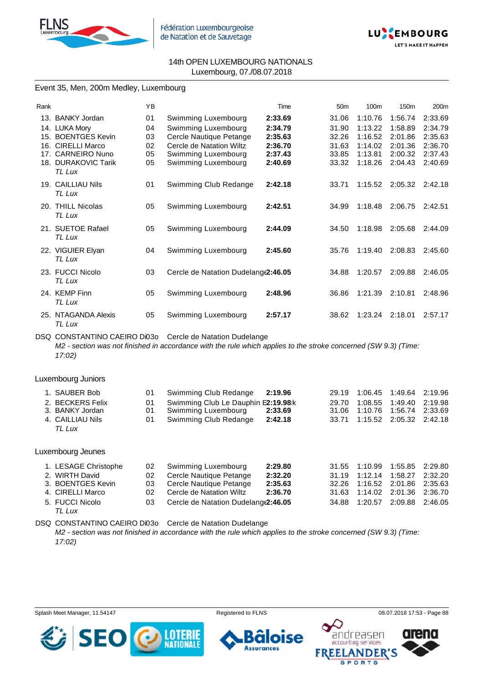



### Event 35, Men, 200m Medley, Luxembourg

| Rank            |                               | ΥB |                                      | Time    | 50 <sub>m</sub> | 100 <sub>m</sub> | 150 <sub>m</sub> | 200 <sub>m</sub> |
|-----------------|-------------------------------|----|--------------------------------------|---------|-----------------|------------------|------------------|------------------|
|                 | 13. BANKY Jordan              | 01 | Swimming Luxembourg                  | 2:33.69 | 31.06           | 1:10.76          | 1:56.74          | 2:33.69          |
|                 | 14. LUKA Mory                 | 04 | Swimming Luxembourg                  | 2:34.79 | 31.90           | 1:13.22          | 1:58.89          | 2:34.79          |
|                 | 15. BOENTGES Kevin            | 03 | Cercle Nautique Petange              | 2:35.63 | 32.26           | 1:16.52          | 2:01.86          | 2:35.63          |
| 16.             | <b>CIRELLI Marco</b>          | 02 | Cercle de Natation Wiltz             | 2:36.70 | 31.63           | 1:14.02          | 2:01.36          | 2:36.70          |
| 17 <sub>1</sub> | <b>CARNEIRO Nuno</b>          | 05 | Swimming Luxembourg                  | 2:37.43 | 33.85           | 1:13.81          | 2:00.32          | 2:37.43          |
|                 | 18. DURAKOVIC Tarik<br>TL Lux | 05 | Swimming Luxembourg                  | 2:40.69 | 33.32           | 1:18.26          | 2:04.43          | 2:40.69          |
|                 | 19. CAILLIAU Nils<br>TL Lux   | 01 | Swimming Club Redange                | 2:42.18 | 33.71           | 1:15.52          | 2:05.32          | 2:42.18          |
|                 | 20. THILL Nicolas<br>TL Lux   | 05 | Swimming Luxembourg                  | 2:42.51 | 34.99           | 1:18.48          | 2:06.75          | 2:42.51          |
|                 | 21. SUETOE Rafael<br>TL Lux   | 05 | Swimming Luxembourg                  | 2:44.09 | 34.50           | 1:18.98          | 2:05.68          | 2:44.09          |
|                 | 22. VIGUIER Elyan<br>TL Lux   | 04 | Swimming Luxembourg                  | 2:45.60 | 35.76           | 1:19.40          | 2:08.83          | 2:45.60          |
|                 | 23. FUCCI Nicolo<br>TL Lux    | 03 | Cercle de Natation Dudelang (2:46.05 |         | 34.88           | 1:20.57          | 2:09.88          | 2:46.05          |
|                 | 24. KEMP Finn<br>TL Lux       | 05 | Swimming Luxembourg                  | 2:48.96 | 36.86           | 1:21.39          | 2:10.81          | 2:48.96          |
|                 | 25. NTAGANDA Alexis<br>TL Lux | 05 | Swimming Luxembourg                  | 2:57.17 | 38.62           | 1:23.24          | 2:18.01          | 2:57.17          |

DSQ CONSTANTINO CAEIRO Di03o Cercle de Natation Dudelange *M2 - section was not finished in accordance with the rule which applies to the stroke concerned (SW 9.3) (Time: 17:02)*

Luxembourg Juniors

| 1. SAUBER Bob    | 01 Swimming Club Redange 2:19.96       |         |  | 29.19 1:06.45 1:49.64 2:19.96 |  |
|------------------|----------------------------------------|---------|--|-------------------------------|--|
| 2. BECKERS Felix | 01 Swimming Club Le Dauphin E2:19.98 k |         |  | 29.70 1:08.55 1:49.40 2:19.98 |  |
| 3. BANKY Jordan  | 01 Swimming Luxembourg 2:33.69         |         |  | 31.06 1:10.76 1:56.74 2:33.69 |  |
| 4. CAILLIAU Nils | 01 Swimming Club Redange               | 2:42.18 |  | 33.71 1:15.52 2:05.32 2:42.18 |  |
| TL Lux           |                                        |         |  |                               |  |

#### Luxembourg Jeunes

| 1. LESAGE Christophe | 02 Swimming Luxembourg                  | 2:29.80 |  | 31.55 1:10.99 1:55.85 2:29.80 |  |
|----------------------|-----------------------------------------|---------|--|-------------------------------|--|
| 2. WIRTH David       | 02 Cercle Nautique Petange              | 2:32.20 |  | 31.19 1:12.14 1:58.27 2:32.20 |  |
| 3. BOENTGES Kevin    | 03 Cercle Nautique Petange              | 2:35.63 |  | 32.26 1:16.52 2:01.86 2:35.63 |  |
| 4. CIRELLI Marco     | 02 Cercle de Natation Wiltz             | 2:36.70 |  | 31.63 1:14.02 2:01.36 2:36.70 |  |
| 5. FUCCI Nicolo      | 03 Cercle de Natation Dudelange 2:46.05 |         |  | 34.88 1:20.57 2:09.88 2:46.05 |  |
|                      |                                         |         |  |                               |  |

*TL Lux*

DSQ CONSTANTINO CAEIRO Di03o Cercle de Natation Dudelange

*M2 - section was not finished in accordance with the rule which applies to the stroke concerned (SW 9.3) (Time: 17:02)*

Splash Meet Manager, 11.54147 Registered to FLNS 08.07.2018 17:53 - Page 88

**Assurances** 

se



andreasen accounting services

> DER ORTS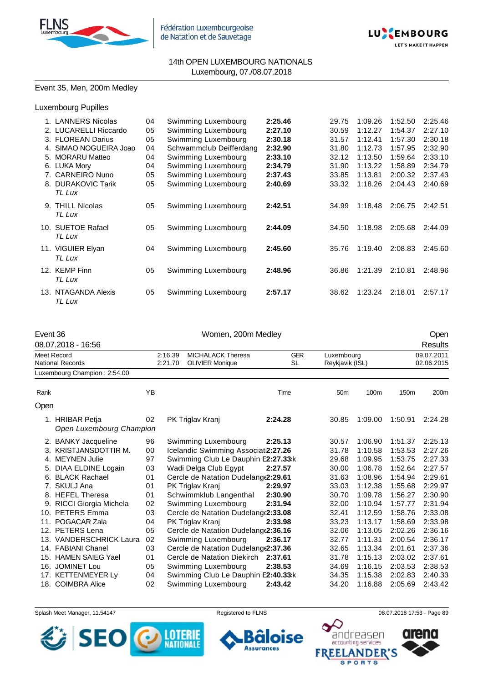



## Event 35, Men, 200m Medley

## Luxembourg Pupilles

| 1. LANNERS Nicolas     | 04 | Swimming Luxembourg     | 2:25.46 | 29.75 | 1:09.26 | 1:52.50 | 2:25.46 |
|------------------------|----|-------------------------|---------|-------|---------|---------|---------|
| 2. LUCARELLI Riccardo  | 05 | Swimming Luxembourg     | 2:27.10 | 30.59 | 1:12.27 | 1:54.37 | 2:27.10 |
| 3. FLOREAN Darius      | 05 | Swimming Luxembourg     | 2:30.18 | 31.57 | 1:12.41 | 1:57.30 | 2:30.18 |
| 4. SIMAO NOGUEIRA Joao | 04 | Schwammclub Deifferdang | 2:32.90 | 31.80 | 1:12.73 | 1:57.95 | 2:32.90 |
| 5. MORARU Matteo       | 04 | Swimming Luxembourg     | 2:33.10 | 32.12 | 1:13.50 | 1:59.64 | 2:33.10 |
| 6. LUKA Mory           | 04 | Swimming Luxembourg     | 2:34.79 | 31.90 | 1:13.22 | 1:58.89 | 2:34.79 |
| 7. CARNEIRO Nuno       | 05 | Swimming Luxembourg     | 2:37.43 | 33.85 | 1:13.81 | 2:00.32 | 2:37.43 |
| 8. DURAKOVIC Tarik     | 05 | Swimming Luxembourg     | 2:40.69 | 33.32 | 1:18.26 | 2:04.43 | 2:40.69 |
| TL Lux                 |    |                         |         |       |         |         |         |
| 9. THILL Nicolas       | 05 | Swimming Luxembourg     | 2:42.51 | 34.99 | 1:18.48 | 2:06.75 | 2:42.51 |
| TL Lux                 |    |                         |         |       |         |         |         |
| 10. SUETOE Rafael      | 05 | Swimming Luxembourg     | 2:44.09 | 34.50 | 1:18.98 | 2:05.68 | 2:44.09 |
| TL Lux                 |    |                         |         |       |         |         |         |
| 11. VIGUIER Elyan      | 04 | Swimming Luxembourg     | 2:45.60 | 35.76 | 1:19.40 | 2:08.83 | 2:45.60 |
| TL Lux                 |    |                         |         |       |         |         |         |
| 12. KEMP Finn          | 05 | Swimming Luxembourg     | 2:48.96 | 36.86 | 1:21.39 | 2:10.81 | 2:48.96 |
| TL Lux                 |    |                         |         |       |         |         |         |
|                        |    |                         |         |       |         |         |         |
| 13. NTAGANDA Alexis    | 05 | Swimming Luxembourg     | 2:57.17 | 38.62 | 1:23.24 | 2:18.01 | 2:57.17 |
| TL Lux                 |    |                         |         |       |         |         |         |

| Event 36                                                        |                                             |    |                     | Women, 200m Medley                   |            |                 | Open       |                  |            |  |  |
|-----------------------------------------------------------------|---------------------------------------------|----|---------------------|--------------------------------------|------------|-----------------|------------|------------------|------------|--|--|
|                                                                 | 08.07.2018 - 16:56                          |    |                     |                                      |            |                 |            |                  | Results    |  |  |
|                                                                 | <b>Meet Record</b>                          |    | 2:16.39             | <b>MICHALACK Theresa</b>             | <b>GER</b> |                 | Luxembourg |                  | 09.07.2011 |  |  |
|                                                                 | <b>National Records</b>                     |    | 2:21.70             | <b>OLIVIER Monique</b>               | SL         | Reykjavik (ISL) |            |                  | 02.06.2015 |  |  |
|                                                                 | Luxembourg Champion: 2:54.00                |    |                     |                                      |            |                 |            |                  |            |  |  |
| Rank                                                            |                                             | YB |                     |                                      | Time       | 50 <sub>m</sub> | 100m       | 150 <sub>m</sub> | 200m       |  |  |
| Open                                                            |                                             |    |                     |                                      |            |                 |            |                  |            |  |  |
|                                                                 | 1. HRIBAR Petja<br>Open Luxembourg Champion | 02 |                     | PK Triglav Kranj                     | 2:24.28    | 30.85           | 1:09.00    | 1:50.91          | 2:24.28    |  |  |
|                                                                 | 2. BANKY Jacqueline                         | 96 |                     | Swimming Luxembourg                  | 2:25.13    | 30.57           | 1:06.90    | 1:51.37          | 2:25.13    |  |  |
|                                                                 | 3. KRISTJANSDOTTIR M.                       | 00 |                     | Icelandic Swimming Associati2:27.26  |            | 31.78           | 1:10.58    | 1:53.53          | 2:27.26    |  |  |
|                                                                 | 4. MEYNEN Julie                             | 97 |                     | Swimming Club Le Dauphin E2:27.33:k  |            | 29.68           | 1:09.95    | 1:53.75          | 2:27.33    |  |  |
| 5.                                                              | DIAA ELDINE Logain                          | 03 |                     | Wadi Delga Club Egypt                | 30.00      | 1:06.78         | 1:52.64    | 2:27.57          |            |  |  |
|                                                                 | 6. BLACK Rachael                            | 01 |                     | Cercle de Natation Dudelang(2:29.61  |            | 31.63           | 1:08.96    | 1:54.94          | 2:29.61    |  |  |
|                                                                 | 7. SKULJ Ana                                | 01 |                     | PK Triglav Kranj                     | 2:29.97    | 33.03           | 1:12.38    | 1:55.68          | 2:29.97    |  |  |
|                                                                 | 8. HEFEL Theresa                            | 01 |                     | Schwimmklub Langenthal               | 2:30.90    | 30.70           | 1:09.78    | 1:56.27          | 2:30.90    |  |  |
|                                                                 | 9. RICCI Giorgia Michela                    | 02 |                     | Swimming Luxembourg                  | 2:31.94    | 32.00           | 1:10.94    | 1:57.77          | 2:31.94    |  |  |
|                                                                 | 10. PETERS Emma                             | 03 |                     | Cercle de Natation Dudelang(2:33.08  |            | 32.41           | 1:12.59    | 1:58.76          | 2:33.08    |  |  |
|                                                                 | 11. POGACAR Zala                            | 04 |                     | PK Triglav Kranj                     | 2:33.98    | 33.23           | 1:13.17    | 1:58.69          | 2:33.98    |  |  |
|                                                                 | 12. PETERS Lena                             | 05 |                     | Cercle de Natation Dudelang (2:36.16 |            | 32.06           | 1:13.05    | 2:02.26          | 2:36.16    |  |  |
|                                                                 | 13. VANDERSCHRICK Laura                     | 02 |                     | Swimming Luxembourg                  | 2:36.17    | 32.77           | 1:11.31    | 2:00.54          | 2:36.17    |  |  |
|                                                                 | 14. FABIANI Chanel                          | 03 |                     | Cercle de Natation Dudelang (2:37.36 |            | 32.65           | 1:13.34    | 2:01.61          | 2:37.36    |  |  |
|                                                                 | 15. HAMEN SAIEG Yael                        | 01 |                     | Cercle de Natation Diekirch          | 2:37.61    | 31.78           | 1:15.13    | 2:03.02          | 2:37.61    |  |  |
|                                                                 | 16. JOMINET Lou                             | 05 |                     | Swimming Luxembourg                  | 2:38.53    | 34.69           | 1:16.15    | 2:03.53          | 2:38.53    |  |  |
| 17. KETTENMEYER Ly<br>Swimming Club Le Dauphin E2:40.33:k<br>04 |                                             |    |                     |                                      |            | 34.35           | 1:15.38    | 2:02.83          | 2:40.33    |  |  |
|                                                                 | 18. COIMBRA Alice                           |    | Swimming Luxembourg | 2:43.42                              | 34.20      | 1:16.88         | 2:05.69    | 2:43.42          |            |  |  |

Splash Meet Manager, 11.54147 **Registered to FLNS Registered to FLNS** 08.07.2018 17:53 - Page 89

6

**Assurances** 



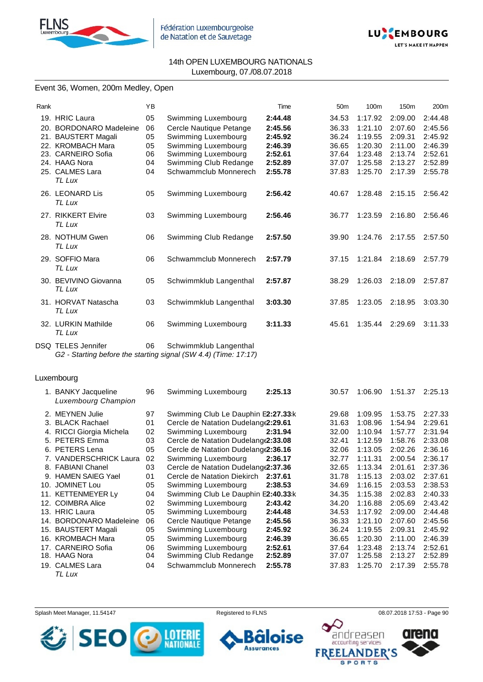



## Event 36, Women, 200m Medley, Open

| Rank |                          | ΥB |                                                                 | Time    | 50 <sub>m</sub> | 100m    | 150m    | 200m    |
|------|--------------------------|----|-----------------------------------------------------------------|---------|-----------------|---------|---------|---------|
|      | 19. HRIC Laura           | 05 | Swimming Luxembourg                                             | 2:44.48 | 34.53           | 1:17.92 | 2:09.00 | 2:44.48 |
|      | 20. BORDONARO Madeleine  | 06 | Cercle Nautique Petange                                         | 2:45.56 | 36.33           | 1:21.10 | 2:07.60 | 2:45.56 |
|      | 21. BAUSTERT Magali      | 05 | Swimming Luxembourg                                             | 2:45.92 | 36.24           | 1:19.55 | 2:09.31 | 2:45.92 |
|      | 22. KROMBACH Mara        | 05 | Swimming Luxembourg                                             | 2:46.39 | 36.65           | 1:20.30 | 2:11.00 | 2:46.39 |
|      | 23. CARNEIRO Sofia       | 06 | Swimming Luxembourg                                             | 2:52.61 | 37.64           | 1:23.48 | 2:13.74 | 2:52.61 |
|      | 24. HAAG Nora            | 04 | Swimming Club Redange                                           | 2:52.89 | 37.07           | 1:25.58 | 2:13.27 | 2:52.89 |
|      | 25. CALMES Lara          | 04 | Schwammclub Monnerech                                           | 2:55.78 | 37.83           | 1:25.70 | 2:17.39 | 2:55.78 |
|      | TL Lux                   |    |                                                                 |         |                 |         |         |         |
|      |                          |    |                                                                 |         |                 |         |         |         |
|      | 26. LEONARD Lis          | 05 | Swimming Luxembourg                                             | 2:56.42 | 40.67           | 1:28.48 | 2:15.15 | 2:56.42 |
|      | TL Lux                   |    |                                                                 |         |                 |         |         |         |
|      | 27. RIKKERT Elvire       | 03 | Swimming Luxembourg                                             | 2:56.46 | 36.77           | 1:23.59 | 2:16.80 | 2:56.46 |
|      | TL Lux                   |    |                                                                 |         |                 |         |         |         |
|      | 28. NOTHUM Gwen          |    |                                                                 | 2:57.50 | 39.90           | 1:24.76 | 2:17.55 | 2:57.50 |
|      | TL Lux                   | 06 | Swimming Club Redange                                           |         |                 |         |         |         |
|      |                          |    |                                                                 |         |                 |         |         |         |
|      | 29. SOFFIO Mara          | 06 | Schwammclub Monnerech                                           | 2:57.79 | 37.15           | 1:21.84 | 2:18.69 | 2:57.79 |
|      | TL Lux                   |    |                                                                 |         |                 |         |         |         |
|      | 30. BEVIVINO Giovanna    | 05 | Schwimmklub Langenthal                                          | 2:57.87 | 38.29           | 1:26.03 | 2:18.09 | 2:57.87 |
|      | TL Lux                   |    |                                                                 |         |                 |         |         |         |
|      |                          |    |                                                                 |         |                 |         |         |         |
|      | 31. HORVAT Natascha      | 03 | Schwimmklub Langenthal                                          | 3:03.30 | 37.85           | 1:23.05 | 2:18.95 | 3:03.30 |
|      | TL Lux                   |    |                                                                 |         |                 |         |         |         |
|      | 32. LURKIN Mathilde      | 06 | Swimming Luxembourg                                             | 3:11.33 | 45.61           | 1:35.44 | 2:29.69 | 3:11.33 |
|      | TL Lux                   |    |                                                                 |         |                 |         |         |         |
|      |                          |    |                                                                 |         |                 |         |         |         |
|      | DSQ TELES Jennifer       | 06 | Schwimmklub Langenthal                                          |         |                 |         |         |         |
|      |                          |    | G2 - Starting before the starting signal (SW 4.4) (Time: 17:17) |         |                 |         |         |         |
|      |                          |    |                                                                 |         |                 |         |         |         |
|      | Luxembourg               |    |                                                                 |         |                 |         |         |         |
|      |                          | 96 |                                                                 | 2:25.13 | 30.57           | 1:06.90 | 1:51.37 | 2:25.13 |
|      | 1. BANKY Jacqueline      |    | Swimming Luxembourg                                             |         |                 |         |         |         |
|      | Luxembourg Champion      |    |                                                                 |         |                 |         |         |         |
|      | 2. MEYNEN Julie          | 97 | Swimming Club Le Dauphin E2:27.33:k                             |         | 29.68           | 1:09.95 | 1:53.75 | 2:27.33 |
|      | 3. BLACK Rachael         | 01 | Cercle de Natation Dudelang(2:29.61                             |         | 31.63           | 1:08.96 | 1:54.94 | 2:29.61 |
|      | 4. RICCI Giorgia Michela | 02 | Swimming Luxembourg                                             | 2:31.94 | 32.00           | 1:10.94 | 1:57.77 | 2:31.94 |
|      | 5. PETERS Emma           | 03 | Cercle de Natation Dudelang(2:33.08                             |         | 32.41           | 1:12.59 | 1:58.76 | 2:33.08 |
|      | 6. PETERS Lena           | 05 | Cercle de Natation Dudelang(2:36.16                             |         | 32.06           | 1:13.05 | 2:02.26 | 2:36.16 |
|      | 7. VANDERSCHRICK Laura   | 02 | Swimming Luxembourg                                             | 2:36.17 | 32.77           | 1:11.31 | 2:00.54 | 2:36.17 |
|      | 8. FABIANI Chanel        | 03 | Cercle de Natation Dudelang(2:37.36                             |         | 32.65           | 1:13.34 | 2:01.61 | 2:37.36 |
|      | 9. HAMEN SAIEG Yael      | 01 | Cercle de Natation Diekirch                                     | 2:37.61 | 31.78           | 1:15.13 | 2:03.02 | 2:37.61 |
|      | 10. JOMINET Lou          | 05 | Swimming Luxembourg                                             | 2:38.53 | 34.69           | 1:16.15 | 2:03.53 | 2:38.53 |
|      | 11. KETTENMEYER Ly       | 04 | Swimming Club Le Dauphin E2:40.33:k                             |         | 34.35           | 1:15.38 | 2:02.83 | 2:40.33 |
|      |                          |    |                                                                 |         |                 |         |         |         |
|      | 12. COIMBRA Alice        | 02 | Swimming Luxembourg                                             | 2:43.42 | 34.20           | 1:16.88 | 2:05.69 | 2:43.42 |
|      | 13. HRIC Laura           | 05 | Swimming Luxembourg                                             | 2:44.48 | 34.53           | 1:17.92 | 2:09.00 | 2:44.48 |
|      | 14. BORDONARO Madeleine  | 06 | Cercle Nautique Petange                                         | 2:45.56 | 36.33           | 1:21.10 | 2:07.60 | 2:45.56 |
|      | 15. BAUSTERT Magali      | 05 | Swimming Luxembourg                                             | 2:45.92 | 36.24           | 1:19.55 | 2:09.31 | 2:45.92 |
|      | 16. KROMBACH Mara        | 05 | Swimming Luxembourg                                             | 2:46.39 | 36.65           | 1:20.30 | 2:11.00 | 2:46.39 |
|      | 17. CARNEIRO Sofia       | 06 | Swimming Luxembourg                                             | 2:52.61 | 37.64           | 1:23.48 | 2:13.74 | 2:52.61 |
|      | 18. HAAG Nora            | 04 | Swimming Club Redange                                           | 2:52.89 | 37.07           | 1:25.58 | 2:13.27 | 2:52.89 |
|      | 19. CALMES Lara          | 04 | Schwammclub Monnerech                                           | 2:55.78 | 37.83           | 1:25.70 | 2:17.39 | 2:55.78 |

*TL Lux*

Splash Meet Manager, 11.54147 **Registered to FLNS Registered to FLNS** 08.07.2018 17:53 - Page 90

F

**Assurances** 





**SPORTS** 

arena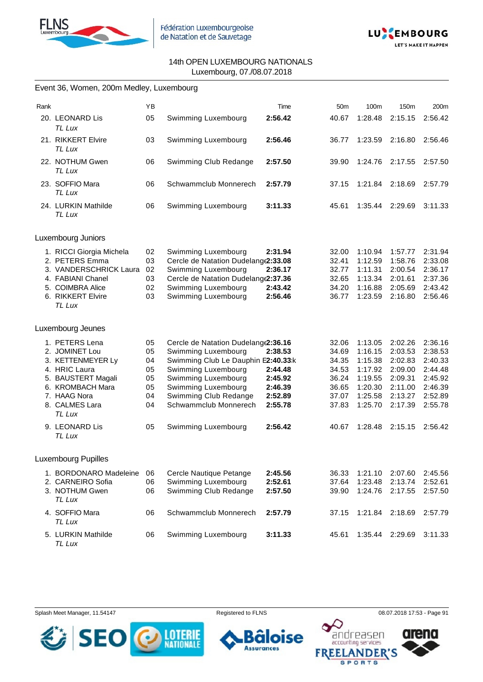



|      | Event 36, Women, 200m Medley, Luxembourg                                                                                                                     |                                              |                                                                                                                                                                                                                           |                                                                |                                                                      |                                                                                      |                                                                                      |                                                                                      |
|------|--------------------------------------------------------------------------------------------------------------------------------------------------------------|----------------------------------------------|---------------------------------------------------------------------------------------------------------------------------------------------------------------------------------------------------------------------------|----------------------------------------------------------------|----------------------------------------------------------------------|--------------------------------------------------------------------------------------|--------------------------------------------------------------------------------------|--------------------------------------------------------------------------------------|
| Rank |                                                                                                                                                              | YB                                           |                                                                                                                                                                                                                           | Time                                                           | 50 <sub>m</sub>                                                      | 100m                                                                                 | 150m                                                                                 | 200m                                                                                 |
|      | 20. LEONARD Lis<br>TL Lux                                                                                                                                    | 05                                           | Swimming Luxembourg                                                                                                                                                                                                       | 2:56.42                                                        | 40.67                                                                | 1:28.48                                                                              | 2:15.15                                                                              | 2:56.42                                                                              |
|      | 21. RIKKERT Elvire<br>TL Lux                                                                                                                                 | 03                                           | Swimming Luxembourg                                                                                                                                                                                                       | 2:56.46                                                        | 36.77                                                                | 1:23.59                                                                              | 2:16.80                                                                              | 2:56.46                                                                              |
|      | 22. NOTHUM Gwen<br>TL Lux                                                                                                                                    | 06                                           | Swimming Club Redange                                                                                                                                                                                                     | 2:57.50                                                        | 39.90                                                                | 1:24.76                                                                              | 2:17.55                                                                              | 2:57.50                                                                              |
|      | 23. SOFFIO Mara<br>TL Lux                                                                                                                                    | 06                                           | Schwammclub Monnerech                                                                                                                                                                                                     | 2:57.79                                                        | 37.15                                                                | 1:21.84                                                                              | 2:18.69                                                                              | 2:57.79                                                                              |
|      | 24. LURKIN Mathilde<br>TL Lux                                                                                                                                | 06                                           | Swimming Luxembourg                                                                                                                                                                                                       | 3:11.33                                                        | 45.61                                                                | 1:35.44                                                                              | 2:29.69                                                                              | 3:11.33                                                                              |
|      | Luxembourg Juniors                                                                                                                                           |                                              |                                                                                                                                                                                                                           |                                                                |                                                                      |                                                                                      |                                                                                      |                                                                                      |
|      | 1. RICCI Giorgia Michela<br>2. PETERS Emma<br>3. VANDERSCHRICK Laura<br>4. FABIANI Chanel<br>5. COIMBRA Alice<br>6. RIKKERT Elvire<br>TL Lux                 | 02<br>03<br>02<br>03<br>02<br>03             | Swimming Luxembourg<br>Cercle de Natation Dudelang(2:33.08<br>Swimming Luxembourg<br>Cercle de Natation Dudelang (2:37.36<br>Swimming Luxembourg<br>Swimming Luxembourg                                                   | 2:31.94<br>2:36.17<br>2:43.42<br>2:56.46                       | 32.00<br>32.41<br>32.77<br>32.65<br>34.20<br>36.77                   | 1:10.94<br>1:12.59<br>1:11.31<br>1:13.34<br>1:16.88<br>1:23.59                       | 1:57.77<br>1:58.76<br>2:00.54<br>2:01.61<br>2:05.69<br>2:16.80                       | 2:31.94<br>2:33.08<br>2:36.17<br>2:37.36<br>2:43.42<br>2:56.46                       |
|      | Luxembourg Jeunes                                                                                                                                            |                                              |                                                                                                                                                                                                                           |                                                                |                                                                      |                                                                                      |                                                                                      |                                                                                      |
|      | 1. PETERS Lena<br>2. JOMINET Lou<br>3. KETTENMEYER Ly<br>4. HRIC Laura<br>5. BAUSTERT Magali<br>6. KROMBACH Mara<br>7. HAAG Nora<br>8. CALMES Lara<br>TL Lux | 05<br>05<br>04<br>05<br>05<br>05<br>04<br>04 | Cercle de Natation Dudelang (2:36.16<br>Swimming Luxembourg<br>Swimming Club Le Dauphin E2:40.33:k<br>Swimming Luxembourg<br>Swimming Luxembourg<br>Swimming Luxembourg<br>Swimming Club Redange<br>Schwammclub Monnerech | 2:38.53<br>2:44.48<br>2:45.92<br>2:46.39<br>2:52.89<br>2:55.78 | 32.06<br>34.69<br>34.35<br>34.53<br>36.24<br>36.65<br>37.07<br>37.83 | 1:13.05<br>1:16.15<br>1:15.38<br>1:17.92<br>1:19.55<br>1:20.30<br>1:25.58<br>1:25.70 | 2:02.26<br>2:03.53<br>2:02.83<br>2:09.00<br>2:09.31<br>2:11.00<br>2:13.27<br>2:17.39 | 2:36.16<br>2:38.53<br>2:40.33<br>2:44.48<br>2:45.92<br>2:46.39<br>2:52.89<br>2:55.78 |
|      | 9. LEONARD Lis<br>TL Lux                                                                                                                                     | 05                                           | Swimming Luxembourg                                                                                                                                                                                                       | 2:56.42                                                        | 40.67                                                                | 1:28.48                                                                              | 2:15.15                                                                              | 2:56.42                                                                              |
|      | <b>Luxembourg Pupilles</b>                                                                                                                                   |                                              |                                                                                                                                                                                                                           |                                                                |                                                                      |                                                                                      |                                                                                      |                                                                                      |
|      | 1. BORDONARO Madeleine<br>2. CARNEIRO Sofia<br>3. NOTHUM Gwen<br>TL Lux                                                                                      | 06<br>06<br>06                               | Cercle Nautique Petange<br>Swimming Luxembourg<br>Swimming Club Redange                                                                                                                                                   | 2:45.56<br>2:52.61<br>2:57.50                                  | 36.33<br>37.64<br>39.90                                              | 1:21.10<br>1:23.48<br>1:24.76                                                        | 2:07.60<br>2:13.74<br>2:17.55                                                        | 2:45.56<br>2:52.61<br>2:57.50                                                        |
|      | 4. SOFFIO Mara<br>TL Lux                                                                                                                                     | 06                                           | Schwammclub Monnerech                                                                                                                                                                                                     | 2:57.79                                                        | 37.15                                                                | 1:21.84                                                                              | 2:18.69                                                                              | 2:57.79                                                                              |
|      | 5. LURKIN Mathilde<br>TL Lux                                                                                                                                 | 06                                           | Swimming Luxembourg                                                                                                                                                                                                       | 3:11.33                                                        | 45.61                                                                |                                                                                      | 1:35.44 2:29.69                                                                      | 3:11.33                                                                              |

Splash Meet Manager, 11.54147 **Registered to FLNS Registered to FLNS** 08.07.2018 17:53 - Page 91







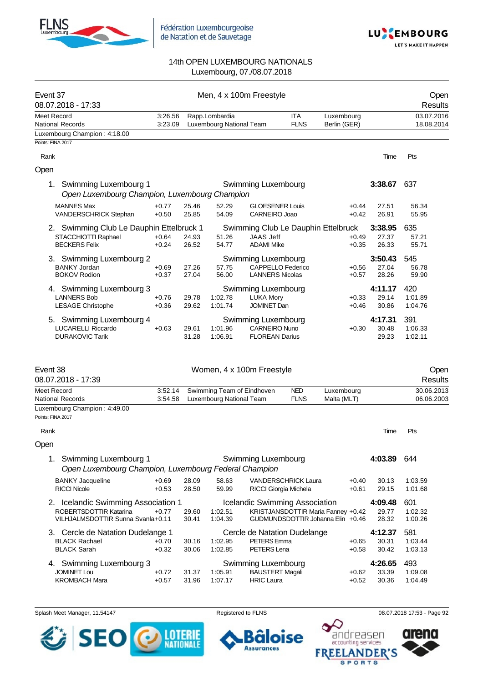



| Event 37<br>08.07.2018 - 17:33                                                          |                    |                | Men, 4 x 100m Freestyle                    |                                                                           |                            |                                                           |                           | Open<br>Results           |
|-----------------------------------------------------------------------------------------|--------------------|----------------|--------------------------------------------|---------------------------------------------------------------------------|----------------------------|-----------------------------------------------------------|---------------------------|---------------------------|
| Meet Record<br><b>National Records</b>                                                  | 3:26.56<br>3:23.09 |                | Rapp.Lombardia<br>Luxembourg National Team |                                                                           | <b>ITA</b><br><b>FLNS</b>  | Luxembourg<br>Berlin (GER)                                |                           | 03.07.2016<br>18.08.2014  |
| Luxembourg Champion: 4:18.00<br>Points: FINA 2017                                       |                    |                |                                            |                                                                           |                            |                                                           |                           |                           |
|                                                                                         |                    |                |                                            |                                                                           |                            |                                                           |                           |                           |
| Rank                                                                                    |                    |                |                                            |                                                                           |                            |                                                           | Time                      | Pts                       |
| Open                                                                                    |                    |                |                                            |                                                                           |                            |                                                           |                           |                           |
| Swimming Luxembourg 1<br>1.<br>Open Luxembourg Champion, Luxembourg Champion            |                    |                |                                            | Swimming Luxembourg                                                       |                            |                                                           | 3:38.67                   | 637                       |
| <b>MANNES Max</b><br>VANDERSCHRICK Stephan                                              | $+0.77$<br>$+0.50$ | 25.46<br>25.85 | 52.29<br>54.09                             | <b>GLOESENER Louis</b><br>CARNEIRO Joao                                   |                            | $+0.44$<br>$+0.42$                                        | 27.51<br>26.91            | 56.34<br>55.95            |
| 2. Swimming Club Le Dauphin Ettelbruck 1<br>STACCHIOTTI Raphael<br><b>BECKERS Felix</b> | $+0.64$<br>$+0.24$ | 24.93<br>26.52 | 51.26<br>54.77                             | JAAS Jeff<br><b>ADAMI Mike</b>                                            |                            | Swimming Club Le Dauphin Ettelbruck<br>$+0.49$<br>$+0.35$ | 3:38.95<br>27.37<br>26.33 | 635<br>57.21<br>55.71     |
| 3. Swimming Luxembourg 2<br><b>BANKY Jordan</b><br><b>BOKOV Rodion</b>                  | $+0.69$<br>$+0.37$ | 27.26<br>27.04 | 57.75<br>56.00                             | Swimming Luxembourg<br><b>CAPPELLO Federico</b><br><b>LANNERS Nicolas</b> |                            | $+0.56$<br>$+0.57$                                        | 3:50.43<br>27.04<br>28.26 | 545<br>56.78<br>59.90     |
| 4. Swimming Luxembourg 3<br><b>LANNERS Bob</b><br><b>LESAGE Christophe</b>              | $+0.76$<br>$+0.36$ | 29.78<br>29.62 | 1:02.78<br>1:01.74                         | Swimming Luxembourg<br><b>LUKA Mory</b><br><b>JOMINET Dan</b>             |                            | $+0.33$<br>$+0.46$                                        | 4:11.17<br>29.14<br>30.86 | 420<br>1:01.89<br>1:04.76 |
| 5. Swimming Luxembourg 4<br><b>LUCARELLI Riccardo</b><br><b>DURAKOVIC Tarik</b>         | $+0.63$            | 29.61<br>31.28 | 1:01.96<br>1:06.91                         | Swimming Luxembourg<br><b>CARNEIRO Nuno</b><br><b>FLOREAN Darius</b>      |                            | $+0.30$                                                   | 4:17.31<br>30.48<br>29.23 | 391<br>1:06.33<br>1:02.11 |
| Event 38<br>08.07.2018 - 17:39                                                          |                    |                | Women, 4 x 100m Freestyle                  |                                                                           |                            |                                                           |                           | Open<br>Results           |
| Meet Record                                                                             | 3:52.14            |                | Swimming Team of Eindhoven                 |                                                                           | <b>NED</b>                 | Luxembourg                                                |                           | 30.06.2013                |
| National Records<br>Luxembourg Champion: 4:49.00                                        | 3:54.58            |                | Luxembourg National Team                   |                                                                           | <b>FLNS</b>                | Malta (MLT)                                               |                           | 06.06.2003                |
| Points: FINA 2017                                                                       |                    |                |                                            |                                                                           |                            |                                                           |                           |                           |
| Rank                                                                                    |                    |                |                                            |                                                                           |                            |                                                           | Time                      | Pts                       |
| Open                                                                                    |                    |                |                                            |                                                                           |                            |                                                           |                           |                           |
| 1. Swimming Luxembourg 1<br>Open Luxembourg Champion, Luxembourg Federal Champion       |                    |                |                                            | <b>Swimming Luxembourg</b>                                                |                            |                                                           | 4:03.89                   | 644                       |
| <b>BANKY Jacqueline</b><br><b>RICCI Nicole</b>                                          | $+0.69$<br>$+0.53$ | 28.09<br>28.50 | 58.63<br>59.99                             | RICCI Giorgia Michela                                                     | <b>VANDERSCHRICK Laura</b> | $+0.40$<br>$+0.61$                                        | 30.13<br>29.15            | 1:03.59<br>1:01.68        |
| <b>Icelandic Swimming Association 1</b><br>2.<br>ROBERTSDOTTIR Katarina                 | $+0.77$            | 29.60          | 1:02.51                                    | <b>Icelandic Swimming Association</b>                                     |                            | KRISTJANSDOTTIR Maria Fanney +0.42                        | 4:09.48<br>29.77          | 601<br>1:02.32            |
| VILHJALMSDOTTIR Sunna Svanla+0.11                                                       |                    | 30.41          | 1:04.39                                    |                                                                           |                            | GUDMUNDSDOTTIR Johanna Elin +0.46                         | 28.32                     | 1:00.26                   |
| 3. Cercle de Natation Dudelange 1<br><b>BLACK Rachael</b>                               | $+0.70$            | 30.16          | 1:02.95                                    | Cercle de Natation Dudelange<br>PETERS Emma                               |                            | $+0.65$                                                   | 4:12.37<br>30.31          | 581<br>1:03.44            |
| <b>BLACK Sarah</b>                                                                      | $+0.32$            | 30.06          | 1:02.85                                    | PETERS Lena                                                               |                            | $+0.58$                                                   | 30.42                     | 1:03.13                   |
| 4. Swimming Luxembourg 3<br><b>JOMINET Lou</b>                                          | $+0.72$            | 31.37          | 1:05.91                                    | Swimming Luxembourg<br><b>BAUSTERT Magali</b>                             |                            | $+0.62$                                                   | 4:26.65<br>33.39          | 493<br>1:09.08            |
| <b>KROMBACH Mara</b>                                                                    | $+0.57$            | 31.96          | 1:07.17                                    | <b>HRIC Laura</b>                                                         |                            | $+0.52$                                                   | 30.36                     | 1:04.49                   |

Splash Meet Manager, 11.54147 **Registered to FLNS Registered to FLNS** 08.07.2018 17:53 - Page 92



ise 61 п **Assurances**